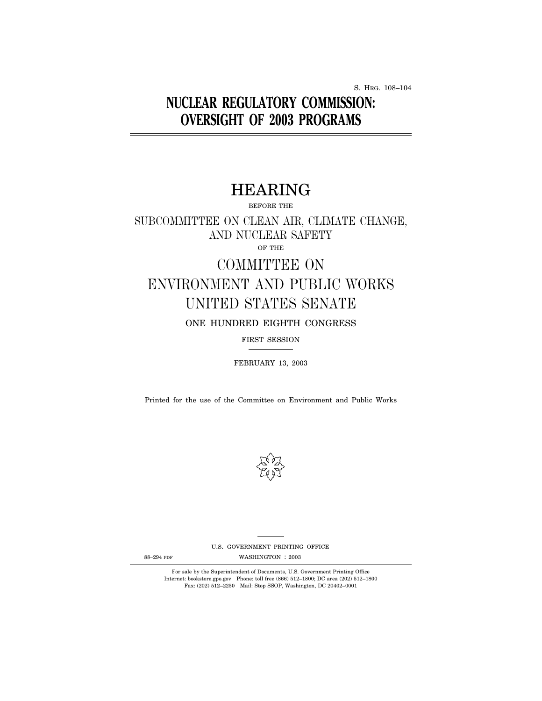S. HRG. 108–104

## **NUCLEAR REGULATORY COMMISSION: OVERSIGHT OF 2003 PROGRAMS**

## HEARING

BEFORE THE

SUBCOMMITTEE ON CLEAN AIR, CLIMATE CHANGE, AND NUCLEAR SAFETY OF THE

# COMMITTEE ON ENVIRONMENT AND PUBLIC WORKS UNITED STATES SENATE

ONE HUNDRED EIGHTH CONGRESS

FIRST SESSION

FEBRUARY 13, 2003

Printed for the use of the Committee on Environment and Public Works



U.S. GOVERNMENT PRINTING OFFICE

88-294 PDF WASHINGTON : 2003

For sale by the Superintendent of Documents, U.S. Government Printing Office Internet: bookstore.gpo.gov Phone: toll free (866) 512–1800; DC area (202) 512–1800 Fax: (202) 512–2250 Mail: Stop SSOP, Washington, DC 20402–0001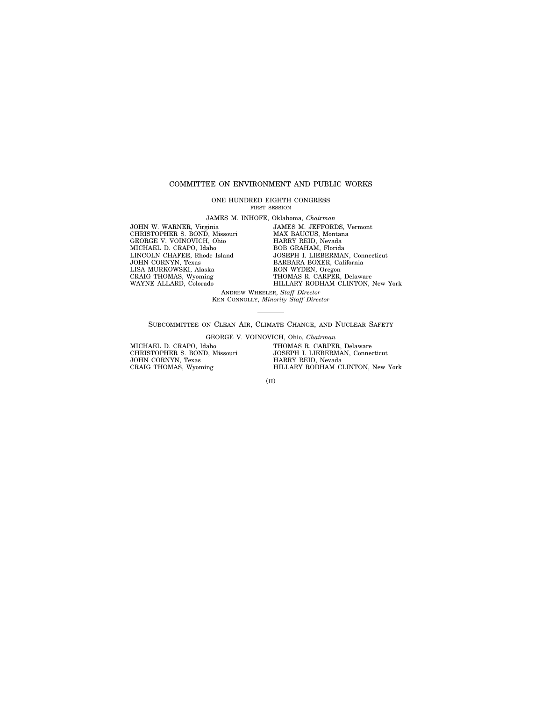### COMMITTEE ON ENVIRONMENT AND PUBLIC WORKS

ONE HUNDRED EIGHTH CONGRESS FIRST SESSION

JAMES M. INHOFE, Oklahoma, *Chairman*

JOHN W. WARNER, Virginia CHRISTOPHER S. BOND, Missouri GEORGE V. VOINOVICH, Ohio MICHAEL D. CRAPO, Idaho LINCOLN CHAFEE, Rhode Island JOHN CORNYN, Texas LISA MURKOWSKI, Alaska CRAIG THOMAS, Wyoming WAYNE ALLARD, Colorado

JAMES M. JEFFORDS, Vermont MAX BAUCUS, Montana HARRY REID, Nevada BOB GRAHAM, Florida JOSEPH I. LIEBERMAN, Connecticut BARBARA BOXER, California RON WYDEN, Oregon THOMAS R. CARPER, Delaware HILLARY RODHAM CLINTON, New York

ANDREW WHEELER, *Staff Director* KEN CONNOLLY, *Minority Staff Director*

SUBCOMMITTEE ON CLEAN AIR, CLIMATE CHANGE, AND NUCLEAR SAFETY

GEORGE V. VOINOVICH, Ohio, *Chairman*

MICHAEL D. CRAPO, Idaho CHRISTOPHER S. BOND, Missouri JOHN CORNYN, Texas CRAIG THOMAS, Wyoming

THOMAS R. CARPER, Delaware JOSEPH I. LIEBERMAN, Connecticut HARRY REID, Nevada HILLARY RODHAM CLINTON, New York

(II)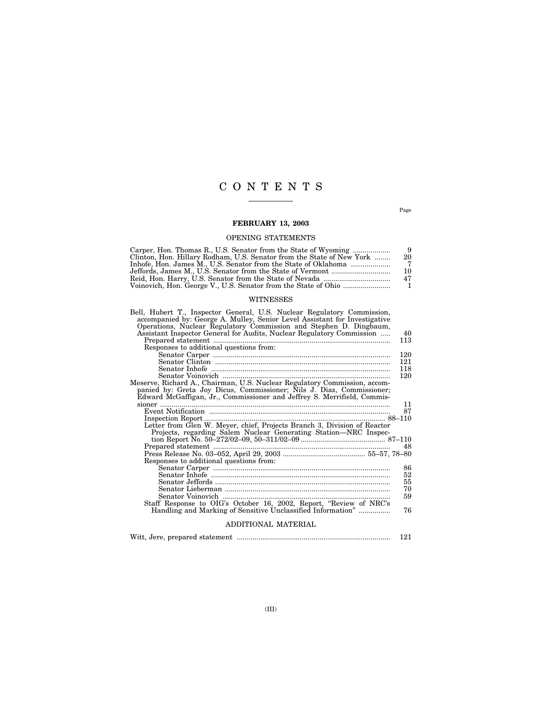### CONTENTS

Page

### **FEBRUARY 13, 2003**

### OPENING STATEMENTS

| Carper, Hon. Thomas R., U.S. Senator from the State of Wyoming        |     |
|-----------------------------------------------------------------------|-----|
| Clinton, Hon. Hillary Rodham, U.S. Senator from the State of New York | -20 |
|                                                                       |     |
|                                                                       | 10  |
|                                                                       | 47  |
|                                                                       |     |

### WITNESSES

| Bell, Hubert T., Inspector General, U.S. Nuclear Regulatory Commission,<br>accompanied by: George A. Mulley, Senior Level Assistant for Investigative |     |
|-------------------------------------------------------------------------------------------------------------------------------------------------------|-----|
| Operations, Nuclear Regulatory Commission and Stephen D. Dingbaum,                                                                                    |     |
| Assistant Inspector General for Audits, Nuclear Regulatory Commission                                                                                 | 40  |
|                                                                                                                                                       | 113 |
| Responses to additional questions from:                                                                                                               |     |
|                                                                                                                                                       | 120 |
|                                                                                                                                                       | 121 |
|                                                                                                                                                       | 118 |
|                                                                                                                                                       | 120 |
| Meserve, Richard A., Chairman, U.S. Nuclear Regulatory Commission, accom-                                                                             |     |
| panied by: Greta Joy Dicus, Commissioner; Nils J. Diaz, Commissioner;                                                                                 |     |
| Edward McGaffigan, Jr., Commissioner and Jeffrey S. Merrifield, Commis-                                                                               |     |
|                                                                                                                                                       | 11  |
|                                                                                                                                                       | 87  |
| Letter from Glen W. Meyer, chief, Projects Branch 3, Division of Reactor                                                                              |     |
|                                                                                                                                                       |     |
| Projects, regarding Salem Nuclear Generating Station—NRC Inspec-                                                                                      |     |
|                                                                                                                                                       |     |
|                                                                                                                                                       |     |
| Responses to additional questions from:                                                                                                               |     |
|                                                                                                                                                       | 86  |
|                                                                                                                                                       | 52  |
|                                                                                                                                                       | 55  |
|                                                                                                                                                       | 70  |
|                                                                                                                                                       | 59  |
| Staff Response to OIG's October 16, 2002, Report, "Review of NRC's                                                                                    |     |
| Handling and Marking of Sensitive Unclassified Information"                                                                                           | 76  |
| ADDITIONAL MATERIAL                                                                                                                                   |     |
|                                                                                                                                                       | 121 |
|                                                                                                                                                       |     |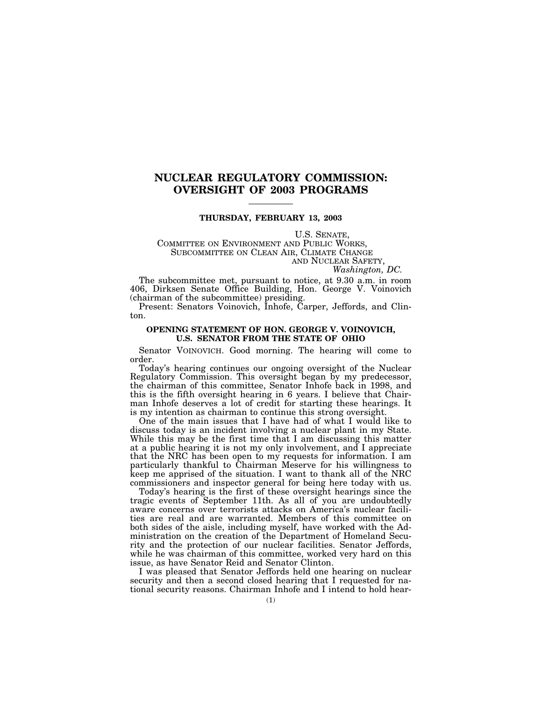### **NUCLEAR REGULATORY COMMISSION: OVERSIGHT OF 2003 PROGRAMS**

### **THURSDAY, FEBRUARY 13, 2003**

# U.S. SENATE,<br>COMMITTEE ON ENVIRONMENT AND PUBLIC WORKS,<br>SUBCOMMITTEE ON CLEAN AIR, CLIMATE CHANGE AND NUCLEAR SAFETY, *Washington, DC.*

The subcommittee met, pursuant to notice, at 9.30 a.m. in room 406, Dirksen Senate Office Building, Hon. George V. Voinovich (chairman of the subcommittee) presiding.

Present: Senators Voinovich, Inhofe, Carper, Jeffords, and Clinton.

### **OPENING STATEMENT OF HON. GEORGE V. VOINOVICH, U.S. SENATOR FROM THE STATE OF OHIO**

Senator VOINOVICH. Good morning. The hearing will come to order.

Today's hearing continues our ongoing oversight of the Nuclear Regulatory Commission. This oversight began by my predecessor, the chairman of this committee, Senator Inhofe back in 1998, and this is the fifth oversight hearing in 6 years. I believe that Chairman Inhofe deserves a lot of credit for starting these hearings. It is my intention as chairman to continue this strong oversight.

One of the main issues that I have had of what I would like to discuss today is an incident involving a nuclear plant in my State. While this may be the first time that I am discussing this matter at a public hearing it is not my only involvement, and I appreciate that the NRC has been open to my requests for information. I am particularly thankful to Chairman Meserve for his willingness to keep me apprised of the situation. I want to thank all of the NRC commissioners and inspector general for being here today with us.

Today's hearing is the first of these oversight hearings since the tragic events of September 11th. As all of you are undoubtedly aware concerns over terrorists attacks on America's nuclear facilities are real and are warranted. Members of this committee on both sides of the aisle, including myself, have worked with the Administration on the creation of the Department of Homeland Security and the protection of our nuclear facilities. Senator Jeffords, while he was chairman of this committee, worked very hard on this issue, as have Senator Reid and Senator Clinton.

I was pleased that Senator Jeffords held one hearing on nuclear security and then a second closed hearing that I requested for national security reasons. Chairman Inhofe and I intend to hold hear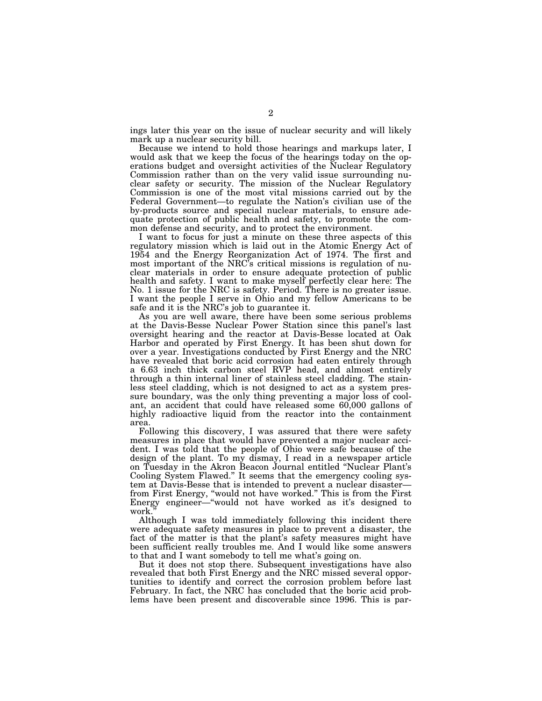ings later this year on the issue of nuclear security and will likely mark up a nuclear security bill.

Because we intend to hold those hearings and markups later, I would ask that we keep the focus of the hearings today on the operations budget and oversight activities of the Nuclear Regulatory Commission rather than on the very valid issue surrounding nuclear safety or security. The mission of the Nuclear Regulatory Commission is one of the most vital missions carried out by the Federal Government—to regulate the Nation's civilian use of the by-products source and special nuclear materials, to ensure adequate protection of public health and safety, to promote the common defense and security, and to protect the environment.

I want to focus for just a minute on these three aspects of this regulatory mission which is laid out in the Atomic Energy Act of 1954 and the Energy Reorganization Act of 1974. The first and most important of the NRC's critical missions is regulation of nuclear materials in order to ensure adequate protection of public health and safety. I want to make myself perfectly clear here: The No. 1 issue for the NRC is safety. Period. There is no greater issue. I want the people I serve in Ohio and my fellow Americans to be safe and it is the NRC's job to guarantee it.

As you are well aware, there have been some serious problems at the Davis-Besse Nuclear Power Station since this panel's last oversight hearing and the reactor at Davis-Besse located at Oak Harbor and operated by First Energy. It has been shut down for over a year. Investigations conducted by First Energy and the NRC have revealed that boric acid corrosion had eaten entirely through a 6.63 inch thick carbon steel RVP head, and almost entirely through a thin internal liner of stainless steel cladding. The stainless steel cladding, which is not designed to act as a system pressure boundary, was the only thing preventing a major loss of coolant, an accident that could have released some 60,000 gallons of highly radioactive liquid from the reactor into the containment area.

Following this discovery, I was assured that there were safety measures in place that would have prevented a major nuclear accident. I was told that the people of Ohio were safe because of the design of the plant. To my dismay, I read in a newspaper article on Tuesday in the Akron Beacon Journal entitled ''Nuclear Plant's Cooling System Flawed.'' It seems that the emergency cooling system at Davis-Besse that is intended to prevent a nuclear disaster from First Energy, ''would not have worked.'' This is from the First Energy engineer—''would not have worked as it's designed to work.

Although I was told immediately following this incident there were adequate safety measures in place to prevent a disaster, the fact of the matter is that the plant's safety measures might have been sufficient really troubles me. And I would like some answers to that and I want somebody to tell me what's going on.

But it does not stop there. Subsequent investigations have also revealed that both First Energy and the NRC missed several opportunities to identify and correct the corrosion problem before last February. In fact, the NRC has concluded that the boric acid problems have been present and discoverable since 1996. This is par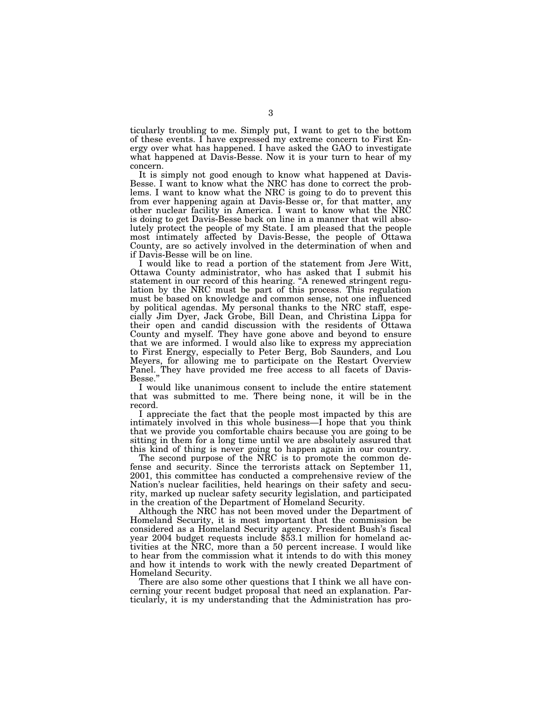ticularly troubling to me. Simply put, I want to get to the bottom of these events. I have expressed my extreme concern to First Energy over what has happened. I have asked the GAO to investigate what happened at Davis-Besse. Now it is your turn to hear of my concern.

It is simply not good enough to know what happened at Davis-Besse. I want to know what the NRC has done to correct the problems. I want to know what the NRC is going to do to prevent this from ever happening again at Davis-Besse or, for that matter, any other nuclear facility in America. I want to know what the NRC is doing to get Davis-Besse back on line in a manner that will absolutely protect the people of my State. I am pleased that the people most intimately affected by Davis-Besse, the people of Ottawa County, are so actively involved in the determination of when and if Davis-Besse will be on line.

I would like to read a portion of the statement from Jere Witt, Ottawa County administrator, who has asked that I submit his statement in our record of this hearing. ''A renewed stringent regulation by the NRC must be part of this process. This regulation must be based on knowledge and common sense, not one influenced by political agendas. My personal thanks to the NRC staff, especially Jim Dyer, Jack Grobe, Bill Dean, and Christina Lippa for their open and candid discussion with the residents of Ottawa County and myself. They have gone above and beyond to ensure that we are informed. I would also like to express my appreciation to First Energy, especially to Peter Berg, Bob Saunders, and Lou Meyers, for allowing me to participate on the Restart Overview Panel. They have provided me free access to all facets of Davis-Besse.'' I would like unanimous consent to include the entire statement

that was submitted to me. There being none, it will be in the record.

I appreciate the fact that the people most impacted by this are intimately involved in this whole business—I hope that you think that we provide you comfortable chairs because you are going to be sitting in them for a long time until we are absolutely assured that this kind of thing is never going to happen again in our country.

The second purpose of the NRC is to promote the common defense and security. Since the terrorists attack on September 11, 2001, this committee has conducted a comprehensive review of the Nation's nuclear facilities, held hearings on their safety and security, marked up nuclear safety security legislation, and participated in the creation of the Department of Homeland Security.

Although the NRC has not been moved under the Department of Homeland Security, it is most important that the commission be considered as a Homeland Security agency. President Bush's fiscal year 2004 budget requests include \$53.1 million for homeland activities at the NRC, more than a 50 percent increase. I would like to hear from the commission what it intends to do with this money and how it intends to work with the newly created Department of Homeland Security.

There are also some other questions that I think we all have concerning your recent budget proposal that need an explanation. Particularly, it is my understanding that the Administration has pro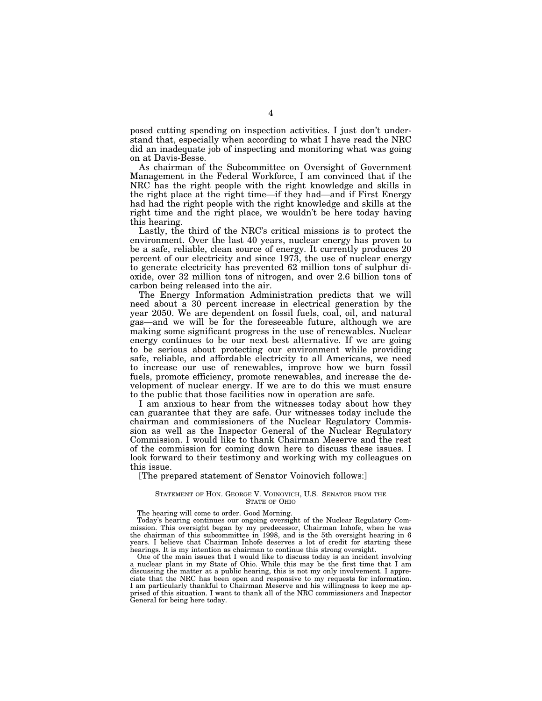posed cutting spending on inspection activities. I just don't understand that, especially when according to what I have read the NRC did an inadequate job of inspecting and monitoring what was going on at Davis-Besse.

As chairman of the Subcommittee on Oversight of Government Management in the Federal Workforce, I am convinced that if the NRC has the right people with the right knowledge and skills in the right place at the right time—if they had—and if First Energy had had the right people with the right knowledge and skills at the right time and the right place, we wouldn't be here today having this hearing.

Lastly, the third of the NRC's critical missions is to protect the environment. Over the last 40 years, nuclear energy has proven to be a safe, reliable, clean source of energy. It currently produces 20 percent of our electricity and since 1973, the use of nuclear energy to generate electricity has prevented 62 million tons of sulphur dioxide, over 32 million tons of nitrogen, and over 2.6 billion tons of carbon being released into the air.

The Energy Information Administration predicts that we will need about a 30 percent increase in electrical generation by the year 2050. We are dependent on fossil fuels, coal, oil, and natural gas—and we will be for the foreseeable future, although we are making some significant progress in the use of renewables. Nuclear energy continues to be our next best alternative. If we are going to be serious about protecting our environment while providing safe, reliable, and affordable electricity to all Americans, we need to increase our use of renewables, improve how we burn fossil fuels, promote efficiency, promote renewables, and increase the development of nuclear energy. If we are to do this we must ensure to the public that those facilities now in operation are safe.

I am anxious to hear from the witnesses today about how they can guarantee that they are safe. Our witnesses today include the chairman and commissioners of the Nuclear Regulatory Commission as well as the Inspector General of the Nuclear Regulatory Commission. I would like to thank Chairman Meserve and the rest of the commission for coming down here to discuss these issues. I look forward to their testimony and working with my colleagues on this issue.

[The prepared statement of Senator Voinovich follows:]

#### STATEMENT OF HON. GEORGE V. VOINOVICH, U.S. SENATOR FROM THE STATE OF OHIO

The hearing will come to order. Good Morning.

Today's hearing continues our ongoing oversight of the Nuclear Regulatory Commission. This oversight began by my predecessor, Chairman Inhofe, when he was the chairman of this subcommittee in 1998, and is the 5th oversight hearing in 6 years. I believe that Chairman Inhofe deserves a lot of credit for starting these hearings. It is my intention as chairman to continue this strong oversight.

One of the main issues that I would like to discuss today is an incident involving a nuclear plant in my State of Ohio. While this may be the first time that I am discussing the matter at a public hearing, this is not my only involvement. I appreciate that the NRC has been open and responsive to my requests for information. I am particularly thankful to Chairman Meserve and his willingness to keep me apprised of this situation. I want to thank all of the NRC commissioners and Inspector General for being here today.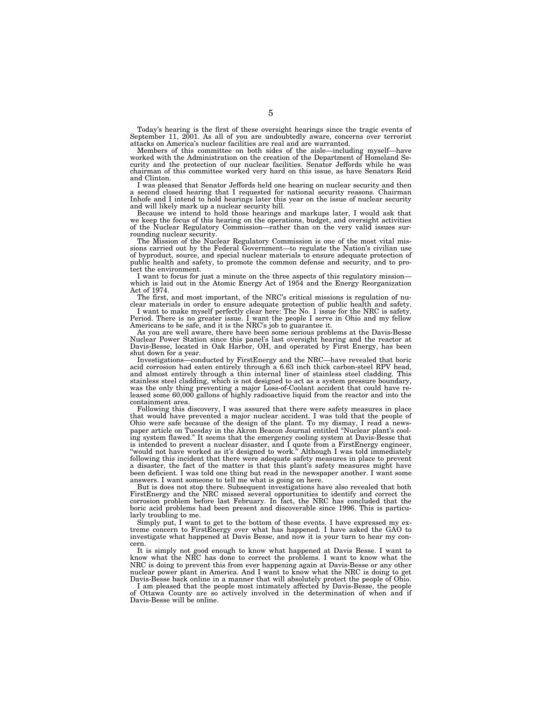Today's hearing is the first of these oversight hearings since the tragic events of September 11, 2001. As all of you are undoubtedly aware, concerns over terrorist attacks on America's nuclear facilities are real and are warranted.

Members of this committee on both sides of the aisle—including myself—have worked with the Administration on the creation of the Department of Homeland Security and the protection of our nuclear facilities. Senator Jeffords while he was chairman of this committee worked very hard on this issue, as have Senators Reid and Clinton.

I was pleased that Senator Jeffords held one hearing on nuclear security and then a second closed hearing that I requested for national security reasons. Chairman Inhofe and I intend to hold hearings later this year on the issue of nuclear security and will likely mark up a nuclear security bill. Because we intend to hold those hearings and markups later, I would ask that

we keep the focus of this hearing on the operations, budget, and oversight activities of the Nuclear Regulatory Commission—rather than on the very valid issues sur-

rounding nuclear security. The Mission of the Nuclear Regulatory Commission is one of the most vital missions carried out by the Federal Government—to regulate the Nation's civilian use of byproduct, source, and special nuclear materials to ensure adequate protection of public health and safety, to promote the common defense and security, and to protect the environment.

I want to focus for just a minute on the three aspects of this regulatory mission— which is laid out in the Atomic Energy Act of 1954 and the Energy Reorganization Act of 1974.

The first, and most important, of the NRC's critical missions is regulation of nu-

clear materials in order to ensure adequate protection of public health and safety. I want to make myself perfectly clear here: The No. 1 issue for the NRC is safety. Period. There is no greater issue. I want the people I serve in Ohio and my fellow Americans to be safe, and it is the NRC's job to guarantee it.

As you are well aware, there have been some serious problems at the Davis-Besse Nuclear Power Station since this panel's last oversight hearing and the reactor at Davis-Besse, located in Oak Harbor, OH, and operated by First Energy, has been shut down for a year.

Investigations—conducted by FirstEnergy and the NRC—have revealed that boric acid corrosion had eaten entirely through a 6.63 inch thick carbon-steel RPV head, and almost entirely through a thin internal liner of stainless steel cladding. This stainless steel cladding, which is not designed to act as a system pressure boundary, was the only thing preventing a major Loss-of-Coolant accident that could have released some 60,000 gallons of highly radioactive liquid from the reactor and into the containment area.

Following this discovery, I was assured that there were safety measures in place that would have prevented a major nuclear accident. I was told that the people of Ohio were safe because of the design of the plant. To my dismay, I read a newspaper article on Tuesday in the Akron Beacon Journal entitled ''Nuclear plant's cooling system flawed.'' It seems that the emergency cooling system at Davis-Besse that is intended to prevent a nuclear disaster, and I quote from a FirstEnergy engineer, ''would not have worked as it's designed to work.'' Although I was told immediately following this incident that there were adequate safety measures in place to prevent a disaster, the fact of the matter is that this plant's safety measures might have been deficient. I was told one thing but read in the newspaper another. I want some answers. I want someone to tell me what is going on here.

But is does not stop there. Subsequent investigations have also revealed that both FirstEnergy and the NRC missed several opportunities to identify and correct the corrosion problem before last February. In fact, the NRC has concluded that the boric acid problems had been present and discoverable since 1996. This is particularly troubling to me.

Simply put, I want to get to the bottom of these events. I have expressed my extreme concern to FirstEnergy over what has happened. I have asked the GAO to investigate what happened at Davis Besse, and now it is your turn to hear my concern.

It is simply not good enough to know what happened at Davis Besse. I want to know what the NRC has done to correct the problems. I want to know what the NRC is doing to prevent this from ever happening again at Davis-Besse or any other nuclear power plant in America. And I want to know what the NRC is doing to get Davis-Besse back online in a manner that will absolutely protect the people of Ohio.

I am pleased that the people most intimately affected by Davis-Besse, the people of Ottawa County are so actively involved in the determination of when and if Davis-Besse will be online.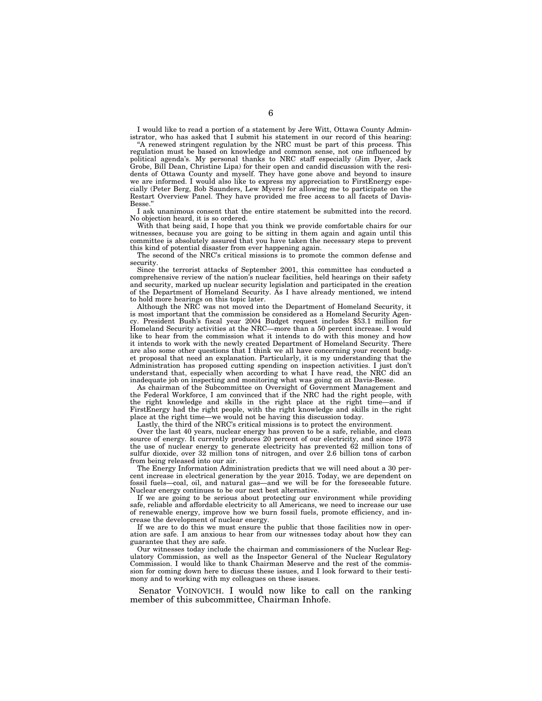I would like to read a portion of a statement by Jere Witt, Ottawa County Administrator, who has asked that I submit his statement in our record of this hearing:

"A renewed stringent regulation by the NRC must be part of this process. This regulation must be based on knowledge and common sense, not one influenced by political agenda's. My personal thanks to NRC staff especially (Jim Dyer, Jack Grobe, Bill Dean, Christine Lipa) for their open and candid discussion with the residents of Ottawa County and myself. They have gone above and beyond to insure we are informed. I would also like to express my appreciation to FirstEnergy especially (Peter Berg, Bob Saunders, Lew Myers) for allowing me to participate on the Restart Overview Panel. They have provided me free access to all facets of Davis-Besse.''

I ask unanimous consent that the entire statement be submitted into the record. No objection heard, it is so ordered.

With that being said, I hope that you think we provide comfortable chairs for our witnesses, because you are going to be sitting in them again and again until this committee is absolutely assured that you have taken the necessary steps to prevent this kind of potential disaster from ever happening again.

The second of the NRC's critical missions is to promote the common defense and security.

Since the terrorist attacks of September 2001, this committee has conducted a comprehensive review of the nation's nuclear facilities, held hearings on their safety and security, marked up nuclear security legislation and participated in the creation of the Department of Homeland Security. As I have already mentioned, we intend to hold more hearings on this topic later.

Although the NRC was not moved into the Department of Homeland Security, it is most important that the commission be considered as a Homeland Security Agency. President Bush's fiscal year 2004 Budget request includes \$53.1 million for Homeland Security activities at the NRC—more than a 50 percent increase. I would like to hear from the commission what it intends to do with this money and how it intends to work with the newly created Department of Homeland Security. There are also some other questions that I think we all have concerning your recent budget proposal that need an explanation. Particularly, it is my understanding that the Administration has proposed cutting spending on inspection activities. I just don't understand that, especially when according to what  $\hat{I}$  have read, the NRC did an inadequate job on inspecting and monitoring what was going on at Davis-Besse.

As chairman of the Subcommittee on Oversight of Government Management and the Federal Workforce, I am convinced that if the NRC had the right people, with the right knowledge and skills in the right place at the right time—and if FirstEnergy had the right people, with the right knowledge and skills in the right place at the right time—we would not be having this discussion today.

Lastly, the third of the NRC's critical missions is to protect the environment.

Over the last 40 years, nuclear energy has proven to be a safe, reliable, and clean source of energy. It currently produces 20 percent of our electricity, and since 1973 the use of nuclear energy to generate electricity has prevented  $62$  million tons of sulfur dioxide, over 32 million tons of nitrogen, and over 2.6 billion tons of carbon from being released into our air.

The Energy Information Administration predicts that we will need about a 30 percent increase in electrical generation by the year 2015. Today, we are dependent on fossil fuels—coal, oil, and natural gas—and we will be for the foreseeable future. Nuclear energy continues to be our next best alternative.

If we are going to be serious about protecting our environment while providing safe, reliable and affordable electricity to all Americans, we need to increase our use of renewable energy, improve how we burn fossil fuels, promote efficiency, and increase the development of nuclear energy.

If we are to do this we must ensure the public that those facilities now in operation are safe. I am anxious to hear from our witnesses today about how they can guarantee that they are safe.

Our witnesses today include the chairman and commissioners of the Nuclear Regulatory Commission, as well as the Inspector General of the Nuclear Regulatory Commission. I would like to thank Chairman Meserve and the rest of the commission for coming down here to discuss these issues, and I look forward to their testimony and to working with my colleagues on these issues.

Senator VOINOVICH. I would now like to call on the ranking member of this subcommittee, Chairman Inhofe.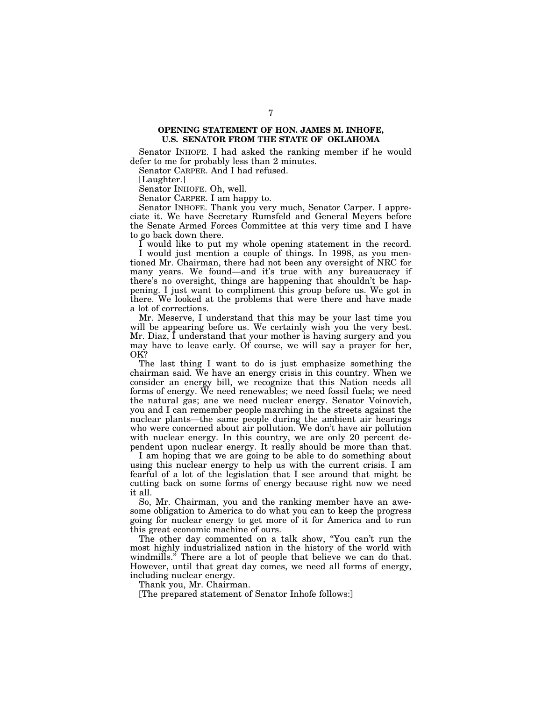### **OPENING STATEMENT OF HON. JAMES M. INHOFE, U.S. SENATOR FROM THE STATE OF OKLAHOMA**

Senator INHOFE. I had asked the ranking member if he would defer to me for probably less than 2 minutes.

Senator CARPER. And I had refused.

[Laughter.]

Senator INHOFE. Oh, well.

Senator CARPER. I am happy to.

Senator INHOFE. Thank you very much, Senator Carper. I appreciate it. We have Secretary Rumsfeld and General Meyers before the Senate Armed Forces Committee at this very time and I have to go back down there.

I would like to put my whole opening statement in the record. I would just mention a couple of things. In 1998, as you mentioned Mr. Chairman, there had not been any oversight of NRC for many years. We found—and it's true with any bureaucracy if there's no oversight, things are happening that shouldn't be happening. I just want to compliment this group before us. We got in there. We looked at the problems that were there and have made a lot of corrections.

Mr. Meserve, I understand that this may be your last time you will be appearing before us. We certainly wish you the very best. Mr. Diaz, I understand that your mother is having surgery and you may have to leave early. Of course, we will say a prayer for her, OK?

The last thing I want to do is just emphasize something the chairman said. We have an energy crisis in this country. When we consider an energy bill, we recognize that this Nation needs all forms of energy. We need renewables; we need fossil fuels; we need the natural gas; ane we need nuclear energy. Senator Voinovich, you and I can remember people marching in the streets against the nuclear plants—the same people during the ambient air hearings who were concerned about air pollution. We don't have air pollution with nuclear energy. In this country, we are only 20 percent dependent upon nuclear energy. It really should be more than that.

I am hoping that we are going to be able to do something about using this nuclear energy to help us with the current crisis. I am fearful of a lot of the legislation that I see around that might be cutting back on some forms of energy because right now we need it all.

So, Mr. Chairman, you and the ranking member have an awesome obligation to America to do what you can to keep the progress going for nuclear energy to get more of it for America and to run this great economic machine of ours.

The other day commented on a talk show, "You can't run the most highly industrialized nation in the history of the world with windmills.'' There are a lot of people that believe we can do that. However, until that great day comes, we need all forms of energy, including nuclear energy.

Thank you, Mr. Chairman.

[The prepared statement of Senator Inhofe follows:]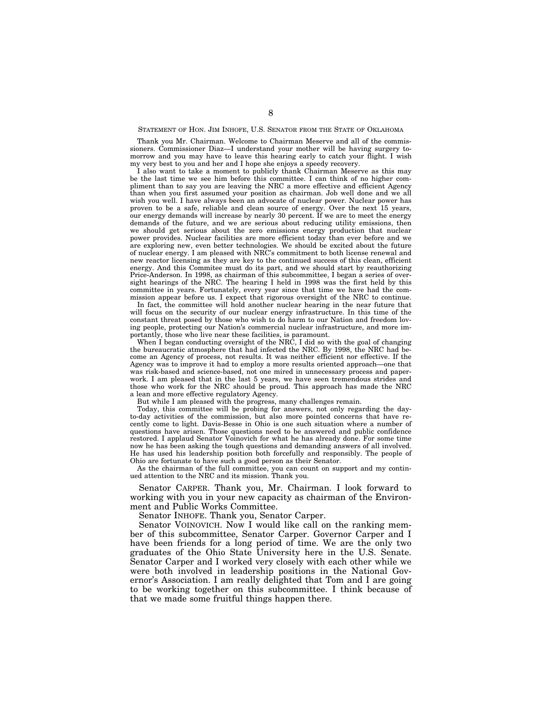#### STATEMENT OF HON. JIM INHOFE, U.S. SENATOR FROM THE STATE OF OKLAHOMA

Thank you Mr. Chairman. Welcome to Chairman Meserve and all of the commissioners. Commissioner Diaz—I understand your mother will be having surgery tomorrow and you may have to leave this hearing early to catch your flight. I wish my very best to you and her and I hope she enjoys a speedy recovery.

I also want to take a moment to publicly thank Chairman Meserve as this may be the last time we see him before this committee. I can think of no higher compliment than to say you are leaving the NRC a more effective and efficient Agency than when you first assumed your position as chairman. Job well done and we all wish you well. I have always been an advocate of nuclear power. Nuclear power has proven to be a safe, reliable and clean source of energy. Over the next 15 years, our energy demands will increase by nearly 30 percent. If we are to meet the energy demands of the future, and we are serious about reducing utility emissions, then we should get serious about the zero emissions energy production that nuclear power provides. Nuclear facilities are more efficient today than ever before and we are exploring new, even better technologies. We should be excited about the future of nuclear energy. I am pleased with NRC's commitment to both license renewal and new reactor licensing as they are key to the continued success of this clean, efficient energy. And this Commitee must do its part, and we should start by reauthorizing Price-Anderson. In 1998, as chairman of this subcommittee, I began a series of oversight hearings of the NRC. The hearing I held in 1998 was the first held by this committee in years. Fortunately, every year since that time we have had the commission appear before us. I expect that rigorous oversight of the NRC to continue.

In fact, the committee will hold another nuclear hearing in the near future that will focus on the security of our nuclear energy infrastructure. In this time of the constant threat posed by those who wish to do harm to our Nation and freedom loving people, protecting our Nation's commercial nuclear infrastructure, and more importantly, those who live near these facilities, is paramount.

When I began conducting oversight of the NRC, I did so with the goal of changing the bureaucratic atmosphere that had infected the NRC. By 1998, the NRC had become an Agency of process, not results. It was neither efficient nor effective. If the Agency was to improve it had to employ a more results oriented approach—one that was risk-based and science-based, not one mired in unnecessary process and paperwork. I am pleased that in the last 5 years, we have seen tremendous strides and those who work for the NRC should be proud. This approach has made the NRC a lean and more effective regulatory Agency.

But while I am pleased with the progress, many challenges remain.

Today, this committee will be probing for answers, not only regarding the dayto-day activities of the commission, but also more pointed concerns that have recently come to light. Davis-Besse in Ohio is one such situation where a number of questions have arisen. Those questions need to be answered and public confidence restored. I applaud Senator Voinovich for what he has already done. For some time now he has been asking the tough questions and demanding answers of all involved. He has used his leadership position both forcefully and responsibly. The people of Ohio are fortunate to have such a good person as their Senator.

As the chairman of the full committee, you can count on support and my continued attention to the NRC and its mission. Thank you.

Senator CARPER. Thank you, Mr. Chairman. I look forward to working with you in your new capacity as chairman of the Environment and Public Works Committee.

Senator INHOFE. Thank you, Senator Carper.

Senator VOINOVICH. Now I would like call on the ranking member of this subcommittee, Senator Carper. Governor Carper and I have been friends for a long period of time. We are the only two graduates of the Ohio State University here in the U.S. Senate. Senator Carper and I worked very closely with each other while we were both involved in leadership positions in the National Governor's Association. I am really delighted that Tom and I are going to be working together on this subcommittee. I think because of that we made some fruitful things happen there.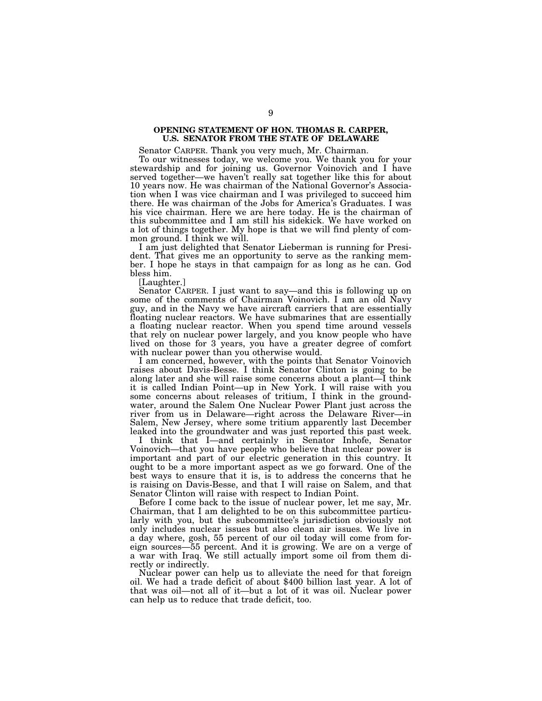### **OPENING STATEMENT OF HON. THOMAS R. CARPER, U.S. SENATOR FROM THE STATE OF DELAWARE**

Senator CARPER. Thank you very much, Mr. Chairman.

To our witnesses today, we welcome you. We thank you for your stewardship and for joining us. Governor Voinovich and I have served together—we haven't really sat together like this for about 10 years now. He was chairman of the National Governor's Association when I was vice chairman and I was privileged to succeed him there. He was chairman of the Jobs for America's Graduates. I was his vice chairman. Here we are here today. He is the chairman of this subcommittee and I am still his sidekick. We have worked on a lot of things together. My hope is that we will find plenty of common ground. I think we will.

I am just delighted that Senator Lieberman is running for President. That gives me an opportunity to serve as the ranking member. I hope he stays in that campaign for as long as he can. God bless him.

[Laughter.]

Senator CARPER. I just want to say—and this is following up on some of the comments of Chairman Voinovich. I am an old Navy guy, and in the Navy we have aircraft carriers that are essentially floating nuclear reactors. We have submarines that are essentially a floating nuclear reactor. When you spend time around vessels that rely on nuclear power largely, and you know people who have lived on those for 3 years, you have a greater degree of comfort with nuclear power than you otherwise would.

I am concerned, however, with the points that Senator Voinovich raises about Davis-Besse. I think Senator Clinton is going to be along later and she will raise some concerns about a plant—I think it is called Indian Point—up in New York. I will raise with you some concerns about releases of tritium, I think in the groundwater, around the Salem One Nuclear Power Plant just across the river from us in Delaware—right across the Delaware River—in Salem, New Jersey, where some tritium apparently last December leaked into the groundwater and was just reported this past week.

I think that I—and certainly in Senator Inhofe, Senator Voinovich—that you have people who believe that nuclear power is important and part of our electric generation in this country. It ought to be a more important aspect as we go forward. One of the best ways to ensure that it is, is to address the concerns that he is raising on Davis-Besse, and that I will raise on Salem, and that Senator Clinton will raise with respect to Indian Point.

Before I come back to the issue of nuclear power, let me say, Mr. Chairman, that I am delighted to be on this subcommittee particularly with you, but the subcommittee's jurisdiction obviously not only includes nuclear issues but also clean air issues. We live in a day where, gosh, 55 percent of our oil today will come from foreign sources—55 percent. And it is growing. We are on a verge of a war with Iraq. We still actually import some oil from them directly or indirectly.

Nuclear power can help us to alleviate the need for that foreign oil. We had a trade deficit of about \$400 billion last year. A lot of that was oil—not all of it—but a lot of it was oil. Nuclear power can help us to reduce that trade deficit, too.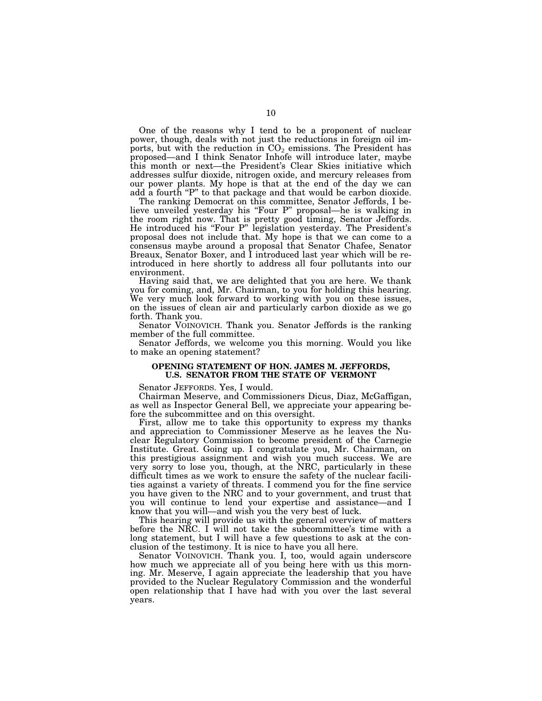One of the reasons why I tend to be a proponent of nuclear power, though, deals with not just the reductions in foreign oil imports, but with the reduction in  $CO<sub>2</sub>$  emissions. The President has proposed—and I think Senator Inhofe will introduce later, maybe this month or next—the President's Clear Skies initiative which addresses sulfur dioxide, nitrogen oxide, and mercury releases from our power plants. My hope is that at the end of the day we can add a fourth ''P'' to that package and that would be carbon dioxide.

The ranking Democrat on this committee, Senator Jeffords, I believe unveiled yesterday his ''Four P'' proposal—he is walking in the room right now. That is pretty good timing, Senator Jeffords. He introduced his ''Four P'' legislation yesterday. The President's proposal does not include that. My hope is that we can come to a consensus maybe around a proposal that Senator Chafee, Senator Breaux, Senator Boxer, and I introduced last year which will be reintroduced in here shortly to address all four pollutants into our environment.

Having said that, we are delighted that you are here. We thank you for coming, and, Mr. Chairman, to you for holding this hearing. We very much look forward to working with you on these issues, on the issues of clean air and particularly carbon dioxide as we go forth. Thank you.

Senator VOINOVICH. Thank you. Senator Jeffords is the ranking member of the full committee.

Senator Jeffords, we welcome you this morning. Would you like to make an opening statement?

### **OPENING STATEMENT OF HON. JAMES M. JEFFORDS, U.S. SENATOR FROM THE STATE OF VERMONT**

Senator JEFFORDS. Yes, I would.

Chairman Meserve, and Commissioners Dicus, Diaz, McGaffigan, as well as Inspector General Bell, we appreciate your appearing before the subcommittee and on this oversight.

First, allow me to take this opportunity to express my thanks and appreciation to Commissioner Meserve as he leaves the Nuclear Regulatory Commission to become president of the Carnegie Institute. Great. Going up. I congratulate you, Mr. Chairman, on this prestigious assignment and wish you much success. We are very sorry to lose you, though, at the NRC, particularly in these difficult times as we work to ensure the safety of the nuclear facilities against a variety of threats. I commend you for the fine service you have given to the NRC and to your government, and trust that you will continue to lend your expertise and assistance—and I know that you will—and wish you the very best of luck.

This hearing will provide us with the general overview of matters before the NRC. I will not take the subcommittee's time with a long statement, but I will have a few questions to ask at the conclusion of the testimony. It is nice to have you all here.

Senator VOINOVICH. Thank you. I, too, would again underscore how much we appreciate all of you being here with us this morning. Mr. Meserve, I again appreciate the leadership that you have provided to the Nuclear Regulatory Commission and the wonderful open relationship that I have had with you over the last several years.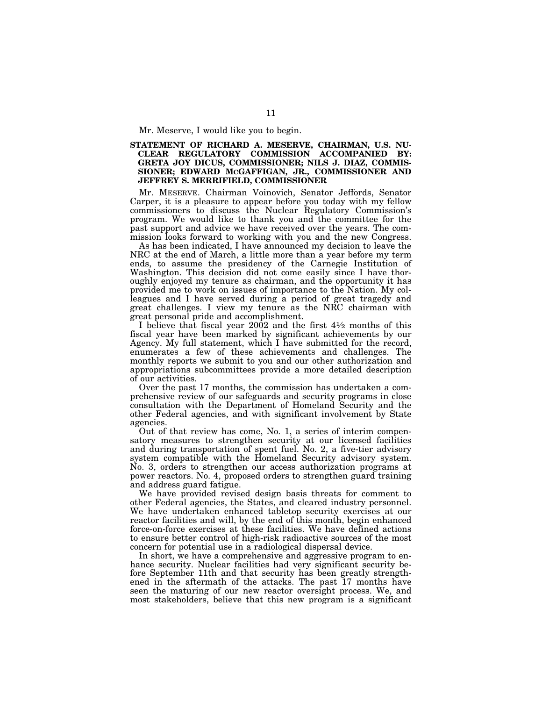Mr. Meserve, I would like you to begin.

### **STATEMENT OF RICHARD A. MESERVE, CHAIRMAN, U.S. NU-CLEAR REGULATORY COMMISSION ACCOMPANIED BY: GRETA JOY DICUS, COMMISSIONER; NILS J. DIAZ, COMMIS-SIONER; EDWARD MCGAFFIGAN, JR., COMMISSIONER AND JEFFREY S. MERRIFIELD, COMMISSIONER**

Mr. MESERVE. Chairman Voinovich, Senator Jeffords, Senator Carper, it is a pleasure to appear before you today with my fellow commissioners to discuss the Nuclear Regulatory Commission's program. We would like to thank you and the committee for the past support and advice we have received over the years. The commission looks forward to working with you and the new Congress.

As has been indicated, I have announced my decision to leave the NRC at the end of March, a little more than a year before my term ends, to assume the presidency of the Carnegie Institution of Washington. This decision did not come easily since I have thoroughly enjoyed my tenure as chairman, and the opportunity it has provided me to work on issues of importance to the Nation. My colleagues and I have served during a period of great tragedy and great challenges. I view my tenure as the NRC chairman with great personal pride and accomplishment.

I believe that fiscal year  $2002$  and the first  $4\frac{1}{2}$  months of this fiscal year have been marked by significant achievements by our Agency. My full statement, which I have submitted for the record, enumerates a few of these achievements and challenges. The monthly reports we submit to you and our other authorization and appropriations subcommittees provide a more detailed description of our activities.

Over the past 17 months, the commission has undertaken a comprehensive review of our safeguards and security programs in close consultation with the Department of Homeland Security and the other Federal agencies, and with significant involvement by State agencies.

Out of that review has come, No. 1, a series of interim compensatory measures to strengthen security at our licensed facilities and during transportation of spent fuel. No. 2, a five-tier advisory system compatible with the Homeland Security advisory system. No. 3, orders to strengthen our access authorization programs at power reactors. No. 4, proposed orders to strengthen guard training and address guard fatigue.

We have provided revised design basis threats for comment to other Federal agencies, the States, and cleared industry personnel. We have undertaken enhanced tabletop security exercises at our reactor facilities and will, by the end of this month, begin enhanced force-on-force exercises at these facilities. We have defined actions to ensure better control of high-risk radioactive sources of the most concern for potential use in a radiological dispersal device.

In short, we have a comprehensive and aggressive program to enhance security. Nuclear facilities had very significant security before September 11th and that security has been greatly strengthened in the aftermath of the attacks. The past 17 months have seen the maturing of our new reactor oversight process. We, and most stakeholders, believe that this new program is a significant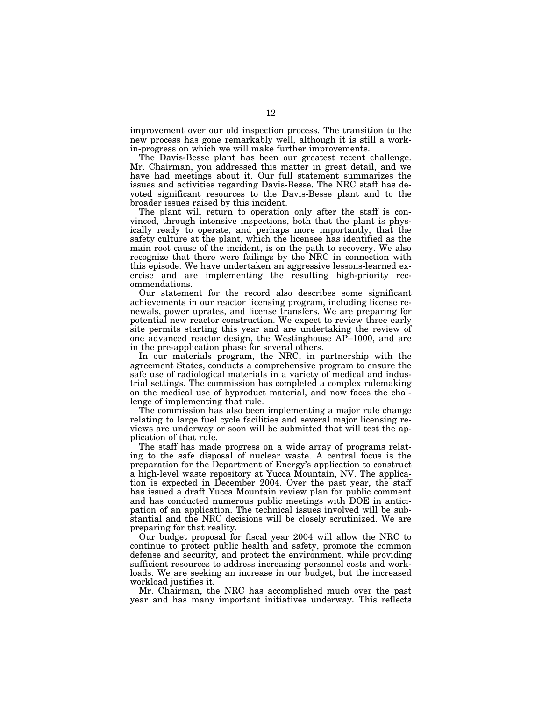improvement over our old inspection process. The transition to the new process has gone remarkably well, although it is still a workin-progress on which we will make further improvements.

The Davis-Besse plant has been our greatest recent challenge. Mr. Chairman, you addressed this matter in great detail, and we have had meetings about it. Our full statement summarizes the issues and activities regarding Davis-Besse. The NRC staff has devoted significant resources to the Davis-Besse plant and to the broader issues raised by this incident.

The plant will return to operation only after the staff is convinced, through intensive inspections, both that the plant is physically ready to operate, and perhaps more importantly, that the safety culture at the plant, which the licensee has identified as the main root cause of the incident, is on the path to recovery. We also recognize that there were failings by the NRC in connection with this episode. We have undertaken an aggressive lessons-learned exercise and are implementing the resulting high-priority recommendations.

Our statement for the record also describes some significant achievements in our reactor licensing program, including license renewals, power uprates, and license transfers. We are preparing for potential new reactor construction. We expect to review three early site permits starting this year and are undertaking the review of one advanced reactor design, the Westinghouse AP–1000, and are in the pre-application phase for several others.

In our materials program, the NRC, in partnership with the agreement States, conducts a comprehensive program to ensure the safe use of radiological materials in a variety of medical and industrial settings. The commission has completed a complex rulemaking on the medical use of byproduct material, and now faces the challenge of implementing that rule.

The commission has also been implementing a major rule change relating to large fuel cycle facilities and several major licensing reviews are underway or soon will be submitted that will test the application of that rule.

The staff has made progress on a wide array of programs relating to the safe disposal of nuclear waste. A central focus is the preparation for the Department of Energy's application to construct a high-level waste repository at Yucca Mountain, NV. The application is expected in December 2004. Over the past year, the staff has issued a draft Yucca Mountain review plan for public comment and has conducted numerous public meetings with DOE in anticipation of an application. The technical issues involved will be substantial and the NRC decisions will be closely scrutinized. We are preparing for that reality.

Our budget proposal for fiscal year 2004 will allow the NRC to continue to protect public health and safety, promote the common defense and security, and protect the environment, while providing sufficient resources to address increasing personnel costs and workloads. We are seeking an increase in our budget, but the increased workload justifies it.

Mr. Chairman, the NRC has accomplished much over the past year and has many important initiatives underway. This reflects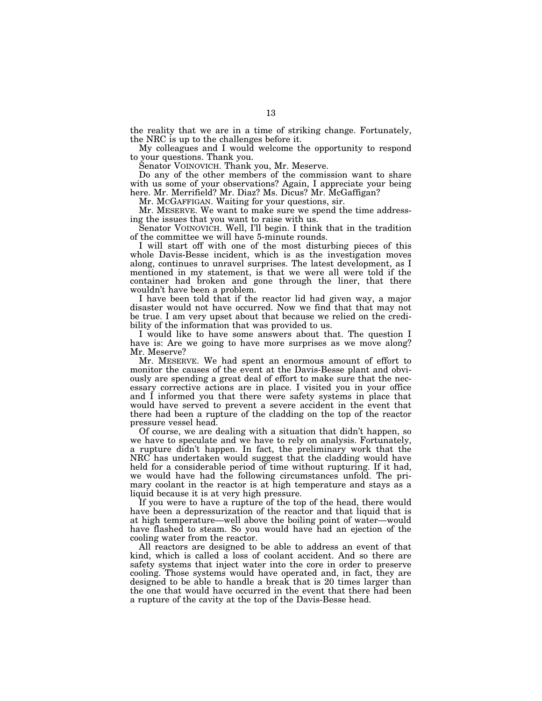the reality that we are in a time of striking change. Fortunately, the NRC is up to the challenges before it.

My colleagues and I would welcome the opportunity to respond to your questions. Thank you.

Senator VOINOVICH. Thank you, Mr. Meserve.

Do any of the other members of the commission want to share with us some of your observations? Again, I appreciate your being here. Mr. Merrifield? Mr. Diaz? Ms. Dicus? Mr. McGaffigan?

Mr. MCGAFFIGAN. Waiting for your questions, sir.

Mr. MESERVE. We want to make sure we spend the time addressing the issues that you want to raise with us.

Senator VOINOVICH. Well, I'll begin. I think that in the tradition of the committee we will have 5-minute rounds.

I will start off with one of the most disturbing pieces of this whole Davis-Besse incident, which is as the investigation moves along, continues to unravel surprises. The latest development, as I mentioned in my statement, is that we were all were told if the container had broken and gone through the liner, that there wouldn't have been a problem.

I have been told that if the reactor lid had given way, a major disaster would not have occurred. Now we find that that may not be true. I am very upset about that because we relied on the credibility of the information that was provided to us.

I would like to have some answers about that. The question I have is: Are we going to have more surprises as we move along? Mr. Meserve?

Mr. MESERVE. We had spent an enormous amount of effort to monitor the causes of the event at the Davis-Besse plant and obviously are spending a great deal of effort to make sure that the necessary corrective actions are in place. I visited you in your office and I informed you that there were safety systems in place that would have served to prevent a severe accident in the event that there had been a rupture of the cladding on the top of the reactor pressure vessel head.

Of course, we are dealing with a situation that didn't happen, so we have to speculate and we have to rely on analysis. Fortunately, a rupture didn't happen. In fact, the preliminary work that the NRC has undertaken would suggest that the cladding would have held for a considerable period of time without rupturing. If it had, we would have had the following circumstances unfold. The primary coolant in the reactor is at high temperature and stays as a liquid because it is at very high pressure.

If you were to have a rupture of the top of the head, there would have been a depressurization of the reactor and that liquid that is at high temperature—well above the boiling point of water—would have flashed to steam. So you would have had an ejection of the cooling water from the reactor.

All reactors are designed to be able to address an event of that kind, which is called a loss of coolant accident. And so there are safety systems that inject water into the core in order to preserve cooling. Those systems would have operated and, in fact, they are designed to be able to handle a break that is 20 times larger than the one that would have occurred in the event that there had been a rupture of the cavity at the top of the Davis-Besse head.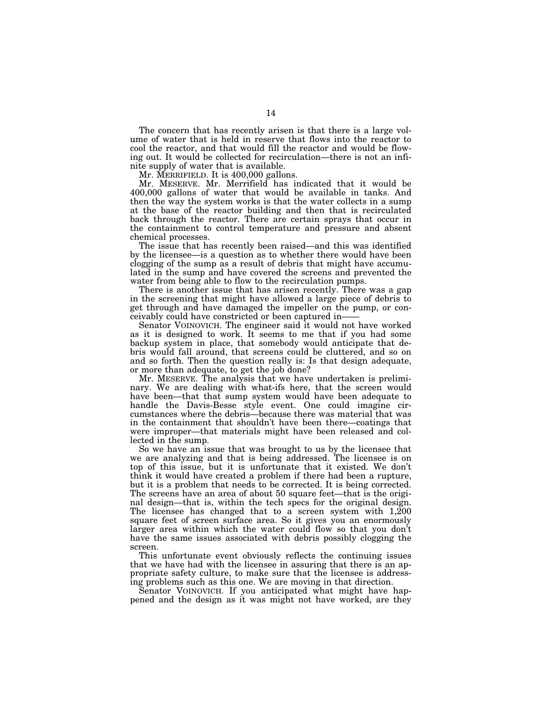The concern that has recently arisen is that there is a large volume of water that is held in reserve that flows into the reactor to cool the reactor, and that would fill the reactor and would be flowing out. It would be collected for recirculation—there is not an infinite supply of water that is available.

Mr. MERRIFIELD. It is 400,000 gallons.

Mr. MESERVE. Mr. Merrifield has indicated that it would be 400,000 gallons of water that would be available in tanks. And then the way the system works is that the water collects in a sump at the base of the reactor building and then that is recirculated back through the reactor. There are certain sprays that occur in the containment to control temperature and pressure and absent chemical processes.

The issue that has recently been raised—and this was identified by the licensee—is a question as to whether there would have been clogging of the sump as a result of debris that might have accumulated in the sump and have covered the screens and prevented the water from being able to flow to the recirculation pumps.

There is another issue that has arisen recently. There was a gap in the screening that might have allowed a large piece of debris to get through and have damaged the impeller on the pump, or conceivably could have constricted or been captured in—— Senator VOINOVICH. The engineer said it would not have worked

as it is designed to work. It seems to me that if you had some backup system in place, that somebody would anticipate that debris would fall around, that screens could be cluttered, and so on and so forth. Then the question really is: Is that design adequate, or more than adequate, to get the job done?

Mr. MESERVE. The analysis that we have undertaken is preliminary. We are dealing with what-ifs here, that the screen would have been—that that sump system would have been adequate to handle the Davis-Besse style event. One could imagine circumstances where the debris—because there was material that was in the containment that shouldn't have been there—coatings that were improper—that materials might have been released and collected in the sump.

So we have an issue that was brought to us by the licensee that we are analyzing and that is being addressed. The licensee is on top of this issue, but it is unfortunate that it existed. We don't think it would have created a problem if there had been a rupture, but it is a problem that needs to be corrected. It is being corrected. The screens have an area of about 50 square feet—that is the original design—that is, within the tech specs for the original design. The licensee has changed that to a screen system with 1,200 square feet of screen surface area. So it gives you an enormously larger area within which the water could flow so that you don't have the same issues associated with debris possibly clogging the screen.

This unfortunate event obviously reflects the continuing issues that we have had with the licensee in assuring that there is an appropriate safety culture, to make sure that the licensee is addressing problems such as this one. We are moving in that direction.

Senator VOINOVICH. If you anticipated what might have happened and the design as it was might not have worked, are they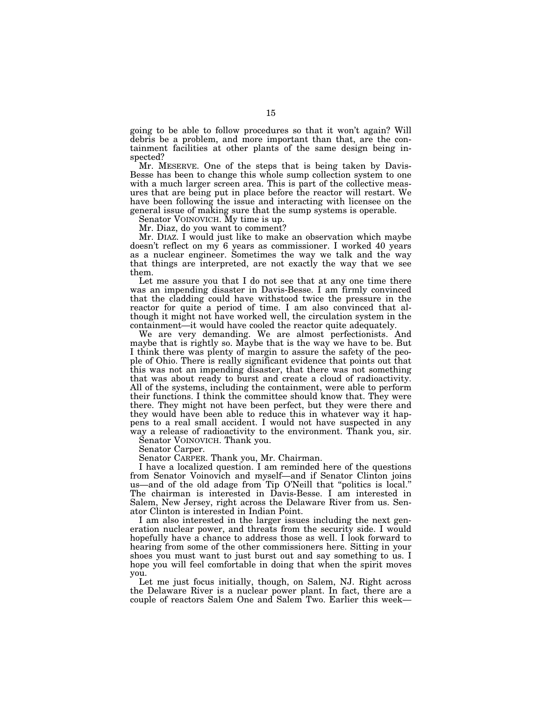going to be able to follow procedures so that it won't again? Will debris be a problem, and more important than that, are the containment facilities at other plants of the same design being inspected?

Mr. MESERVE. One of the steps that is being taken by Davis-Besse has been to change this whole sump collection system to one with a much larger screen area. This is part of the collective measures that are being put in place before the reactor will restart. We have been following the issue and interacting with licensee on the general issue of making sure that the sump systems is operable.

Senator VOINOVICH. My time is up.

Mr. Diaz, do you want to comment?

Mr. DIAZ. I would just like to make an observation which maybe doesn't reflect on my 6 years as commissioner. I worked 40 years as a nuclear engineer. Sometimes the way we talk and the way that things are interpreted, are not exactly the way that we see them.

Let me assure you that I do not see that at any one time there was an impending disaster in Davis-Besse. I am firmly convinced that the cladding could have withstood twice the pressure in the reactor for quite a period of time. I am also convinced that although it might not have worked well, the circulation system in the containment—it would have cooled the reactor quite adequately.

We are very demanding. We are almost perfectionists. And maybe that is rightly so. Maybe that is the way we have to be. But I think there was plenty of margin to assure the safety of the people of Ohio. There is really significant evidence that points out that this was not an impending disaster, that there was not something that was about ready to burst and create a cloud of radioactivity. All of the systems, including the containment, were able to perform their functions. I think the committee should know that. They were there. They might not have been perfect, but they were there and they would have been able to reduce this in whatever way it happens to a real small accident. I would not have suspected in any way a release of radioactivity to the environment. Thank you, sir.

Senator VOINOVICH. Thank you.

Senator Carper.

Senator CARPER. Thank you, Mr. Chairman.

I have a localized question. I am reminded here of the questions from Senator Voinovich and myself—and if Senator Clinton joins us—and of the old adage from Tip O'Neill that "politics is local." The chairman is interested in Davis-Besse. I am interested in Salem, New Jersey, right across the Delaware River from us. Senator Clinton is interested in Indian Point.

I am also interested in the larger issues including the next generation nuclear power, and threats from the security side. I would hopefully have a chance to address those as well. I look forward to hearing from some of the other commissioners here. Sitting in your shoes you must want to just burst out and say something to us. I hope you will feel comfortable in doing that when the spirit moves you.

Let me just focus initially, though, on Salem, NJ. Right across the Delaware River is a nuclear power plant. In fact, there are a couple of reactors Salem One and Salem Two. Earlier this week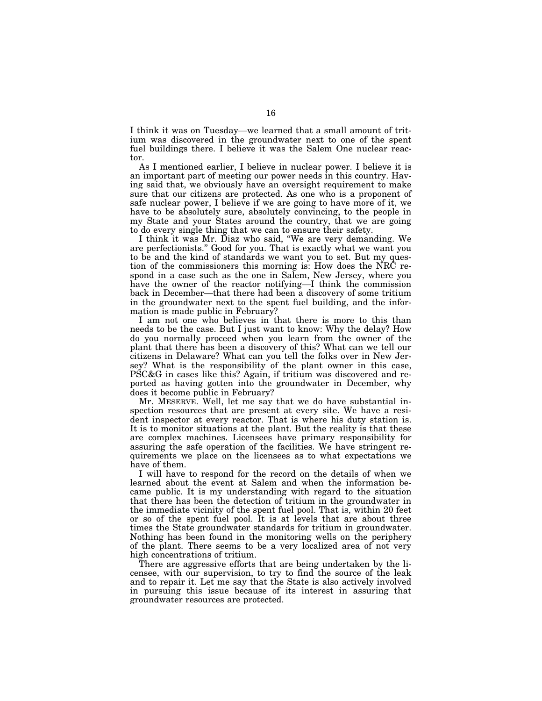I think it was on Tuesday—we learned that a small amount of tritium was discovered in the groundwater next to one of the spent fuel buildings there. I believe it was the Salem One nuclear reactor.

As I mentioned earlier, I believe in nuclear power. I believe it is an important part of meeting our power needs in this country. Having said that, we obviously have an oversight requirement to make sure that our citizens are protected. As one who is a proponent of safe nuclear power, I believe if we are going to have more of it, we have to be absolutely sure, absolutely convincing, to the people in my State and your States around the country, that we are going to do every single thing that we can to ensure their safety.

I think it was Mr. Diaz who said, ''We are very demanding. We are perfectionists.'' Good for you. That is exactly what we want you to be and the kind of standards we want you to set. But my question of the commissioners this morning is: How does the NRC respond in a case such as the one in Salem, New Jersey, where you have the owner of the reactor notifying—I think the commission back in December—that there had been a discovery of some tritium in the groundwater next to the spent fuel building, and the information is made public in February?

I am not one who believes in that there is more to this than needs to be the case. But I just want to know: Why the delay? How do you normally proceed when you learn from the owner of the plant that there has been a discovery of this? What can we tell our citizens in Delaware? What can you tell the folks over in New Jersey? What is the responsibility of the plant owner in this case, PSC&G in cases like this? Again, if tritium was discovered and reported as having gotten into the groundwater in December, why does it become public in February?

Mr. MESERVE. Well, let me say that we do have substantial inspection resources that are present at every site. We have a resident inspector at every reactor. That is where his duty station is. It is to monitor situations at the plant. But the reality is that these are complex machines. Licensees have primary responsibility for assuring the safe operation of the facilities. We have stringent requirements we place on the licensees as to what expectations we have of them.

I will have to respond for the record on the details of when we learned about the event at Salem and when the information became public. It is my understanding with regard to the situation that there has been the detection of tritium in the groundwater in the immediate vicinity of the spent fuel pool. That is, within 20 feet or so of the spent fuel pool. It is at levels that are about three times the State groundwater standards for tritium in groundwater. Nothing has been found in the monitoring wells on the periphery of the plant. There seems to be a very localized area of not very high concentrations of tritium.

There are aggressive efforts that are being undertaken by the licensee, with our supervision, to try to find the source of the leak and to repair it. Let me say that the State is also actively involved in pursuing this issue because of its interest in assuring that groundwater resources are protected.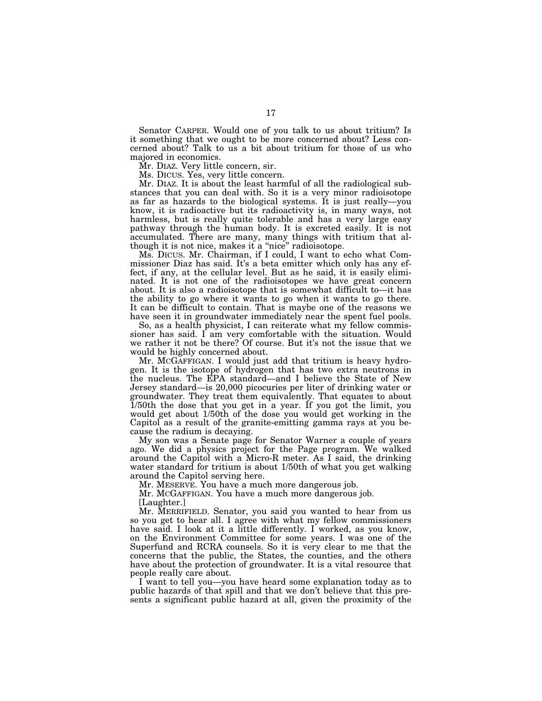Senator CARPER. Would one of you talk to us about tritium? Is it something that we ought to be more concerned about? Less concerned about? Talk to us a bit about tritium for those of us who majored in economics.

Mr. DIAZ. Very little concern, sir.

Ms. DICUS. Yes, very little concern.

Mr. DIAZ. It is about the least harmful of all the radiological substances that you can deal with. So it is a very minor radioisotope as far as hazards to the biological systems. It is just really—you know, it is radioactive but its radioactivity is, in many ways, not harmless, but is really quite tolerable and has a very large easy pathway through the human body. It is excreted easily. It is not accumulated. There are many, many things with tritium that although it is not nice, makes it a "nice" radioisotope.

Ms. DICUS. Mr. Chairman, if I could, I want to echo what Commissioner Diaz has said. It's a beta emitter which only has any effect, if any, at the cellular level. But as he said, it is easily eliminated. It is not one of the radioisotopes we have great concern about. It is also a radioisotope that is somewhat difficult to—it has the ability to go where it wants to go when it wants to go there. It can be difficult to contain. That is maybe one of the reasons we have seen it in groundwater immediately near the spent fuel pools.

So, as a health physicist, I can reiterate what my fellow commissioner has said. I am very comfortable with the situation. Would we rather it not be there? Of course. But it's not the issue that we would be highly concerned about.

Mr. MCGAFFIGAN. I would just add that tritium is heavy hydrogen. It is the isotope of hydrogen that has two extra neutrons in the nucleus. The EPA standard—and I believe the State of New Jersey standard—is 20,000 picocuries per liter of drinking water or groundwater. They treat them equivalently. That equates to about 1/50th the dose that you get in a year. If you got the limit, you would get about 1/50th of the dose you would get working in the Capitol as a result of the granite-emitting gamma rays at you because the radium is decaying.

My son was a Senate page for Senator Warner a couple of years ago. We did a physics project for the Page program. We walked around the Capitol with a Micro-R meter. As I said, the drinking water standard for tritium is about 1/50th of what you get walking around the Capitol serving here.

Mr. MESERVE. You have a much more dangerous job.

Mr. MCGAFFIGAN. You have a much more dangerous job.

[Laughter.]

Mr. MERRIFIELD. Senator, you said you wanted to hear from us so you get to hear all. I agree with what my fellow commissioners have said. I look at it a little differently. I worked, as you know, on the Environment Committee for some years. I was one of the Superfund and RCRA counsels. So it is very clear to me that the concerns that the public, the States, the counties, and the others have about the protection of groundwater. It is a vital resource that people really care about.

I want to tell you—you have heard some explanation today as to public hazards of that spill and that we don't believe that this presents a significant public hazard at all, given the proximity of the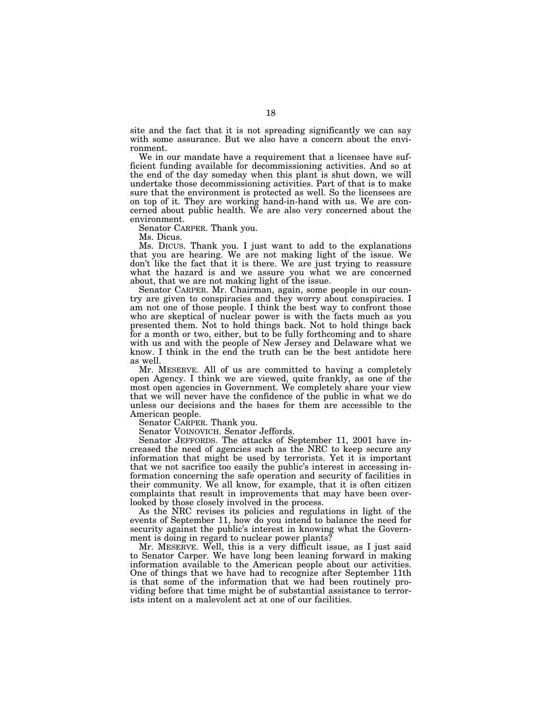site and the fact that it is not spreading significantly we can say with some assurance. But we also have a concern about the environment.

We in our mandate have a requirement that a licensee have sufficient funding available for decommissioning activities. And so at the end of the day someday when this plant is shut down, we will undertake those decommissioning activities. Part of that is to make sure that the environment is protected as well. So the licensees are on top of it. They are working hand-in-hand with us. We are concerned about public health. We are also very concerned about the environment.

Senator CARPER. Thank you.

Ms. Dicus.

Ms. DICUS. Thank you. I just want to add to the explanations that you are hearing. We are not making light of the issue. We don't like the fact that it is there. We are just trying to reassure what the hazard is and we assure you what we are concerned about, that we are not making light of the issue.

Senator CARPER. Mr. Chairman, again, some people in our country are given to conspiracies and they worry about conspiracies. I am not one of those people. I think the best way to confront those who are skeptical of nuclear power is with the facts much as you presented them. Not to hold things back. Not to hold things back for a month or two, either, but to be fully forthcoming and to share with us and with the people of New Jersey and Delaware what we know. I think in the end the truth can be the best antidote here as well.

Mr. MESERVE. All of us are committed to having a completely open Agency. I think we are viewed, quite frankly, as one of the most open agencies in Government. We completely share your view that we will never have the confidence of the public in what we do unless our decisions and the bases for them are accessible to the American people.

Senator CARPER. Thank you.

Senator VOINOVICH. Senator Jeffords.

Senator JEFFORDS. The attacks of September 11, 2001 have increased the need of agencies such as the NRC to keep secure any information that might be used by terrorists. Yet it is important that we not sacrifice too easily the public's interest in accessing information concerning the safe operation and security of facilities in their community. We all know, for example, that it is often citizen complaints that result in improvements that may have been overlooked by those closely involved in the process.

As the NRC revises its policies and regulations in light of the events of September 11, how do you intend to balance the need for security against the public's interest in knowing what the Government is doing in regard to nuclear power plants?

Mr. MESERVE. Well, this is a very difficult issue, as I just said to Senator Carper. We have long been leaning forward in making information available to the American people about our activities. One of things that we have had to recognize after September 11th is that some of the information that we had been routinely providing before that time might be of substantial assistance to terrorists intent on a malevolent act at one of our facilities.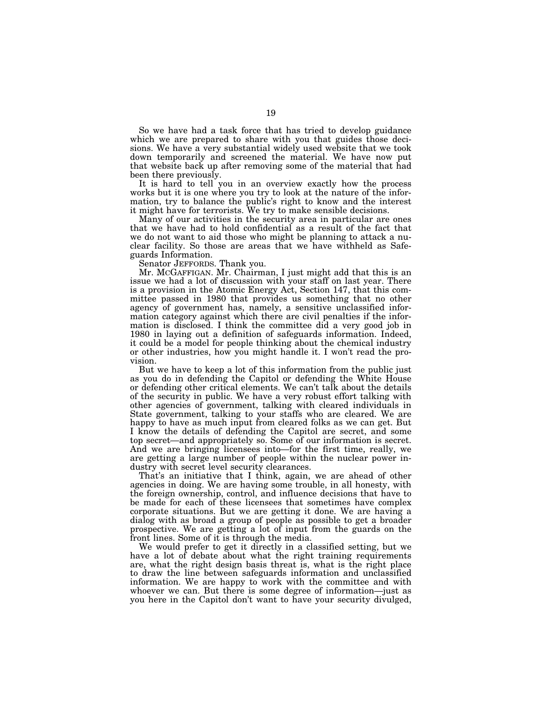So we have had a task force that has tried to develop guidance which we are prepared to share with you that guides those decisions. We have a very substantial widely used website that we took down temporarily and screened the material. We have now put that website back up after removing some of the material that had been there previously.

It is hard to tell you in an overview exactly how the process works but it is one where you try to look at the nature of the information, try to balance the public's right to know and the interest it might have for terrorists. We try to make sensible decisions.

Many of our activities in the security area in particular are ones that we have had to hold confidential as a result of the fact that we do not want to aid those who might be planning to attack a nuclear facility. So those are areas that we have withheld as Safeguards Information.

Senator JEFFORDS. Thank you.

Mr. MCGAFFIGAN. Mr. Chairman, I just might add that this is an issue we had a lot of discussion with your staff on last year. There is a provision in the Atomic Energy Act, Section 147, that this committee passed in 1980 that provides us something that no other agency of government has, namely, a sensitive unclassified information category against which there are civil penalties if the information is disclosed. I think the committee did a very good job in 1980 in laying out a definition of safeguards information. Indeed, it could be a model for people thinking about the chemical industry or other industries, how you might handle it. I won't read the provision.

But we have to keep a lot of this information from the public just as you do in defending the Capitol or defending the White House or defending other critical elements. We can't talk about the details of the security in public. We have a very robust effort talking with other agencies of government, talking with cleared individuals in State government, talking to your staffs who are cleared. We are happy to have as much input from cleared folks as we can get. But I know the details of defending the Capitol are secret, and some top secret—and appropriately so. Some of our information is secret. And we are bringing licensees into—for the first time, really, we are getting a large number of people within the nuclear power industry with secret level security clearances.

That's an initiative that I think, again, we are ahead of other agencies in doing. We are having some trouble, in all honesty, with the foreign ownership, control, and influence decisions that have to be made for each of these licensees that sometimes have complex corporate situations. But we are getting it done. We are having a dialog with as broad a group of people as possible to get a broader prospective. We are getting a lot of input from the guards on the front lines. Some of it is through the media.

We would prefer to get it directly in a classified setting, but we have a lot of debate about what the right training requirements are, what the right design basis threat is, what is the right place to draw the line between safeguards information and unclassified information. We are happy to work with the committee and with whoever we can. But there is some degree of information—just as you here in the Capitol don't want to have your security divulged,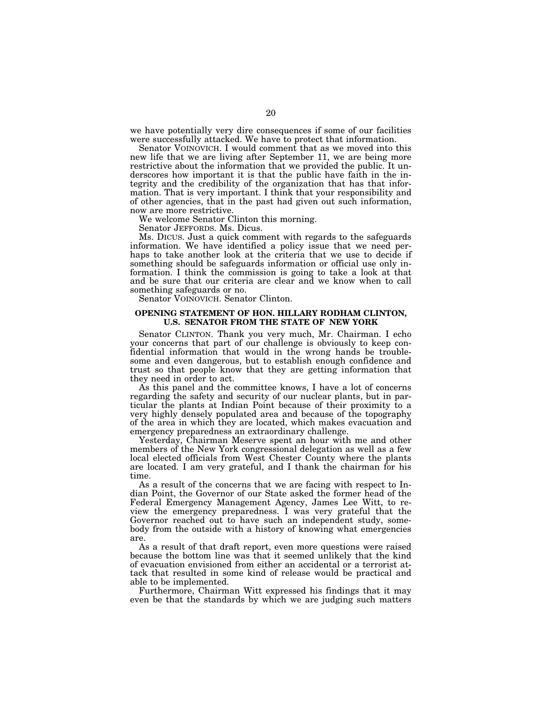we have potentially very dire consequences if some of our facilities were successfully attacked. We have to protect that information.

Senator VOINOVICH. I would comment that as we moved into this new life that we are living after September 11, we are being more restrictive about the information that we provided the public. It underscores how important it is that the public have faith in the integrity and the credibility of the organization that has that information. That is very important. I think that your responsibility and of other agencies, that in the past had given out such information, now are more restrictive.

We welcome Senator Clinton this morning.

Senator JEFFORDS. Ms. Dicus.

Ms. DICUS. Just a quick comment with regards to the safeguards information. We have identified a policy issue that we need perhaps to take another look at the criteria that we use to decide if something should be safeguards information or official use only information. I think the commission is going to take a look at that and be sure that our criteria are clear and we know when to call something safeguards or no.

Senator VOINOVICH. Senator Clinton.

### **OPENING STATEMENT OF HON. HILLARY RODHAM CLINTON, U.S. SENATOR FROM THE STATE OF NEW YORK**

Senator CLINTON. Thank you very much, Mr. Chairman. I echo your concerns that part of our challenge is obviously to keep confidential information that would in the wrong hands be troublesome and even dangerous, but to establish enough confidence and trust so that people know that they are getting information that they need in order to act.

As this panel and the committee knows, I have a lot of concerns regarding the safety and security of our nuclear plants, but in particular the plants at Indian Point because of their proximity to a very highly densely populated area and because of the topography of the area in which they are located, which makes evacuation and emergency preparedness an extraordinary challenge.

Yesterday, Chairman Meserve spent an hour with me and other members of the New York congressional delegation as well as a few local elected officials from West Chester County where the plants are located. I am very grateful, and I thank the chairman for his time.

As a result of the concerns that we are facing with respect to Indian Point, the Governor of our State asked the former head of the Federal Emergency Management Agency, James Lee Witt, to review the emergency preparedness. I was very grateful that the Governor reached out to have such an independent study, somebody from the outside with a history of knowing what emergencies are.

As a result of that draft report, even more questions were raised because the bottom line was that it seemed unlikely that the kind of evacuation envisioned from either an accidental or a terrorist attack that resulted in some kind of release would be practical and able to be implemented.

Furthermore, Chairman Witt expressed his findings that it may even be that the standards by which we are judging such matters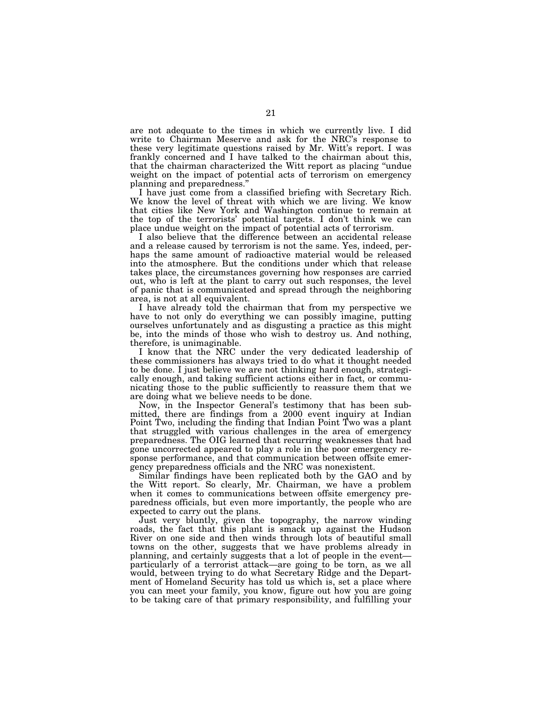are not adequate to the times in which we currently live. I did write to Chairman Meserve and ask for the NRC's response to these very legitimate questions raised by Mr. Witt's report. I was frankly concerned and I have talked to the chairman about this, that the chairman characterized the Witt report as placing ''undue weight on the impact of potential acts of terrorism on emergency planning and preparedness.'' I have just come from a classified briefing with Secretary Rich.

We know the level of threat with which we are living. We know that cities like New York and Washington continue to remain at the top of the terrorists' potential targets. I don't think we can place undue weight on the impact of potential acts of terrorism.

I also believe that the difference between an accidental release and a release caused by terrorism is not the same. Yes, indeed, perhaps the same amount of radioactive material would be released into the atmosphere. But the conditions under which that release takes place, the circumstances governing how responses are carried out, who is left at the plant to carry out such responses, the level of panic that is communicated and spread through the neighboring area, is not at all equivalent.

I have already told the chairman that from my perspective we have to not only do everything we can possibly imagine, putting ourselves unfortunately and as disgusting a practice as this might be, into the minds of those who wish to destroy us. And nothing, therefore, is unimaginable.

I know that the NRC under the very dedicated leadership of these commissioners has always tried to do what it thought needed to be done. I just believe we are not thinking hard enough, strategically enough, and taking sufficient actions either in fact, or communicating those to the public sufficiently to reassure them that we are doing what we believe needs to be done.

Now, in the Inspector General's testimony that has been submitted, there are findings from a 2000 event inquiry at Indian Point Two, including the finding that Indian Point Two was a plant that struggled with various challenges in the area of emergency preparedness. The OIG learned that recurring weaknesses that had gone uncorrected appeared to play a role in the poor emergency response performance, and that communication between offsite emergency preparedness officials and the NRC was nonexistent.

Similar findings have been replicated both by the GAO and by the Witt report. So clearly, Mr. Chairman, we have a problem when it comes to communications between offsite emergency preparedness officials, but even more importantly, the people who are expected to carry out the plans.

Just very bluntly, given the topography, the narrow winding roads, the fact that this plant is smack up against the Hudson River on one side and then winds through lots of beautiful small towns on the other, suggests that we have problems already in planning, and certainly suggests that a lot of people in the event particularly of a terrorist attack—are going to be torn, as we all would, between trying to do what Secretary Ridge and the Department of Homeland Security has told us which is, set a place where you can meet your family, you know, figure out how you are going to be taking care of that primary responsibility, and fulfilling your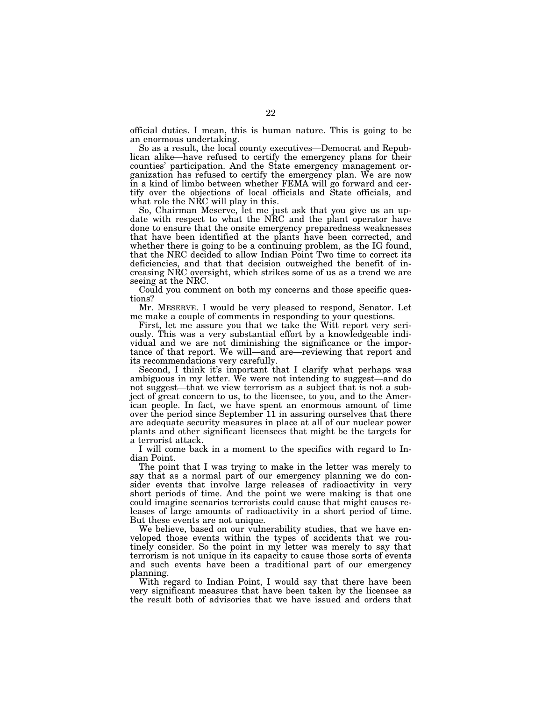official duties. I mean, this is human nature. This is going to be an enormous undertaking.

So as a result, the local county executives—Democrat and Republican alike—have refused to certify the emergency plans for their counties' participation. And the State emergency management organization has refused to certify the emergency plan. We are now in a kind of limbo between whether FEMA will go forward and certify over the objections of local officials and State officials, and what role the NRC will play in this.

So, Chairman Meserve, let me just ask that you give us an update with respect to what the NRC and the plant operator have done to ensure that the onsite emergency preparedness weaknesses that have been identified at the plants have been corrected, and whether there is going to be a continuing problem, as the IG found, that the NRC decided to allow Indian Point Two time to correct its deficiencies, and that that decision outweighed the benefit of increasing NRC oversight, which strikes some of us as a trend we are seeing at the NRC.

Could you comment on both my concerns and those specific questions?

Mr. MESERVE. I would be very pleased to respond, Senator. Let me make a couple of comments in responding to your questions.

First, let me assure you that we take the Witt report very seriously. This was a very substantial effort by a knowledgeable individual and we are not diminishing the significance or the importance of that report. We will—and are—reviewing that report and its recommendations very carefully.

Second, I think it's important that I clarify what perhaps was ambiguous in my letter. We were not intending to suggest—and do not suggest—that we view terrorism as a subject that is not a subject of great concern to us, to the licensee, to you, and to the American people. In fact, we have spent an enormous amount of time over the period since September 11 in assuring ourselves that there are adequate security measures in place at all of our nuclear power plants and other significant licensees that might be the targets for a terrorist attack.

I will come back in a moment to the specifics with regard to Indian Point.

The point that I was trying to make in the letter was merely to say that as a normal part of our emergency planning we do consider events that involve large releases of radioactivity in very short periods of time. And the point we were making is that one could imagine scenarios terrorists could cause that might causes releases of large amounts of radioactivity in a short period of time. But these events are not unique.

We believe, based on our vulnerability studies, that we have enveloped those events within the types of accidents that we routinely consider. So the point in my letter was merely to say that terrorism is not unique in its capacity to cause those sorts of events and such events have been a traditional part of our emergency planning.

With regard to Indian Point, I would say that there have been very significant measures that have been taken by the licensee as the result both of advisories that we have issued and orders that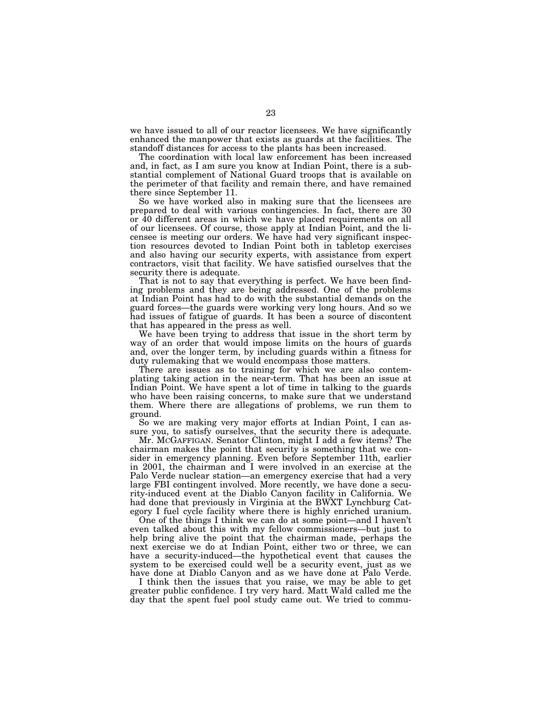we have issued to all of our reactor licensees. We have significantly enhanced the manpower that exists as guards at the facilities. The standoff distances for access to the plants has been increased.

The coordination with local law enforcement has been increased and, in fact, as I am sure you know at Indian Point, there is a substantial complement of National Guard troops that is available on the perimeter of that facility and remain there, and have remained there since September 11.

So we have worked also in making sure that the licensees are prepared to deal with various contingencies. In fact, there are 30 or 40 different areas in which we have placed requirements on all of our licensees. Of course, those apply at Indian Point, and the licensee is meeting our orders. We have had very significant inspection resources devoted to Indian Point both in tabletop exercises and also having our security experts, with assistance from expert contractors, visit that facility. We have satisfied ourselves that the security there is adequate.

That is not to say that everything is perfect. We have been finding problems and they are being addressed. One of the problems at Indian Point has had to do with the substantial demands on the guard forces—the guards were working very long hours. And so we had issues of fatigue of guards. It has been a source of discontent that has appeared in the press as well.

We have been trying to address that issue in the short term by way of an order that would impose limits on the hours of guards and, over the longer term, by including guards within a fitness for duty rulemaking that we would encompass those matters.

There are issues as to training for which we are also contemplating taking action in the near-term. That has been an issue at Indian Point. We have spent a lot of time in talking to the guards who have been raising concerns, to make sure that we understand them. Where there are allegations of problems, we run them to ground.

So we are making very major efforts at Indian Point, I can assure you, to satisfy ourselves, that the security there is adequate.

Mr. MCGAFFIGAN. Senator Clinton, might I add a few items? The chairman makes the point that security is something that we consider in emergency planning. Even before September 11th, earlier in 2001, the chairman and I were involved in an exercise at the Palo Verde nuclear station—an emergency exercise that had a very large FBI contingent involved. More recently, we have done a security-induced event at the Diablo Canyon facility in California. We had done that previously in Virginia at the BWXT Lynchburg Category I fuel cycle facility where there is highly enriched uranium.

One of the things I think we can do at some point—and I haven't even talked about this with my fellow commissioners—but just to help bring alive the point that the chairman made, perhaps the next exercise we do at Indian Point, either two or three, we can have a security-induced—the hypothetical event that causes the system to be exercised could well be a security event, just as we have done at Diablo Canyon and as we have done at Palo Verde.

I think then the issues that you raise, we may be able to get greater public confidence. I try very hard. Matt Wald called me the day that the spent fuel pool study came out. We tried to commu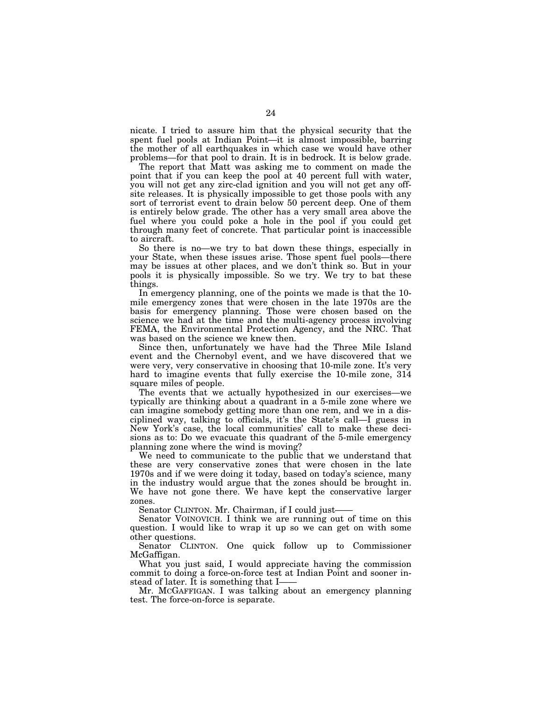nicate. I tried to assure him that the physical security that the spent fuel pools at Indian Point—it is almost impossible, barring the mother of all earthquakes in which case we would have other problems—for that pool to drain. It is in bedrock. It is below grade.

The report that Matt was asking me to comment on made the point that if you can keep the pool at 40 percent full with water, you will not get any zirc-clad ignition and you will not get any offsite releases. It is physically impossible to get those pools with any sort of terrorist event to drain below 50 percent deep. One of them is entirely below grade. The other has a very small area above the fuel where you could poke a hole in the pool if you could get through many feet of concrete. That particular point is inaccessible to aircraft.

So there is no—we try to bat down these things, especially in your State, when these issues arise. Those spent fuel pools—there may be issues at other places, and we don't think so. But in your pools it is physically impossible. So we try. We try to bat these things.

In emergency planning, one of the points we made is that the 10 mile emergency zones that were chosen in the late 1970s are the basis for emergency planning. Those were chosen based on the science we had at the time and the multi-agency process involving FEMA, the Environmental Protection Agency, and the NRC. That was based on the science we knew then.

Since then, unfortunately we have had the Three Mile Island event and the Chernobyl event, and we have discovered that we were very, very conservative in choosing that 10-mile zone. It's very hard to imagine events that fully exercise the 10-mile zone, 314 square miles of people.

The events that we actually hypothesized in our exercises—we typically are thinking about a quadrant in a 5-mile zone where we can imagine somebody getting more than one rem, and we in a disciplined way, talking to officials, it's the State's call—I guess in New York's case, the local communities' call to make these decisions as to: Do we evacuate this quadrant of the 5-mile emergency planning zone where the wind is moving?

We need to communicate to the public that we understand that these are very conservative zones that were chosen in the late 1970s and if we were doing it today, based on today's science, many in the industry would argue that the zones should be brought in. We have not gone there. We have kept the conservative larger zones.

Senator CLINTON. Mr. Chairman, if I could just-

Senator VOINOVICH. I think we are running out of time on this question. I would like to wrap it up so we can get on with some other questions.

Senator CLINTON. One quick follow up to Commissioner McGaffigan.

What you just said, I would appreciate having the commission commit to doing a force-on-force test at Indian Point and sooner instead of later. It is something that I-

Mr. MCGAFFIGAN. I was talking about an emergency planning test. The force-on-force is separate.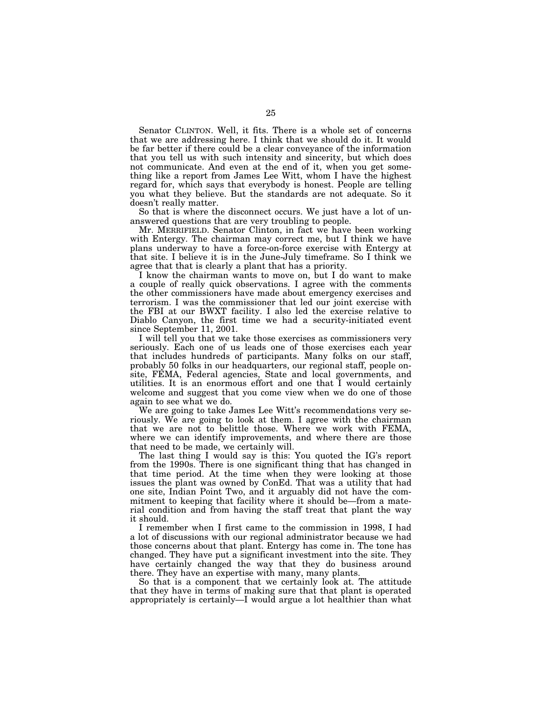Senator CLINTON. Well, it fits. There is a whole set of concerns that we are addressing here. I think that we should do it. It would be far better if there could be a clear conveyance of the information that you tell us with such intensity and sincerity, but which does not communicate. And even at the end of it, when you get something like a report from James Lee Witt, whom I have the highest regard for, which says that everybody is honest. People are telling you what they believe. But the standards are not adequate. So it doesn't really matter.

So that is where the disconnect occurs. We just have a lot of unanswered questions that are very troubling to people.

Mr. MERRIFIELD. Senator Clinton, in fact we have been working with Entergy. The chairman may correct me, but I think we have plans underway to have a force-on-force exercise with Entergy at that site. I believe it is in the June-July timeframe. So I think we agree that that is clearly a plant that has a priority.

I know the chairman wants to move on, but I do want to make a couple of really quick observations. I agree with the comments the other commissioners have made about emergency exercises and terrorism. I was the commissioner that led our joint exercise with the FBI at our BWXT facility. I also led the exercise relative to Diablo Canyon, the first time we had a security-initiated event since September 11, 2001.

I will tell you that we take those exercises as commissioners very seriously. Each one of us leads one of those exercises each year that includes hundreds of participants. Many folks on our staff, probably 50 folks in our headquarters, our regional staff, people onsite, FEMA, Federal agencies, State and local governments, and utilities. It is an enormous effort and one that I would certainly welcome and suggest that you come view when we do one of those again to see what we do.

We are going to take James Lee Witt's recommendations very seriously. We are going to look at them. I agree with the chairman that we are not to belittle those. Where we work with FEMA, where we can identify improvements, and where there are those that need to be made, we certainly will.

The last thing I would say is this: You quoted the IG's report from the 1990s. There is one significant thing that has changed in that time period. At the time when they were looking at those issues the plant was owned by ConEd. That was a utility that had one site, Indian Point Two, and it arguably did not have the commitment to keeping that facility where it should be—from a material condition and from having the staff treat that plant the way it should.

I remember when I first came to the commission in 1998, I had a lot of discussions with our regional administrator because we had those concerns about that plant. Entergy has come in. The tone has changed. They have put a significant investment into the site. They have certainly changed the way that they do business around there. They have an expertise with many, many plants.

So that is a component that we certainly look at. The attitude that they have in terms of making sure that that plant is operated appropriately is certainly—I would argue a lot healthier than what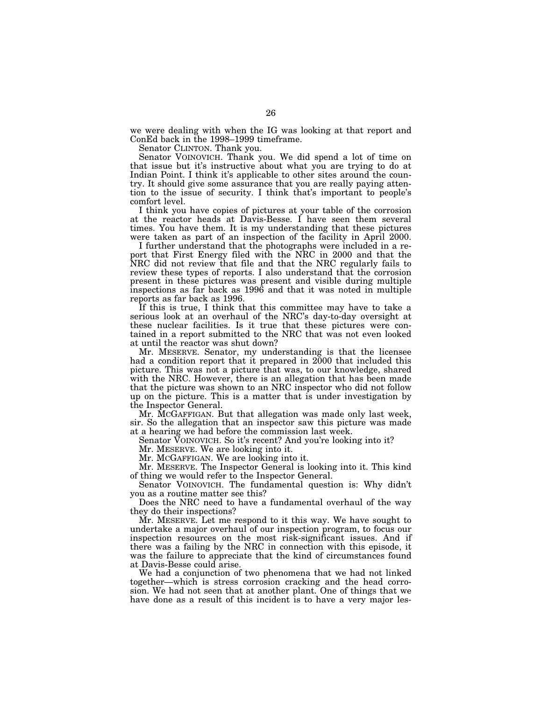we were dealing with when the IG was looking at that report and ConEd back in the 1998–1999 timeframe.

Senator CLINTON. Thank you.

Senator VOINOVICH. Thank you. We did spend a lot of time on that issue but it's instructive about what you are trying to do at Indian Point. I think it's applicable to other sites around the country. It should give some assurance that you are really paying attention to the issue of security. I think that's important to people's comfort level.

I think you have copies of pictures at your table of the corrosion at the reactor heads at Davis-Besse. I have seen them several times. You have them. It is my understanding that these pictures were taken as part of an inspection of the facility in April 2000.

I further understand that the photographs were included in a report that First Energy filed with the NRC in 2000 and that the NRC did not review that file and that the NRC regularly fails to review these types of reports. I also understand that the corrosion present in these pictures was present and visible during multiple inspections as far back as 1996 and that it was noted in multiple reports as far back as 1996.

If this is true, I think that this committee may have to take a serious look at an overhaul of the NRC's day-to-day oversight at these nuclear facilities. Is it true that these pictures were contained in a report submitted to the NRC that was not even looked at until the reactor was shut down?

Mr. MESERVE. Senator, my understanding is that the licensee had a condition report that it prepared in 2000 that included this picture. This was not a picture that was, to our knowledge, shared with the NRC. However, there is an allegation that has been made that the picture was shown to an NRC inspector who did not follow up on the picture. This is a matter that is under investigation by the Inspector General.

Mr. MCGAFFIGAN. But that allegation was made only last week, sir. So the allegation that an inspector saw this picture was made at a hearing we had before the commission last week.

Senator VOINOVICH. So it's recent? And you're looking into it?

Mr. MESERVE. We are looking into it.

Mr. MCGAFFIGAN. We are looking into it.

Mr. MESERVE. The Inspector General is looking into it. This kind of thing we would refer to the Inspector General.

Senator VOINOVICH. The fundamental question is: Why didn't you as a routine matter see this?

Does the NRC need to have a fundamental overhaul of the way they do their inspections?

Mr. MESERVE. Let me respond to it this way. We have sought to undertake a major overhaul of our inspection program, to focus our inspection resources on the most risk-significant issues. And if there was a failing by the NRC in connection with this episode, it was the failure to appreciate that the kind of circumstances found at Davis-Besse could arise.

We had a conjunction of two phenomena that we had not linked together—which is stress corrosion cracking and the head corrosion. We had not seen that at another plant. One of things that we have done as a result of this incident is to have a very major les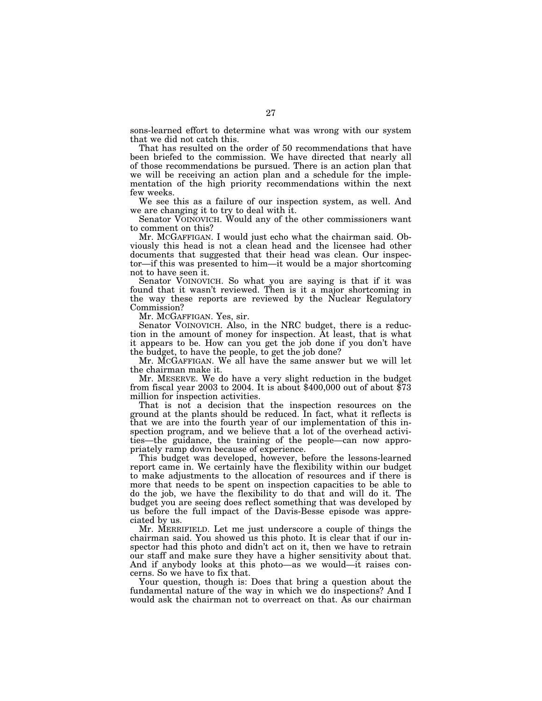sons-learned effort to determine what was wrong with our system that we did not catch this.

That has resulted on the order of 50 recommendations that have been briefed to the commission. We have directed that nearly all of those recommendations be pursued. There is an action plan that we will be receiving an action plan and a schedule for the implementation of the high priority recommendations within the next few weeks.

We see this as a failure of our inspection system, as well. And we are changing it to try to deal with it.

Senator VOINOVICH. Would any of the other commissioners want to comment on this?

Mr. MCGAFFIGAN. I would just echo what the chairman said. Obviously this head is not a clean head and the licensee had other documents that suggested that their head was clean. Our inspector—if this was presented to him—it would be a major shortcoming not to have seen it.

Senator VOINOVICH. So what you are saying is that if it was found that it wasn't reviewed. Then is it a major shortcoming in the way these reports are reviewed by the Nuclear Regulatory Commission?

Mr. MCGAFFIGAN. Yes, sir.

Senator VOINOVICH. Also, in the NRC budget, there is a reduction in the amount of money for inspection. At least, that is what it appears to be. How can you get the job done if you don't have the budget, to have the people, to get the job done?

Mr. MCGAFFIGAN. We all have the same answer but we will let the chairman make it.

Mr. MESERVE. We do have a very slight reduction in the budget from fiscal year 2003 to 2004. It is about \$400,000 out of about \$73 million for inspection activities.

That is not a decision that the inspection resources on the ground at the plants should be reduced. In fact, what it reflects is that we are into the fourth year of our implementation of this inspection program, and we believe that a lot of the overhead activities—the guidance, the training of the people—can now appropriately ramp down because of experience.

This budget was developed, however, before the lessons-learned report came in. We certainly have the flexibility within our budget to make adjustments to the allocation of resources and if there is more that needs to be spent on inspection capacities to be able to do the job, we have the flexibility to do that and will do it. The budget you are seeing does reflect something that was developed by us before the full impact of the Davis-Besse episode was appreciated by us.

Mr. MERRIFIELD. Let me just underscore a couple of things the chairman said. You showed us this photo. It is clear that if our inspector had this photo and didn't act on it, then we have to retrain our staff and make sure they have a higher sensitivity about that. And if anybody looks at this photo—as we would—it raises concerns. So we have to fix that.

Your question, though is: Does that bring a question about the fundamental nature of the way in which we do inspections? And I would ask the chairman not to overreact on that. As our chairman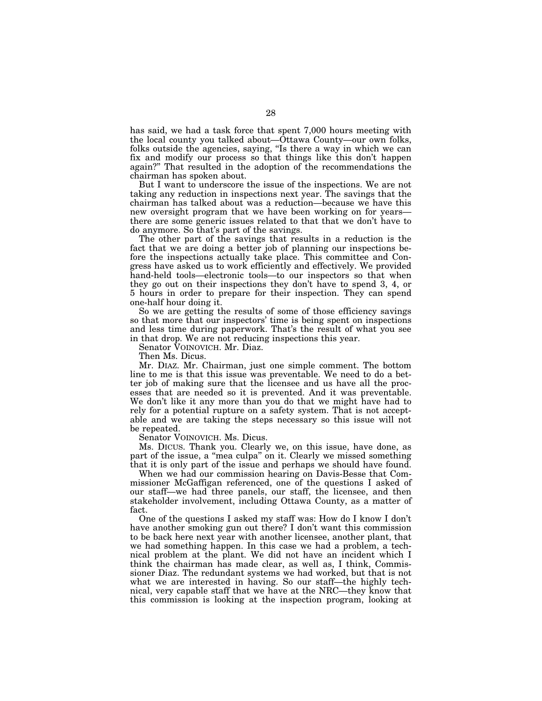has said, we had a task force that spent 7,000 hours meeting with the local county you talked about—Ottawa County—our own folks, folks outside the agencies, saying, ''Is there a way in which we can fix and modify our process so that things like this don't happen again?'' That resulted in the adoption of the recommendations the chairman has spoken about.

But I want to underscore the issue of the inspections. We are not taking any reduction in inspections next year. The savings that the chairman has talked about was a reduction—because we have this new oversight program that we have been working on for years there are some generic issues related to that that we don't have to do anymore. So that's part of the savings.

The other part of the savings that results in a reduction is the fact that we are doing a better job of planning our inspections before the inspections actually take place. This committee and Congress have asked us to work efficiently and effectively. We provided hand-held tools—electronic tools—to our inspectors so that when they go out on their inspections they don't have to spend 3, 4, or 5 hours in order to prepare for their inspection. They can spend one-half hour doing it.

So we are getting the results of some of those efficiency savings so that more that our inspectors' time is being spent on inspections and less time during paperwork. That's the result of what you see in that drop. We are not reducing inspections this year.

Senator VOINOVICH. Mr. Diaz.

Then Ms. Dicus.

Mr. DIAZ. Mr. Chairman, just one simple comment. The bottom line to me is that this issue was preventable. We need to do a better job of making sure that the licensee and us have all the processes that are needed so it is prevented. And it was preventable. We don't like it any more than you do that we might have had to rely for a potential rupture on a safety system. That is not acceptable and we are taking the steps necessary so this issue will not be repeated.

Senator VOINOVICH. Ms. Dicus.

Ms. DICUS. Thank you. Clearly we, on this issue, have done, as part of the issue, a ''mea culpa'' on it. Clearly we missed something that it is only part of the issue and perhaps we should have found.

When we had our commission hearing on Davis-Besse that Commissioner McGaffigan referenced, one of the questions I asked of our staff—we had three panels, our staff, the licensee, and then stakeholder involvement, including Ottawa County, as a matter of fact.

One of the questions I asked my staff was: How do I know I don't have another smoking gun out there? I don't want this commission to be back here next year with another licensee, another plant, that we had something happen. In this case we had a problem, a technical problem at the plant. We did not have an incident which I think the chairman has made clear, as well as, I think, Commissioner Diaz. The redundant systems we had worked, but that is not what we are interested in having. So our staff—the highly technical, very capable staff that we have at the NRC—they know that this commission is looking at the inspection program, looking at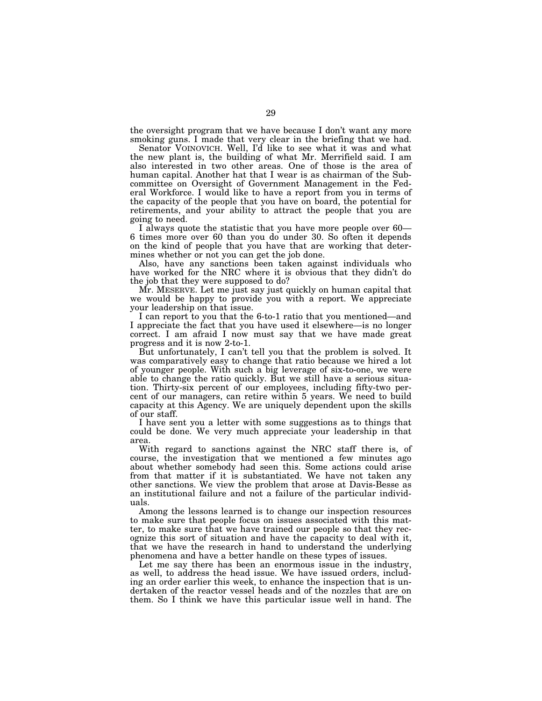the oversight program that we have because I don't want any more smoking guns. I made that very clear in the briefing that we had.

Senator VOINOVICH. Well, I'd like to see what it was and what the new plant is, the building of what Mr. Merrifield said. I am also interested in two other areas. One of those is the area of human capital. Another hat that I wear is as chairman of the Subcommittee on Oversight of Government Management in the Federal Workforce. I would like to have a report from you in terms of the capacity of the people that you have on board, the potential for retirements, and your ability to attract the people that you are

going to need.<br>I always quote the statistic that you have more people over 60— 6 times more over 60 than you do under 30. So often it depends on the kind of people that you have that are working that determines whether or not you can get the job done.

Also, have any sanctions been taken against individuals who have worked for the NRC where it is obvious that they didn't do the job that they were supposed to do?

Mr. MESERVE. Let me just say just quickly on human capital that we would be happy to provide you with a report. We appreciate your leadership on that issue.

I can report to you that the 6-to-1 ratio that you mentioned—and I appreciate the fact that you have used it elsewhere—is no longer correct. I am afraid I now must say that we have made great progress and it is now 2-to-1.

But unfortunately, I can't tell you that the problem is solved. It was comparatively easy to change that ratio because we hired a lot of younger people. With such a big leverage of six-to-one, we were able to change the ratio quickly. But we still have a serious situation. Thirty-six percent of our employees, including fifty-two percent of our managers, can retire within 5 years. We need to build capacity at this Agency. We are uniquely dependent upon the skills of our staff.

I have sent you a letter with some suggestions as to things that could be done. We very much appreciate your leadership in that area.

With regard to sanctions against the NRC staff there is, of course, the investigation that we mentioned a few minutes ago about whether somebody had seen this. Some actions could arise from that matter if it is substantiated. We have not taken any other sanctions. We view the problem that arose at Davis-Besse as an institutional failure and not a failure of the particular individuals.

Among the lessons learned is to change our inspection resources to make sure that people focus on issues associated with this matter, to make sure that we have trained our people so that they recognize this sort of situation and have the capacity to deal with it, that we have the research in hand to understand the underlying phenomena and have a better handle on these types of issues.

Let me say there has been an enormous issue in the industry, as well, to address the head issue. We have issued orders, including an order earlier this week, to enhance the inspection that is undertaken of the reactor vessel heads and of the nozzles that are on them. So I think we have this particular issue well in hand. The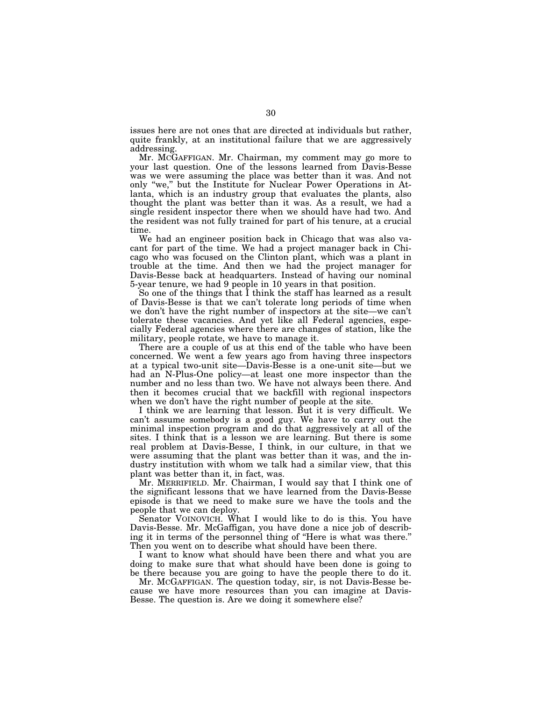issues here are not ones that are directed at individuals but rather, quite frankly, at an institutional failure that we are aggressively addressing.

Mr. MCGAFFIGAN. Mr. Chairman, my comment may go more to your last question. One of the lessons learned from Davis-Besse was we were assuming the place was better than it was. And not only ''we,'' but the Institute for Nuclear Power Operations in Atlanta, which is an industry group that evaluates the plants, also thought the plant was better than it was. As a result, we had a single resident inspector there when we should have had two. And the resident was not fully trained for part of his tenure, at a crucial time.

We had an engineer position back in Chicago that was also vacant for part of the time. We had a project manager back in Chicago who was focused on the Clinton plant, which was a plant in trouble at the time. And then we had the project manager for Davis-Besse back at headquarters. Instead of having our nominal 5-year tenure, we had 9 people in 10 years in that position.

So one of the things that I think the staff has learned as a result of Davis-Besse is that we can't tolerate long periods of time when we don't have the right number of inspectors at the site—we can't tolerate these vacancies. And yet like all Federal agencies, especially Federal agencies where there are changes of station, like the military, people rotate, we have to manage it.

There are a couple of us at this end of the table who have been concerned. We went a few years ago from having three inspectors at a typical two-unit site—Davis-Besse is a one-unit site—but we had an N-Plus-One policy—at least one more inspector than the number and no less than two. We have not always been there. And then it becomes crucial that we backfill with regional inspectors when we don't have the right number of people at the site.

I think we are learning that lesson. But it is very difficult. We can't assume somebody is a good guy. We have to carry out the minimal inspection program and do that aggressively at all of the sites. I think that is a lesson we are learning. But there is some real problem at Davis-Besse, I think, in our culture, in that we were assuming that the plant was better than it was, and the industry institution with whom we talk had a similar view, that this plant was better than it, in fact, was.

Mr. MERRIFIELD. Mr. Chairman, I would say that I think one of the significant lessons that we have learned from the Davis-Besse episode is that we need to make sure we have the tools and the people that we can deploy.

Senator VOINOVICH. What I would like to do is this. You have Davis-Besse. Mr. McGaffigan, you have done a nice job of describing it in terms of the personnel thing of ''Here is what was there.'' Then you went on to describe what should have been there.

I want to know what should have been there and what you are doing to make sure that what should have been done is going to be there because you are going to have the people there to do it.

Mr. MCGAFFIGAN. The question today, sir, is not Davis-Besse because we have more resources than you can imagine at Davis-Besse. The question is. Are we doing it somewhere else?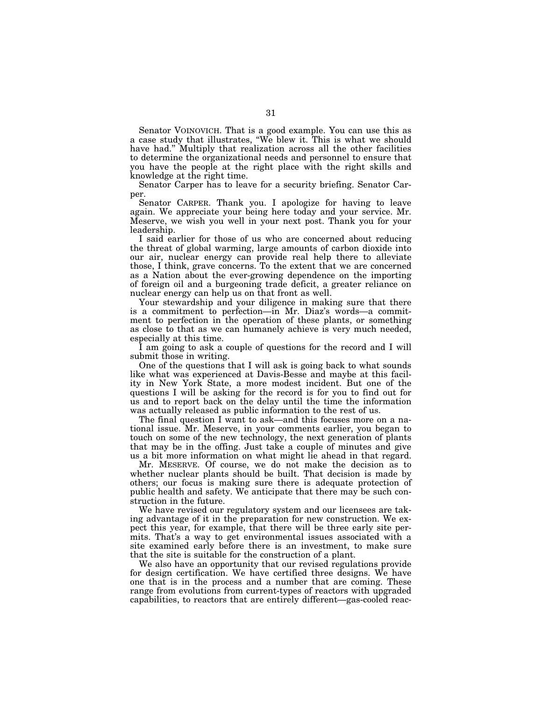Senator VOINOVICH. That is a good example. You can use this as a case study that illustrates, ''We blew it. This is what we should have had.'' Multiply that realization across all the other facilities to determine the organizational needs and personnel to ensure that you have the people at the right place with the right skills and knowledge at the right time.

Senator Carper has to leave for a security briefing. Senator Carper.

Senator CARPER. Thank you. I apologize for having to leave again. We appreciate your being here today and your service. Mr. Meserve, we wish you well in your next post. Thank you for your leadership.

I said earlier for those of us who are concerned about reducing the threat of global warming, large amounts of carbon dioxide into our air, nuclear energy can provide real help there to alleviate those, I think, grave concerns. To the extent that we are concerned as a Nation about the ever-growing dependence on the importing of foreign oil and a burgeoning trade deficit, a greater reliance on nuclear energy can help us on that front as well.

Your stewardship and your diligence in making sure that there is a commitment to perfection—in Mr. Diaz's words—a commitment to perfection in the operation of these plants, or something as close to that as we can humanely achieve is very much needed, especially at this time.

I am going to ask a couple of questions for the record and I will submit those in writing.

One of the questions that I will ask is going back to what sounds like what was experienced at Davis-Besse and maybe at this facility in New York State, a more modest incident. But one of the questions I will be asking for the record is for you to find out for us and to report back on the delay until the time the information was actually released as public information to the rest of us.

The final question I want to ask—and this focuses more on a national issue. Mr. Meserve, in your comments earlier, you began to touch on some of the new technology, the next generation of plants that may be in the offing. Just take a couple of minutes and give us a bit more information on what might lie ahead in that regard.

Mr. MESERVE. Of course, we do not make the decision as to whether nuclear plants should be built. That decision is made by others; our focus is making sure there is adequate protection of public health and safety. We anticipate that there may be such construction in the future.

We have revised our regulatory system and our licensees are taking advantage of it in the preparation for new construction. We expect this year, for example, that there will be three early site permits. That's a way to get environmental issues associated with a site examined early before there is an investment, to make sure that the site is suitable for the construction of a plant.

We also have an opportunity that our revised regulations provide for design certification. We have certified three designs. We have one that is in the process and a number that are coming. These range from evolutions from current-types of reactors with upgraded capabilities, to reactors that are entirely different—gas-cooled reac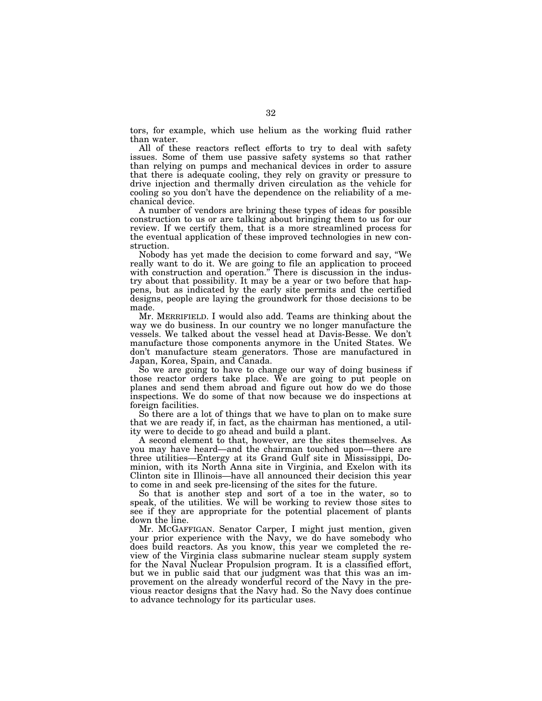tors, for example, which use helium as the working fluid rather than water.

All of these reactors reflect efforts to try to deal with safety issues. Some of them use passive safety systems so that rather than relying on pumps and mechanical devices in order to assure that there is adequate cooling, they rely on gravity or pressure to drive injection and thermally driven circulation as the vehicle for cooling so you don't have the dependence on the reliability of a mechanical device.

A number of vendors are brining these types of ideas for possible construction to us or are talking about bringing them to us for our review. If we certify them, that is a more streamlined process for the eventual application of these improved technologies in new construction.

Nobody has yet made the decision to come forward and say, ''We really want to do it. We are going to file an application to proceed with construction and operation." There is discussion in the industry about that possibility. It may be a year or two before that happens, but as indicated by the early site permits and the certified designs, people are laying the groundwork for those decisions to be made.

Mr. MERRIFIELD. I would also add. Teams are thinking about the way we do business. In our country we no longer manufacture the vessels. We talked about the vessel head at Davis-Besse. We don't manufacture those components anymore in the United States. We don't manufacture steam generators. Those are manufactured in Japan, Korea, Spain, and Canada.

So we are going to have to change our way of doing business if those reactor orders take place. We are going to put people on planes and send them abroad and figure out how do we do those inspections. We do some of that now because we do inspections at foreign facilities.

So there are a lot of things that we have to plan on to make sure that we are ready if, in fact, as the chairman has mentioned, a utility were to decide to go ahead and build a plant.

A second element to that, however, are the sites themselves. As you may have heard—and the chairman touched upon—there are three utilities—Entergy at its Grand Gulf site in Mississippi, Dominion, with its North Anna site in Virginia, and Exelon with its Clinton site in Illinois—have all announced their decision this year to come in and seek pre-licensing of the sites for the future.

So that is another step and sort of a toe in the water, so to speak, of the utilities. We will be working to review those sites to see if they are appropriate for the potential placement of plants down the line.

Mr. MCGAFFIGAN. Senator Carper, I might just mention, given your prior experience with the Navy, we do have somebody who does build reactors. As you know, this year we completed the review of the Virginia class submarine nuclear steam supply system for the Naval Nuclear Propulsion program. It is a classified effort, but we in public said that our judgment was that this was an improvement on the already wonderful record of the Navy in the previous reactor designs that the Navy had. So the Navy does continue to advance technology for its particular uses.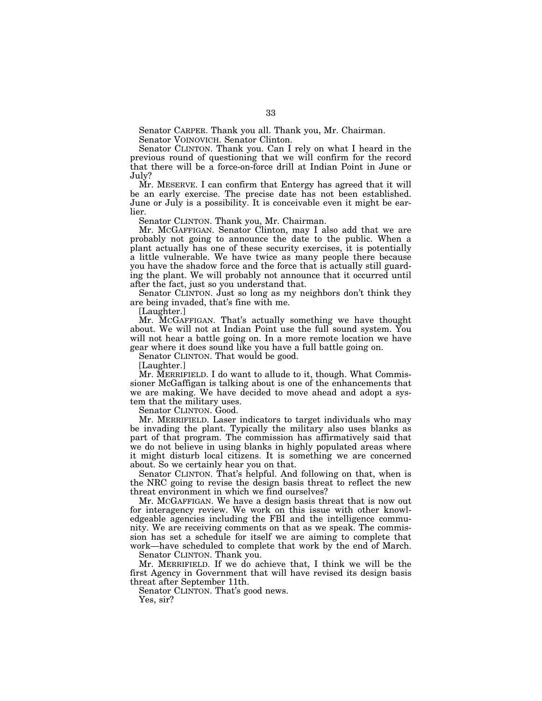Senator CARPER. Thank you all. Thank you, Mr. Chairman. Senator VOINOVICH. Senator Clinton.

Senator CLINTON. Thank you. Can I rely on what I heard in the previous round of questioning that we will confirm for the record that there will be a force-on-force drill at Indian Point in June or July?

Mr. MESERVE. I can confirm that Entergy has agreed that it will be an early exercise. The precise date has not been established. June or July is a possibility. It is conceivable even it might be earlier.

Senator CLINTON. Thank you, Mr. Chairman.

Mr. MCGAFFIGAN. Senator Clinton, may I also add that we are probably not going to announce the date to the public. When a plant actually has one of these security exercises, it is potentially a little vulnerable. We have twice as many people there because you have the shadow force and the force that is actually still guarding the plant. We will probably not announce that it occurred until after the fact, just so you understand that.

Senator CLINTON. Just so long as my neighbors don't think they are being invaded, that's fine with me.

[Laughter.]

Mr. MCGAFFIGAN. That's actually something we have thought about. We will not at Indian Point use the full sound system. You will not hear a battle going on. In a more remote location we have gear where it does sound like you have a full battle going on.

Senator CLINTON. That would be good.

[Laughter.]

Mr. MERRIFIELD. I do want to allude to it, though. What Commissioner McGaffigan is talking about is one of the enhancements that we are making. We have decided to move ahead and adopt a system that the military uses.

Senator CLINTON. Good.

Mr. MERRIFIELD. Laser indicators to target individuals who may be invading the plant. Typically the military also uses blanks as part of that program. The commission has affirmatively said that we do not believe in using blanks in highly populated areas where it might disturb local citizens. It is something we are concerned about. So we certainly hear you on that.

Senator CLINTON. That's helpful. And following on that, when is the NRC going to revise the design basis threat to reflect the new threat environment in which we find ourselves?

Mr. MCGAFFIGAN. We have a design basis threat that is now out for interagency review. We work on this issue with other knowledgeable agencies including the FBI and the intelligence community. We are receiving comments on that as we speak. The commission has set a schedule for itself we are aiming to complete that work—have scheduled to complete that work by the end of March.

Senator CLINTON. Thank you.

Mr. MERRIFIELD. If we do achieve that, I think we will be the first Agency in Government that will have revised its design basis threat after September 11th.

Senator CLINTON. That's good news.

Yes, sir?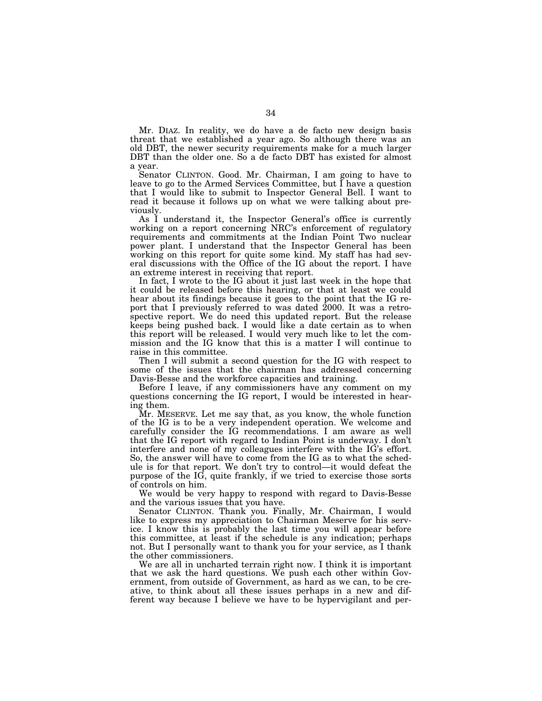Mr. DIAZ. In reality, we do have a de facto new design basis threat that we established a year ago. So although there was an old DBT, the newer security requirements make for a much larger DBT than the older one. So a de facto DBT has existed for almost a year.

Senator CLINTON. Good. Mr. Chairman, I am going to have to leave to go to the Armed Services Committee, but I have a question that I would like to submit to Inspector General Bell. I want to read it because it follows up on what we were talking about previously.

As I understand it, the Inspector General's office is currently working on a report concerning NRC's enforcement of regulatory requirements and commitments at the Indian Point Two nuclear power plant. I understand that the Inspector General has been working on this report for quite some kind. My staff has had several discussions with the Office of the IG about the report. I have an extreme interest in receiving that report.

In fact, I wrote to the IG about it just last week in the hope that it could be released before this hearing, or that at least we could hear about its findings because it goes to the point that the IG report that I previously referred to was dated 2000. It was a retrospective report. We do need this updated report. But the release keeps being pushed back. I would like a date certain as to when this report will be released. I would very much like to let the commission and the IG know that this is a matter I will continue to raise in this committee.

Then I will submit a second question for the IG with respect to some of the issues that the chairman has addressed concerning Davis-Besse and the workforce capacities and training.

Before I leave, if any commissioners have any comment on my questions concerning the IG report, I would be interested in hearing them.

Mr. MESERVE. Let me say that, as you know, the whole function of the IG is to be a very independent operation. We welcome and carefully consider the IG recommendations. I am aware as well that the IG report with regard to Indian Point is underway. I don't interfere and none of my colleagues interfere with the IG's effort. So, the answer will have to come from the IG as to what the schedule is for that report. We don't try to control—it would defeat the purpose of the IG, quite frankly, if we tried to exercise those sorts of controls on him.

We would be very happy to respond with regard to Davis-Besse and the various issues that you have.

Senator CLINTON. Thank you. Finally, Mr. Chairman, I would like to express my appreciation to Chairman Meserve for his service. I know this is probably the last time you will appear before this committee, at least if the schedule is any indication; perhaps not. But I personally want to thank you for your service, as I thank the other commissioners.

We are all in uncharted terrain right now. I think it is important that we ask the hard questions. We push each other within Government, from outside of Government, as hard as we can, to be creative, to think about all these issues perhaps in a new and different way because I believe we have to be hypervigilant and per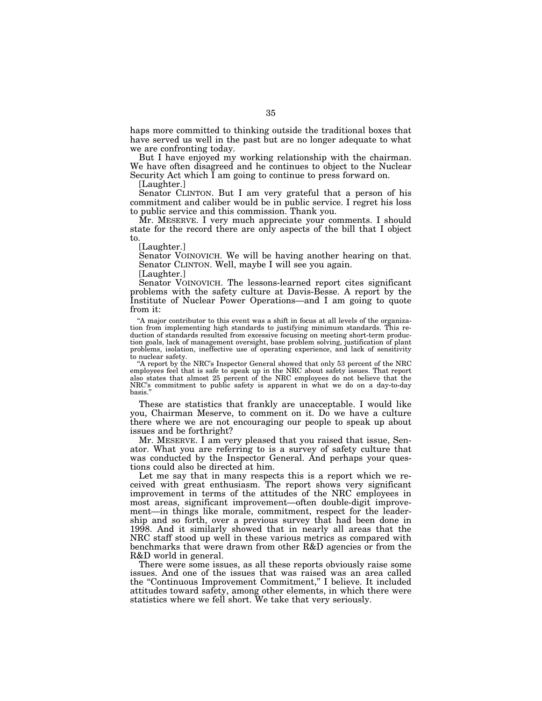haps more committed to thinking outside the traditional boxes that have served us well in the past but are no longer adequate to what we are confronting today.

But I have enjoyed my working relationship with the chairman. We have often disagreed and he continues to object to the Nuclear Security Act which I am going to continue to press forward on.

[Laughter.]

Senator CLINTON. But I am very grateful that a person of his commitment and caliber would be in public service. I regret his loss to public service and this commission. Thank you.

Mr. MESERVE. I very much appreciate your comments. I should state for the record there are only aspects of the bill that I object to.

[Laughter.]

Senator VOINOVICH. We will be having another hearing on that. Senator CLINTON. Well, maybe I will see you again.

[Laughter.]

Senator VOINOVICH. The lessons-learned report cites significant problems with the safety culture at Davis-Besse. A report by the Institute of Nuclear Power Operations—and I am going to quote from it:

"A major contributor to this event was a shift in focus at all levels of the organization from implementing high standards to justifying minimum standards. This reduction of standards resulted from excessive focusing on meeting short-term production goals, lack of management oversight, base problem solving, justification of plant problems, isolation, ineffective use of operating experience, and lack of sensitivity to nuclear safety.

"A report by the NRC's Inspector General showed that only 53 percent of the NRC employees feel that is safe to speak up in the NRC about safety issues. That report also states that almost 25 percent of the NRC employees do not believe that the NRC's commitment to public safety is apparent in what we do on a day-to-day basis.''

These are statistics that frankly are unacceptable. I would like you, Chairman Meserve, to comment on it. Do we have a culture there where we are not encouraging our people to speak up about issues and be forthright?

Mr. MESERVE. I am very pleased that you raised that issue, Senator. What you are referring to is a survey of safety culture that was conducted by the Inspector General. And perhaps your questions could also be directed at him.

Let me say that in many respects this is a report which we received with great enthusiasm. The report shows very significant improvement in terms of the attitudes of the NRC employees in most areas, significant improvement—often double-digit improvement—in things like morale, commitment, respect for the leadership and so forth, over a previous survey that had been done in 1998. And it similarly showed that in nearly all areas that the NRC staff stood up well in these various metrics as compared with benchmarks that were drawn from other R&D agencies or from the R&D world in general.

There were some issues, as all these reports obviously raise some issues. And one of the issues that was raised was an area called the ''Continuous Improvement Commitment,'' I believe. It included attitudes toward safety, among other elements, in which there were statistics where we fell short. We take that very seriously.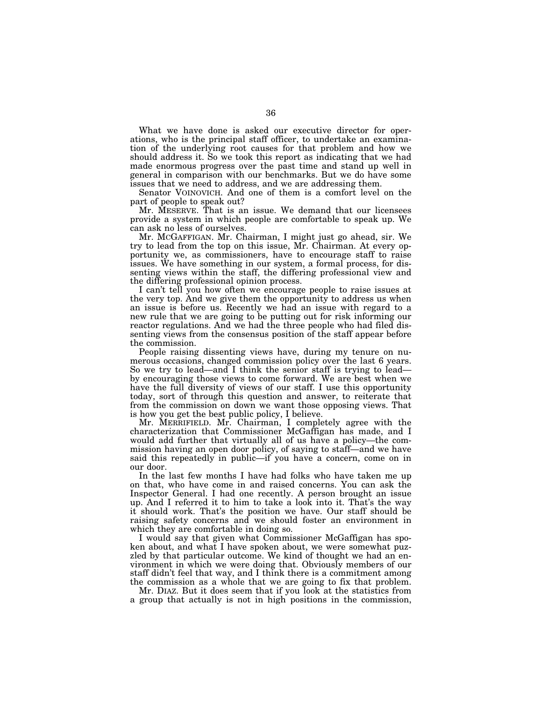What we have done is asked our executive director for operations, who is the principal staff officer, to undertake an examination of the underlying root causes for that problem and how we should address it. So we took this report as indicating that we had made enormous progress over the past time and stand up well in general in comparison with our benchmarks. But we do have some issues that we need to address, and we are addressing them.

Senator VOINOVICH. And one of them is a comfort level on the part of people to speak out?

Mr. MESERVE. That is an issue. We demand that our licensees provide a system in which people are comfortable to speak up. We can ask no less of ourselves.

Mr. MCGAFFIGAN. Mr. Chairman, I might just go ahead, sir. We try to lead from the top on this issue, Mr. Chairman. At every opportunity we, as commissioners, have to encourage staff to raise issues. We have something in our system, a formal process, for dissenting views within the staff, the differing professional view and the differing professional opinion process.

I can't tell you how often we encourage people to raise issues at the very top. And we give them the opportunity to address us when an issue is before us. Recently we had an issue with regard to a new rule that we are going to be putting out for risk informing our reactor regulations. And we had the three people who had filed dissenting views from the consensus position of the staff appear before the commission.

People raising dissenting views have, during my tenure on numerous occasions, changed commission policy over the last 6 years. So we try to lead—and I think the senior staff is trying to lead by encouraging those views to come forward. We are best when we have the full diversity of views of our staff. I use this opportunity today, sort of through this question and answer, to reiterate that from the commission on down we want those opposing views. That is how you get the best public policy, I believe.

Mr. MERRIFIELD. Mr. Chairman, I completely agree with the characterization that Commissioner McGaffigan has made, and I would add further that virtually all of us have a policy—the commission having an open door policy, of saying to staff—and we have said this repeatedly in public—if you have a concern, come on in our door.

In the last few months I have had folks who have taken me up on that, who have come in and raised concerns. You can ask the Inspector General. I had one recently. A person brought an issue up. And I referred it to him to take a look into it. That's the way it should work. That's the position we have. Our staff should be raising safety concerns and we should foster an environment in which they are comfortable in doing so.

I would say that given what Commissioner McGaffigan has spoken about, and what I have spoken about, we were somewhat puzzled by that particular outcome. We kind of thought we had an environment in which we were doing that. Obviously members of our staff didn't feel that way, and I think there is a commitment among the commission as a whole that we are going to fix that problem.

Mr. DIAZ. But it does seem that if you look at the statistics from a group that actually is not in high positions in the commission,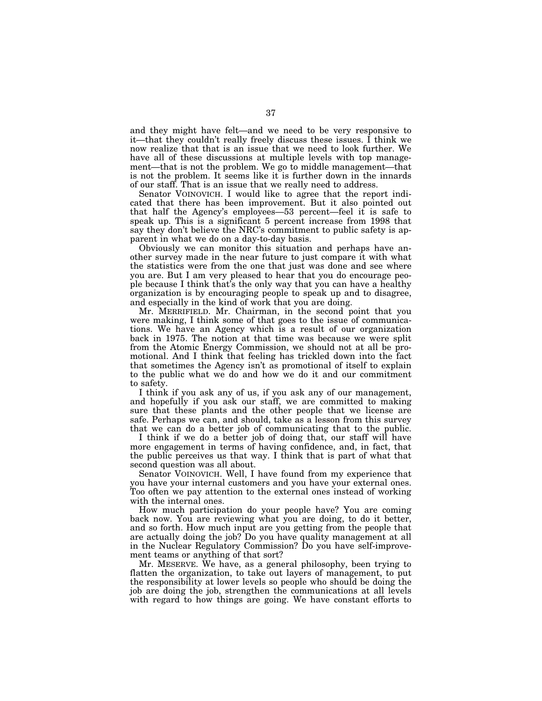and they might have felt—and we need to be very responsive to it—that they couldn't really freely discuss these issues. I think we now realize that that is an issue that we need to look further. We have all of these discussions at multiple levels with top management—that is not the problem. We go to middle management—that is not the problem. It seems like it is further down in the innards of our staff. That is an issue that we really need to address.

Senator VOINOVICH. I would like to agree that the report indicated that there has been improvement. But it also pointed out that half the Agency's employees—53 percent—feel it is safe to speak up. This is a significant 5 percent increase from 1998 that say they don't believe the NRC's commitment to public safety is apparent in what we do on a day-to-day basis.

Obviously we can monitor this situation and perhaps have another survey made in the near future to just compare it with what the statistics were from the one that just was done and see where you are. But I am very pleased to hear that you do encourage people because I think that's the only way that you can have a healthy organization is by encouraging people to speak up and to disagree, and especially in the kind of work that you are doing.

Mr. MERRIFIELD. Mr. Chairman, in the second point that you were making, I think some of that goes to the issue of communications. We have an Agency which is a result of our organization back in 1975. The notion at that time was because we were split from the Atomic Energy Commission, we should not at all be promotional. And I think that feeling has trickled down into the fact that sometimes the Agency isn't as promotional of itself to explain to the public what we do and how we do it and our commitment to safety.

I think if you ask any of us, if you ask any of our management, and hopefully if you ask our staff, we are committed to making sure that these plants and the other people that we license are safe. Perhaps we can, and should, take as a lesson from this survey that we can do a better job of communicating that to the public.

I think if we do a better job of doing that, our staff will have more engagement in terms of having confidence, and, in fact, that the public perceives us that way. I think that is part of what that second question was all about.

Senator VOINOVICH. Well, I have found from my experience that you have your internal customers and you have your external ones. Too often we pay attention to the external ones instead of working with the internal ones.

How much participation do your people have? You are coming back now. You are reviewing what you are doing, to do it better, and so forth. How much input are you getting from the people that are actually doing the job? Do you have quality management at all in the Nuclear Regulatory Commission? Do you have self-improvement teams or anything of that sort?

Mr. MESERVE. We have, as a general philosophy, been trying to flatten the organization, to take out layers of management, to put the responsibility at lower levels so people who should be doing the job are doing the job, strengthen the communications at all levels with regard to how things are going. We have constant efforts to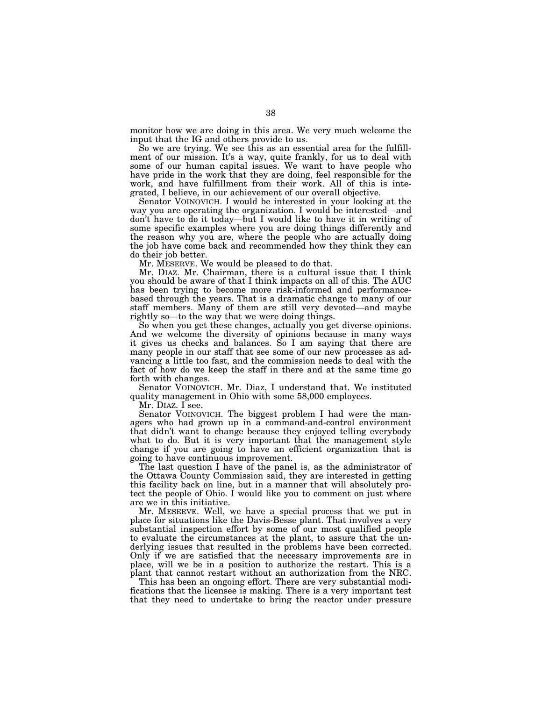monitor how we are doing in this area. We very much welcome the input that the IG and others provide to us.

So we are trying. We see this as an essential area for the fulfillment of our mission. It's a way, quite frankly, for us to deal with some of our human capital issues. We want to have people who have pride in the work that they are doing, feel responsible for the work, and have fulfillment from their work. All of this is integrated, I believe, in our achievement of our overall objective.

Senator VOINOVICH. I would be interested in your looking at the way you are operating the organization. I would be interested—and don't have to do it today—but I would like to have it in writing of some specific examples where you are doing things differently and the reason why you are, where the people who are actually doing the job have come back and recommended how they think they can do their job better.

Mr. MESERVE. We would be pleased to do that.

Mr. DIAZ. Mr. Chairman, there is a cultural issue that I think you should be aware of that I think impacts on all of this. The AUC has been trying to become more risk-informed and performancebased through the years. That is a dramatic change to many of our staff members. Many of them are still very devoted—and maybe rightly so—to the way that we were doing things.

So when you get these changes, actually you get diverse opinions. And we welcome the diversity of opinions because in many ways it gives us checks and balances. So I am saying that there are many people in our staff that see some of our new processes as advancing a little too fast, and the commission needs to deal with the fact of how do we keep the staff in there and at the same time go forth with changes.

Senator VOINOVICH. Mr. Diaz, I understand that. We instituted quality management in Ohio with some 58,000 employees.

Mr. DIAZ. I see.

Senator VOINOVICH. The biggest problem I had were the managers who had grown up in a command-and-control environment that didn't want to change because they enjoyed telling everybody what to do. But it is very important that the management style change if you are going to have an efficient organization that is going to have continuous improvement.

The last question I have of the panel is, as the administrator of the Ottawa County Commission said, they are interested in getting this facility back on line, but in a manner that will absolutely protect the people of Ohio. I would like you to comment on just where are we in this initiative.

Mr. MESERVE. Well, we have a special process that we put in place for situations like the Davis-Besse plant. That involves a very substantial inspection effort by some of our most qualified people to evaluate the circumstances at the plant, to assure that the underlying issues that resulted in the problems have been corrected. Only if we are satisfied that the necessary improvements are in place, will we be in a position to authorize the restart. This is a plant that cannot restart without an authorization from the NRC.

This has been an ongoing effort. There are very substantial modifications that the licensee is making. There is a very important test that they need to undertake to bring the reactor under pressure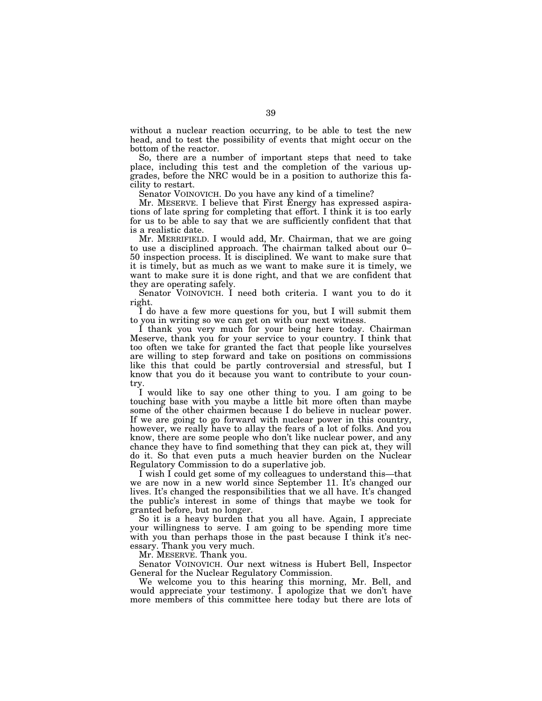without a nuclear reaction occurring, to be able to test the new head, and to test the possibility of events that might occur on the bottom of the reactor.

So, there are a number of important steps that need to take place, including this test and the completion of the various upgrades, before the NRC would be in a position to authorize this facility to restart.

Senator VOINOVICH. Do you have any kind of a timeline?

Mr. MESERVE. I believe that First Energy has expressed aspirations of late spring for completing that effort. I think it is too early for us to be able to say that we are sufficiently confident that that is a realistic date.

Mr. MERRIFIELD. I would add, Mr. Chairman, that we are going to use a disciplined approach. The chairman talked about our 0–  $50$  inspection process. It is disciplined. We want to make sure that it is timely, but as much as we want to make sure it is timely, we want to make sure it is done right, and that we are confident that they are operating safely.

Senator VOINOVICH. I need both criteria. I want you to do it right.

I do have a few more questions for you, but I will submit them to you in writing so we can get on with our next witness.

I thank you very much for your being here today. Chairman Meserve, thank you for your service to your country. I think that too often we take for granted the fact that people like yourselves are willing to step forward and take on positions on commissions like this that could be partly controversial and stressful, but I know that you do it because you want to contribute to your country.

I would like to say one other thing to you. I am going to be touching base with you maybe a little bit more often than maybe some of the other chairmen because I do believe in nuclear power. If we are going to go forward with nuclear power in this country, however, we really have to allay the fears of a lot of folks. And you know, there are some people who don't like nuclear power, and any chance they have to find something that they can pick at, they will do it. So that even puts a much heavier burden on the Nuclear Regulatory Commission to do a superlative job.

I wish I could get some of my colleagues to understand this—that we are now in a new world since September 11. It's changed our lives. It's changed the responsibilities that we all have. It's changed the public's interest in some of things that maybe we took for granted before, but no longer.

So it is a heavy burden that you all have. Again, I appreciate your willingness to serve. I am going to be spending more time with you than perhaps those in the past because I think it's necessary. Thank you very much.

Mr. MESERVE. Thank you.

Senator VOINOVICH. Our next witness is Hubert Bell, Inspector General for the Nuclear Regulatory Commission.

We welcome you to this hearing this morning, Mr. Bell, and would appreciate your testimony. I apologize that we don't have more members of this committee here today but there are lots of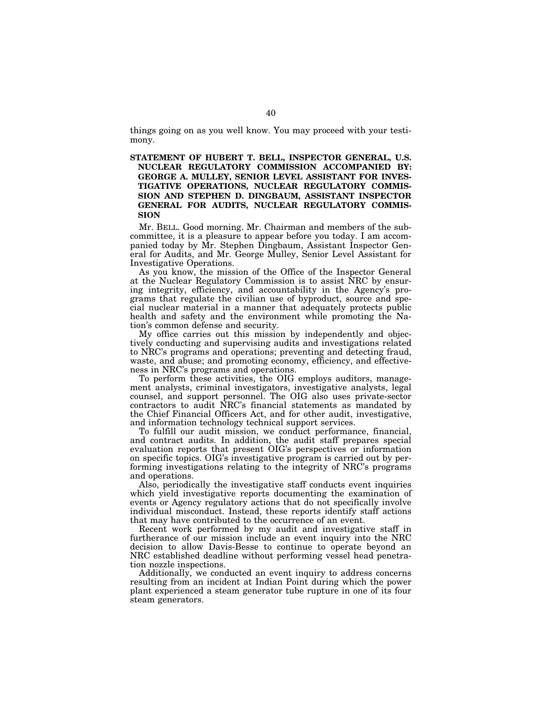things going on as you well know. You may proceed with your testimony.

**STATEMENT OF HUBERT T. BELL, INSPECTOR GENERAL, U.S. NUCLEAR REGULATORY COMMISSION ACCOMPANIED BY: GEORGE A. MULLEY, SENIOR LEVEL ASSISTANT FOR INVES-TIGATIVE OPERATIONS, NUCLEAR REGULATORY COMMIS-SION AND STEPHEN D. DINGBAUM, ASSISTANT INSPECTOR GENERAL FOR AUDITS, NUCLEAR REGULATORY COMMIS-SION**

Mr. BELL. Good morning. Mr. Chairman and members of the subcommittee, it is a pleasure to appear before you today. I am accompanied today by Mr. Stephen Dingbaum, Assistant Inspector General for Audits, and Mr. George Mulley, Senior Level Assistant for Investigative Operations.

As you know, the mission of the Office of the Inspector General at the Nuclear Regulatory Commission is to assist NRC by ensuring integrity, efficiency, and accountability in the Agency's programs that regulate the civilian use of byproduct, source and special nuclear material in a manner that adequately protects public health and safety and the environment while promoting the Nation's common defense and security.

My office carries out this mission by independently and objectively conducting and supervising audits and investigations related to NRC's programs and operations; preventing and detecting fraud, waste, and abuse; and promoting economy, efficiency, and effectiveness in NRC's programs and operations.

To perform these activities, the OIG employs auditors, management analysts, criminal investigators, investigative analysts, legal counsel, and support personnel. The OIG also uses private-sector contractors to audit NRC's financial statements as mandated by the Chief Financial Officers Act, and for other audit, investigative, and information technology technical support services.

To fulfill our audit mission, we conduct performance, financial, and contract audits. In addition, the audit staff prepares special evaluation reports that present OIG's perspectives or information on specific topics. OIG's investigative program is carried out by performing investigations relating to the integrity of NRC's programs and operations.

Also, periodically the investigative staff conducts event inquiries which yield investigative reports documenting the examination of events or Agency regulatory actions that do not specifically involve individual misconduct. Instead, these reports identify staff actions that may have contributed to the occurrence of an event.

Recent work performed by my audit and investigative staff in furtherance of our mission include an event inquiry into the NRC decision to allow Davis-Besse to continue to operate beyond an NRC established deadline without performing vessel head penetration nozzle inspections.

Additionally, we conducted an event inquiry to address concerns resulting from an incident at Indian Point during which the power plant experienced a steam generator tube rupture in one of its four steam generators.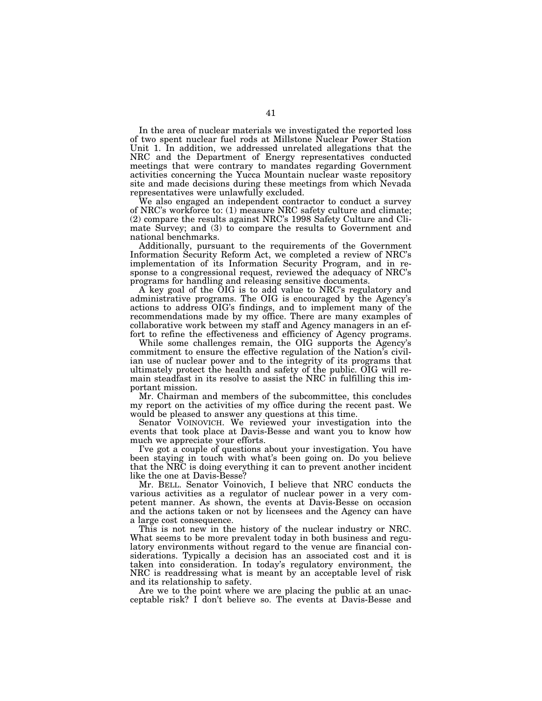In the area of nuclear materials we investigated the reported loss of two spent nuclear fuel rods at Millstone Nuclear Power Station Unit 1. In addition, we addressed unrelated allegations that the NRC and the Department of Energy representatives conducted meetings that were contrary to mandates regarding Government activities concerning the Yucca Mountain nuclear waste repository site and made decisions during these meetings from which Nevada representatives were unlawfully excluded.

We also engaged an independent contractor to conduct a survey of NRC's workforce to: (1) measure NRC safety culture and climate; (2) compare the results against NRC's 1998 Safety Culture and Climate Survey; and (3) to compare the results to Government and national benchmarks.

Additionally, pursuant to the requirements of the Government Information Security Reform Act, we completed a review of NRC's implementation of its Information Security Program, and in response to a congressional request, reviewed the adequacy of NRC's programs for handling and releasing sensitive documents.

A key goal of the OIG is to add value to NRC's regulatory and administrative programs. The OIG is encouraged by the Agency's actions to address OIG's findings, and to implement many of the recommendations made by my office. There are many examples of collaborative work between my staff and Agency managers in an effort to refine the effectiveness and efficiency of Agency programs.

While some challenges remain, the OIG supports the Agency's commitment to ensure the effective regulation of the Nation's civilian use of nuclear power and to the integrity of its programs that ultimately protect the health and safety of the public. OIG will remain steadfast in its resolve to assist the NRC in fulfilling this important mission.

Mr. Chairman and members of the subcommittee, this concludes my report on the activities of my office during the recent past. We would be pleased to answer any questions at this time.

Senator VOINOVICH. We reviewed your investigation into the events that took place at Davis-Besse and want you to know how much we appreciate your efforts.

I've got a couple of questions about your investigation. You have been staying in touch with what's been going on. Do you believe that the NRC is doing everything it can to prevent another incident like the one at Davis-Besse?

Mr. BELL. Senator Voinovich, I believe that NRC conducts the various activities as a regulator of nuclear power in a very competent manner. As shown, the events at Davis-Besse on occasion and the actions taken or not by licensees and the Agency can have a large cost consequence.

This is not new in the history of the nuclear industry or NRC. What seems to be more prevalent today in both business and regulatory environments without regard to the venue are financial considerations. Typically a decision has an associated cost and it is taken into consideration. In today's regulatory environment, the NRC is readdressing what is meant by an acceptable level of risk and its relationship to safety.

Are we to the point where we are placing the public at an unacceptable risk? I don't believe so. The events at Davis-Besse and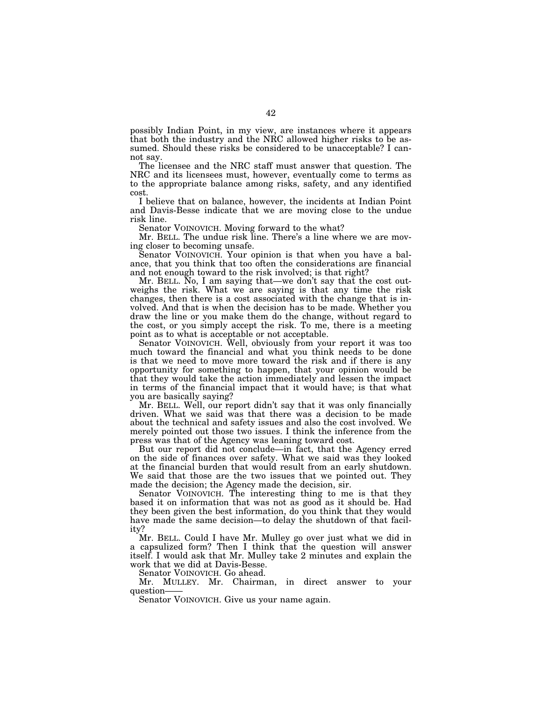possibly Indian Point, in my view, are instances where it appears that both the industry and the NRC allowed higher risks to be assumed. Should these risks be considered to be unacceptable? I cannot say.

The licensee and the NRC staff must answer that question. The NRC and its licensees must, however, eventually come to terms as to the appropriate balance among risks, safety, and any identified cost.

I believe that on balance, however, the incidents at Indian Point and Davis-Besse indicate that we are moving close to the undue risk line.

Senator VOINOVICH. Moving forward to the what?

Mr. BELL. The undue risk line. There's a line where we are moving closer to becoming unsafe.

Senator VOINOVICH. Your opinion is that when you have a balance, that you think that too often the considerations are financial and not enough toward to the risk involved; is that right?

Mr. BELL. No, I am saying that—we don't say that the cost outweighs the risk. What we are saying is that any time the risk changes, then there is a cost associated with the change that is involved. And that is when the decision has to be made. Whether you draw the line or you make them do the change, without regard to the cost, or you simply accept the risk. To me, there is a meeting point as to what is acceptable or not acceptable.

Senator VOINOVICH. Well, obviously from your report it was too much toward the financial and what you think needs to be done is that we need to move more toward the risk and if there is any opportunity for something to happen, that your opinion would be that they would take the action immediately and lessen the impact in terms of the financial impact that it would have; is that what you are basically saying?

Mr. BELL. Well, our report didn't say that it was only financially driven. What we said was that there was a decision to be made about the technical and safety issues and also the cost involved. We merely pointed out those two issues. I think the inference from the press was that of the Agency was leaning toward cost.

But our report did not conclude—in fact, that the Agency erred on the side of finances over safety. What we said was they looked at the financial burden that would result from an early shutdown. We said that those are the two issues that we pointed out. They made the decision; the Agency made the decision, sir.

Senator VOINOVICH. The interesting thing to me is that they based it on information that was not as good as it should be. Had they been given the best information, do you think that they would have made the same decision—to delay the shutdown of that facility?

Mr. BELL. Could I have Mr. Mulley go over just what we did in a capsulized form? Then I think that the question will answer itself. I would ask that Mr. Mulley take 2 minutes and explain the work that we did at Davis-Besse.

Senator VOINOVICH. Go ahead.

Mr. MULLEY. Mr. Chairman, in direct answer to your question——<br>Senator VOINOVICH. Give us your name again.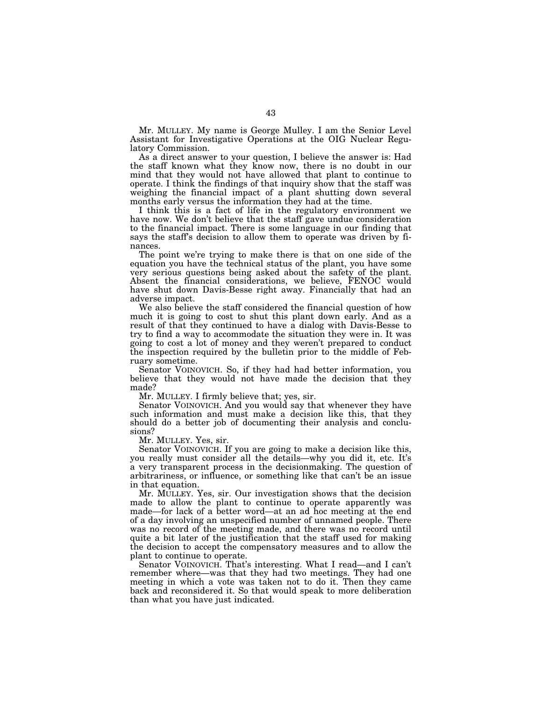Mr. MULLEY. My name is George Mulley. I am the Senior Level Assistant for Investigative Operations at the OIG Nuclear Regulatory Commission.

As a direct answer to your question, I believe the answer is: Had the staff known what they know now, there is no doubt in our mind that they would not have allowed that plant to continue to operate. I think the findings of that inquiry show that the staff was weighing the financial impact of a plant shutting down several months early versus the information they had at the time.

I think this is a fact of life in the regulatory environment we have now. We don't believe that the staff gave undue consideration to the financial impact. There is some language in our finding that says the staff's decision to allow them to operate was driven by finances.

The point we're trying to make there is that on one side of the equation you have the technical status of the plant, you have some very serious questions being asked about the safety of the plant. Absent the financial considerations, we believe, FENOC would have shut down Davis-Besse right away. Financially that had an adverse impact.

We also believe the staff considered the financial question of how much it is going to cost to shut this plant down early. And as a result of that they continued to have a dialog with Davis-Besse to try to find a way to accommodate the situation they were in. It was going to cost a lot of money and they weren't prepared to conduct the inspection required by the bulletin prior to the middle of February sometime.

Senator VOINOVICH. So, if they had had better information, you believe that they would not have made the decision that they made?

Mr. MULLEY. I firmly believe that; yes, sir.

Senator VOINOVICH. And you would say that whenever they have such information and must make a decision like this, that they should do a better job of documenting their analysis and conclusions?

Mr. MULLEY. Yes, sir.

Senator VOINOVICH. If you are going to make a decision like this, you really must consider all the details—why you did it, etc. It's a very transparent process in the decisionmaking. The question of arbitrariness, or influence, or something like that can't be an issue in that equation.

Mr. MULLEY. Yes, sir. Our investigation shows that the decision made to allow the plant to continue to operate apparently was made—for lack of a better word—at an ad hoc meeting at the end of a day involving an unspecified number of unnamed people. There was no record of the meeting made, and there was no record until quite a bit later of the justification that the staff used for making the decision to accept the compensatory measures and to allow the plant to continue to operate.

Senator VOINOVICH. That's interesting. What I read—and I can't remember where—was that they had two meetings. They had one meeting in which a vote was taken not to do it. Then they came back and reconsidered it. So that would speak to more deliberation than what you have just indicated.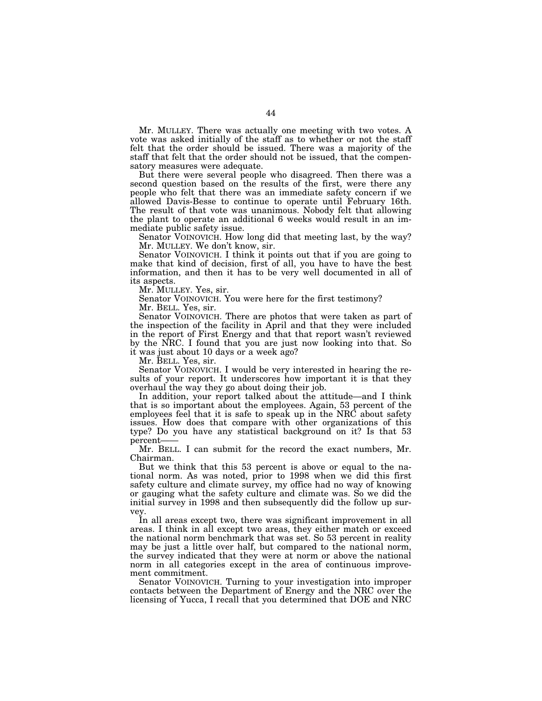Mr. MULLEY. There was actually one meeting with two votes. A vote was asked initially of the staff as to whether or not the staff felt that the order should be issued. There was a majority of the staff that felt that the order should not be issued, that the compensatory measures were adequate.

But there were several people who disagreed. Then there was a second question based on the results of the first, were there any people who felt that there was an immediate safety concern if we allowed Davis-Besse to continue to operate until February 16th. The result of that vote was unanimous. Nobody felt that allowing the plant to operate an additional 6 weeks would result in an immediate public safety issue.

Senator VOINOVICH. How long did that meeting last, by the way? Mr. MULLEY. We don't know, sir.

Senator VOINOVICH. I think it points out that if you are going to make that kind of decision, first of all, you have to have the best information, and then it has to be very well documented in all of its aspects.

Mr. MULLEY. Yes, sir.

Senator VOINOVICH. You were here for the first testimony?

Mr. BELL. Yes, sir.

Senator VOINOVICH. There are photos that were taken as part of the inspection of the facility in April and that they were included in the report of First Energy and that that report wasn't reviewed by the NRC. I found that you are just now looking into that. So it was just about 10 days or a week ago?

Mr. BELL. Yes, sir.

Senator VOINOVICH. I would be very interested in hearing the results of your report. It underscores how important it is that they overhaul the way they go about doing their job.

In addition, your report talked about the attitude—and I think that is so important about the employees. Again, 53 percent of the employees feel that it is safe to speak up in the NRC about safety issues. How does that compare with other organizations of this type? Do you have any statistical background on it? Is that 53 percent——

Mr. BELL. I can submit for the record the exact numbers, Mr. Chairman.

But we think that this 53 percent is above or equal to the national norm. As was noted, prior to 1998 when we did this first safety culture and climate survey, my office had no way of knowing or gauging what the safety culture and climate was. So we did the initial survey in 1998 and then subsequently did the follow up survey.

In all areas except two, there was significant improvement in all areas. I think in all except two areas, they either match or exceed the national norm benchmark that was set. So 53 percent in reality may be just a little over half, but compared to the national norm, the survey indicated that they were at norm or above the national norm in all categories except in the area of continuous improvement commitment.

Senator VOINOVICH. Turning to your investigation into improper contacts between the Department of Energy and the NRC over the licensing of Yucca, I recall that you determined that DOE and NRC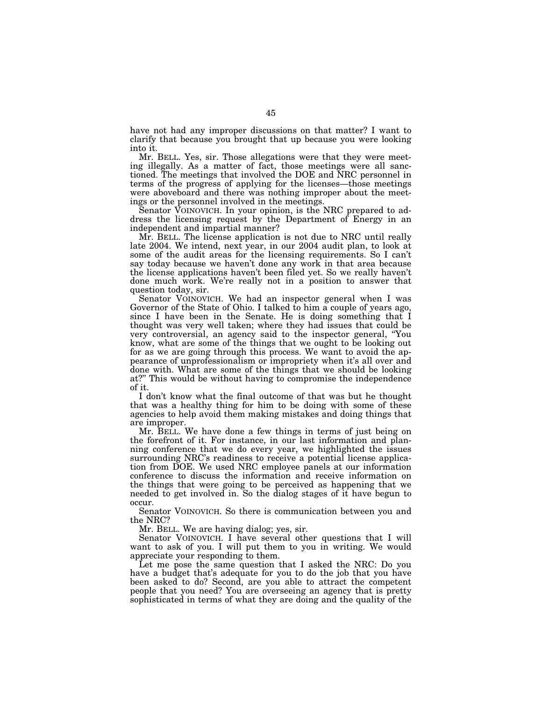have not had any improper discussions on that matter? I want to clarify that because you brought that up because you were looking into it.

Mr. BELL. Yes, sir. Those allegations were that they were meeting illegally. As a matter of fact, those meetings were all sanctioned. The meetings that involved the DOE and NRC personnel in terms of the progress of applying for the licenses—those meetings were aboveboard and there was nothing improper about the meetings or the personnel involved in the meetings.

Senator VOINOVICH. In your opinion, is the NRC prepared to address the licensing request by the Department of Energy in an independent and impartial manner?

Mr. BELL. The license application is not due to NRC until really late 2004. We intend, next year, in our 2004 audit plan, to look at some of the audit areas for the licensing requirements. So I can't say today because we haven't done any work in that area because the license applications haven't been filed yet. So we really haven't done much work. We're really not in a position to answer that question today, sir.

Senator VOINOVICH. We had an inspector general when I was Governor of the State of Ohio. I talked to him a couple of years ago, since I have been in the Senate. He is doing something that I thought was very well taken; where they had issues that could be very controversial, an agency said to the inspector general, ''You know, what are some of the things that we ought to be looking out for as we are going through this process. We want to avoid the appearance of unprofessionalism or impropriety when it's all over and done with. What are some of the things that we should be looking at?'' This would be without having to compromise the independence of it.

I don't know what the final outcome of that was but he thought that was a healthy thing for him to be doing with some of these agencies to help avoid them making mistakes and doing things that are improper.

Mr. BELL. We have done a few things in terms of just being on the forefront of it. For instance, in our last information and planning conference that we do every year, we highlighted the issues surrounding NRC's readiness to receive a potential license application from DOE. We used NRC employee panels at our information conference to discuss the information and receive information on the things that were going to be perceived as happening that we needed to get involved in. So the dialog stages of it have begun to occur.

Senator VOINOVICH. So there is communication between you and the NRC?

Mr. BELL. We are having dialog; yes, sir.

Senator VOINOVICH. I have several other questions that I will want to ask of you. I will put them to you in writing. We would appreciate your responding to them.

Let me pose the same question that I asked the NRC: Do you have a budget that's adequate for you to do the job that you have been asked to do? Second, are you able to attract the competent people that you need? You are overseeing an agency that is pretty sophisticated in terms of what they are doing and the quality of the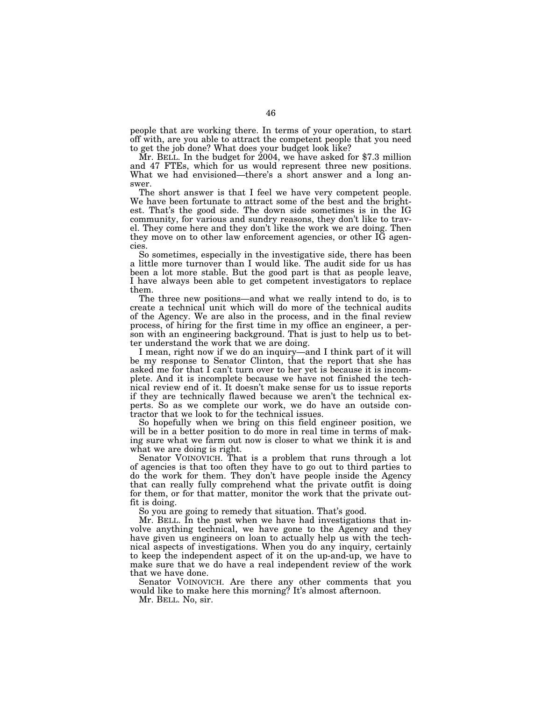people that are working there. In terms of your operation, to start off with, are you able to attract the competent people that you need to get the job done? What does your budget look like?

 $\rm \tilde{M}$ r. BELL. In the budget for 2004, we have asked for \$7.3 million and 47 FTEs, which for us would represent three new positions. What we had envisioned—there's a short answer and a long answer.

The short answer is that I feel we have very competent people. We have been fortunate to attract some of the best and the brightest. That's the good side. The down side sometimes is in the IG community, for various and sundry reasons, they don't like to travel. They come here and they don't like the work we are doing. Then they move on to other law enforcement agencies, or other IG agencies.

So sometimes, especially in the investigative side, there has been a little more turnover than I would like. The audit side for us has been a lot more stable. But the good part is that as people leave, I have always been able to get competent investigators to replace them.

The three new positions—and what we really intend to do, is to create a technical unit which will do more of the technical audits of the Agency. We are also in the process, and in the final review process, of hiring for the first time in my office an engineer, a person with an engineering background. That is just to help us to better understand the work that we are doing.

I mean, right now if we do an inquiry—and I think part of it will be my response to Senator Clinton, that the report that she has asked me for that I can't turn over to her yet is because it is incomplete. And it is incomplete because we have not finished the technical review end of it. It doesn't make sense for us to issue reports if they are technically flawed because we aren't the technical experts. So as we complete our work, we do have an outside contractor that we look to for the technical issues.

So hopefully when we bring on this field engineer position, we will be in a better position to do more in real time in terms of making sure what we farm out now is closer to what we think it is and what we are doing is right.

Senator VOINOVICH. That is a problem that runs through a lot of agencies is that too often they have to go out to third parties to do the work for them. They don't have people inside the Agency that can really fully comprehend what the private outfit is doing for them, or for that matter, monitor the work that the private outfit is doing.

So you are going to remedy that situation. That's good.

Mr. BELL. In the past when we have had investigations that involve anything technical, we have gone to the Agency and they have given us engineers on loan to actually help us with the technical aspects of investigations. When you do any inquiry, certainly to keep the independent aspect of it on the up-and-up, we have to make sure that we do have a real independent review of the work that we have done.

Senator VOINOVICH. Are there any other comments that you would like to make here this morning? It's almost afternoon.

Mr. BELL. No, sir.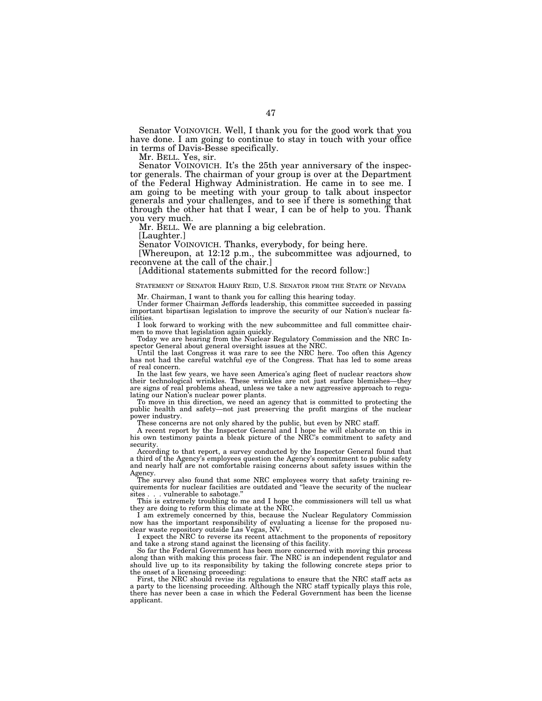Senator VOINOVICH. Well, I thank you for the good work that you have done. I am going to continue to stay in touch with your office in terms of Davis-Besse specifically.

Mr. BELL. Yes, sir.

Senator VOINOVICH. It's the 25th year anniversary of the inspector generals. The chairman of your group is over at the Department of the Federal Highway Administration. He came in to see me. I am going to be meeting with your group to talk about inspector generals and your challenges, and to see if there is something that through the other hat that I wear, I can be of help to you. Thank you very much.

Mr. BELL. We are planning a big celebration.

[Laughter.]

Senator VOINOVICH. Thanks, everybody, for being here.

[Whereupon, at 12:12 p.m., the subcommittee was adjourned, to reconvene at the call of the chair.]

[Additional statements submitted for the record follow:]

# STATEMENT OF SENATOR HARRY REID, U.S. SENATOR FROM THE STATE OF NEVADA

Mr. Chairman, I want to thank you for calling this hearing today.

Under former Chairman Jeffords leadership, this committee succeeded in passing important bipartisan legislation to improve the security of our Nation's nuclear facilities.

I look forward to working with the new subcommittee and full committee chairmen to move that legislation again quickly. Today we are hearing from the Nuclear Regulatory Commission and the NRC In-

spector General about general oversight issues at the NRC.

Until the last Congress it was rare to see the NRC here. Too often this Agency has not had the careful watchful eye of the Congress. That has led to some areas of real concern.

In the last few years, we have seen America's aging fleet of nuclear reactors show their technological wrinkles. These wrinkles are not just surface blemishes—they are signs of real problems ahead, unless we take a new aggressive approach to regulating our Nation's nuclear power plants.

To move in this direction, we need an agency that is committed to protecting the public health and safety—not just preserving the profit margins of the nuclear power industry.

These concerns are not only shared by the public, but even by NRC staff.

A recent report by the Inspector General and I hope he will elaborate on this in his own testimony paints a bleak picture of the NRC's commitment to safety and security.

According to that report, a survey conducted by the Inspector General found that a third of the Agency's employees question the Agency's commitment to public safety and nearly half are not comfortable raising concerns about safety issues within the Agency.

The survey also found that some NRC employees worry that safety training requirements for nuclear facilities are outdated and ''leave the security of the nuclear sites . . . vulnerable to sabotage.''

This is extremely troubling to me and I hope the commissioners will tell us what they are doing to reform this climate at the NRC.

I am extremely concerned by this, because the Nuclear Regulatory Commission now has the important responsibility of evaluating a license for the proposed nuclear waste repository outside Las Vegas, NV.

I expect the NRC to reverse its recent attachment to the proponents of repository and take a strong stand against the licensing of this facility.

So far the Federal Government has been more concerned with moving this process along than with making this process fair. The NRC is an independent regulator and should live up to its responsibility by taking the following concrete steps prior to the onset of a licensing proceeding:

First, the NRC should revise its regulations to ensure that the NRC staff acts as a party to the licensing proceeding. Although the NRC staff typically plays this role, there has never been a case in which the Federal Government has been the license applicant.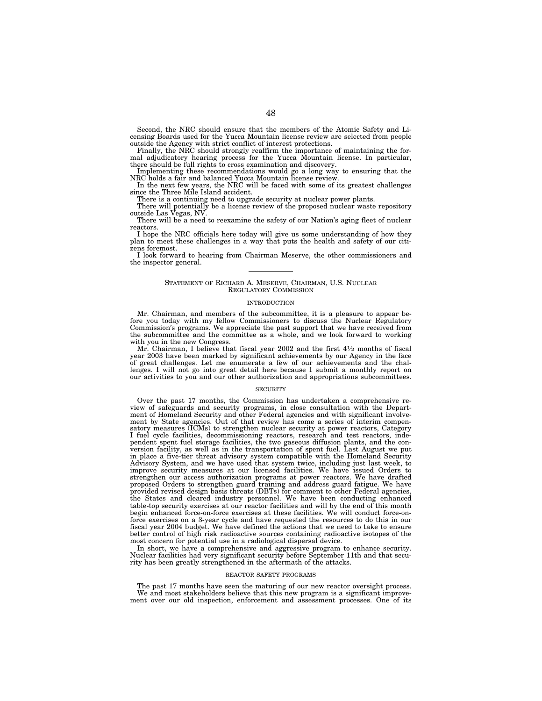Second, the NRC should ensure that the members of the Atomic Safety and Licensing Boards used for the Yucca Mountain license review are selected from people

outside the Agency with strict conflict of interest protections.<br>Finally, the NRC should strongly reaffirm the importance of maintaining the formal adjudicatory hearing process for the Yucca Mountain license. In particular there should be full rights to cross examination and discovery.

Implementing these recommendations would go a long way to ensuring that the NRC holds a fair and balanced Yucca Mountain license review. In the next few years, the NRC will be faced with some of its greatest challenges

since the Three Mile Island accident.

There is a continuing need to upgrade security at nuclear power plants.

There will potentially be a license review of the proposed nuclear waste repository outside Las Vegas, NV.

There will be a need to reexamine the safety of our Nation's aging fleet of nuclear reactors.

I hope the NRC officials here today will give us some understanding of how they plan to meet these challenges in a way that puts the health and safety of our citizens foremost.

I look forward to hearing from Chairman Meserve, the other commissioners and the inspector general.

### STATEMENT OF RICHARD A. MESERVE, CHAIRMAN, U.S. NUCLEAR REGULATORY COMMISSION

#### **INTRODUCTION**

Mr. Chairman, and members of the subcommittee, it is a pleasure to appear before you today with my fellow Commissioners to discuss the Nuclear Regulatory Commission's programs. We appreciate the past support that we have received from the subcommittee and the committee as a whole, and we look forward to working with you in the new Congress.

Mr. Chairman, I believe that fiscal year 2002 and the first 41⁄2 months of fiscal year 2003 have been marked by significant achievements by our Agency in the face of great challenges. Let me enumerate a few of our achievements and the challenges. I will not go into great detail here because I submit a monthly report on our activities to you and our other authorization and appropriations subcommittees.

### **SECURITY**

Over the past 17 months, the Commission has undertaken a comprehensive review of safeguards and security programs, in close consultation with the Depart-ment of Homeland Security and other Federal agencies and with significant involvement by State agencies. Out of that review has come a series of interim compen-satory measures (ICMs) to strengthen nuclear security at power reactors, Category I fuel cycle facilities, decommissioning reactors, research and test reactors, inde-pendent spent fuel storage facilities, the two gaseous diffusion plants, and the conversion facility, as well as in the transportation of spent fuel. Last August we put in place a five-tier threat advisory system compatible with the Homeland Security Advisory System, and we have used that system twice, including just last week, to improve security measures at our licensed facilities. We have issued Orders to strengthen our access authorization programs at power reactors. We have drafted proposed Orders to strengthen guard training and address guard fatigue. We have provided revised design basis threats (DBTs) for comment to other Federal agencies, the States and cleared industry personnel. We have been conducting enhanced table-top security exercises at our reactor facilities and will by the end of this month begin enhanced force-on-force exercises at these facilities. We will conduct force-onforce exercises on a 3-year cycle and have requested the resources to do this in our fiscal year 2004 budget. We have defined the actions that we need to take to ensure better control of high risk radioactive sources containing radioactive isotopes of the most concern for potential use in a radiological dispersal device.

In short, we have a comprehensive and aggressive program to enhance security. Nuclear facilities had very significant security before September 11th and that security has been greatly strengthened in the aftermath of the attacks.

### REACTOR SAFETY PROGRAMS

The past 17 months have seen the maturing of our new reactor oversight process. We and most stakeholders believe that this new program is a significant improvement over our old inspection, enforcement and assessment processes. One of its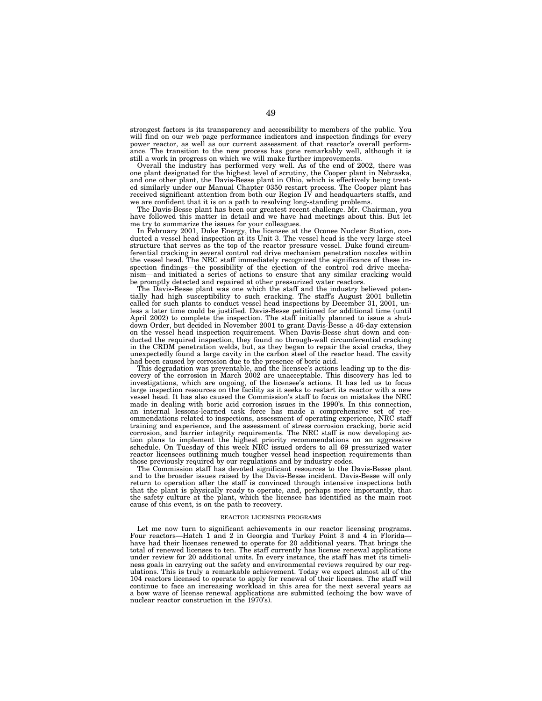strongest factors is its transparency and accessibility to members of the public. You will find on our web page performance indicators and inspection findings for every power reactor, as well as our current assessment of that reactor's overall performance. The transition to the new process has gone remarkably well, although it is still a work in progress on which we will make further improvements.

Overall the industry has performed very well. As of the end of 2002, there was one plant designated for the highest level of scrutiny, the Cooper plant in Nebraska, and one other plant, the Davis-Besse plant in Ohio, which is effectively being treated similarly under our Manual Chapter 0350 restart process. The Cooper plant has received significant attention from both our Region IV and headquarters staffs, and we are confident that it is on a path to resolving long-standing problems.

The Davis-Besse plant has been our greatest recent challenge. Mr. Chairman, you have followed this matter in detail and we have had meetings about this. But let me try to summarize the issues for your colleagues.

In February 2001, Duke Energy, the licensee at the Oconee Nuclear Station, conducted a vessel head inspection at its Unit 3. The vessel head is the very large steel structure that serves as the top of the reactor pressure vessel. Duke found circumferential cracking in several control rod drive mechanism penetration nozzles within the vessel head. The NRC staff immediately recognized the significance of these inspection findings—the possibility of the ejection of the control rod drive mechanism—and initiated a series of actions to ensure that any similar cracking would be promptly detected and repaired at other pressurized water reactors.

The Davis-Besse plant was one which the staff and the industry believed potentially had high susceptibility to such cracking. The staff's August 2001 bulletin called for such plants to conduct vessel head inspections by December 31, 2001, unless a later time could be justified. Davis-Besse petitioned for additional time (until April 2002) to complete the inspection. The staff initially planned to issue a shutdown Order, but decided in November 2001 to grant Davis-Besse a 46-day extension on the vessel head inspection requirement. When Davis-Besse shut down and conducted the required inspection, they found no through-wall circumferential cracking in the CRDM penetration welds, but, as they began to repair the axial cracks, they unexpectedly found a large cavity in the carbon steel of the reactor head. The cavity had been caused by corrosion due to the presence of boric acid.

This degradation was preventable, and the licensee's actions leading up to the discovery of the corrosion in March 2002 are unacceptable. This discovery has led to investigations, which are ongoing, of the licensee's actions. It has led us to focus large inspection resources on the facility as it seeks to restart its reactor with a new vessel head. It has also caused the Commission's staff to focus on mistakes the NRC made in dealing with boric acid corrosion issues in the 1990's. In this connection, an internal lessons-learned task force has made a comprehensive set of recommendations related to inspections, assessment of operating experience, NRC staff training and experience, and the assessment of stress corrosion cracking, boric acid corrosion, and barrier integrity requirements. The NRC staff is now developing action plans to implement the highest priority recommendations on an aggressive schedule. On Tuesday of this week NRC issued orders to all 69 pressurized water reactor licensees outlining much tougher vessel head inspection requirements than those previously required by our regulations and by industry codes.

The Commission staff has devoted significant resources to the Davis-Besse plant and to the broader issues raised by the Davis-Besse incident. Davis-Besse will only return to operation after the staff is convinced through intensive inspections both that the plant is physically ready to operate, and, perhaps more importantly, that the safety culture at the plant, which the licensee has identified as the main root cause of this event, is on the path to recovery.

### REACTOR LICENSING PROGRAMS

Let me now turn to significant achievements in our reactor licensing programs. Four reactors—Hatch 1 and 2 in Georgia and Turkey Point 3 and 4 in Florida have had their licenses renewed to operate for 20 additional years. That brings the total of renewed licenses to ten. The staff currently has license renewal applications under review for 20 additional units. In every instance, the staff has met its timeliness goals in carrying out the safety and environmental reviews required by our regulations. This is truly a remarkable achievement. Today we expect almost all of the 104 reactors licensed to operate to apply for renewal of their licenses. The staff will continue to face an increasing workload in this area for the next several years as a bow wave of license renewal applications are submitted (echoing the bow wave of nuclear reactor construction in the 1970's).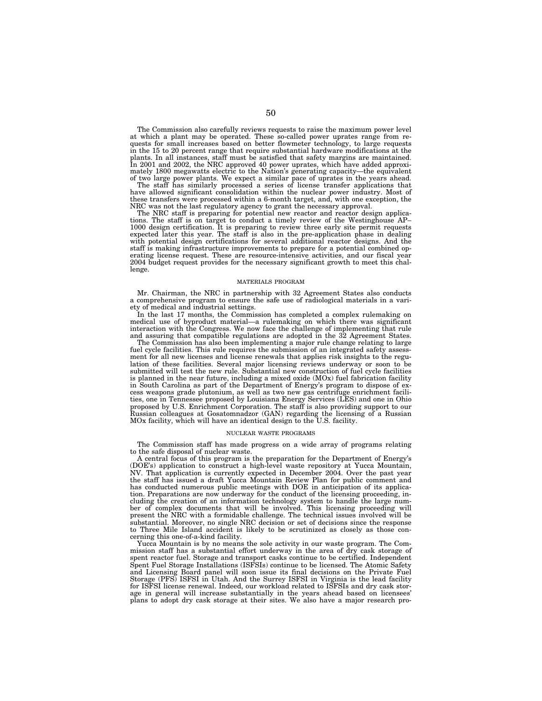The Commission also carefully reviews requests to raise the maximum power level at which a plant may be operated. These so-called power uprates range from re-quests for small increases based on better flowmeter technology, to large requests in the 15 to 20 percent range that require substantial hardware modifications at the plants. In all instances, staff must be satisfied that safety margins are maintained. In 2001 and 2002, the NRC approved 40 power uprates, which have added approximately 1800 megawatts electric to the Nation's generating capacity—the equivalent

of two large power plants. We expect a similar pace of uprates in the years ahead. The staff has similarly processed a series of license transfer applications that have allowed significant consolidation within the nuclear power industry. Most of these transfers were processed within a 6-month target, and, with one exception, the NRC was not the last regulatory agency to grant the necessary approval. The NRC staff is preparing for potential new reactor and reactor design applica-

tions. The staff is on target to conduct a timely review of the Westinghouse AP– 1000 design certification. It is preparing to review three early site permit requests expected later this year. The staff is also in the pre-application phase in dealing with potential design certifications for several additional reactor designs. And the staff is making infrastructure improvements to prepare for a potential combined operating license request. These are resource-intensive activities, and our fiscal year 2004 budget request provides for the necessary significant growth to meet this challenge.

#### MATERIALS PROGRAM

Mr. Chairman, the NRC in partnership with 32 Agreement States also conducts a comprehensive program to ensure the safe use of radiological materials in a variety of medical and industrial settings.

In the last 17 months, the Commission has completed a complex rulemaking on medical use of byproduct material—a rulemaking on which there was significant interaction with the Congress. We now face the challenge of implementing that rule and assuring that compatible regulations are adopted in the 32 Agreement States.

The Commission has also been implementing a major rule change relating to large fuel cycle facilities. This rule requires the submission of an integrated safety assessment for all new licenses and license renewals that applies risk insights to the regulation of these facilities. Several major licensing reviews underway or soon to be submitted will test the new rule. Substantial new construction of fuel cycle facilities is planned in the near future, including a mixed oxide (MOx) fuel fabrication facility in South Carolina as part of the Department of Energy's program to dispose of excess weapons grade plutonium, as well as two new gas centrifuge enrichment facilities, one in Tennessee proposed by Louisiana Energy Services (LES) and one in Ohio proposed by U.S. Enrichment Corporation. The staff is also providing support to our Russian colleagues at Gosatomnadzor (GAN) regarding the licensing of a Russian MOx facility, which will have an identical design to the U.S. facility.

### NUCLEAR WASTE PROGRAMS

The Commission staff has made progress on a wide array of programs relating to the safe disposal of nuclear waste.

A central focus of this program is the preparation for the Department of Energy's (DOE's) application to construct a high-level waste repository at Yucca Mountain, NV. That application is currently expected in December 2004. Over the past year the staff has issued a draft Yucca Mountain Review Plan for public comment and has conducted numerous public meetings with DOE in anticipation of its application. Preparations are now underway for the conduct of the licensing proceeding, including the creation of an information technology system to handle the large number of complex documents that will be involved. This licensing proceeding will present the NRC with a formidable challenge. The technical issues involved will be substantial. Moreover, no single NRC decision or set of decisions since the response to Three Mile Island accident is likely to be scrutinized as closely as those concerning this one-of-a-kind facility.

Yucca Mountain is by no means the sole activity in our waste program. The Commission staff has a substantial effort underway in the area of dry cask storage of spent reactor fuel. Storage and transport casks continue to be certified. Independent Spent Fuel Storage Installations (ISFSIs) continue to be licensed. The Atomic Safety and Licensing Board panel will soon issue its final decisions on the Private Fuel Storage (PFS) ISFSI in Utah. And the Surrey ISFSI in Virginia is the lead facility for ISFSI license renewal. Indeed, our workload related to ISFSIs and dry cask storage in general will increase substantially in the years ahead based on licensees' plans to adopt dry cask storage at their sites. We also have a major research pro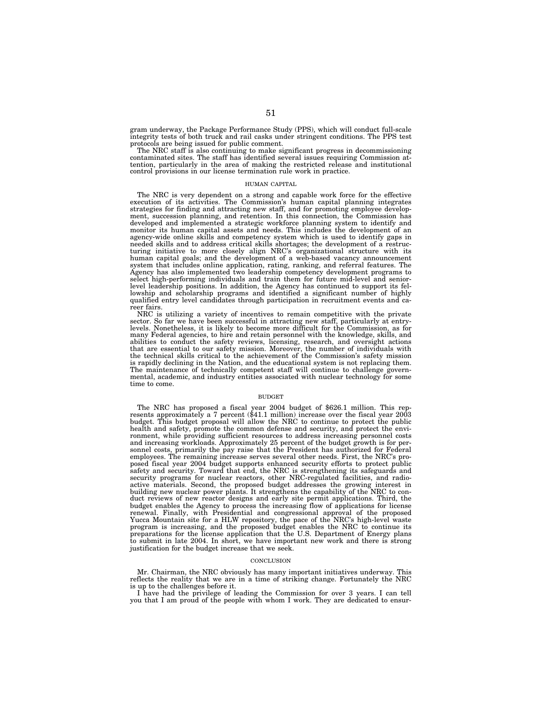gram underway, the Package Performance Study (PPS), which will conduct full-scale integrity tests of both truck and rail casks under stringent conditions. The PPS test protocols are being issued for public comment.

The NRC staff is also continuing to make significant progress in decommissioning contaminated sites. The staff has identified several issues requiring Commission attention, particularly in the area of making the restricted release and institutional control provisions in our license termination rule work in practice.

### HUMAN CAPITAL

The NRC is very dependent on a strong and capable work force for the effective execution of its activities. The Commission's human capital planning integrates strategies for finding and attracting new staff, and for promoting employee development, succession planning, and retention. In this connection, the Commission has developed and implemented a strategic workforce planning system to identify and monitor its human capital assets and needs. This includes the development of an agency-wide online skills and competency system which is used to identify gaps in needed skills and to address critical skills shortages; the development of a restructuring initiative to more closely align NRC's organizational structure with its human capital goals; and the development of a web-based vacancy announcement system that includes online application, rating, ranking, and referral features. The Agency has also implemented two leadership competency development programs to select high-performing individuals and train them for future mid-level and seniorlevel leadership positions. In addition, the Agency has continued to support its fel-lowship and scholarship programs and identified a significant number of highly qualified entry level candidates through participation in recruitment events and career fairs.

NRC is utilizing a variety of incentives to remain competitive with the private sector. So far we have been successful in attracting new staff, particularly at entrylevels. Nonetheless, it is likely to become more difficult for the Commission, as for many Federal agencies, to hire and retain personnel with the knowledge, skills, and abilities to conduct the safety reviews, licensing, research, and oversight actions that are essential to our safety mission. Moreover, the number of individuals with the technical skills critical to the achievement of the Commission's safety mission is rapidly declining in the Nation, and the educational system is not replacing them. The maintenance of technically competent staff will continue to challenge govern-mental, academic, and industry entities associated with nuclear technology for some time to come.

#### BUDGET

The NRC has proposed a fiscal year 2004 budget of \$626.1 million. This rep-<br>resents approximately a 7 percent (\$41.1 million) increase over the fiscal year 2003 budget. This budget proposal will allow the NRC to continue to protect the public health and safety, promote the common defense and security, and protect the environment, while providing sufficient resources to address increasing personnel costs and increasing workloads. Approximately 25 percent of the budget growth is for personnel costs, primarily the pay raise that the President has authorized for Federal employees. The remaining increase serves several other needs. First, the NRC's proposed fiscal year 2004 budget supports enhanced security efforts to protect public safety and security. Toward that end, the NRC is strengthening its safeguards and<br>security programs for nuclear reactors, other NRC-regulated facilities, and radio-<br>active materials. Second, the proposed budget addresses t duct reviews of new reactor designs and early site permit applications. Third, the budget enables the Agency to process the increasing flow of applications for license renewal. Finally, with Presidential and congressional approval of the proposed Yucca Mountain site for a HLW repository, the pace of the NRC's high-level waste program is increasing, and the proposed budget enables the NRC to continue its preparations for the license application that the U.S. Department of Energy plans to submit in late 2004. In short, we have important new work and there is strong justification for the budget increase that we seek.

### **CONCLUSION**

Mr. Chairman, the NRC obviously has many important initiatives underway. This reflects the reality that we are in a time of striking change. Fortunately the NRC is up to the challenges before it.

I have had the privilege of leading the Commission for over 3 years. I can tell you that I am proud of the people with whom I work. They are dedicated to ensur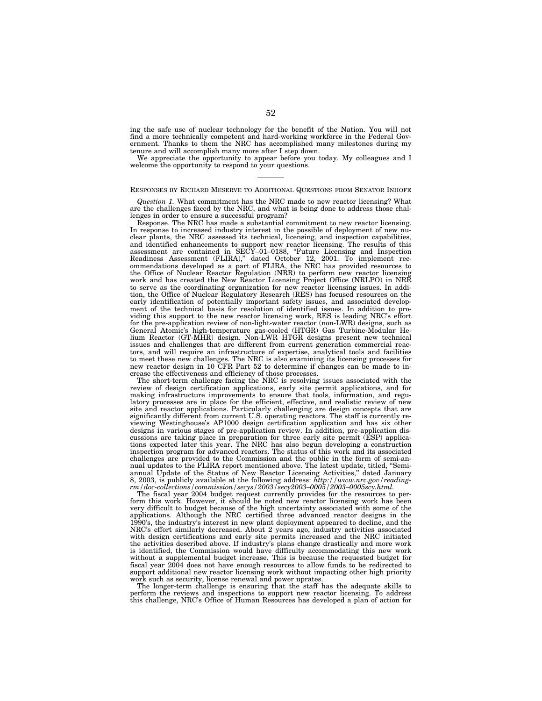ing the safe use of nuclear technology for the benefit of the Nation. You will not find a more technically competent and hard-working workforce in the Federal Government. Thanks to them the NRC has accomplished many milestones during my tenure and will accomplish many more after I step down.

We appreciate the opportunity to appear before you today. My colleagues and I welcome the opportunity to respond to your questions.

# RESPONSES BY RICHARD MESERVE TO ADDITIONAL QUESTIONS FROM SENATOR INHOFE

*Question 1.* What commitment has the NRC made to new reactor licensing? What are the challenges faced by the NRC, and what is being done to address those challenges in order to ensure a successful program?

Response. The NRC has made a substantial commitment to new reactor licensing. In response to increased industry interest in the possible of deployment of new nuclear plants, the NRC assessed its technical, licensing, and inspection capabilities, and identified enhancements to support new reactor licensing. The results of this assessment are contained in SECY–01–0188, ''Future Licensing and Inspection Readiness Assessment (FLIRA),'' dated October 12, 2001. To implement recommendations developed as a part of FLIRA, the NRC has provided resources to the Office of Nuclear Reactor Regulation (NRR) to perform new reactor licensing work and has created the New Reactor Licensing Project Office (NRLPO) in NRR to serve as the coordinating organization for new reactor licensing issues. In addition, the Office of Nuclear Regulatory Research (RES) has focused resources on the early identification of potentially important safety issues, and associated development of the technical basis for resolution of identified issues. In addition to providing this support to the new reactor licensing work, RES is leading NRC's effort for the pre-application review of non-light-water reactor (non-LWR) designs, such as General Atomic's high-temperature gas-cooled (HTGR) Gas Turbine-Modular Helium Reactor (GT-MHR) design. Non-LWR HTGR designs present new technical issues and challenges that are different from current generation commercial reactors, and will require an infrastructure of expertise, analytical tools and facilities to meet these new challenges. The NRC is also examining its licensing processes for new reactor design in 10 CFR Part 52 to determine if changes can be made to increase the effectiveness and efficiency of those processes.

The short-term challenge facing the NRC is resolving issues associated with the review of design certification applications, early site permit applications, and for making infrastructure improvements to ensure that tools, information, and regulatory processes are in place for the efficient, effective, and realistic review of new site and reactor applications. Particularly challenging are design concepts that are significantly different from current U.S. operating reactors. The staff is currently reviewing Westinghouse's AP1000 design certification application and has six other designs in various stages of pre-application review. In addition, pre-application discussions are taking place in preparation for three early site permit (ESP) applications expected later this year. The NRC has also begun developing a construction inspection program for advanced reactors. The status of this work and its associated challenges are provided to the Commission and the public in the form of semi-annual updates to the FLIRA report mentioned above. The latest update, titled, ''Semiannual Update of the Status of New Reactor Licensing Activities,'' dated January 8, 2003, is publicly available at the following address: *http://www.nrc.gov/readingrm/doc-collections/commission/secys/2003/secy2003–0005/2003–0005scy.html.*

The fiscal year 2004 budget request currently provides for the resources to perform this work. However, it should be noted new reactor licensing work has been very difficult to budget because of the high uncertainty associated with some of the applications. Although the NRC certified three advanced reactor designs in the 1990's, the industry's interest in new plant deployment appeared to decline, and the NRC's effort similarly decreased. About 2 years ago, industry activities associated with design certifications and early site permits increased and the NRC initiated the activities described above. If industry's plans change drastically and more work is identified, the Commission would have difficulty accommodating this new work without a supplemental budget increase. This is because the requested budget for fiscal year 2004 does not have enough resources to allow funds to be redirected to support additional new reactor licensing work without impacting other high priority work such as security, license renewal and power uprates.

The longer-term challenge is ensuring that the staff has the adequate skills to perform the reviews and inspections to support new reactor licensing. To address this challenge, NRC's Office of Human Resources has developed a plan of action for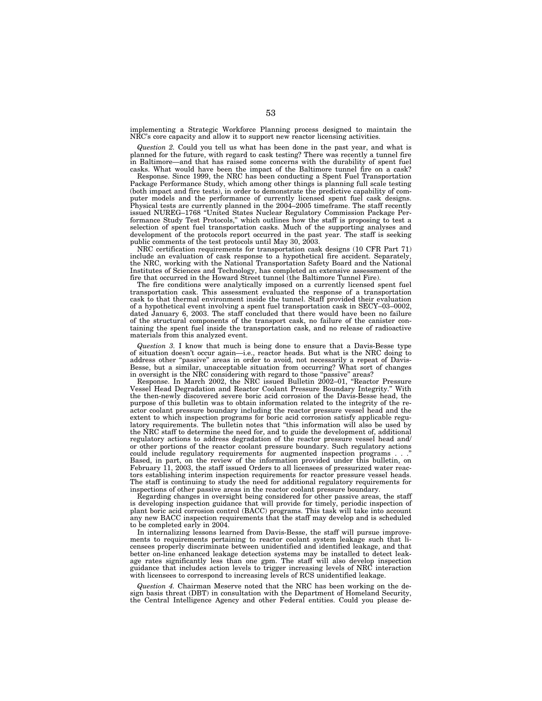implementing a Strategic Workforce Planning process designed to maintain the NRC's core capacity and allow it to support new reactor licensing activities.

*Question 2.* Could you tell us what has been done in the past year, and what is planned for the future, with regard to cask testing? There was recently a tunnel fire in Baltimore—and that has raised some concerns with the durability of spent fuel casks. What would have been the impact of the Baltimore tunnel fire on a cask?

Response. Since 1999, the NRC has been conducting a Spent Fuel Transportation Package Performance Study, which among other things is planning full scale testing (both impact and fire tests), in order to demonstrate the predictive capability of computer models and the performance of currently licensed spent fuel cask designs. Physical tests are currently planned in the 2004–2005 timeframe. The staff recently issued NUREG–1768 ''United States Nuclear Regulatory Commission Package Performance Study Test Protocols,'' which outlines how the staff is proposing to test a selection of spent fuel transportation casks. Much of the supporting analyses and development of the protocols report occurred in the past year. The staff is seeking public comments of the test protocols until May 30, 2003.

NRC certification requirements for transportation cask designs (10 CFR Part 71) include an evaluation of cask response to a hypothetical fire accident. Separately, the NRC, working with the National Transportation Safety Board and the National Institutes of Sciences and Technology, has completed an extensive assessment of the fire that occurred in the Howard Street tunnel (the Baltimore Tunnel Fire).

The fire conditions were analytically imposed on a currently licensed spent fuel transportation cask. This assessment evaluated the response of a transportation cask to that thermal environment inside the tunnel. Staff provided their evaluation of a hypothetical event involving a spent fuel transportation cask in SECY–03–0002, dated January 6, 2003. The staff concluded that there would have been no failure of the structural components of the transport cask, no failure of the canister containing the spent fuel inside the transportation cask, and no release of radioactive materials from this analyzed event.

*Question 3.* I know that much is being done to ensure that a Davis-Besse type of situation doesn't occur again—i.e., reactor heads. But what is the NRC doing to address other "passive" areas in order to avoid, not necessarily a repeat of Davis-Besse, but a similar, unacceptable situation from occurring? What sort of changes in oversight is the NRC considering with regard to those "passive" areas?

Response. In March 2002, the NRC issued Bulletin 2002–01, ''Reactor Pressure Vessel Head Degradation and Reactor Coolant Pressure Boundary Integrity.'' With the then-newly discovered severe boric acid corrosion of the Davis-Besse head, the purpose of this bulletin was to obtain information related to the integrity of the reactor coolant pressure boundary including the reactor pressure vessel head and the extent to which inspection programs for boric acid corrosion satisfy applicable regulatory requirements. The bulletin notes that ''this information will also be used by the NRC staff to determine the need for, and to guide the development of, additional regulatory actions to address degradation of the reactor pressure vessel head and/ or other portions of the reactor coolant pressure boundary. Such regulatory actions could include regulatory requirements for augmented inspection programs . . .'' Based, in part, on the review of the information provided under this bulletin, on February 11, 2003, the staff issued Orders to all licensees of pressurized water reactors establishing interim inspection requirements for reactor pressure vessel heads. The staff is continuing to study the need for additional regulatory requirements for inspections of other passive areas in the reactor coolant pressure boundary.

Regarding changes in oversight being considered for other passive areas, the staff is developing inspection guidance that will provide for timely, periodic inspection of plant boric acid corrosion control (BACC) programs. This task will take into account any new BACC inspection requirements that the staff may develop and is scheduled to be completed early in 2004.

In internalizing lessons learned from Davis-Besse, the staff will pursue improvements to requirements pertaining to reactor coolant system leakage such that licensees properly discriminate between unidentified and identified leakage, and that better on-line enhanced leakage detection systems may be installed to detect leakage rates significantly less than one gpm. The staff will also develop inspection guidance that includes action levels to trigger increasing levels of NRC interaction with licensees to correspond to increasing levels of RCS unidentified leakage.

*Question 4.* Chairman Meserve noted that the NRC has been working on the design basis threat (DBT) in consultation with the Department of Homeland Security, the Central Intelligence Agency and other Federal entities. Could you please de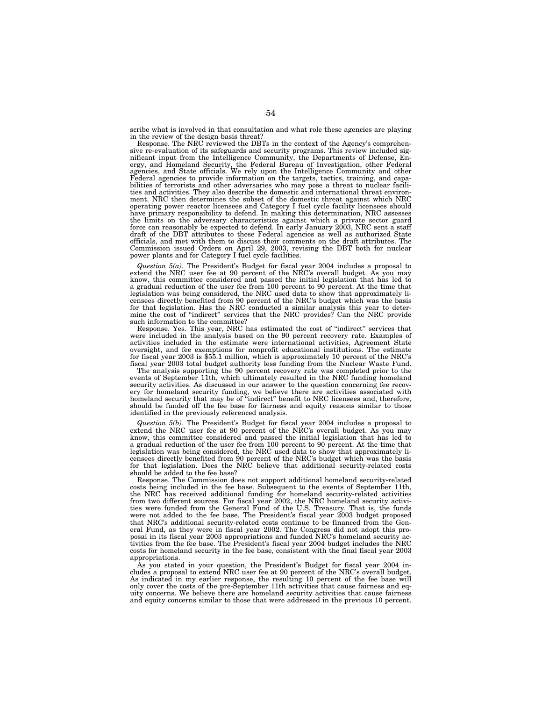scribe what is involved in that consultation and what role these agencies are playing in the review of the design basis threat?

Response. The NRC reviewed the DBTs in the context of the Agency's comprehensive re-evaluation of its safeguards and security programs. This review included significant input from the Intelligence Community, the Departments of Defense, Energy, and Homeland Security, the Federal Bureau of Investigation, other Federal agencies, and State officials. We rely upon the Intelligence Com Federal agencies to provide information on the targets, tactics, training, and capabilities of terrorists and other adversaries who may pose a threat to nuclear facilities and activities. They also describe the domestic and international threat environment. NRC then determines the subset of the domestic threat against which NRC operating power reactor licensees and Category I fuel cycle facility licensees should have primary responsibility to defend. In making this determination, NRC assesses the limits on the adversary characteristics against which a private sector guard force can reasonably be expected to defend. In early January 2003, NRC sent a staff draft of the DBT attributes to these Federal agencies as well as authorized State officials, and met with them to discuss their comments on the draft attributes. The Commission issued Orders on April 29, 2003, revising the DBT both for nuclear power plants and for Category I fuel cycle facilities.

*Question 5(a).* The President's Budget for fiscal year 2004 includes a proposal to extend the NRC user fee at 90 percent of the NRC's overall budget. As you may know, this committee considered and passed the initial legislation that has led to a gradual reduction of the user fee from 100 percent to 90 percent. At the time that legislation was being considered, the NRC used data to show that approximately licensees directly benefited from 90 percent of the NRC's budget which was the basis for that legislation. Has the NRC conducted a similar analysis this year to determine the cost of "indirect" services that the NRC provides? Can the NRC provide such information to the committee?

Response. Yes. This year, NRC has estimated the cost of ''indirect'' services that were included in the analysis based on the 90 percent recovery rate. Examples of activities included in the estimate were international activities, Agreement State oversight, and fee exemptions for nonprofit educational institutions. The estimate for fiscal year 2003 is \$55.1 million, which is approximately 10 percent of the NRC's fiscal year 2003 total budget authority less funding from the Nuclear Waste Fund.

The analysis supporting the 90 percent recovery rate was completed prior to the events of September 11th, which ultimately resulted in the NRC funding homeland security activities. As discussed in our answer to the question concerning fee recovery for homeland security funding, we believe there are activities associated with homeland security that may be of ''indirect'' benefit to NRC licensees and, therefore, should be funded off the fee base for fairness and equity reasons similar to those identified in the previously referenced analysis.

*Question 5(b).* The President's Budget for fiscal year 2004 includes a proposal to extend the NRC user fee at 90 percent of the NRC's overall budget. As you may know, this committee considered and passed the initial legislation that has led to a gradual reduction of the user fee from 100 percent to 90 percent. At the time that legislation was being considered, the NRC used data to show that approximately licensees directly benefited from 90 percent of the NRC's budget which was the basis for that legislation. Does the NRC believe that additional security-related costs should be added to the fee base?

Response. The Commission does not support additional homeland security-related costs being included in the fee base. Subsequent to the events of September 11th, the NRC has received additional funding for homeland security-related activities from two different sources. For fiscal year 2002, the NRC homeland security activities were funded from the General Fund of the U.S. Treasury. That is, the funds were not added to the fee base. The President's fiscal year 2003 budget proposed that NRC's additional security-related costs continue to be financed from the General Fund, as they were in fiscal year 2002. The Congress did not adopt this proposal in its fiscal year 2003 appropriations and funded NRC's homeland security activities from the fee base. The President's fiscal year 2004 budget includes the NRC costs for homeland security in the fee base, consistent with the final fiscal year 2003 appropriations.

As you stated in your question, the President's Budget for fiscal year 2004 includes a proposal to extend NRC user fee at 90 percent of the NRC's overall budget. As indicated in my earlier response, the resulting 10 percent of the fee base will only cover the costs of the pre-September 11th activities that cause fairness and equity concerns. We believe there are homeland security activities that cause fairness and equity concerns similar to those that were addressed in the previous 10 percent.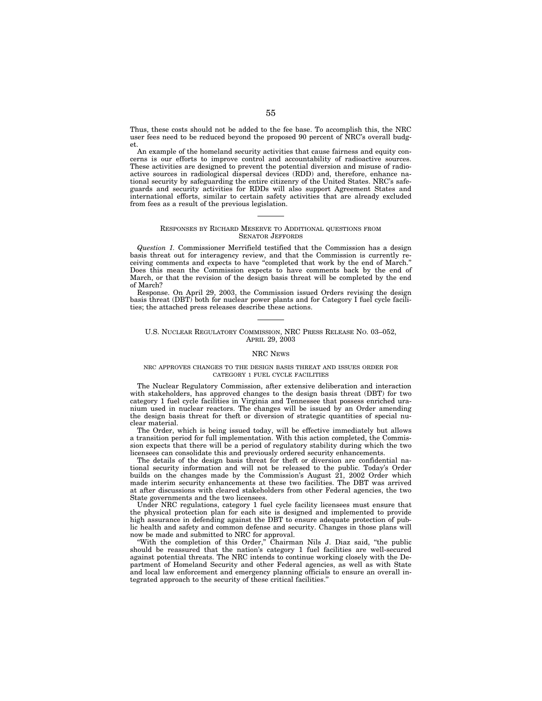Thus, these costs should not be added to the fee base. To accomplish this, the NRC user fees need to be reduced beyond the proposed 90 percent of NRC's overall budget.

An example of the homeland security activities that cause fairness and equity concerns is our efforts to improve control and accountability of radioactive sources. These activities are designed to prevent the potential diversion and misuse of radioactive sources in radiological dispersal devices (RDD) and, therefore, enhance national security by safeguarding the entire citizenry of the United States. NRC's safeguards and security activities for RDDs will also support Agreement States and international efforts, similar to certain safety activities that are already excluded from fees as a result of the previous legislation.

### RESPONSES BY RICHARD MESERVE TO ADDITIONAL QUESTIONS FROM SENATOR JEFFORDS

*Question 1.* Commissioner Merrifield testified that the Commission has a design basis threat out for interagency review, and that the Commission is currently receiving comments and expects to have ''completed that work by the end of March.'' Does this mean the Commission expects to have comments back by the end of March, or that the revision of the design basis threat will be completed by the end of March?

Response. On April 29, 2003, the Commission issued Orders revising the design basis threat (DBT) both for nuclear power plants and for Category I fuel cycle facilities; the attached press releases describe these actions.

# U.S. NUCLEAR REGULATORY COMMISSION, NRC PRESS RELEASE NO. 03–052, APRIL 29, 2003

# NRC NEWS

# NRC APPROVES CHANGES TO THE DESIGN BASIS THREAT AND ISSUES ORDER FOR CATEGORY 1 FUEL CYCLE FACILITIES

The Nuclear Regulatory Commission, after extensive deliberation and interaction with stakeholders, has approved changes to the design basis threat (DBT) for two category 1 fuel cycle facilities in Virginia and Tennessee that possess enriched uranium used in nuclear reactors. The changes will be issued by an Order amending the design basis threat for theft or diversion of strategic quantities of special nuclear material.

The Order, which is being issued today, will be effective immediately but allows a transition period for full implementation. With this action completed, the Commission expects that there will be a period of regulatory stability during which the two licensees can consolidate this and previously ordered security enhancements.

The details of the design basis threat for theft or diversion are confidential national security information and will not be released to the public. Today's Order builds on the changes made by the Commission's August 21, 2002 Order which made interim security enhancements at these two facilities. The DBT was arrived at after discussions with cleared stakeholders from other Federal agencies, the two State governments and the two licensees.

Under NRC regulations, category 1 fuel cycle facility licensees must ensure that the physical protection plan for each site is designed and implemented to provide high assurance in defending against the DBT to ensure adequate protection of public health and safety and common defense and security. Changes in those plans will now be made and submitted to NRC for approval.

''With the completion of this Order,'' Chairman Nils J. Diaz said, ''the public should be reassured that the nation's category 1 fuel facilities are well-secured against potential threats. The NRC intends to continue working closely with the Department of Homeland Security and other Federal agencies, as well as with State and local law enforcement and emergency planning officials to ensure an overall integrated approach to the security of these critical facilities.''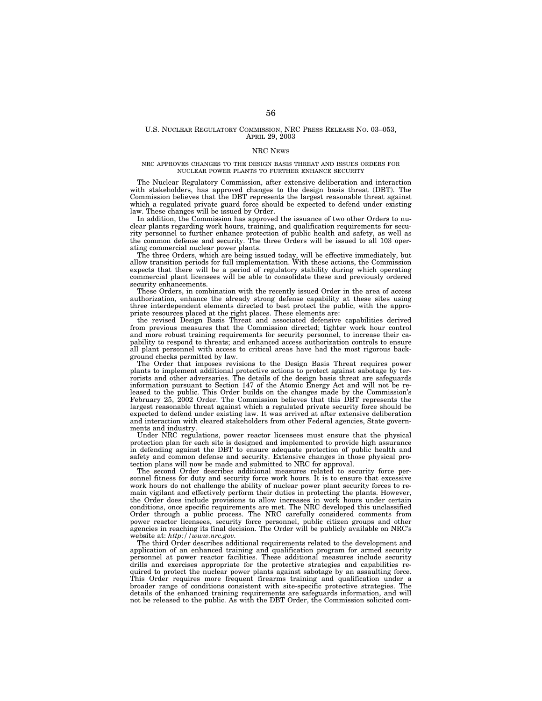# U.S. NUCLEAR REGULATORY COMMISSION, NRC PRESS RELEASE NO. 03–053, APRIL 29, 2003

### NRC NEWS

# NRC APPROVES CHANGES TO THE DESIGN BASIS THREAT AND ISSUES ORDERS FOR NUCLEAR POWER PLANTS TO FURTHER ENHANCE SECURITY

The Nuclear Regulatory Commission, after extensive deliberation and interaction with stakeholders, has approved changes to the design basis threat (DBT). The Commission believes that the DBT represents the largest reasonable threat against which a regulated private guard force should be expected to defend under existing law. These changes will be issued by Order.

In addition, the Commission has approved the issuance of two other Orders to nuclear plants regarding work hours, training, and qualification requirements for security personnel to further enhance protection of public health and safety, as well as the common defense and security. The three Orders will be issued to all 103 operating commercial nuclear power plants.

The three Orders, which are being issued today, will be effective immediately, but allow transition periods for full implementation. With these actions, the Commission expects that there will be a period of regulatory stability during which operating commercial plant licensees will be able to consolidate these and previously ordered security enhancements.

These Orders, in combination with the recently issued Order in the area of access authorization, enhance the already strong defense capability at these sites using three interdependent elements directed to best protect the public, with the appropriate resources placed at the right places. These elements are:

the revised Design Basis Threat and associated defensive capabilities derived from previous measures that the Commission directed; tighter work hour control and more robust training requirements for security personnel, to increase their capability to respond to threats; and enhanced access authorization controls to ensure all plant personnel with access to critical areas have had the most rigorous background checks permitted by law.

The Order that imposes revisions to the Design Basis Threat requires power plants to implement additional protective actions to protect against sabotage by terrorists and other adversaries. The details of the design basis threat are safeguards information pursuant to Section 147 of the Atomic Energy Act and will not be released to the public. This Order builds on the changes made by the Commission's February 25, 2002 Order. The Commission believes that this DBT represents the largest reasonable threat against which a regulated private security force should be expected to defend under existing law. It was arrived at after extensive deliberation and interaction with cleared stakeholders from other Federal agencies, State governments and industry.

Under NRC regulations, power reactor licensees must ensure that the physical protection plan for each site is designed and implemented to provide high assurance in defending against the DBT to ensure adequate protection of public health and safety and common defense and security. Extensive changes in those physical protection plans will now be made and submitted to NRC for approval.

The second Order describes additional measures related to security force personnel fitness for duty and security force work hours. It is to ensure that excessive work hours do not challenge the ability of nuclear power plant security forces to remain vigilant and effectively perform their duties in protecting the plants. However, the Order does include provisions to allow increases in work hours under certain conditions, once specific requirements are met. The NRC developed this unclassified Order through a public process. The NRC carefully considered comments from power reactor licensees, security force personnel, public citizen groups and other agencies in reaching its final decision. The Order will be publicly available on NRC's website at: *http://www.nrc.gov.*

The third Order describes additional requirements related to the development and application of an enhanced training and qualification program for armed security personnel at power reactor facilities. These additional measures include security drills and exercises appropriate for the protective strategies and capabilities required to protect the nuclear power plants against sabotage by an assaulting force. This Order requires more frequent firearms training and qualification under a broader range of conditions consistent with site-specific protective strategies. The details of the enhanced training requirements are safeguards information, and will not be released to the public. As with the DBT Order, the Commission solicited com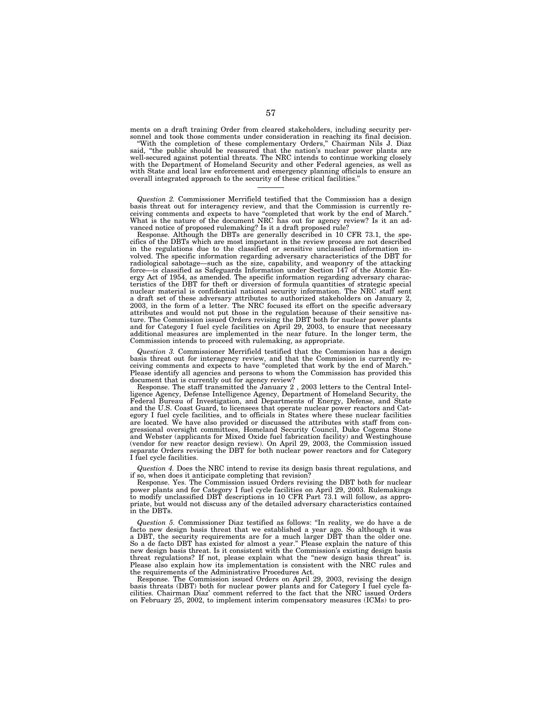ments on a draft training Order from cleared stakeholders, including security per-

sonnel and took those comments under consideration in reaching its final decision. ''With the completion of these complementary Orders,'' Chairman Nils J. Diaz said, ''the public should be reassured that the nation's nuclear power plants are well-secured against potential threats. The NRC intends to continue working closely with the Department of Homeland Security and other Federal agencies, as well as with State and local law enforcement and emergency planning officials to ensure an overall integrated approach to the security of these critical facilities.''

*Question 2.* Commissioner Merrifield testified that the Commission has a design basis threat out for interagency review, and that the Commission is currently receiving comments and expects to have ''completed that work by the end of March.'' What is the nature of the document NRC has out for agency review? Is it an advanced notice of proposed rulemaking? Is it a draft proposed rule?

Response. Although the DBTs are generally described in 10 CFR 73.1, the specifics of the DBTs which are most important in the review process are not described in the regulations due to the classified or sensitive unclassified information involved. The specific information regarding adversary characteristics of the DBT for radiological sabotage—such as the size, capability, and weaponry of the attacking force—is classified as Safeguards Information under Section 147 of the Atomic Energy Act of 1954, as amended. The specific information regarding adversary characteristics of the DBT for theft or diversion of formula quantities of strategic special nuclear material is confidential national security information. The NRC staff sent a draft set of these adversary attributes to authorized stakeholders on January 2, 2003, in the form of a letter. The NRC focused its effort on the specific adversary attributes and would not put those in the regulation because of their sensitive nature. The Commission issued Orders revising the DBT both for nuclear power plants and for Category I fuel cycle facilities on April 29, 2003, to ensure that necessary additional measures are implemented in the near future. In the longer term, the Commission intends to proceed with rulemaking, as appropriate.

*Question 3.* Commissioner Merrifield testified that the Commission has a design basis threat out for interagency review, and that the Commission is currently receiving comments and expects to have ''completed that work by the end of March.'' Please identify all agencies and persons to whom the Commission has provided this document that is currently out for agency review?

Response. The staff transmitted the January 2 , 2003 letters to the Central Intelligence Agency, Defense Intelligence Agency, Department of Homeland Security, the Federal Bureau of Investigation, and Departments of Energy, Defense, and State and the U.S. Coast Guard, to licensees that operate nuclear power reactors and Category I fuel cycle facilities, and to officials in States where these nuclear facilities are located. We have also provided or discussed the attributes with staff from congressional oversight committees, Homeland Security Council, Duke Cogema Stone and Webster (applicants for Mixed Oxide fuel fabrication facility) and Westinghouse (vendor for new reactor design review). On April 29, 2003, the Commission issued separate Orders revising the DBT for both nuclear power reactors and for Category I fuel cycle facilities.

*Question 4.* Does the NRC intend to revise its design basis threat regulations, and if so, when does it anticipate completing that revision?

Response. Yes. The Commission issued Orders revising the DBT both for nuclear power plants and for Category I fuel cycle facilities on April 29, 2003. Rulemakings to modify unclassified DBT descriptions in 10 CFR Part 73.1 will follow, as appropriate, but would not discuss any of the detailed adversary characteristics contained in the DBTs.

*Question 5.* Commissioner Diaz testified as follows: ''In reality, we do have a de facto new design basis threat that we established a year ago. So although it was a DBT, the security requirements are for a much larger DBT than the older one. So a de facto DBT has existed for almost a year.'' Please explain the nature of this new design basis threat. Is it consistent with the Commission's existing design basis threat regulations? If not, please explain what the "new design basis threat" is. Please also explain how its implementation is consistent with the NRC rules and the requirements of the Administrative Procedures Act.

Response. The Commission issued Orders on April 29, 2003, revising the design basis threats (DBT) both for nuclear power plants and for Category I fuel cycle fa-cilities. Chairman Diaz' comment referred to the fact that the NRC issued Orders on February 25, 2002, to implement interim compensatory measures (ICMs) to pro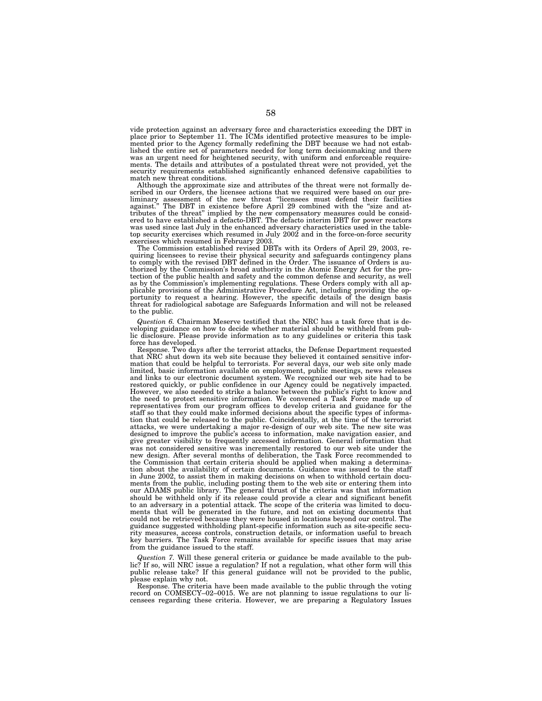vide protection against an adversary force and characteristics exceeding the DBT in place prior to September 11. The ICMs identified protective measures to be implemented prior to the Agency formally redefining the DBT because we had not established the entire set of parameters needed for long term decisionmaking and there was an urgent need for heightened security, with uniform and enforceable requirements. The details and attributes of a postulated threat were not provided, yet the security requirements established significantly enhanced defensive capabilities to match new threat conditions.

Although the approximate size and attributes of the threat were not formally described in our Orders, the licensee actions that we required were based on our pre-<br>liminary assessment of the new threat "licensees must defend their facilities<br>against." The DBT in existence before April 29 combined with ered to have established a defacto-DBT. The defacto interim DBT for power reactors was used since last July in the enhanced adversary characteristics used in the tabletop security exercises which resumed in July 2002 and in the force-on-force security exercises which resumed in February 2003.

The Commission established revised DBTs with its Orders of April 29, 2003, re-quiring licensees to revise their physical security and safeguards contingency plans to comply with the revised DBT defined in the Order. The issuance of Orders is au-thorized by the Commission's broad authority in the Atomic Energy Act for the protection of the public health and safety and the common defense and security, as well as by the Commission's implementing regulations. These Orders comply with all applicable provisions of the Administrative Procedure Act, including providing the op-portunity to request a hearing. However, the specific details of the design basis threat for radiological sabotage are Safeguards Information and will not be released to the public.

*Question 6.* Chairman Meserve testified that the NRC has a task force that is developing guidance on how to decide whether material should be withheld from public disclosure. Please provide information as to any guidelines or criteria this task force has developed.

Response. Two days after the terrorist attacks, the Defense Department requested that NRC shut down its web site because they believed it contained sensitive information that could be helpful to terrorists. For several days, our web site only made limited, basic information available on employment, public meetings, news releases and links to our electronic document system. We recognized our web site had to be restored quickly, or public confidence in our Agency could be negatively impacted. However, we also needed to strike a balance between the public's right to know and the need to protect sensitive information. We convened a Task Force made up of representatives from our program offices to develop criteria and guidance for the staff so that they could make informed decisions about the specific types of information that could be released to the public. Coincidentally, at the time of the terrorist attacks, we were undertaking a major re-design of our web site. The new site was designed to improve the public's access to information, make navigation easier, and give greater visibility to frequently accessed information. General information that was not considered sensitive was incrementally restored to our web site under the new design. After several months of deliberation, the Task Force recommended to the Commission that certain criteria should be applied when making a determination about the availability of certain documents. Guidance was issued to the staff in June 2002, to assist them in making decisions on when to withhold certain documents from the public, including posting them to the web site or entering them into our ADAMS public library. The general thrust of the criteria was that information should be withheld only if its release could provide a clear and significant benefit to an adversary in a potential attack. The scope of the criteria was limited to documents that will be generated in the future, and not on existing documents that could not be retrieved because they were housed in locations beyond our control. The guidance suggested withholding plant-specific information such as site-specific security measures, access controls, construction details, or information useful to breach key barriers. The Task Force remains available for specific issues that may arise from the guidance issued to the staff.

*Question 7.* Will these general criteria or guidance be made available to the public? If so, will NRC issue a regulation? If not a regulation, what other form will this public release take? If this general guidance will not be provided to the public, please explain why not.

Response. The criteria have been made available to the public through the voting record on COMSECY–02–0015. We are not planning to issue regulations to our licensees regarding these criteria. However, we are preparing a Regulatory Issues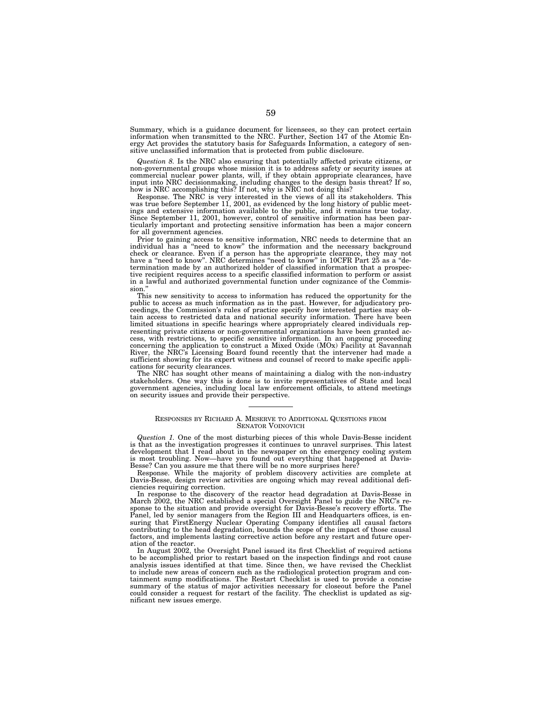Summary, which is a guidance document for licensees, so they can protect certain information when transmitted to the NRC. Further, Section 147 of the Atomic Energy Act provides the statutory basis for Safeguards Information, a category of sensitive unclassified information that is protected from public disclosure.

*Question 8.* Is the NRC also ensuring that potentially affected private citizens, or non-governmental groups whose mission it is to address safety or security issues at commercial nuclear power plants, will, if they obtain appropriate clearances, have input into NRC decisionmaking, including changes to the design basis threat? If so, how is NRC accomplishing this? If not, why is NRC not doing this?

Response. The NRC is very interested in the views of all its stakeholders. This was true before September 11, 2001, as evidenced by the long history of public meetings and extensive information available to the public, and it remains true today. Since September 11, 2001, however, control of sensitive information has been particularly important and protecting sensitive information has been a major concern for all government agencies.

Prior to gaining access to sensitive information, NRC needs to determine that an individual has a ''need to know'' the information and the necessary background check or clearance. Even if a person has the appropriate clearance, they may not have a ''need to know''. NRC determines ''need to know'' in 10CFR Part 25 as a ''determination made by an authorized holder of classified information that a prospective recipient requires access to a specific classified information to perform or assist in a lawful and authorized governmental function under cognizance of the Commission.

This new sensitivity to access to information has reduced the opportunity for the public to access as much information as in the past. However, for adjudicatory proceedings, the Commission's rules of practice specify how interested parties may obtain access to restricted data and national security information. There have been limited situations in specific hearings where appropriately cleared individuals representing private citizens or non-governmental organizations have been granted access, with restrictions, to specific sensitive information. In an ongoing proceeding concerning the application to construct a Mixed Oxide (MOx) Facility at Savannah River, the NRC's Licensing Board found recently that the intervener had made a sufficient showing for its expert witness and counsel of record to make specific applications for security clearances.

The NRC has sought other means of maintaining a dialog with the non-industry stakeholders. One way this is done is to invite representatives of State and local government agencies, including local law enforcement officials, to attend meetings on security issues and provide their perspective.

# RESPONSES BY RICHARD A. MESERVE TO ADDITIONAL QUESTIONS FROM SENATOR VOINOVICH

*Question 1.* One of the most disturbing pieces of this whole Davis-Besse incident is that as the investigation progresses it continues to unravel surprises. This latest development that I read about in the newspaper on the emergency cooling system is most troubling. Now—have you found out everything that happened at Davis-Besse? Can you assure me that there will be no more surprises here?

Response. While the majority of problem discovery activities are complete at Davis-Besse, design review activities are ongoing which may reveal additional deficiencies requiring correction.

In response to the discovery of the reactor head degradation at Davis-Besse in March 2002, the NRC established a special Oversight Panel to guide the NRC's response to the situation and provide oversight for Davis-Besse's recovery efforts. The Panel, led by senior managers from the Region III and Headquarters offices, is ensuring that FirstEnergy Nuclear Operating Company identifies all causal factors contributing to the head degradation, bounds the scope of the impact of those causal factors, and implements lasting corrective action before any restart and future operation of the reactor.

In August 2002, the Oversight Panel issued its first Checklist of required actions to be accomplished prior to restart based on the inspection findings and root cause analysis issues identified at that time. Since then, we have revised the Checklist to include new areas of concern such as the radiological protection program and containment sump modifications. The Restart Checklist is used to provide a concise summary of the status of major activities necessary for closeout before the Panel could consider a request for restart of the facility. The checklist is updated as significant new issues emerge.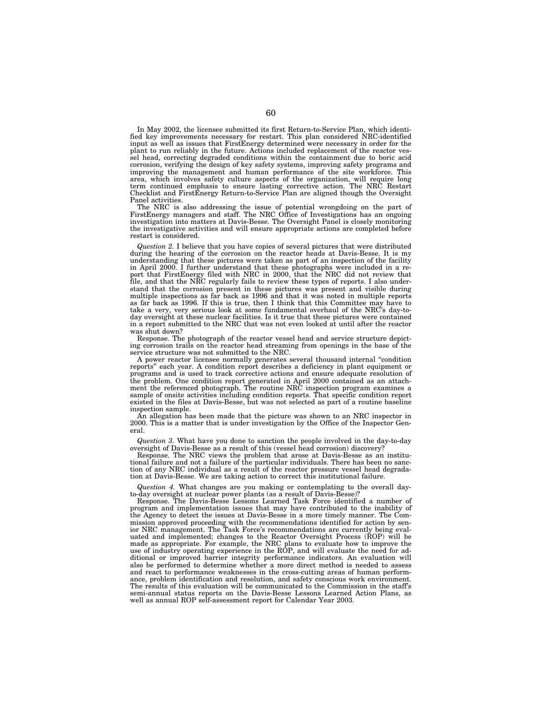In May 2002, the licensee submitted its first Return-to-Service Plan, which identified key improvements necessary for restart. This plan considered NRC-identified input as well as issues that FirstEnergy determined were necessary in order for the plant to run reliably in the future. Actions included replacement of the reactor vessel head, correcting degraded conditions within the containment due to boric acid corrosion, verifying the design of key safety systems, improving safety programs and improving the management and human performance of the site workforce. This area, which involves safety culture aspects of the organization, will require long term continued emphasis to ensure lasting corrective action. The NRC Restart Checklist and FirstEnergy Return-to-Service Plan are aligned though the Oversight Panel activities.

The NRC is also addressing the issue of potential wrongdoing on the part of FirstEnergy managers and staff. The NRC Office of Investigations has an ongoing investigation into matters at Davis-Besse. The Oversight Panel is closely monitoring the investigative activities and will ensure appropriate actions are completed before restart is considered.

*Question 2.* I believe that you have copies of several pictures that were distributed during the hearing of the corrosion on the reactor heads at Davis-Besse. It is my understanding that these pictures were taken as part of an inspection of the facility in April 2000. I further understand that these photographs were included in a report that FirstEnergy filed with NRC in 2000, that the NRC did not review that file, and that the NRC regularly fails to review these types of reports. I also understand that the corrosion present in these pictures was present and visible during multiple inspections as far back as 1996 and that it was noted in multiple reports as far back as 1996. If this is true, then I think that this Committee may have to take a very, very serious look at some fundamental overhaul of the NRC's day-today oversight at these nuclear facilities. Is it true that these pictures were contained in a report submitted to the NRC that was not even looked at until after the reactor was shut down?

Response. The photograph of the reactor vessel head and service structure depicting corrosion trails on the reactor head streaming from openings in the base of the service structure was not submitted to the NRC.

A power reactor licensee normally generates several thousand internal ''condition reports'' each year. A condition report describes a deficiency in plant equipment or programs and is used to track corrective actions and ensure adequate resolution of the problem. One condition report generated in April 2000 contained as an attachment the referenced photograph. The routine NRC inspection program examines a sample of onsite activities including condition reports. That specific condition report existed in the files at Davis-Besse, but was not selected as part of a routine baseline inspection sample.

An allegation has been made that the picture was shown to an NRC inspector in 2000. This is a matter that is under investigation by the Office of the Inspector General.

*Question 3.* What have you done to sanction the people involved in the day-to-day oversight of Davis-Besse as a result of this (vessel head corrosion) discovery?

Response. The NRC views the problem that arose at Davis-Besse as an institutional failure and not a failure of the particular individuals. There has been no sanction of any NRC individual as a result of the reactor pressure vessel head degradation at Davis-Besse. We are taking action to correct this institutional failure.

*Question 4.* What changes are you making or contemplating to the overall dayto-day oversight at nuclear power plants (as a result of Davis-Besse)?

Response. The Davis-Besse Lessons Learned Task Force identified a number of program and implementation issues that may have contributed to the inability of the Agency to detect the issues at Davis-Besse in a more timely manner. The Commission approved proceeding with the recommendations identified for action by senior NRC management. The Task Force's recommendations are currently being evaluated and implemented; changes to the Reactor Oversight Process (ROP) will be made as appropriate. For example, the NRC plans to evaluate how to improve the use of industry operating experience in the ROP, and will evaluate the need for additional or improved barrier integrity performance indicators. An evaluation will also be performed to determine whether a more direct method is needed to assess and react to performance weaknesses in the cross-cutting areas of human performance, problem identification and resolution, and safety conscious work environment. The results of this evaluation will be communicated to the Commission in the staff's semi-annual status reports on the Davis-Besse Lessons Learned Action Plans, as well as annual ROP self-assessment report for Calendar Year 2003.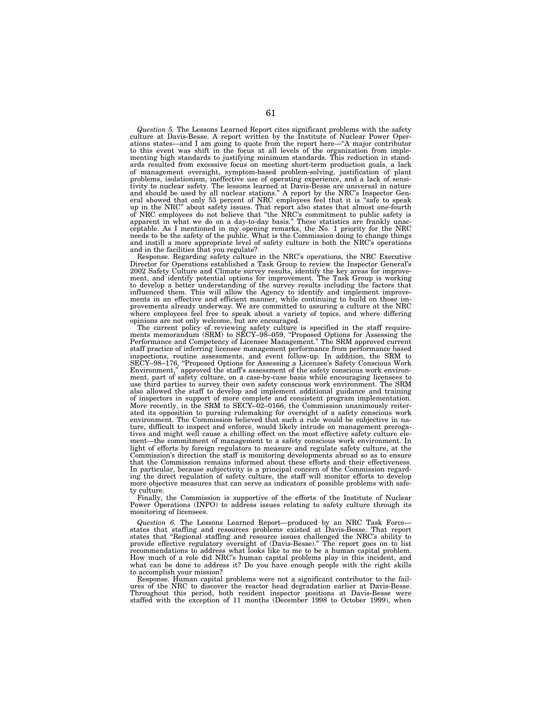*Question 5.* The Lessons Learned Report cites significant problems with the safety culture at Davis-Besse. A report written by the Institute of Nuclear Power Operations states—and I am going to quote from the report here—''A major contributor to this event was shift in the focus at all levels of the organization from implementing high standards to justifying minimum standards. This reduction in standards resulted from excessive focus on meeting short-term production goals, a lack of management oversight, symptom-based problem-solving, justification of plant problems, isolationism, ineffective use of operating experience, and a lack of sensitivity to nuclear safety. The lessons learned at Davis-Besse are universal in nature and should be used by all nuclear stations.'' A report by the NRC's Inspector General showed that only 53 percent of NRC employees feel that it is ''safe to speak up in the NRC'' about safety issues. That report also states that almost one-fourth of NRC employees do not believe that ''the NRC's commitment to public safety is apparent in what we do on a day-to-day basis.'' These statistics are frankly unacceptable. As I mentioned in my opening remarks, the No. 1 priority for the NRC needs to be the safety of the public. What is the Commission doing to change things and instill a more appropriate level of safety culture in both the NRC's operations and in the facilities that you regulate?

Response. Regarding safety culture in the NRC's operations, the NRC Executive Director for Operations established a Task Group to review the Inspector General's 2002 Safety Culture and Climate survey results, identify the key areas for improvement, and identify potential options for improvement. The Task Group is working to develop a better understanding of the survey results including the factors that influenced them. This will allow the Agency to identify and implement improvements in an effective and efficient manner, while continuing to build on those improvements already underway. We are committed to assuring a culture at the NRC where employees feel free to speak about a variety of topics, and where differing opinions are not only welcome, but are encouraged.

The current policy of reviewing safety culture is specified in the staff requirements memorandum (SRM) to SECY–98–059, "Proposed Options for Assessing the Performance and Competency of Licensee Management.'' The SRM approved current staff practice of inferring licensee management performance from performance based inspections, routine assessments, and event follow-up. In addition, the SRM to SECY–98–176, ''Proposed Options for Assessing a Licensee's Safety Conscious Work Environment,'' approved the staff's assessment of the safety conscious work environment, part of safety culture, on a case-by-case basis while encouraging licensees to use third parties to survey their own safety conscious work environment. The SRM also allowed the staff to develop and implement additional guidance and training of inspectors in support of more complete and consistent program implementation. More recently, in the SRM to SECY–02–0166, the Commission unanimously reiterated its opposition to pursing rulemaking for oversight of a safety conscious work environment. The Commission believed that such a rule would be subjective in nature, difficult to inspect and enforce, would likely intrude on management prerogatives and might well cause a chilling effect on the most effective safety culture element—the commitment of management to a safety conscious work environment. In light of efforts by foreign regulators to measure and regulate safety culture, at the Commission's direction the staff is monitoring developments abroad so as to ensure that the Commission remains informed about these efforts and their effectiveness. In particular, because subjectivity is a principal concern of the Commission regarding the direct regulation of safety culture, the staff will monitor efforts to develop more objective measures that can serve as indicators of possible problems with safety culture.

Finally, the Commission is supportive of the efforts of the Institute of Nuclear Power Operations (INPO) to address issues relating to safety culture through its monitoring of licensees.

*Question 6.* The Lessons Learned Report—produced by an NRC Task Force states that staffing and resources problems existed at Davis-Besse. That report states that ''Regional staffing and resource issues challenged the NRC's ability to provide effective regulatory oversight of (Davis-Besse).'' The report goes on to list recommendations to address what looks like to me to be a human capital problem. How much of a role did NRC's human capital problems play in this incident, and what can be done to address it? Do you have enough people with the right skills to accomplish your mission?

Response. Human capital problems were not a significant contributor to the failures of the NRC to discover the reactor head degradation earlier at Davis-Besse. Throughout this period, both resident inspector positions at Davis-Besse were staffed with the exception of 11 months (December 1998 to October 1999), when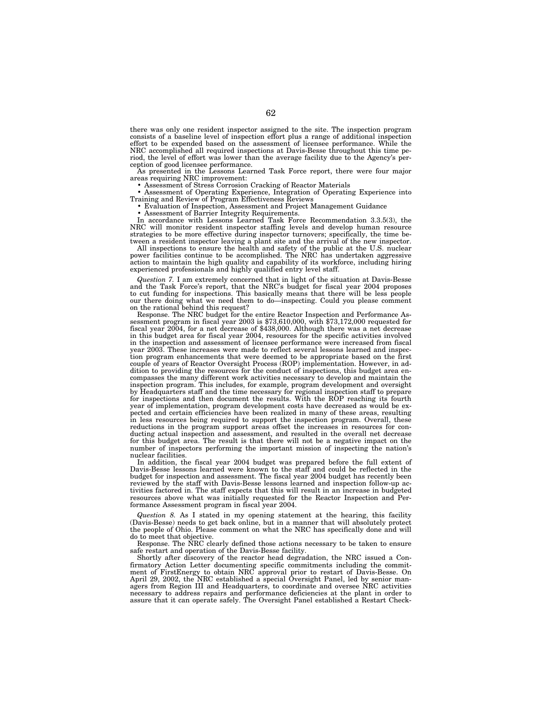there was only one resident inspector assigned to the site. The inspection program consists of a baseline level of inspection effort plus a range of additional inspection effort to be expended based on the assessment of licensee performance. While the NRC accomplished all required inspections at Davis-Besse throughout this time period, the level of effort was lower than the average facility due to the Agency's perception of good licensee performance.

As presented in the Lessons Learned Task Force report, there were four major areas requiring NRC improvement:

areas requiring NRC improvement: • Assessment of Stress Corrosion Cracking of Reactor Materials • Assessment of Operating Experience, Integration of Operating Experience into

Training and Review of Program Effectiveness Reviews • Evaluation of Inspection, Assessment and Project Management Guidance • Assessment of Barrier Integrity Requirements.

• Assessment of Barrier Integrity Requirements.<br>In accordance with Lessons Learned Task Force Recommendation 3.3.5(3), the NRC will monitor resident inspector staffing levels and develop human resource strategies to be more effective during inspector turnovers; specifically, the time between a resident inspector leaving a plant site and the arrival of the new inspector.

All inspections to ensure the health and safety of the public at the U.S. nuclear power facilities continue to be accomplished. The NRC has undertaken aggressive action to maintain the high quality and capability of its workforce, including hiring experienced professionals and highly qualified entry level staff.

*Question 7.* I am extremely concerned that in light of the situation at Davis-Besse and the Task Force's report, that the NRC's budget for fiscal year 2004 proposes to cut funding for inspections. This basically means that there will be less people our there doing what we need them to do—inspecting. Could you please comment on the rational behind this request?<br>Response. The NRC budget for the entire Reactor Inspection and Performance As-

sessment program in fiscal year 2003 is \$73,610,000, with \$73,172,000 requested for fiscal year 2004, for a net decrease of \$438,000. Although there was a net decrease in this budget area for fiscal year 2004, resources for the specific activities involved in the inspection and assessment of licensee performance were increased from fiscal year 2003. These increases were made to reflect several lessons learned and inspection program enhancements that were deemed to be appropriate based on the first couple of years of Reactor Oversight Process (ROP) implementation. However, in addition to providing the resources for the conduct of inspections, this budget area encompasses the many different work activities necessary to develop and maintain the inspection program. This includes, for example, program development and oversight by Headquarters staff and the time necessary for regional inspection staff to prepare for inspections and then document the results. With the ROP reaching its fourth year of implementation, program development costs have decreased as would be expected and certain efficiencies have been realized in many of these areas, resulting in less resources being required to support the inspection program. Overall, these reductions in the program support areas offset the increases in resources for conducting actual inspection and assessment, and resulted in the overall net decrease for this budget area. The result is that there will not be a negative impact on the number of inspectors performing the important mission of inspecting the nation's nuclear facilities.

In addition, the fiscal year 2004 budget was prepared before the full extent of Davis-Besse lessons learned were known to the staff and could be reflected in the budget for inspection and assessment. The fiscal year 2004 budget has recently been reviewed by the staff with Davis-Besse lessons learned and inspection follow-up activities factored in. The staff expects that this will result in an increase in budgeted resources above what was initially requested for the Reactor Inspection and Performance Assessment program in fiscal year 2004.

*Question 8.* As I stated in my opening statement at the hearing, this facility (Davis-Besse) needs to get back online, but in a manner that will absolutely protect the people of Ohio. Please comment on what the NRC has specifically done and will do to meet that objective.

Response. The NRC clearly defined those actions necessary to be taken to ensure safe restart and operation of the Davis-Besse facility.

Shortly after discovery of the reactor head degradation, the NRC issued a Confirmatory Action Letter documenting specific commitments including the commitment of FirstEnergy to obtain NRC approval prior to restart of Davis-Besse. On April 29, 2002, the NRC established a special Oversight Panel, led by senior managers from Region III and Headquarters, to coordinate and oversee NRC activities necessary to address repairs and performance deficiencies at the plant in order to assure that it can operate safely. The Oversight Panel established a Restart Check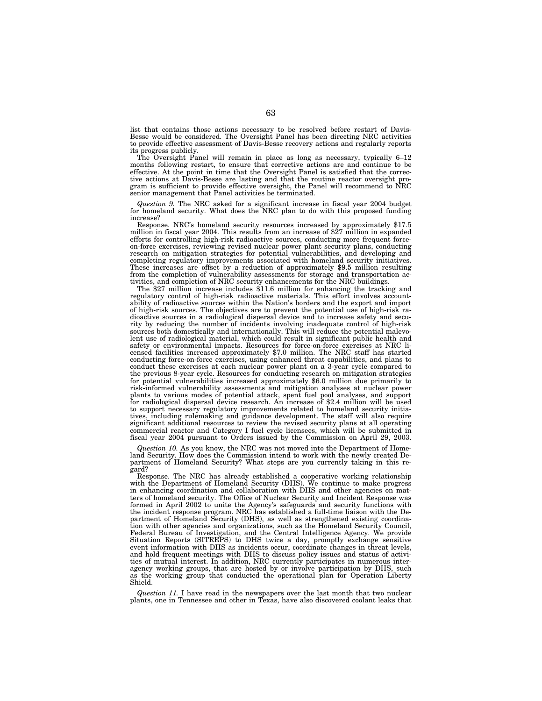list that contains those actions necessary to be resolved before restart of Davis-Besse would be considered. The Oversight Panel has been directing NRC activities to provide effective assessment of Davis-Besse recovery actions and regularly reports its progress publicly.

The Oversight Panel will remain in place as long as necessary, typically 6–12 months following restart, to ensure that corrective actions are and continue to be effective. At the point in time that the Oversight Panel is satisfied that the corrective actions at Davis-Besse are lasting and that the routine reactor oversight program is sufficient to provide effective oversight, the Panel will recommend to NRC senior management that Panel activities be terminated.

*Question 9.* The NRC asked for a significant increase in fiscal year 2004 budget for homeland security. What does the NRC plan to do with this proposed funding increase?

Response. NRC's homeland security resources increased by approximately \$17.5 million in fiscal year 2004. This results from an increase of \$27 million in expanded efforts for controlling high-risk radioactive sources, conducting more frequent forceon-force exercises, reviewing revised nuclear power plant security plans, conducting research on mitigation strategies for potential vulnerabilities, and developing and completing regulatory improvements associated with homeland security initiatives. These increases are offset by a reduction of approximately \$9.5 million resulting from the completion of vulnerability assessments for storage and transportation activities, and completion of NRC security enhancements for the NRC buildings.

The \$27 million increase includes \$11.6 million for enhancing the tracking and regulatory control of high-risk radioactive materials. This effort involves accountability of radioactive sources within the Nation's borders and the export and import of high-risk sources. The objectives are to prevent the potential use of high-risk radioactive sources in a radiological dispersal device and to increase safety and security by reducing the number of incidents involving inadequate control of high-risk sources both domestically and internationally. This will reduce the potential malevolent use of radiological material, which could result in significant public health and safety or environmental impacts. Resources for force-on-force exercises at NRC licensed facilities increased approximately \$7.0 million. The NRC staff has started conducting force-on-force exercises, using enhanced threat capabilities, and plans to conduct these exercises at each nuclear power plant on a 3-year cycle compared to the previous 8-year cycle. Resources for conducting research on mitigation strategies for potential vulnerabilities increased approximately \$6.0 million due primarily to risk-informed vulnerability assessments and mitigation analyses at nuclear power plants to various modes of potential attack, spent fuel pool analyses, and support for radiological dispersal device research. An increase of \$2.4 million will be used to support necessary regulatory improvements related to homeland security initiatives, including rulemaking and guidance development. The staff will also require significant additional resources to review the revised security plans at all operating commercial reactor and Category I fuel cycle licensees, which will be submitted in fiscal year 2004 pursuant to Orders issued by the Commission on April 29, 2003.

*Question 10.* As you know, the NRC was not moved into the Department of Homeland Security. How does the Commission intend to work with the newly created Department of Homeland Security? What steps are you currently taking in this regard?

Response. The NRC has already established a cooperative working relationship with the Department of Homeland Security (DHS). We continue to make progress in enhancing coordination and collaboration with DHS and other agencies on matters of homeland security. The Office of Nuclear Security and Incident Response was formed in April 2002 to unite the Agency's safeguards and security functions with the incident response program. NRC has established a full-time liaison with the Department of Homeland Security (DHS), as well as strengthened existing coordination with other agencies and organizations, such as the Homeland Security Council, Federal Bureau of Investigation, and the Central Intelligence Agency. We provide Situation Reports (SITREPS) to DHS twice a day, promptly exchange sensitive event information with DHS as incidents occur, coordinate changes in threat levels, and hold frequent meetings with DHS to discuss policy issues and status of activities of mutual interest. In addition, NRC currently participates in numerous interagency working groups, that are hosted by or involve participation by DHS, such as the working group that conducted the operational plan for Operation Liberty Shield.

*Question 11.* I have read in the newspapers over the last month that two nuclear plants, one in Tennessee and other in Texas, have also discovered coolant leaks that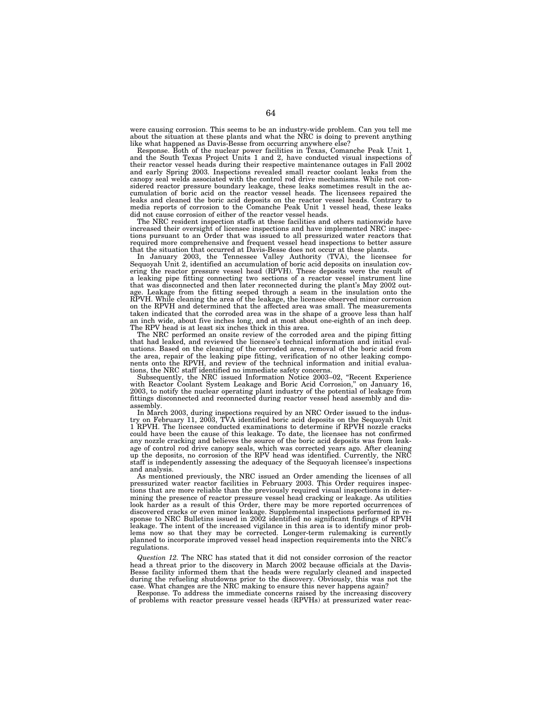were causing corrosion. This seems to be an industry-wide problem. Can you tell me about the situation at these plants and what the NRC is doing to prevent anything like what happened as Davis-Besse from occurring anywhere else?

Response. Both of the nuclear power facilities in Texas, Comanche Peak Unit 1, and the South Texas Project Units 1 and 2, have conducted visual inspections of their reactor vessel heads during their respective maintenance outages in Fall 2002 and early Spring 2003. Inspections revealed small reactor coolant leaks from the canopy seal welds associated with the control rod drive mechanisms. While not considered reactor pressure boundary leakage, these leaks sometimes result in the accumulation of boric acid on the reactor vessel heads. The licensees repaired the leaks and cleaned the boric acid deposits on the reactor vessel heads. Contrary to media reports of corrosion to the Comanche Peak Unit 1 vessel head, these leaks did not cause corrosion of either of the reactor vessel heads.

The NRC resident inspection staffs at these facilities and others nationwide have increased their oversight of licensee inspections and have implemented NRC inspections pursuant to an Order that was issued to all pressurized water reactors that required more comprehensive and frequent vessel head inspections to better assure that the situation that occurred at Davis-Besse does not occur at these plants.

In January 2003, the Tennessee Valley Authority (TVA), the licensee for Sequoyah Unit 2, identified an accumulation of boric acid deposits on insulation covering the reactor pressure vessel head (RPVH). These deposits were the result of a leaking pipe fitting connecting two sections of a reactor vessel instrument line that was disconnected and then later reconnected during the plant's May 2002 outage. Leakage from the fitting seeped through a seam in the insulation onto the RPVH. While cleaning the area of the leakage, the licensee observed minor corrosion on the RPVH and determined that the affected area was small. The measurements taken indicated that the corroded area was in the shape of a groove less than half an inch wide, about five inches long, and at most about one-eighth of an inch deep. The RPV head is at least six inches thick in this area.

The NRC performed an onsite review of the corroded area and the piping fitting that had leaked, and reviewed the licensee's technical information and initial evaluations. Based on the cleaning of the corroded area, removal of the boric acid from the area, repair of the leaking pipe fitting, verification of no other leaking components onto the RPVH, and review of the technical information and initial evaluations, the NRC staff identified no immediate safety concerns.

Subsequently, the NRC issued Information Notice 2003–02, ''Recent Experience with Reactor Coolant System Leakage and Boric Acid Corrosion,'' on January 16, 2003, to notify the nuclear operating plant industry of the potential of leakage from fittings disconnected and reconnected during reactor vessel head assembly and disassembly.

In March 2003, during inspections required by an NRC Order issued to the industry on February 11, 2003, TVA identified boric acid deposits on the Sequoyah Unit 1 RPVH. The licensee conducted examinations to determine if RPVH nozzle cracks could have been the cause of this leakage. To date, the licensee has not confirmed any nozzle cracking and believes the source of the boric acid deposits was from leakage of control rod drive canopy seals, which was corrected years ago. After cleaning up the deposits, no corrosion of the RPV head was identified. Currently, the NRC staff is independently assessing the adequacy of the Sequoyah licensee's inspections and analysis.

As mentioned previously, the NRC issued an Order amending the licenses of all pressurized water reactor facilities in February 2003. This Order requires inspections that are more reliable than the previously required visual inspections in determining the presence of reactor pressure vessel head cracking or leakage. As utilities look harder as a result of this Order, there may be more reported occurrences of discovered cracks or even minor leakage. Supplemental inspections performed in response to NRC Bulletins issued in 2002 identified no significant findings of RPVH leakage. The intent of the increased vigilance in this area is to identify minor problems now so that they may be corrected. Longer-term rulemaking is currently planned to incorporate improved vessel head inspection requirements into the NRC's regulations.

*Question 12.* The NRC has stated that it did not consider corrosion of the reactor head a threat prior to the discovery in March 2002 because officials at the Davis-Besse facility informed them that the heads were regularly cleaned and inspected during the refueling shutdowns prior to the discovery. Obviously, this was not the case. What changes are the NRC making to ensure this never happens again?

Response. To address the immediate concerns raised by the increasing discovery of problems with reactor pressure vessel heads (RPVHs) at pressurized water reac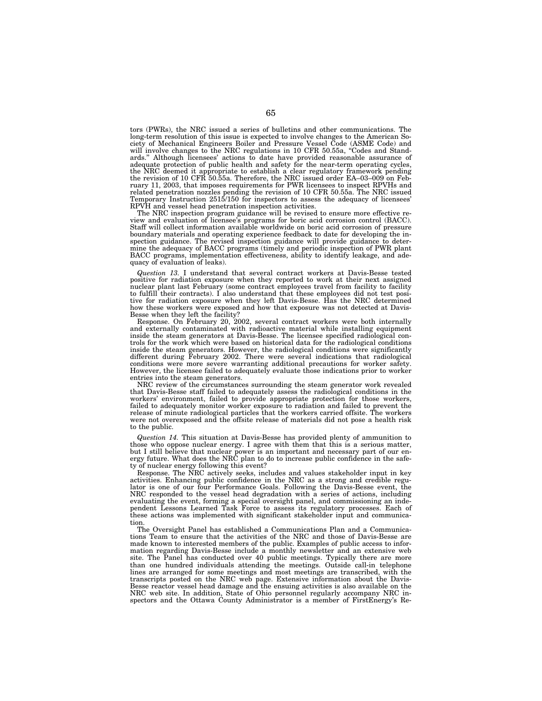tors (PWRs), the NRC issued a series of bulletins and other communications. The long-term resolution of this issue is expected to involve changes to the American Society of Mechanical Engineers Boiler and Pressure Vessel Code (ASME Code) and<br>will involve changes to the NRC regulations in 10 CFR 50.55a, "Codes and Stand-<br>ards." Although licensees' actions to date have provided reasona adequate protection of public health and safety for the near-term operating cycles,<br>the NRC deemed it appropriate to establish a clear regulatory framework pending<br>the revision of 10 CFR 50.55a. Therefore, the NRC issued o ruary 11, 2003, that imposes requirements for PWR licensees to inspect RPVHs and related penetration nozzles pending the revision of 10 CFR 50.55a. The NRC issued Temporary Instruction 2515/150 for inspectors to assess the adequacy of licensees' RPVH and vessel head penetration inspection activities. The NRC inspection program guidance will be revised to ensure more effective re-

view and evaluation of licensee's programs for boric acid corrosion control (BACC). Staff will collect information available worldwide on boric acid corrosion of pressure boundary materials and operating experience feedback to date for developing the inspection guidance. The revised inspection guidance will provide guidance to determine the adequacy of BACC programs (timely and periodic inspection of PWR plant BACC programs, implementation effectiveness, ability to identify leakage, and adequacy of evaluation of leaks).

*Question 13.* I understand that several contract workers at Davis-Besse tested positive for radiation exposure when they reported to work at their next assigned nuclear plant last February (some contract employees travel from facility to facility to fulfill their contracts). I also understand that these employees did not test positive for radiation exposure when they left Davis-Besse. Has the NRC determined how these workers were exposed and how that exposure was not detected at Davis-

Besse when they left the facility? Response. On February 20, 2002, several contract workers were both internally and externally contaminated with radioactive material while installing equipment inside the steam generators at Davis-Besse. The licensee specified radiological controls for the work which were based on historical data for the radiological conditions inside the steam generators. However, the radiological conditions were significantly different during February 2002. There were several indications that radiological conditions were more severe warranting additional precautions for worker safety. However, the licensee failed to adequately evaluate those indications prior to worker entries into the steam generators.

NRC review of the circumstances surrounding the steam generator work revealed that Davis-Besse staff failed to adequately assess the radiological conditions in the workers' environment, failed to provide appropriate protection for those workers, failed to adequately monitor worker exposure to radiation and failed to prevent the release of minute radiological particles that the workers carried offsite. The workers were not overexposed and the offsite release of materials did not pose a health risk to the public.

*Question 14.* This situation at Davis-Besse has provided plenty of ammunition to those who oppose nuclear energy. I agree with them that this is a serious matter, but I still believe that nuclear power is an important and necessary part of our energy future. What does the NRC plan to do to increase public confidence in the safety of nuclear energy following this event?

Response. The NRC actively seeks, includes and values stakeholder input in key activities. Enhancing public confidence in the NRC as a strong and credible regulator is one of our four Performance Goals. Following the Davis-Besse event, the NRC responded to the vessel head degradation with a series of actions, including evaluating the event, forming a special oversight panel, and commissioning an independent Lessons Learned Task Force to assess its regulatory processes. Each of these actions was implemented with significant stakeholder input and communication

The Oversight Panel has established a Communications Plan and a Communications Team to ensure that the activities of the NRC and those of Davis-Besse are made known to interested members of the public. Examples of public access to information regarding Davis-Besse include a monthly newsletter and an extensive web site. The Panel has conducted over 40 public meetings. Typically there are more than one hundred individuals attending the meetings. Outside call-in telephone lines are arranged for some meetings and most meetings are transcribed, with the transcripts posted on the NRC web page. Extensive information about the Davis-Besse reactor vessel head damage and the ensuing activities is also available on the NRC web site. In addition, State of Ohio personnel regularly accompany NRC inspectors and the Ottawa County Administrator is a member of FirstEnergy's Re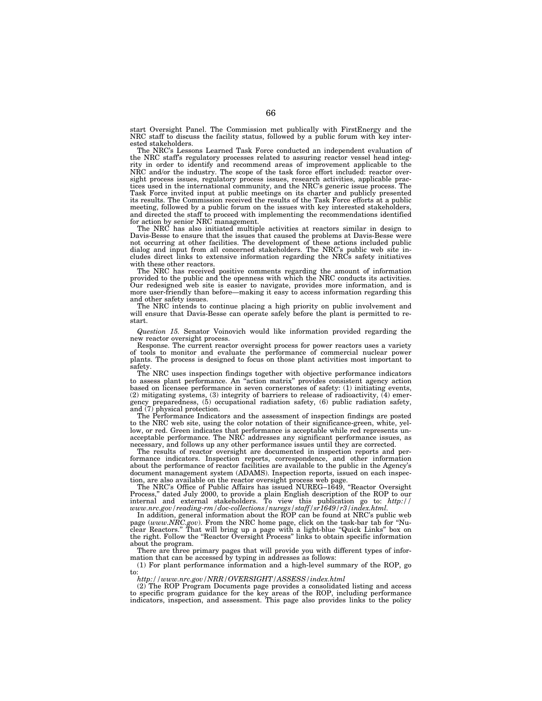start Oversight Panel. The Commission met publically with FirstEnergy and the NRC staff to discuss the facility status, followed by a public forum with key interested stakeholders.

The NRC's Lessons Learned Task Force conducted an independent evaluation of the NRC staff's regulatory processes related to assuring reactor vessel head integrity in order to identify and recommend areas of improvement applicable to the NRC and/or the industry. The scope of the task force effort included: reactor oversight process issues, regulatory process issues, research activities, applicable practices used in the international community, and the NRC's generic issue process. The Task Force invited input at public meetings on its charter and publicly presented its results. The Commission received the results of the Task Force efforts at a public meeting, followed by a public forum on the issues with key interested stakeholders, and directed the staff to proceed with implementing the recommendations identified for action by senior NRC management.

The NRC has also initiated multiple activities at reactors similar in design to Davis-Besse to ensure that the issues that caused the problems at Davis-Besse were not occurring at other facilities. The development of these actions included public dialog and input from all concerned stakeholders. The NRC's public web site includes direct links to extensive information regarding the NRCs safety initiatives with these other reactors.

The NRC has received positive comments regarding the amount of information provided to the public and the openness with which the NRC conducts its activities. Our redesigned web site is easier to navigate, provides more information, and is more user-friendly than before—making it easy to access information regarding this and other safety issues.

The NRC intends to continue placing a high priority on public involvement and will ensure that Davis-Besse can operate safely before the plant is permitted to restart.

*Question 15.* Senator Voinovich would like information provided regarding the new reactor oversight process.

Response. The current reactor oversight process for power reactors uses a variety of tools to monitor and evaluate the performance of commercial nuclear power plants. The process is designed to focus on those plant activities most important to safety.

The NRC uses inspection findings together with objective performance indicators to assess plant performance. An ''action matrix'' provides consistent agency action based on licensee performance in seven cornerstones of safety: (1) initiating events, (2) mitigating systems, (3) integrity of barriers to release of radioactivity, (4) emergency preparedness, (5) occupational radiation safety, (6) public radiation safety, and (7) physical protection.

The Performance Indicators and the assessment of inspection findings are posted to the NRC web site, using the color notation of their significance-green, white, yellow, or red. Green indicates that performance is acceptable while red represents unacceptable performance. The NRC addresses any significant performance issues, as necessary, and follows up any other performance issues until they are corrected.

The results of reactor oversight are documented in inspection reports and performance indicators. Inspection reports, correspondence, and other information about the performance of reactor facilities are available to the public in the Agency's document management system (ADAMS). Inspection reports, issued on each inspection, are also available on the reactor oversight process web page.

The NRC's Office of Public Affairs has issued NUREG–1649, ''Reactor Oversight Process," dated July 2000, to provide a plain English description of the ROP to our internal and external stakeholders. To view this publication go to: *http:// www.nrc.gov/reading-rm/doc-collections/nuregs/staff/sr1649/r3/index.html.*

In addition, general information about the ROP can be found at NRC's public web page (*www.NRC.gov*). From the NRC home page, click on the task-bar tab for ''Nuclear Reactors.'' That will bring up a page with a light-blue ''Quick Links'' box on the right. Follow the ''Reactor Oversight Process'' links to obtain specific information about the program.

There are three primary pages that will provide you with different types of information that can be accessed by typing in addresses as follows:

(1) For plant performance information and a high-level summary of the ROP, go to:

*http://www.nrc.gov/NRR/OVERSIGHT/ASSESS/index.html*

(2) The ROP Program Documents page provides a consolidated listing and access to specific program guidance for the key areas of the ROP, including performance indicators, inspection, and assessment. This page also provides links to the policy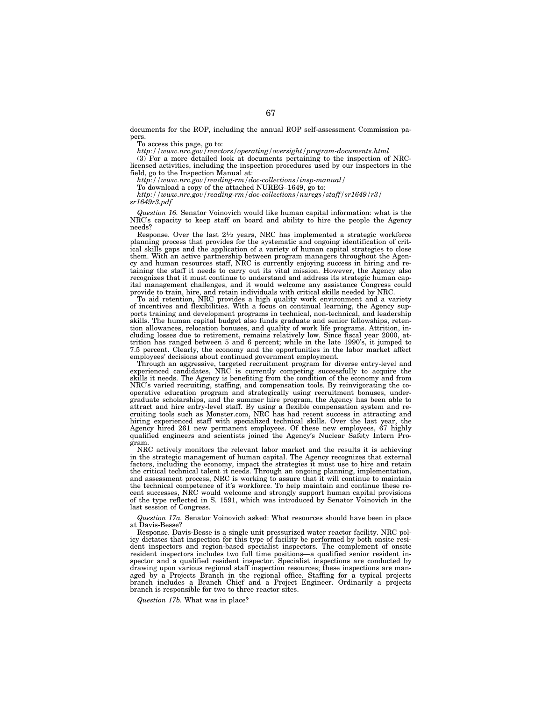documents for the ROP, including the annual ROP self-assessment Commission papers.

To access this page, go to:

*http://www.nrc.gov/reactors/operating/oversight/program-documents.html*

(3) For a more detailed look at documents pertaining to the inspection of NRClicensed activities, including the inspection procedures used by our inspectors in the field, go to the Inspection Manual at:

*http://www.nrc.gov/reading-rm/doc-collections/insp-manual/*

To download a copy of the attached NUREG–1649, go to: *http://www.nrc.gov/reading-rm/doc-collections/nuregs/staff/sr1649/r3/*

*sr1649r3.pdf*

*Question 16.* Senator Voinovich would like human capital information: what is the NRC's capacity to keep staff on board and ability to hire the people the Agency needs?

Response. Over the last 21⁄2 years, NRC has implemented a strategic workforce planning process that provides for the systematic and ongoing identification of critical skills gaps and the application of a variety of human capital strategies to close them. With an active partnership between program managers throughout the Agency and human resources staff, NRC is currently enjoying success in hiring and retaining the staff it needs to carry out its vital mission. However, the Agency also recognizes that it must continue to understand and address its strategic human capital management challenges, and it would welcome any assistance Congress could provide to train, hire, and retain individuals with critical skills needed by NRC.

To aid retention, NRC provides a high quality work environment and a variety of incentives and flexibilities. With a focus on continual learning, the Agency supports training and development programs in technical, non-technical, and leadership skills. The human capital budget also funds graduate and senior fellowships, retention allowances, relocation bonuses, and quality of work life programs. Attrition, including losses due to retirement, remains relatively low. Since fiscal year 2000, attrition has ranged between 5 and 6 percent; while in the late 1990's, it jumped to 7.5 percent. Clearly, the economy and the opportunities in the labor market affect employees' decisions about continued government employment.

Through an aggressive, targeted recruitment program for diverse entry-level and experienced candidates, NRC is currently competing successfully to acquire the skills it needs. The Agency is benefiting from the condition of the economy and from NRC's varied recruiting, staffing, and compensation tools. By reinvigorating the cooperative education program and strategically using recruitment bonuses, undergraduate scholarships, and the summer hire program, the Agency has been able to attract and hire entry-level staff. By using a flexible compensation system and recruiting tools such as Monster.com, NRC has had recent success in attracting and hiring experienced staff with specialized technical skills. Over the last year, the Agency hired 261 new permanent employees. Of these new employees, 67 highly qualified engineers and scientists joined the Agency's Nuclear Safety Intern Program.

NRC actively monitors the relevant labor market and the results it is achieving in the strategic management of human capital. The Agency recognizes that external factors, including the economy, impact the strategies it must use to hire and retain the critical technical talent it needs. Through an ongoing planning, implementation, and assessment process, NRC is working to assure that it will continue to maintain the technical competence of it's workforce. To help maintain and continue these recent successes, NRC would welcome and strongly support human capital provisions of the type reflected in S. 1591, which was introduced by Senator Voinovich in the last session of Congress.

*Question 17a.* Senator Voinovich asked: What resources should have been in place at Davis-Besse?

Response. Davis-Besse is a single unit pressurized water reactor facility. NRC policy dictates that inspection for this type of facility be performed by both onsite resident inspectors and region-based specialist inspectors. The complement of onsite resident inspectors includes two full time positions—a qualified senior resident inspector and a qualified resident inspector. Specialist inspections are conducted by drawing upon various regional staff inspection resources; these inspections are managed by a Projects Branch in the regional office. Staffing for a typical projects branch includes a Branch Chief and a Project Engineer. Ordinarily a projects branch is responsible for two to three reactor sites.

*Question 17b.* What was in place?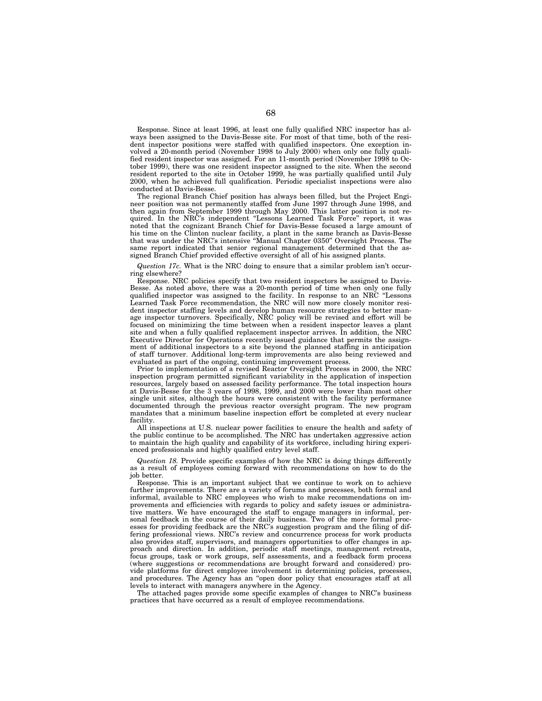Response. Since at least 1996, at least one fully qualified NRC inspector has always been assigned to the Davis-Besse site. For most of that time, both of the resident inspector positions were staffed with qualified inspectors. One exception involved a 20-month period (November 1998 to July 2000) when only one fully qualified resident inspector was assigned. For an 11-month period (November 1998 to October 1999), there was one resident inspector assigned to the site. When the second resident reported to the site in October 1999, he was partially qualified until July 2000, when he achieved full qualification. Periodic specialist inspections were also conducted at Davis-Besse.

The regional Branch Chief position has always been filled, but the Project Engineer position was not permanently staffed from June 1997 through June 1998, and then again from September 1999 through May 2000. This latter position is not required. In the NRC's independent ''Lessons Learned Task Force'' report, it was noted that the cognizant Branch Chief for Davis-Besse focused a large amount of his time on the Clinton nuclear facility, a plant in the same branch as Davis-Besse that was under the NRC's intensive ''Manual Chapter 0350'' Oversight Process. The same report indicated that senior regional management determined that the assigned Branch Chief provided effective oversight of all of his assigned plants.

*Question 17c.* What is the NRC doing to ensure that a similar problem isn't occurring elsewhere?

Response. NRC policies specify that two resident inspectors be assigned to Davis-Besse. As noted above, there was a 20-month period of time when only one fully qualified inspector was assigned to the facility. In response to an NRC ''Lessons Learned Task Force recommendation, the NRC will now more closely monitor resident inspector staffing levels and develop human resource strategies to better manage inspector turnovers. Specifically, NRC policy will be revised and effort will be focused on minimizing the time between when a resident inspector leaves a plant site and when a fully qualified replacement inspector arrives. In addition, the NRC Executive Director for Operations recently issued guidance that permits the assignment of additional inspectors to a site beyond the planned staffing in anticipation of staff turnover. Additional long-term improvements are also being reviewed and evaluated as part of the ongoing, continuing improvement process.

Prior to implementation of a revised Reactor Oversight Process in 2000, the NRC inspection program permitted significant variability in the application of inspection resources, largely based on assessed facility performance. The total inspection hours at Davis-Besse for the 3 years of 1998, 1999, and 2000 were lower than most other single unit sites, although the hours were consistent with the facility performance documented through the previous reactor oversight program. The new program mandates that a minimum baseline inspection effort be completed at every nuclear facility.

All inspections at U.S. nuclear power facilities to ensure the health and safety of the public continue to be accomplished. The NRC has undertaken aggressive action to maintain the high quality and capability of its workforce, including hiring experienced professionals and highly qualified entry level staff.

*Question 18.* Provide specific examples of how the NRC is doing things differently as a result of employees coming forward with recommendations on how to do the job better.

Response. This is an important subject that we continue to work on to achieve further improvements. There are a variety of forums and processes, both formal and informal, available to NRC employees who wish to make recommendations on improvements and efficiencies with regards to policy and safety issues or administrative matters. We have encouraged the staff to engage managers in informal, personal feedback in the course of their daily business. Two of the more formal processes for providing feedback are the NRC's suggestion program and the filing of differing professional views. NRC's review and concurrence process for work products also provides staff, supervisors, and managers opportunities to offer changes in approach and direction. In addition, periodic staff meetings, management retreats, focus groups, task or work groups, self assessments, and a feedback form process (where suggestions or recommendations are brought forward and considered) provide platforms for direct employee involvement in determining policies, processes, and procedures. The Agency has an ''open door policy that encourages staff at all levels to interact with managers anywhere in the Agency.

The attached pages provide some specific examples of changes to NRC's business practices that have occurred as a result of employee recommendations.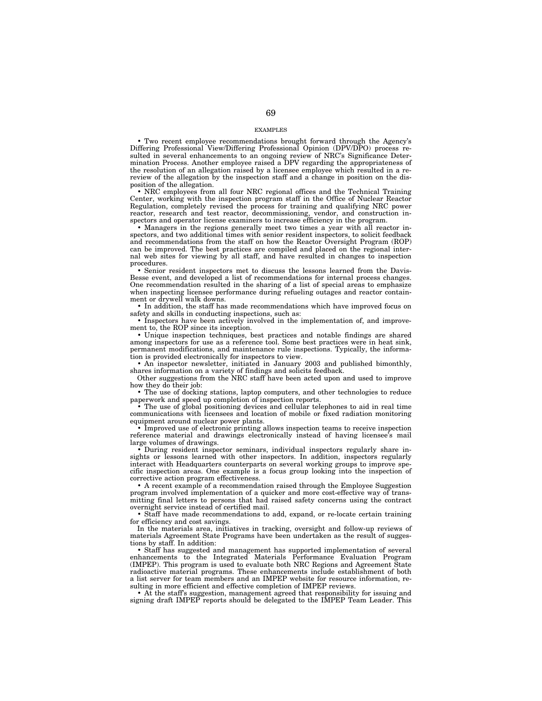## EXAMPLES

• Two recent employee recommendations brought forward through the Agency's Differing Professional View/Differing Professional Opinion (DPV/DPO) process resulted in several enhancements to an ongoing review of NRC's Significance Determination Process. Another employee raised a DPV regarding the appropriateness of the resolution of an allegation raised by a licensee employee which resulted in a rereview of the allegation by the inspection staff and a change in position on the disposition of the allegation.

• NRC employees from all four NRC regional offices and the Technical Training Center, working with the inspection program staff in the Office of Nuclear Reactor Regulation, completely revised the process for training and qualifying NRC power reactor, research and test reactor, decommissioning, vendor, and construction inspectors and operator license examiners to increase efficiency in the program.

• Managers in the regions generally meet two times a year with all reactor inspectors, and two additional times with senior resident inspectors, to solicit feedback and recommendations from the staff on how the Reactor Oversight Program (ROP) can be improved. The best practices are compiled and placed on the regional internal web sites for viewing by all staff, and have resulted in changes to inspection procedures.

• Senior resident inspectors met to discuss the lessons learned from the Davis-Besse event, and developed a list of recommendations for internal process changes. One recommendation resulted in the sharing of a list of special areas to emphasize when inspecting licensee performance during refueling outages and reactor containment or drywell walk downs.

• In addition, the staff has made recommendations which have improved focus on safety and skills in conducting inspections, such as:

• Inspectors have been actively involved in the implementation of, and improvement to, the ROP since its inception.

• Unique inspection techniques, best practices and notable findings are shared among inspectors for use as a reference tool. Some best practices were in heat sink, permanent modifications, and maintenance rule inspections. Typically, the information is provided electronically for inspectors to view.

• An inspector newsletter, initiated in January 2003 and published bimonthly, shares information on a variety of findings and solicits feedback.

Other suggestions from the NRC staff have been acted upon and used to improve how they do their job:

• The use of docking stations, laptop computers, and other technologies to reduce paperwork and speed up completion of inspection reports.

• The use of global positioning devices and cellular telephones to aid in real time communications with licensees and location of mobile or fixed radiation monitoring equipment around nuclear power plants.

• Improved use of electronic printing allows inspection teams to receive inspection reference material and drawings electronically instead of having licensee's mail large volumes of drawings.

• During resident inspector seminars, individual inspectors regularly share insights or lessons learned with other inspectors. In addition, inspectors regularly interact with Headquarters counterparts on several working groups to improve specific inspection areas. One example is a focus group looking into the inspection of corrective action program effectiveness.

• A recent example of a recommendation raised through the Employee Suggestion program involved implementation of a quicker and more cost-effective way of transmitting final letters to persons that had raised safety concerns using the contract overnight service instead of certified mail.

• Staff have made recommendations to add, expand, or re-locate certain training for efficiency and cost savings.

In the materials area, initiatives in tracking, oversight and follow-up reviews of materials Agreement State Programs have been undertaken as the result of suggestions by staff. In addition:

• Staff has suggested and management has supported implementation of several enhancements to the Integrated Materials Performance Evaluation Program (IMPEP). This program is used to evaluate both NRC Regions and Agreement State radioactive material programs. These enhancements include establishment of both a list server for team members and an IMPEP website for resource information, resulting in more efficient and effective completion of IMPEP reviews.

• At the staff's suggestion, management agreed that responsibility for issuing and signing draft IMPEP reports should be delegated to the IMPEP Team Leader. This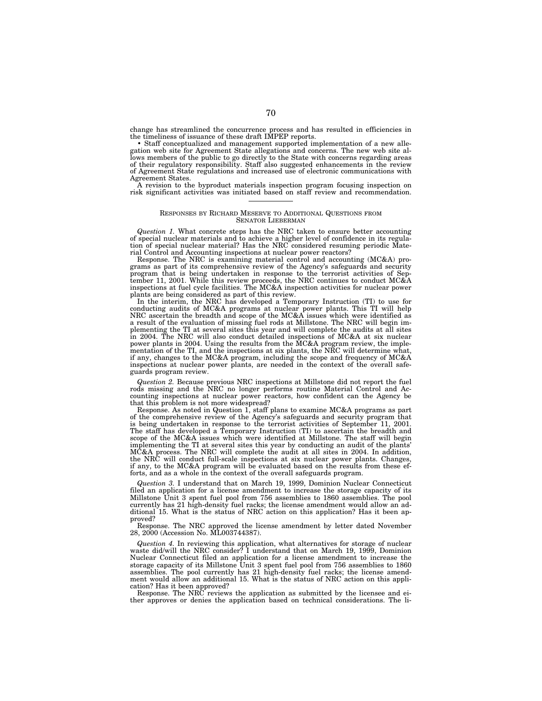change has streamlined the concurrence process and has resulted in efficiencies in the timeliness of issuance of these draft IMPEP reports. • Staff conceptualized and management supported implementation of a new alle-

• Staff conceptualized and management supported implementation of a new allegation web site for Agreement State allegations and concerns. The new web site allows members of the public to go directly to the State with concerns regarding areas of their regulatory responsibility. Staff also suggested enhancements in the review of Agreement State regulations and increased use of electronic communications with Agreement States.

A revision to the byproduct materials inspection program focusing inspection on risk significant activities was initiated based on staff review and recommendation.

# RESPONSES BY RICHARD MESERVE TO ADDITIONAL QUESTIONS FROM SENATOR LIEBERMAN

*Question 1.* What concrete steps has the NRC taken to ensure better accounting of special nuclear materials and to achieve a higher level of confidence in its regula-tion of special nuclear material? Has the NRC considered resuming periodic Material Control and Accounting inspections at nuclear power reactors?

Response. The NRC is examining material control and accounting (MC&A) programs as part of its comprehensive review of the Agency's safeguards and security program that is being undertaken in response to the terrorist activities of September 11, 2001. While this review proceeds, the NRC continues to conduct MC&A<br>inspections at fuel cycle facilities. The MC&A inspection activi plants are being considered as part of this review. In the interim, the NRC has developed a Temporary Instruction (TI) to use for

conducting audits of MC&A programs at nuclear power plants. This TI will help NRC ascertain the breadth and scope of the MC&A issues which were identified as a result of the evaluation of missing fuel rods at Millstone. The NRC will begin implementing the TI at several sites this year and will complete the audits at all sites in 2004. The NRC will also conduct detailed inspections of MC&A at six nuclear power plants in 2004. Using the results from the MC&A program review, the implementation of the TI, and the inspections at six plants, the NRC will determine what, if any, changes to the MC&A program, including the scope and frequency of MC&A inspections at nuclear power plants, are needed in the context of the overall safeguards program review.

*Question 2.* Because previous NRC inspections at Millstone did not report the fuel rods missing and the NRC no longer performs routine Material Control and Accounting inspections at nuclear power reactors, how confident can the Agency be that this problem is not more widespread?

Response. As noted in Question 1, staff plans to examine MC&A programs as part of the comprehensive review of the Agency's safeguards and security program that is being undertaken in response to the terrorist activities of September 11, 2001. The staff has developed a Temporary Instruction (TI) to ascertain the breadth and scope of the MC&A issues which were identified at Millstone. The staff will begin implementing the TI at several sites this year by conducting an audit of the plants' MC&A process. The NRC will complete the audit at all sites in 2004. In addition, the NRC will conduct full-scale inspections at six nuclear power plants. Changes, if any, to the MC&A program will be evaluated based on the results from these efforts, and as a whole in the context of the overall safeguards program.

*Question 3.* I understand that on March 19, 1999, Dominion Nuclear Connecticut filed an application for a license amendment to increase the storage capacity of its Millstone Unit 3 spent fuel pool from 756 assemblies to 1860 assemblies. The pool currently has 21 high-density fuel racks; the license amendment would allow an additional 15. What is the status of NRC action on this application? Has it been approved?

Response. The NRC approved the license amendment by letter dated November 28, 2000 (Accession No. ML003744387).

*Question 4.* In reviewing this application, what alternatives for storage of nuclear waste did/will the NRC consider? I understand that on March 19, 1999, Dominion Nuclear Connecticut filed an application for a license amendment to increase the storage capacity of its Millstone Unit 3 spent fuel pool from 756 assemblies to 1860 assemblies. The pool currently has 21 high-density fuel racks; the license amendment would allow an additional 15. What is the status of NRC action on this appli-

cation? Has it been approved? Response. The NRC reviews the application as submitted by the licensee and either approves or denies the application based on technical considerations. The li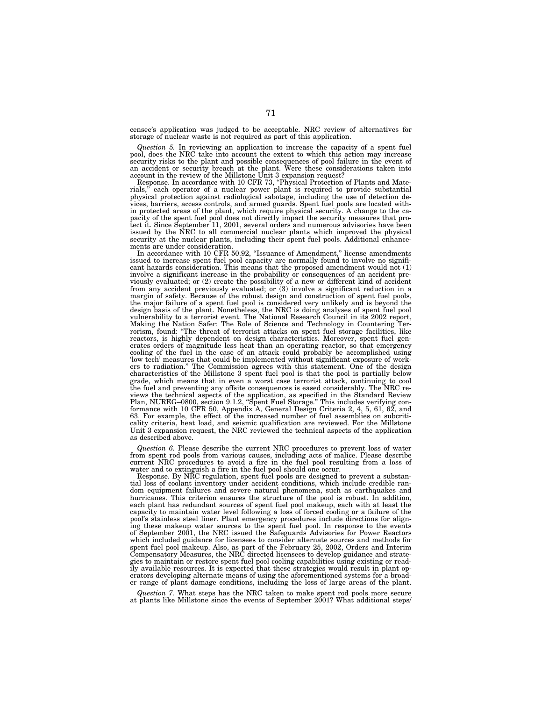censee's application was judged to be acceptable. NRC review of alternatives for storage of nuclear waste is not required as part of this application.

*Question 5.* In reviewing an application to increase the capacity of a spent fuel pool, does the NRC take into account the extent to which this action may increase security risks to the plant and possible consequences of pool failure in the event of an accident or security breach at the plant. Were these considerations taken into account in the review of the Millstone Unit 3 expansion request?

Response. In accordance with 10 CFR 73, ''Physical Protection of Plants and Materials,'' each operator of a nuclear power plant is required to provide substantial physical protection against radiological sabotage, including the use of detection devices, barriers, access controls, and armed guards. Spent fuel pools are located within protected areas of the plant, which require physical security. A change to the capacity of the spent fuel pool does not directly impact the security measures that protect it. Since September 11, 2001, several orders and numerous advisories have been issued by the NRC to all commercial nuclear plants which improved the physical security at the nuclear plants, including their spent fuel pools. Additional enhancements are under consideration.

In accordance with 10 CFR 50.92, "Issuance of Amendment," license amendments issued to increase spent fuel pool capacity are normally found to involve no significant hazards consideration. This means that the proposed amendment would not (1) involve a significant increase in the probability or consequences of an accident previously evaluated; or (2) create the possibility of a new or different kind of accident from any accident previously evaluated; or (3) involve a significant reduction in a margin of safety. Because of the robust design and construction of spent fuel pools, the major failure of a spent fuel pool is considered very unlikely and is beyond the design basis of the plant. Nonetheless, the NRC is doing analyses of spent fuel pool vulnerability to a terrorist event. The National Research Council in its 2002 report, Making the Nation Safer: The Role of Science and Technology in Countering Terrorism, found: ''The threat of terrorist attacks on spent fuel storage facilities, like reactors, is highly dependent on design characteristics. Moreover, spent fuel generates orders of magnitude less heat than an operating reactor, so that emergency cooling of the fuel in the case of an attack could probably be accomplished using 'low tech' measures that could be implemented without significant exposure of workers to radiation.'' The Commission agrees with this statement. One of the design characteristics of the Millstone 3 spent fuel pool is that the pool is partially below grade, which means that in even a worst case terrorist attack, continuing to cool the fuel and preventing any offsite consequences is eased considerably. The NRC reviews the technical aspects of the application, as specified in the Standard Review Plan, NUREG–0800, section 9.1.2, ''Spent Fuel Storage.'' This includes verifying conformance with 10 CFR 50, Appendix A, General Design Criteria 2, 4, 5, 61, 62, and 63. For example, the effect of the increased number of fuel assemblies on subcriticality criteria, heat load, and seismic qualification are reviewed. For the Millstone Unit 3 expansion request, the NRC reviewed the technical aspects of the application as described above.

*Question 6.* Please describe the current NRC procedures to prevent loss of water from spent rod pools from various causes, including acts of malice. Please describe current NRC procedures to avoid a fire in the fuel pool resulting from a loss of water and to extinguish a fire in the fuel pool should one occur.

Response. By NRC regulation, spent fuel pools are designed to prevent a substantial loss of coolant inventory under accident conditions, which include credible random equipment failures and severe natural phenomena, such as earthquakes and hurricanes. This criterion ensures the structure of the pool is robust. In addition, each plant has redundant sources of spent fuel pool makeup, each with at least the capacity to maintain water level following a loss of forced cooling or a failure of the pool's stainless steel liner. Plant emergency procedures include directions for aligning these makeup water sources to the spent fuel pool. In response to the events of September 2001, the NRC issued the Safeguards Advisories for Power Reactors which included guidance for licensees to consider alternate sources and methods for spent fuel pool makeup. Also, as part of the February 25, 2002, Orders and Interim Compensatory Measures, the NRC directed licensees to develop guidance and strategies to maintain or restore spent fuel pool cooling capabilities using existing or readily available resources. It is expected that these strategies would result in plant operators developing alternate means of using the aforementioned systems for a broader range of plant damage conditions, including the loss of large areas of the plant.

*Question 7.* What steps has the NRC taken to make spent rod pools more secure at plants like Millstone since the events of September 2001? What additional steps/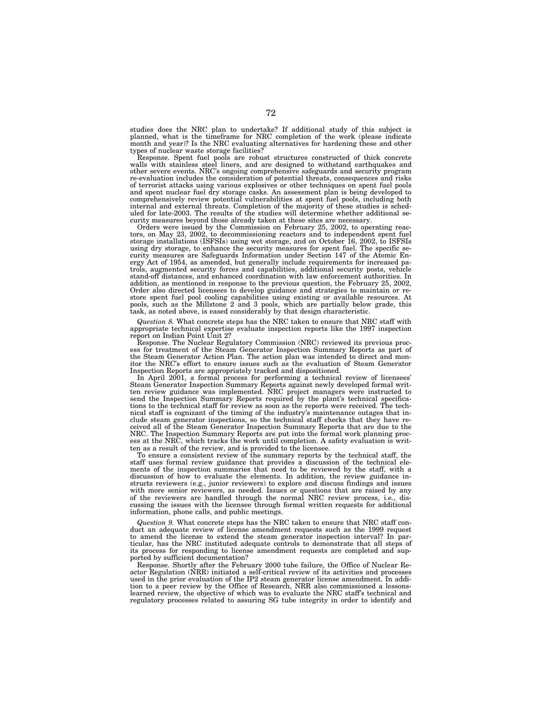studies does the NRC plan to undertake? If additional study of this subject is planned, what is the timeframe for NRC completion of the work (please indicate month and year)? Is the NRC evaluating alternatives for hardening these and other types of nuclear waste storage facilities?

Response. Spent fuel pools are robust structures constructed of thick concrete walls with stainless steel liners, and are designed to withstand earthquakes and other severe events. NRC's ongoing comprehensive safeguards and security program re-evaluation includes the consideration of potential threats, consequences and risks of terrorist attacks using various explosives or other techniques on spent fuel pools and spent nuclear fuel dry storage casks. An assessment plan is being developed to comprehensively review potential vulnerabilities at spent fuel pools, including both internal and external threats. Completion of the majority of these studies is sched-uled for late-2003. The results of the studies will determine whether additional se-

curity measures beyond those already taken at these sites are necessary. Orders were issued by the Commission on February 25, 2002, to operating reactors, on May 23, 2002, to decommissioning reactors and to independent spent fuel storage installations (ISFSIs) using wet storage, and on October 16, 2002, to ISFSIs using dry storage, to enhance the security measures for spent fuel. The specific se-curity measures are Safeguards Information under Section 147 of the Atomic Energy Act of 1954, as amended, but generally include requirements for increased pa-trols, augmented security forces and capabilities, additional security posts, vehicle stand-off distances, and enhanced coordination with law enforcement authorities. In addition, as mentioned in response to the previous question, the February 25, 2002, Order also directed licensees to develop guidance and strategies to maintain or re-store spent fuel pool cooling capabilities using existing or available resources. At pools, such as the Millstone 2 and 3 pools, which are partially below grade, this task, as noted above, is eased considerably by that design characteristic.

*Question 8.* What concrete steps has the NRC taken to ensure that NRC staff with appropriate technical expertise evaluate inspection reports like the 1997 inspection report on Indian Point Unit 2?

Response. The Nuclear Regulatory Commission (NRC) reviewed its previous process for treatment of the Steam Generator Inspection Summary Reports as part of the Steam Generator Action Plan. The action plan was intended to direct and monitor the NRC's effort to ensure issues such as the evaluation of Steam Generator Inspection Reports are appropriately tracked and dispositioned.

In April 2001, a formal process for performing a technical review of licensees' Steam Generator Inspection Summary Reports against newly developed formal written review guidance was implemented. NRC project managers were instructed to send the Inspection Summary Reports required by the plant's technical specifications to the technical staff for review as soon as the reports were received. The technical staff is cognizant of the timing of the industry's maintenance outages that include steam generator inspections, so the technical staff checks that they have received all of the Steam Generator Inspection Summary Reports that are due to the NRC. The Inspection Summary Reports are put into the formal work planning process at the NRC, which tracks the work until completion. A safety evaluation is written as a result of the review, and is provided to the licensee.

To ensure a consistent review of the summary reports by the technical staff, the staff uses formal review guidance that provides a discussion of the technical elements of the inspection summaries that need to be reviewed by the staff, with a discussion of how to evaluate the elements. In addition, the review guidance instructs reviewers (e.g., junior reviewers) to explore and discuss findings and issues with more senior reviewers, as needed. Issues or questions that are raised by any of the reviewers are handled through the normal NRC review process, i.e., discussing the issues with the licensee through formal written requests for additional information, phone calls, and public meetings.

*Question 9.* What concrete steps has the NRC taken to ensure that NRC staff conduct an adequate review of license amendment requests such as the 1999 request to amend the license to extend the steam generator inspection interval? In particular, has the NRC instituted adequate controls to demonstrate that all steps of its process for responding to license amendment requests are completed and supported by sufficient documentation?

Response. Shortly after the February 2000 tube failure, the Office of Nuclear Reactor Regulation (NRR) initiated a self-critical review of its activities and processes used in the prior evaluation of the IP2 steam generator license amendment. In addition to a peer review by the Office of Research, NRR also commissioned a lessonslearned review, the objective of which was to evaluate the NRC staff's technical and regulatory processes related to assuring SG tube integrity in order to identify and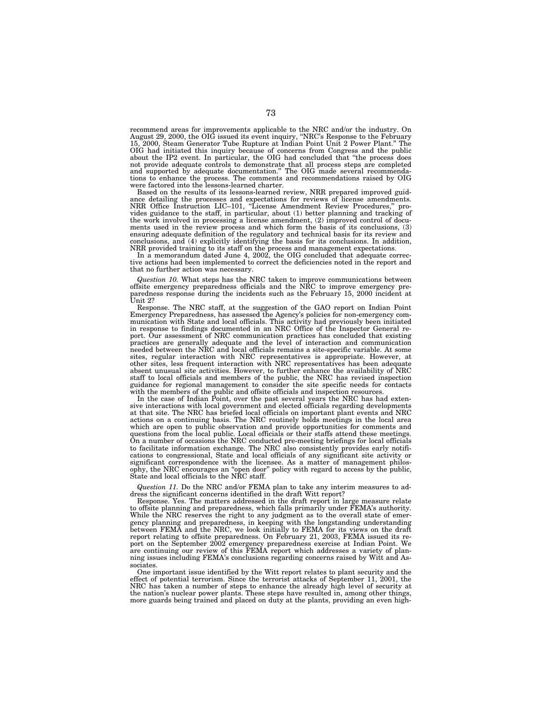recommend areas for improvements applicable to the NRC and/or the industry. On August 29, 2000, the OIG issued its event inquiry, ''NRC's Response to the February 15, 2000, Steam Generator Tube Rupture at Indian Point Unit 2 Power Plant." OIG had initiated this inquiry because of concerns from Congress and the public about the IP2 event. In particular, the OIG had concluded that ''the process does not provide adequate controls to demonstrate that all process steps are completed and supported by adequate documentation.'' The OIG made several recommendations to enhance the process. The comments and recommendations raised by OIG were factored into the lessons-learned charter.

Based on the results of its lessons-learned review, NRR prepared improved guidance detailing the processes and expectations for reviews of license amendments. NRR Office Instruction LIC–101, ''License Amendment Review Procedures,'' pro-vides guidance to the staff, in particular, about (1) better planning and tracking of the work involved in processing a license amendment, (2) improved control of docu-ments used in the review process and which form the basis of its conclusions, (3) ensuring adequate definition of the regulatory and technical basis for its review and conclusions, and (4) explicitly identifying the basis for its conclusions. In addition,

NRR provided training to its staff on the process and management expectations. In a memorandum dated June 4, 2002, the OIG concluded that adequate corrective actions had been implemented to correct the deficiencies noted in the report and that no further action was necessary.

*Question 10.* What steps has the NRC taken to improve communications between offsite emergency preparedness officials and the NRC to improve emergency preparedness response during the incidents such as the February 15, 2000 incident at Unit 2?

Response. The NRC staff, at the suggestion of the GAO report on Indian Point Emergency Preparedness, has assessed the Agency's policies for non-emergency communication with State and local officials. This activity had previously been initiated in response to findings documented in an NRC Office of the Inspector General report. Our assessment of NRC communication practices has concluded that existing practices are generally adequate and the level of interaction and communication needed between the NRC and local officials remains a site-specific variable. At some sites, regular interaction with NRC representatives is appropriate. However, at other sites, less frequent interaction with NRC representatives has been adequate absent unusual site activities. However, to further enhance the availability of NRC staff to local officials and members of the public, the NRC has revised inspection guidance for regional management to consider the site specific needs for contacts with the members of the public and offsite officials and inspection resources.

In the case of Indian Point, over the past several years the NRC has had extensive interactions with local government and elected officials regarding developments at that site. The NRC has briefed local officials on important plant events and NRC actions on a continuing basis. The NRC routinely holds meetings in the local area which are open to public observation and provide opportunities for comments and questions from the local public. Local officials or their staffs attend these meetings. On a number of occasions the NRC conducted pre-meeting briefings for local officials to facilitate information exchange. The NRC also consistently provides early notifications to congressional, State and local officials of any significant site activity or significant correspondence with the licensee. As a matter of management philosophy, the NRC encourages an ''open door'' policy with regard to access by the public, State and local officials to the NRC staff.

*Question 11.* Do the NRC and/or FEMA plan to take any interim measures to address the significant concerns identified in the draft Witt report?

Response. Yes. The matters addressed in the draft report in large measure relate to offsite planning and preparedness, which falls primarily under FEMA's authority. While the NRC reserves the right to any judgment as to the overall state of emergency planning and preparedness, in keeping with the longstanding understanding between FEMA and the NRC, we look initially to FEMA for its views on the draft report relating to offsite preparedness. On February 21, 2003, FEMA issued its report on the September 2002 emergency preparedness exercise at Indian Point. We are continuing our review of this FEMA report which addresses a variety of planning issues including FEMA's conclusions regarding concerns raised by Witt and Associates.

One important issue identified by the Witt report relates to plant security and the effect of potential terrorism. Since the terrorist attacks of September 11, 2001, the NRC has taken a number of steps to enhance the already high level of security at the nation's nuclear power plants. These steps have resulted in, among other things, more guards being trained and placed on duty at the plants, providing an even high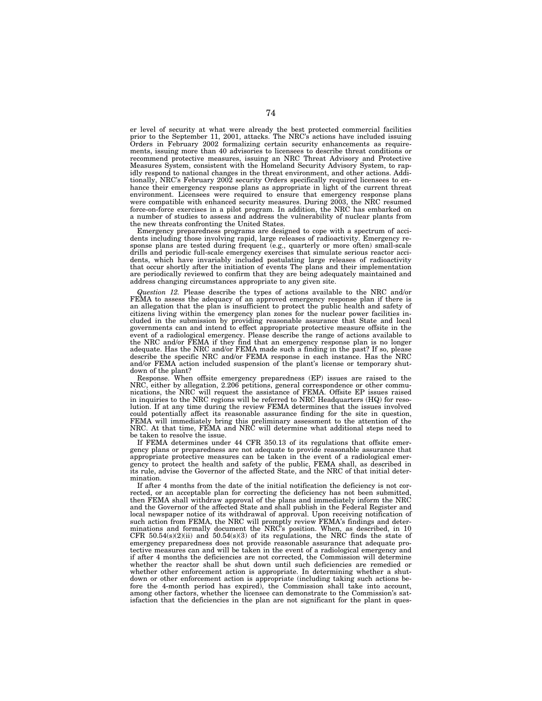er level of security at what were already the best protected commercial facilities prior to the September 11, 2001, attacks. The NRC's actions have included issuing Orders in February 2002 formalizing certain security enhancements as requirements, issuing more than 40 advisories to licensees to describe threat conditions or recommend protective measures, issuing an NRC Threat Advisory and Protective Measures System, consistent with the Homeland Security Advisory System, to rapidly respond to national changes in the threat environment, and other actions. Additionally, NRC's February 2002 security Orders specifically required licensees to enhance their emergency response plans as appropriate in light of the current threat environment. Licensees were required to ensure that emergency response plans were compatible with enhanced security measures. During 2003, the NRC resumed force-on-force exercises in a pilot program. In addition, the NRC has embarked on a number of studies to assess and address the vulnerability of nuclear plants from the new threats confronting the United States.

Emergency preparedness programs are designed to cope with a spectrum of accidents including those involving rapid, large releases of radioactivity. Emergency response plans are tested during frequent (e.g., quarterly or more often) small-scale drills and periodic full-scale emergency exercises that simulate serious reactor accidents, which have invariably included postulating large releases of radioactivity that occur shortly after the initiation of events The plans and their implementation are periodically reviewed to confirm that they are being adequately maintained and address changing circumstances appropriate to any given site.

*Question 12.* Please describe the types of actions available to the NRC and/or FEMA to assess the adequacy of an approved emergency response plan if there is an allegation that the plan is insufficient to protect the public health and safety of citizens living within the emergency plan zones for the nuclear power facilities included in the submission by providing reasonable assurance that State and local governments can and intend to effect appropriate protective measure offsite in the event of a radiological emergency. Please describe the range of actions available to the NRC and/or FEMA if they find that an emergency response plan is no longer adequate. Has the NRC and/or FEMA made such a finding in the past? If so, please describe the specific NRC and/or FEMA response in each instance. Has the NRC and/or FEMA action included suspension of the plant's license or temporary shutdown of the plant?

Response. When offsite emergency preparedness (EP) issues are raised to the NRC, either by allegation, 2.206 petitions, general correspondence or other communications, the NRC will request the assistance of FEMA. Offsite EP issues raised in inquiries to the NRC regions will be referred to NRC Headquarters (HQ) for resolution. If at any time during the review FEMA determines that the issues involved could potentially affect its reasonable assurance finding for the site in question, FEMA will immediately bring this preliminary assessment to the attention of the NRC. At that time, FEMA and NRC will determine what additional steps need to be taken to resolve the issue.

If FEMA determines under 44 CFR 350.13 of its regulations that offsite emergency plans or preparedness are not adequate to provide reasonable assurance that appropriate protective measures can be taken in the event of a radiological emergency to protect the health and safety of the public, FEMA shall, as described in its rule, advise the Governor of the affected State, and the NRC of that initial determination.

If after 4 months from the date of the initial notification the deficiency is not corrected, or an acceptable plan for correcting the deficiency has not been submitted, then FEMA shall withdraw approval of the plans and immediately inform the NRC and the Governor of the affected State and shall publish in the Federal Register and local newspaper notice of its withdrawal of approval. Upon receiving notification of such action from FEMA, the NRC will promptly review FEMA's findings and determinations and formally document the NRC's position. When, as described, in 10 CFR  $50.54(s)(2)(ii)$  and  $50.54(s)(3)$  of its regulations, the NRC finds the state of emergency preparedness does not provide reasonable assurance that adequate protective measures can and will be taken in the event of a radiological emergency and if after 4 months the deficiencies are not corrected, the Commission will determine whether the reactor shall be shut down until such deficiencies are remedied or whether other enforcement action is appropriate. In determining whether a shutdown or other enforcement action is appropriate (including taking such actions before the 4-month period has expired), the Commission shall take into account, among other factors, whether the licensee can demonstrate to the Commission's satisfaction that the deficiencies in the plan are not significant for the plant in ques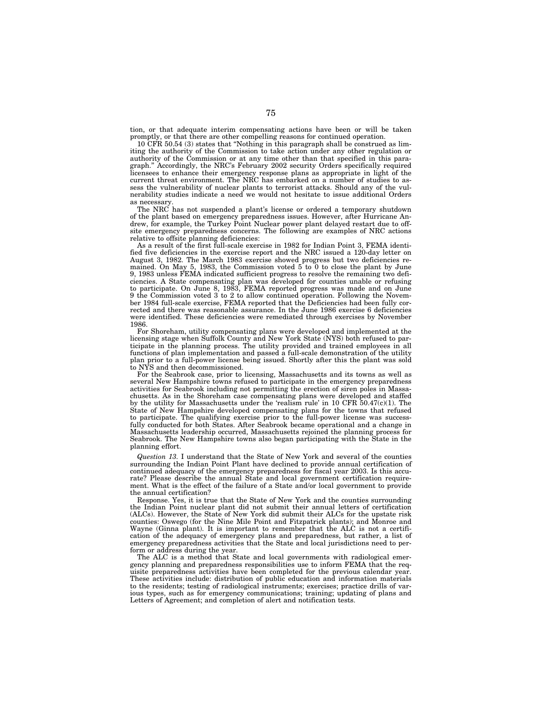tion, or that adequate interim compensating actions have been or will be taken promptly, or that there are other compelling reasons for continued operation.

10 CFR 50.54 (3) states that ''Nothing in this paragraph shall be construed as limiting the authority of the Commission to take action under any other regulation or authority of the Commission or at any time other than that specified in this paragraph.'' Accordingly, the NRC's February 2002 security Orders specifically required licensees to enhance their emergency response plans as appropriate in light of the current threat environment. The NRC has embarked on a number of studies to assess the vulnerability of nuclear plants to terrorist attacks. Should any of the vulnerability studies indicate a need we would not hesitate to issue additional Orders as necessary.

The NRC has not suspended a plant's license or ordered a temporary shutdown of the plant based on emergency preparedness issues. However, after Hurricane Andrew, for example, the Turkey Point Nuclear power plant delayed restart due to offsite emergency preparedness concerns. The following are examples of NRC actions relative to offsite planning deficiencies:

As a result of the first full-scale exercise in 1982 for Indian Point 3, FEMA identified five deficiencies in the exercise report and the NRC issued a 120-day letter on August 3, 1982. The March 1983 exercise showed progress but two deficiencies remained. On May 5, 1983, the Commission voted 5 to 0 to close the plant by June 9, 1983 unless FEMA indicated sufficient progress to resolve the remaining two deficiencies. A State compensating plan was developed for counties unable or refusing to participate. On June 8, 1983, FEMA reported progress was made and on June 9 the Commission voted 3 to 2 to allow continued operation. Following the November 1984 full-scale exercise, FEMA reported that the Deficiencies had been fully corrected and there was reasonable assurance. In the June 1986 exercise 6 deficiencies were identified. These deficiencies were remediated through exercises by November 1986.

For Shoreham, utility compensating plans were developed and implemented at the licensing stage when Suffolk County and New York State (NYS) both refused to participate in the planning process. The utility provided and trained employees in all functions of plan implementation and passed a full-scale demonstration of the utility plan prior to a full-power license being issued. Shortly after this the plant was sold to NYS and then decommissioned.

For the Seabrook case, prior to licensing, Massachusetts and its towns as well as several New Hampshire towns refused to participate in the emergency preparedness activities for Seabrook including not permitting the erection of siren poles in Massachusetts. As in the Shoreham case compensating plans were developed and staffed by the utility for Massachusetts under the 'realism rule' in 10 CFR 50.47(c)(1). The State of New Hampshire developed compensating plans for the towns that refused to participate. The qualifying exercise prior to the full-power license was successfully conducted for both States. After Seabrook became operational and a change in Massachusetts leadership occurred, Massachusetts rejoined the planning process for Seabrook. The New Hampshire towns also began participating with the State in the planning effort.

*Question 13.* I understand that the State of New York and several of the counties surrounding the Indian Point Plant have declined to provide annual certification of continued adequacy of the emergency preparedness for fiscal year 2003. Is this accurate? Please describe the annual State and local government certification requirement. What is the effect of the failure of a State and/or local government to provide the annual certification?

Response. Yes, it is true that the State of New York and the counties surrounding the Indian Point nuclear plant did not submit their annual letters of certification (ALCs). However, the State of New York did submit their ALCs for the upstate risk counties: Oswego (for the Nine Mile Point and Fitzpatrick plants); and Monroe and Wayne (Ginna plant). It is important to remember that the ALC is not a certification of the adequacy of emergency plans and preparedness, but rather, a list of emergency preparedness activities that the State and local jurisdictions need to perform or address during the year.

The ALC is a method that State and local governments with radiological emergency planning and preparedness responsibilities use to inform FEMA that the requisite preparedness activities have been completed for the previous calendar year. These activities include: distribution of public education and information materials to the residents; testing of radiological instruments; exercises; practice drills of various types, such as for emergency communications; training; updating of plans and Letters of Agreement; and completion of alert and notification tests.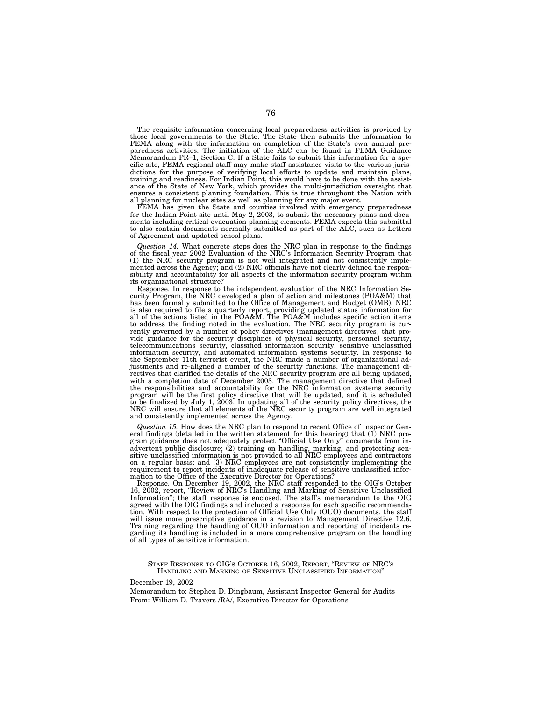The requisite information concerning local preparedness activities is provided by those local governments to the State. The State then submits the information to FEMA along with the information on completion of the State's own annual preparedness activities. The initiation of the ALC can be found in FEMA Guidance Memorandum PR–1, Section C. If a State fails to submit this information for a specific site, FEMA regional staff may make staff assistance visits to the various jurisdictions for the purpose of verifying local efforts to update and maintain plans, training and readiness. For Indian Point, this would have to be done with the assistance of the State of New York, which provides the multi-jurisdiction oversight that ensures a consistent planning foundation. This is true throughout the Nation with all planning for nuclear sites as well as planning for any major event.

FEMA has given the State and counties involved with emergency preparedness for the Indian Point site until May 2, 2003, to submit the necessary plans and documents including critical evacuation planning elements. FEMA expects this submittal to also contain documents normally submitted as part of the ALC, such as Letters of Agreement and updated school plans.

*Question 14.* What concrete steps does the NRC plan in response to the findings of the fiscal year 2002 Evaluation of the NRC's Information Security Program that (1) the NRC security program is not well integrated and not consistently implemented across the Agency; and (2) NRC officials have not clearly defined the responsibility and accountability for all aspects of the information security program within its organizational structure?

Response. In response to the independent evaluation of the NRC Information Security Program, the NRC developed a plan of action and milestones (POA&M) that has been formally submitted to the Office of Management and Budget (OMB). NRC is also required to file a quarterly report, providing updated status information for all of the actions listed in the POA&M. The POA&M includes specific action items to address the finding noted in the evaluation. The NRC security program is currently governed by a number of policy directives (management directives) that provide guidance for the security disciplines of physical security, personnel security, telecommunications security, classified information security, sensitive unclassified information security, and automated information systems security. In response to the September 11th terrorist event, the NRC made a number of organizational adjustments and re-aligned a number of the security functions. The management directives that clarified the details of the NRC security program are all being updated, with a completion date of December 2003. The management directive that defined the responsibilities and accountability for the NRC information systems security program will be the first policy directive that will be updated, and it is scheduled to be finalized by July 1, 2003. In updating all of the security policy directives, the NRC will ensure that all elements of the NRC security program are well integrated and consistently implemented across the Agency.

*Question 15.* How does the NRC plan to respond to recent Office of Inspector General findings (detailed in the written statement for this hearing) that (1) NRC program guidance does not adequately protect ''Official Use Only'' documents from inadvertent public disclosure; (2) training on handling, marking, and protecting sensitive unclassified information is not provided to all NRC employees and contractors on a regular basis; and (3) NRC employees are not consistently implementing the requirement to report incidents of inadequate release of sensitive unclassified information to the Office of the Executive Director for Operations?

Response. On December 19, 2002, the NRC staff responded to the OIG's October 16, 2002, report, ''Review of NRC's Handling and Marking of Sensitive Unclassified Information''; the staff response is enclosed. The staff's memorandum to the OIG agreed with the OIG findings and included a response for each specific recommendation. With respect to the protection of Official Use Only (OUO) documents, the staff will issue more prescriptive guidance in a revision to Management Directive 12.6. Training regarding the handling of OUO information and reporting of incidents regarding its handling is included in a more comprehensive program on the handling of all types of sensitive information.

STAFF RESPONSE TO OIG'S OCTOBER 16, 2002, REPORT, ''REVIEW OF NRC'S HANDLING AND MARKING OF SENSITIVE UNCLASSIFIED INFORMATION''

# December 19, 2002

Memorandum to: Stephen D. Dingbaum, Assistant Inspector General for Audits From: William D. Travers /RA/, Executive Director for Operations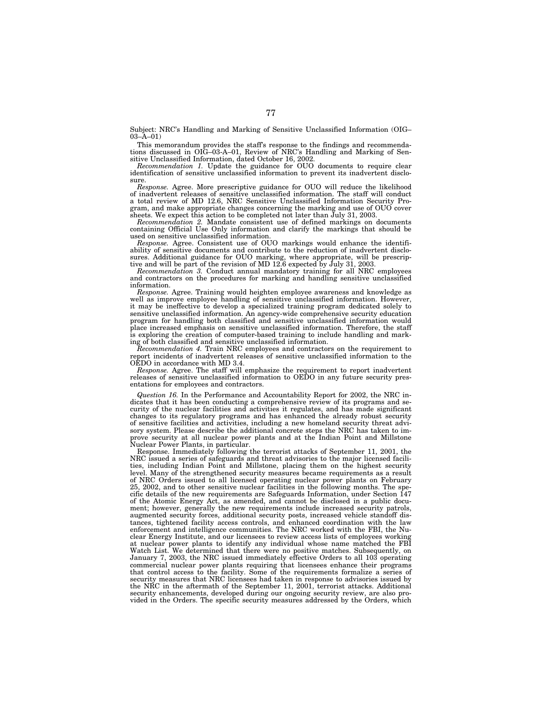Subject: NRC's Handling and Marking of Sensitive Unclassified Information (OIG– 03–A–01)

This memorandum provides the staff's response to the findings and recommendations discussed in OIG–03-A–01, Review of NRC's Handling and Marking of Sensitive Unclassified Information, dated October 16, 2002.

*Recommendation 1.* Update the guidance for OUO documents to require clear identification of sensitive unclassified information to prevent its inadvertent disclo-

sure. *Response.* Agree. More prescriptive guidance for OUO will reduce the likelihood of inadvertent releases of sensitive unclassified information. The staff will conduct a total review of MD 12.6, NRC Sensitive Unclassified Information Security Program, and make appropriate changes concerning the marking and use of OUO cover sheets. We expect this action to be completed not later than July 31, 2003.

*Recommendation 2.* Mandate consistent use of defined markings on documents containing Official Use Only information and clarify the markings that should be used on sensitive unclassified information.

*Response.* Agree. Consistent use of OUO markings would enhance the identifiability of sensitive documents and contribute to the reduction of inadvertent disclosures. Additional guidance for OUO marking, where appropriate, will be prescrip-tive and will be part of the revision of MD 12.6 expected by July 31, 2003.

*Recommendation 3.* Conduct annual mandatory training for all NRC employees and contractors on the procedures for marking and handling sensitive unclassified information.

*Response.* Agree. Training would heighten employee awareness and knowledge as well as improve employee handling of sensitive unclassified information. However, it may be ineffective to develop a specialized training program dedicated solely to sensitive unclassified information. An agency-wide comprehensive security education program for handling both classified and sensitive unclassified information would place increased emphasis on sensitive unclassified information. Therefore, the staff is exploring the creation of computer-based training to include handling and marking of both classified and sensitive unclassified information.

*Recommendation 4.* Train NRC employees and contractors on the requirement to report incidents of inadvertent releases of sensitive unclassified information to the OEDO in accordance with MD 3.4.

*Response.* Agree. The staff will emphasize the requirement to report inadvertent releases of sensitive unclassified information to OEDO in any future security presentations for employees and contractors.

*Question 16.* In the Performance and Accountability Report for 2002, the NRC indicates that it has been conducting a comprehensive review of its programs and security of the nuclear facilities and activities it regulates, and has made significant changes to its regulatory programs and has enhanced the already robust security of sensitive facilities and activities, including a new homeland security threat advisory system. Please describe the additional concrete steps the NRC has taken to improve security at all nuclear power plants and at the Indian Point and Millstone Nuclear Power Plants, in particular.

Response. Immediately following the terrorist attacks of September 11, 2001, the NRC issued a series of safeguards and threat advisories to the major licensed facilities, including Indian Point and Millstone, placing them on the highest security level. Many of the strengthened security measures became requirements as a result of NRC Orders issued to all licensed operating nuclear power plants on February 25, 2002, and to other sensitive nuclear facilities in the following months. The specific details of the new requirements are Safeguards Information, under Section 147 of the Atomic Energy Act, as amended, and cannot be disclosed in a public document; however, generally the new requirements include increased security patrols, augmented security forces, additional security posts, increased vehicle standoff distances, tightened facility access controls, and enhanced coordination with the law enforcement and intelligence communities. The NRC worked with the FBI, the Nuclear Energy Institute, and our licensees to review access lists of employees working at nuclear power plants to identify any individual whose name matched the FBI Watch List. We determined that there were no positive matches. Subsequently, on January 7, 2003, the NRC issued immediately effective Orders to all 103 operating commercial nuclear power plants requiring that licensees enhance their programs that control access to the facility. Some of the requirements formalize a series of security measures that NRC licensees had taken in response to advisories issued by the NRC in the aftermath of the September 11, 2001, terrorist attacks. Additional security enhancements, developed during our ongoing security review, are also provided in the Orders. The specific security measures addressed by the Orders, which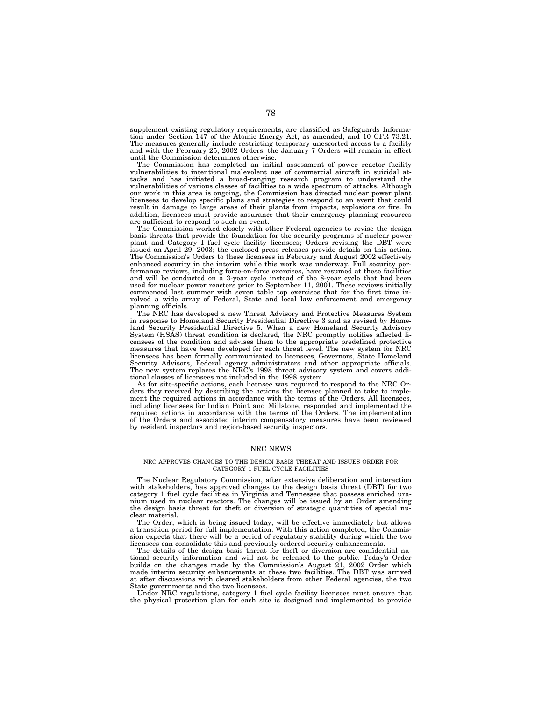supplement existing regulatory requirements, are classified as Safeguards Information under Section 147 of the Atomic Energy Act, as amended, and 10 CFR 73.21. The measures generally include restricting temporary unescorted access to a facility and with the February 25, 2002 Orders, the January 7 Orders will remain in effect until the Commission determines otherwise.

The Commission has completed an initial assessment of power reactor facility vulnerabilities to intentional malevolent use of commercial aircraft in suicidal attacks and has initiated a broad-ranging research program to understand the vulnerabilities of various classes of facilities to a wide spectrum of attacks. Although our work in this area is ongoing, the Commission has directed nuclear power plant licensees to develop specific plans and strategies to respond to an event that could result in damage to large areas of their plants from impacts, explosions or fire. In addition, licensees must provide assurance that their emergency planning resources are sufficient to respond to such an event.

The Commission worked closely with other Federal agencies to revise the design basis threats that provide the foundation for the security programs of nuclear power plant and Category I fuel cycle facility licensees; Orders revising the DBT issued on April 29, 2003; the enclosed press releases provide details on this action. The Commission's Orders to these licensees in February and August 2002 effectively enhanced security in the interim while this work was underway. Full security performance reviews, including force-on-force exercises, have resumed at these facilities and will be conducted on a 3-year cycle instead of the 8-year cycle that had been used for nuclear power reactors prior to September 11, 2001. These reviews initially commenced last summer with seven table top exercises that for the first time involved a wide array of Federal, State and local law enforcement and emergency planning officials.

The NRC has developed a new Threat Advisory and Protective Measures System in response to Homeland Security Presidential Directive 3 and as revised by Homeland Security Presidential Directive 5. When a new Homeland Security Advisory System (HSAS) threat condition is declared, the NRC promptly notifies affected licensees of the condition and advises them to the appropriate predefined protective measures that have been developed for each threat level. The new system for NRC licensees has been formally communicated to licensees, Governors, State Homeland Security Advisors, Federal agency administrators and other appropriate officials. The new system replaces the NRC's 1998 threat advisory system and covers additional classes of licensees not included in the 1998 system.

As for site-specific actions, each licensee was required to respond to the NRC Orders they received by describing the actions the licensee planned to take to implement the required actions in accordance with the terms of the Orders. All licensees, including licensees for Indian Point and Millstone, responded and implemented the required actions in accordance with the terms of the Orders. The implementation of the Orders and associated interim compensatory measures have been reviewed by resident inspectors and region-based security inspectors.

# NRC NEWS

#### NRC APPROVES CHANGES TO THE DESIGN BASIS THREAT AND ISSUES ORDER FOR CATEGORY 1 FUEL CYCLE FACILITIES

The Nuclear Regulatory Commission, after extensive deliberation and interaction with stakeholders, has approved changes to the design basis threat (DBT) for two category 1 fuel cycle facilities in Virginia and Tennessee that possess enriched uranium used in nuclear reactors. The changes will be issued by an Order amending the design basis threat for theft or diversion of strategic quantities of special nuclear material.

The Order, which is being issued today, will be effective immediately but allows a transition period for full implementation. With this action completed, the Commission expects that there will be a period of regulatory stability during which the two licensees can consolidate this and previously ordered security enhancements.

The details of the design basis threat for theft or diversion are confidential national security information and will not be released to the public. Today's Order builds on the changes made by the Commission's August 21, 2002 Order which made interim security enhancements at these two facilities. The DBT was arrived at after discussions with cleared stakeholders from other Federal agencies, the two State governments and the two licensees.

Under NRC regulations, category 1 fuel cycle facility licensees must ensure that the physical protection plan for each site is designed and implemented to provide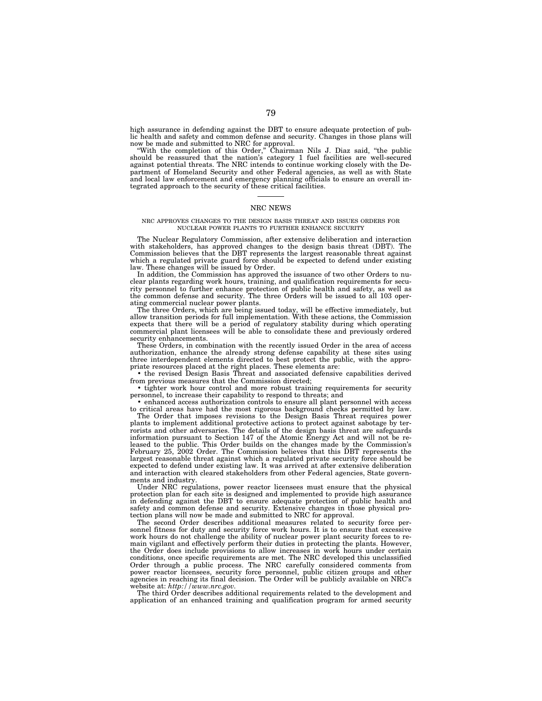high assurance in defending against the DBT to ensure adequate protection of public health and safety and common defense and security. Changes in those plans will now be made and submitted to NRC for approval.

''With the completion of this Order,'' Chairman Nils J. Diaz said, ''the public should be reassured that the nation's category 1 fuel facilities are well-secured against potential threats. The NRC intends to continue working closely with the Department of Homeland Security and other Federal agencies, as well as with State and local law enforcement and emergency planning officials to ensure an overall integrated approach to the security of these critical facilities.

# NRC NEWS

## NRC APPROVES CHANGES TO THE DESIGN BASIS THREAT AND ISSUES ORDERS FOR NUCLEAR POWER PLANTS TO FURTHER ENHANCE SECURITY

The Nuclear Regulatory Commission, after extensive deliberation and interaction with stakeholders, has approved changes to the design basis threat (DBT). The Commission believes that the DBT represents the largest reasonable threat against which a regulated private guard force should be expected to defend under existing law. These changes will be issued by Order.

In addition, the Commission has approved the issuance of two other Orders to nuclear plants regarding work hours, training, and qualification requirements for security personnel to further enhance protection of public health and safety, as well as the common defense and security. The three Orders will be issued to all 103 operating commercial nuclear power plants.

The three Orders, which are being issued today, will be effective immediately, but allow transition periods for full implementation. With these actions, the Commission expects that there will be a period of regulatory stability during which operating commercial plant licensees will be able to consolidate these and previously ordered security enhancements.

These Orders, in combination with the recently issued Order in the area of access authorization, enhance the already strong defense capability at these sites using three interdependent elements directed to best protect the public, with the appropriate resources placed at the right places. These elements are:

• the revised Design Basis Threat and associated defensive capabilities derived from previous measures that the Commission directed;

• tighter work hour control and more robust training requirements for security personnel, to increase their capability to respond to threats; and

• enhanced access authorization controls to ensure all plant personnel with access to critical areas have had the most rigorous background checks permitted by law.

The Order that imposes revisions to the Design Basis Threat requires power plants to implement additional protective actions to protect against sabotage by terrorists and other adversaries. The details of the design basis threat are safeguards information pursuant to Section 147 of the Atomic Energy Act and will not be released to the public. This Order builds on the changes made by the Commission's February 25, 2002 Order. The Commission believes that this DBT represents the largest reasonable threat against which a regulated private security force should be expected to defend under existing law. It was arrived at after extensive deliberation and interaction with cleared stakeholders from other Federal agencies, State governments and industry.

Under NRC regulations, power reactor licensees must ensure that the physical protection plan for each site is designed and implemented to provide high assurance in defending against the DBT to ensure adequate protection of public health and safety and common defense and security. Extensive changes in those physical protection plans will now be made and submitted to NRC for approval.

The second Order describes additional measures related to security force personnel fitness for duty and security force work hours. It is to ensure that excessive work hours do not challenge the ability of nuclear power plant security forces to remain vigilant and effectively perform their duties in protecting the plants. However, the Order does include provisions to allow increases in work hours under certain conditions, once specific requirements are met. The NRC developed this unclassified Order through a public process. The NRC carefully considered comments from power reactor licensees, security force personnel, public citizen groups and other agencies in reaching its final decision. The Order will be publicly available on NRC's

website at: *http://www.nrc.gov.* The third Order describes additional requirements related to the development and application of an enhanced training and qualification program for armed security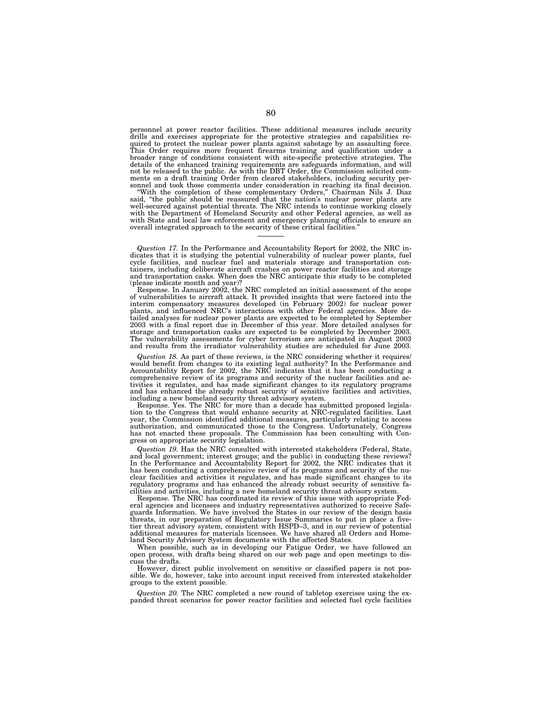personnel at power reactor facilities. These additional measures include security drills and exercises appropriate for the protective strategies and capabilities required to protect the nuclear power plants against sabotage by an assaulting force. This Order requires more frequent firearms training and qualification under a broader range of conditions consistent with site-specific protective strategies. The details of the enhanced training requirements are safeguards information, and will not be released to the public. As with the DBT Order, the Commission solicited comments on a draft training Order from cleared stakeholders, including security personnel and took those comments under consideration in reaching its final decision. ''With the completion of these complementary Orders,'' Chairman Nils J. Diaz

said, "the public should be reassured that the nation's nuclear power plants are well-secured against potential threats. The NRC intends to continue working closely with the Department of Homeland Security and other Federal agencies, as well as with State and local law enforcement and emergency planning officials to ensure an overall integrated approach to the security of these critical facilities.''

*Question 17.* In the Performance and Accountability Report for 2002, the NRC indicates that it is studying the potential vulnerability of nuclear power plants, fuel cycle facilities, and nuclear fuel and materials storage and transportation con-tainers, including deliberate aircraft crashes on power reactor facilities and storage and transportation casks. When does the NRC anticipate this study to be completed (please indicate month and year)?

Response. In January 2002, the NRC completed an initial assessment of the scope of vulnerabilities to aircraft attack. It provided insights that were factored into the interim compensatory measures developed (in February 2002) for nuclear power plants, and influenced NRC's interactions with other Federal agencies. More detailed analyses for nuclear power plants are expected to be completed by September 2003 with a final report due in December of this year. More detailed analyses for storage and transportation casks are expected to be completed by December 2003. The vulnerability assessments for cyber terrorism are anticipated in August 2003 and results from the irradiator vulnerability studies are scheduled for June 2003.

Question 18. As part of these reviews, is the NRC considering whether it requires/<br>would benefit from changes to its existing legal authority? In the Performance and<br>Accountability Report for 2002, the NRC indicates that i comprehensive review of its programs and security of the nuclear facilities and activities it regulates, and has made significant changes to its regulatory programs and has enhanced the already robust security of sensitive facilities and activities, including a new homeland security threat advisory system.

Response. Yes. The NRC for more than a decade has submitted proposed legislation to the Congress that would enhance security at NRC-regulated facilities. Last year, the Commission identified additional measures, particularly relating to access authorization, and communicated those to the Congress. Unfortunately, Congress has not enacted these proposals. The Commission has been consulting with Congress on appropriate security legislation.

*Question 19.* Has the NRC consulted with interested stakeholders (Federal, State, and local government; interest groups; and the public) in conducting these reviews? In the Performance and Accountability Report for 2002, the NRC indicates that it has been conducting a comprehensive review of its programs and security of the nuclear facilities and activities it regulates, and has made significant changes to its regulatory programs and has enhanced the already robust security of sensitive fa-

cilities and activities, including a new homeland security threat advisory system. Response. The NRC has coordinated its review of this issue with appropriate Federal agencies and licensees and industry representatives authorized to receive Safe-guards Information. We have involved the States in our review of the design basis threats, in our preparation of Regulatory Issue Summaries to put in place a five-tier threat advisory system, consistent with HSPD–3, and in our review of potential additional measures for materials licensees. We have shared all Orders and Homeland Security Advisory System documents with the affected States.

When possible, such as in developing our Fatigue Order, we have followed an open process, with drafts being shared on our web page and open meetings to discuss the drafts.

However, direct public involvement on sensitive or classified papers is not possible. We do, however, take into account input received from interested stakeholder groups to the extent possible.

*Question 20.* The NRC completed a new round of tabletop exercises using the expanded threat scenarios for power reactor facilities and selected fuel cycle facilities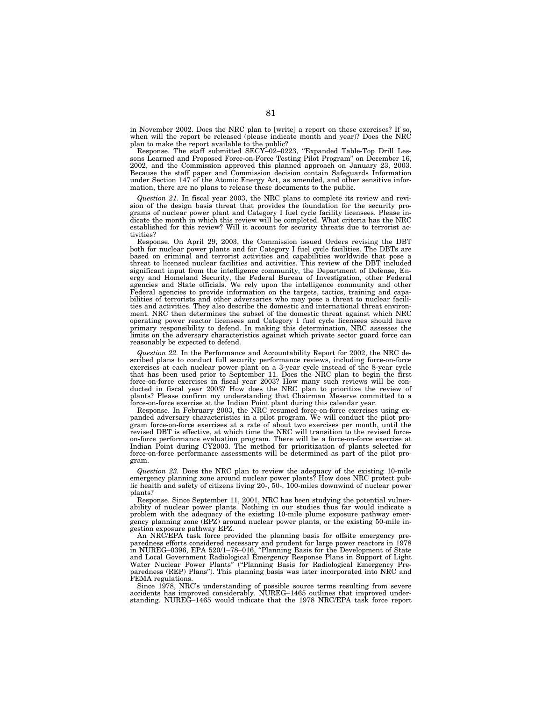in November 2002. Does the NRC plan to [write] a report on these exercises? If so, when will the report be released (please indicate month and year)? Does the NRC plan to make the report available to the public?

Response. The staff submitted SECY–02–0223, ''Expanded Table-Top Drill Lessons Learned and Proposed Force-on-Force Testing Pilot Program'' on December 16, 2002, and the Commission approved this planned approach on January 23, 2003. Because the staff paper and Commission decision contain Safeguards Information under Section 147 of the Atomic Energy Act, as amended, and other sensitive information, there are no plans to release these documents to the public.

*Question 21.* In fiscal year 2003, the NRC plans to complete its review and revision of the design basis threat that provides the foundation for the security programs of nuclear power plant and Category I fuel cycle facility licensees. Please indicate the month in which this review will be completed. What criteria has the NRC established for this review? Will it account for security threats due to terrorist activities?

Response. On April 29, 2003, the Commission issued Orders revising the DBT both for nuclear power plants and for Category I fuel cycle facilities. The DBTs are based on criminal and terrorist activities and capabilities worldwide that pose a threat to licensed nuclear facilities and activities. This review of the DBT included significant input from the intelligence community, the Department of Defense, Energy and Homeland Security, the Federal Bureau of Investigation, other Federal agencies and State officials. We rely upon the intelligence community and other Federal agencies to provide information on the targets, tactics, training and capabilities of terrorists and other adversaries who may pose a threat to nuclear facilities and activities. They also describe the domestic and international threat environment. NRC then determines the subset of the domestic threat against which NRC operating power reactor licensees and Category I fuel cycle licensees should have primary responsibility to defend. In making this determination, NRC assesses the limits on the adversary characteristics against which private sector guard force can reasonably be expected to defend.

*Question 22.* In the Performance and Accountability Report for 2002, the NRC described plans to conduct full security performance reviews, including force-on-force exercises at each nuclear power plant on a 3-year cycle instead of the 8-year cycle that has been used prior to September 11. Does the NRC plan to begin the first force-on-force exercises in fiscal year 2003? How many such reviews will be conducted in fiscal year 2003? How does the NRC plan to prioritize the review of plants? Please confirm my understanding that Chairman Meserve committed to a force-on-force exercise at the Indian Point plant during this calendar year.

Response. In February 2003, the NRC resumed force-on-force exercises using expanded adversary characteristics in a pilot program. We will conduct the pilot program force-on-force exercises at a rate of about two exercises per month, until the revised DBT is effective, at which time the NRC will transition to the revised forceon-force performance evaluation program. There will be a force-on-force exercise at Indian Point during CY2003. The method for prioritization of plants selected for force-on-force performance assessments will be determined as part of the pilot program.

*Question 23.* Does the NRC plan to review the adequacy of the existing 10-mile emergency planning zone around nuclear power plants? How does NRC protect public health and safety of citizens living 20-, 50-, 100-miles downwind of nuclear power plants?

Response. Since September 11, 2001, NRC has been studying the potential vulnerability of nuclear power plants. Nothing in our studies thus far would indicate a problem with the adequacy of the existing 10-mile plume exposure pathway emergency planning zone (EPZ) around nuclear power plants, or the existing 50-mile ingestion exposure pathway EPZ.

An NRC/EPA task force provided the planning basis for offsite emergency preparedness efforts considered necessary and prudent for large power reactors in 1978 in NUREG–0396, EPA 520/1–78–016, ''Planning Basis for the Development of State and Local Government Radiological Emergency Response Plans in Support of Light Water Nuclear Power Plants" ("Planning Basis for Radiological Emergency Preparedness (REP) Plans''). This planning basis was later incorporated into NRC and FEMA regulations.

Since 1978, NRC's understanding of possible source terms resulting from severe accidents has improved considerably. NUREG–1465 outlines that improved understanding. NUREG–1465 would indicate that the 1978 NRC/EPA task force report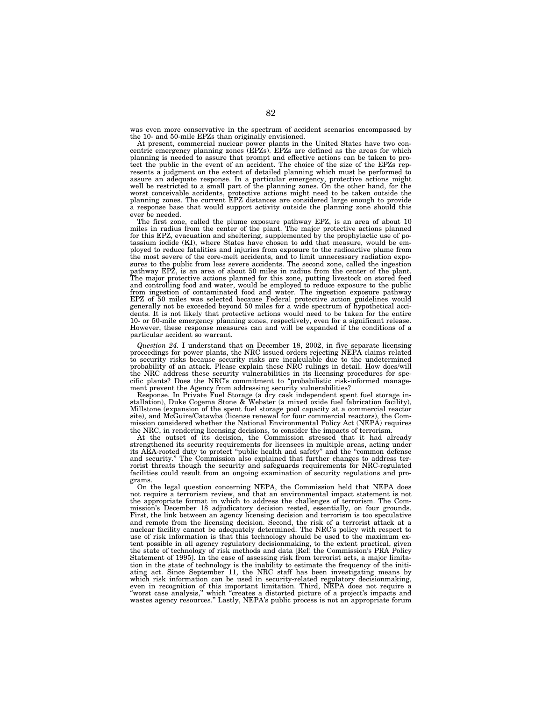was even more conservative in the spectrum of accident scenarios encompassed by the 10- and 50-mile EPZs than originally envisioned.

At present, commercial nuclear power plants in the United States have two concentric emergency planning zones (EPZs). EPZs are defined as the areas for which planning is needed to assure that prompt and effective actions can be taken to protect the public in the event of an accident. The choice of the size of the EPZs represents a judgment on the extent of detailed planning which must be performed to assure an adequate response. In a particular emergency, protective actions might well be restricted to a small part of the planning zones. On the other hand, for the worst conceivable accidents, protective actions might need to be taken outside the planning zones. The current EPZ distances are considered large enough to provide a response base that would support activity outside the planning zone should this ever be needed.

The first zone, called the plume exposure pathway EPZ, is an area of about 10 miles in radius from the center of the plant. The major protective actions planned for this EPZ, evacuation and sheltering, supplemented by the prophylactic use of potassium iodide (KI), where States have chosen to add that measure, would be employed to reduce fatalities and injuries from exposure to the radioactive plume from the most severe of the core-melt accidents, and to limit unnecessary radiation exposures to the public from less severe accidents. The second zone, called the ingestion pathway EPZ, is an area of about 50 miles in radius from the center of the plant. The major protective actions planned for this zone, putting livestock on stored feed and controlling food and water, would be employed to reduce exposure to the public from ingestion of contaminated food and water. The ingestion exposure pathway EPZ of 50 miles was selected because Federal protective action guidelines would generally not be exceeded beyond 50 miles for a wide spectrum of hypothetical accidents. It is not likely that protective actions would need to be taken for the entire 10- or 50-mile emergency planning zones, respectively, even for a significant release. However, these response measures can and will be expanded if the conditions of a particular accident so warrant.

*Question 24.* I understand that on December 18, 2002, in five separate licensing proceedings for power plants, the NRC issued orders rejecting NEPA claims related to security risks because security risks are incalculable due to the undetermined probability of an attack. Please explain these NRC rulings in detail. How does/will the NRC address these security vulnerabilities in its licensing procedures for specific plants? Does the NRC's commitment to ''probabilistic risk-informed management prevent the Agency from addressing security vulnerabilities?

Response. In Private Fuel Storage (a dry cask independent spent fuel storage installation), Duke Cogema Stone & Webster (a mixed oxide fuel fabrication facility), Millstone (expansion of the spent fuel storage pool capacity at a commercial reactor site), and McGuire/Catawba (license renewal for four commercial reactors), the Commission considered whether the National Environmental Policy Act (NEPA) requires the NRC, in rendering licensing decisions, to consider the impacts of terrorism.

At the outset of its decision, the Commission stressed that it had already strengthened its security requirements for licensees in multiple areas, acting under its AEA-rooted duty to protect ''public health and safety'' and the ''common defense and security.'' The Commission also explained that further changes to address terrorist threats though the security and safeguards requirements for NRC-regulated facilities could result from an ongoing examination of security regulations and programs.

On the legal question concerning NEPA, the Commission held that NEPA does not require a terrorism review, and that an environmental impact statement is not the appropriate format in which to address the challenges of terrorism. The Commission's December 18 adjudicatory decision rested, essentially, on four grounds. First, the link between an agency licensing decision and terrorism is too speculative and remote from the licensing decision. Second, the risk of a terrorist attack at a nuclear facility cannot be adequately determined. The NRC's policy with respect to use of risk information is that this technology should be used to the maximum extent possible in all agency regulatory decisionmaking, to the extent practical, given the state of technology of risk methods and data [Ref: the Commission's PRA Policy Statement of 1995]. In the case of assessing risk from terrorist acts, a major limitation in the state of technology is the inability to estimate the frequency of the initiating act. Since September 11, the NRC staff has been investigating means by which risk information can be used in security-related regulatory decisionmaking, even in recognition of this important limitation. Third, NEPA does not require a ''worst case analysis,'' which ''creates a distorted picture of a project's impacts and wastes agency resources." Lastly, NEPA's public process is not an appropriate forum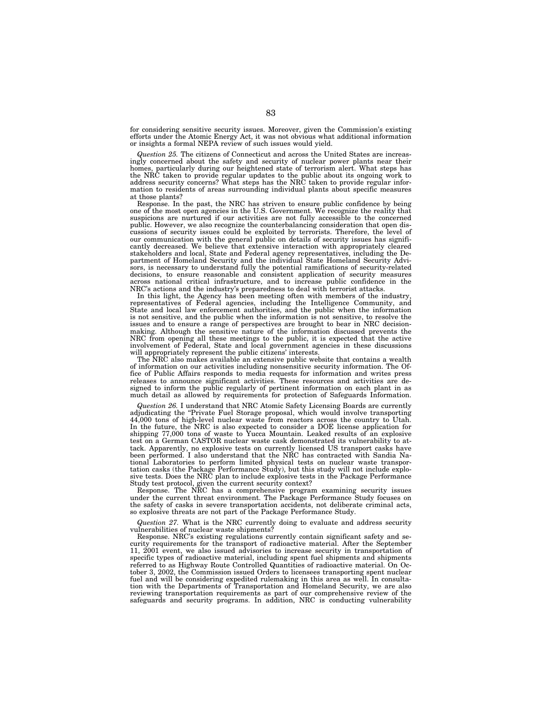for considering sensitive security issues. Moreover, given the Commission's existing efforts under the Atomic Energy Act, it was not obvious what additional information or insights a formal NEPA review of such issues would yield.

*Question 25.* The citizens of Connecticut and across the United States are increasingly concerned about the safety and security of nuclear power plants near their homes, particularly during our heightened state of terrorism alert. What steps has the NRC taken to provide regular updates to the public about its ongoing work to address security concerns? What steps has the NRC taken to provide regular information to residents of areas surrounding individual plants about specific measures at those plants?

Response. In the past, the NRC has striven to ensure public confidence by being one of the most open agencies in the U.S. Government. We recognize the reality that suspicions are nurtured if our activities are not fully accessible to the concerned public. However, we also recognize the counterbalancing consideration that open discussions of security issues could be exploited by terrorists. Therefore, the level of our communication with the general public on details of security issues has significantly decreased. We believe that extensive interaction with appropriately cleared stakeholders and local, State and Federal agency representatives, including the Department of Homeland Security and the individual State Homeland Security Advisors, is necessary to understand fully the potential ramifications of security-related decisions, to ensure reasonable and consistent application of security measures across national critical infrastructure, and to increase public confidence in the NRC's actions and the industry's preparedness to deal with terrorist attacks.

In this light, the Agency has been meeting often with members of the industry, representatives of Federal agencies, including the Intelligence Community, and State and local law enforcement authorities, and the public when the information is not sensitive, and the public when the information is not sensitive, to resolve the issues and to ensure a range of perspectives are brought to bear in NRC decisionmaking. Although the sensitive nature of the information discussed prevents the NRC from opening all these meetings to the public, it is expected that the active involvement of Federal, State and local government agencies in these discussions will appropriately represent the public citizens' interests.

The NRC also makes available an extensive public website that contains a wealth of information on our activities including nonsensitive security information. The Office of Public Affairs responds to media requests for information and writes press releases to announce significant activities. These resources and activities are designed to inform the public regularly of pertinent information on each plant in as much detail as allowed by requirements for protection of Safeguards Information.

*Question 26.* I understand that NRC Atomic Safety Licensing Boards are currently adjudicating the ''Private Fuel Storage proposal, which would involve transporting 44,000 tons of high-level nuclear waste from reactors across the country to Utah. In the future, the NRC is also expected to consider a DOE license application for shipping 77,000 tons of waste to Yucca Mountain. Leaked results of an explosive test on a German CASTOR nuclear waste cask demonstrated its vulnerability to attack. Apparently, no explosive tests on currently licensed US transport casks have been performed. I also understand that the NRC has contracted with Sandia National Laboratories to perform limited physical tests on nuclear waste transportation casks (the Package Performance Study), but this study will not include explosive tests. Does the NRC plan to include explosive tests in the Package Performance Study test protocol, given the current security context?

Response. The NRC has a comprehensive program examining security issues under the current threat environment. The Package Performance Study focuses on the safety of casks in severe transportation accidents, not deliberate criminal acts, so explosive threats are not part of the Package Performance Study.

*Question 27.* What is the NRC currently doing to evaluate and address security vulnerabilities of nuclear waste shipments?

Response. NRC's existing regulations currently contain significant safety and security requirements for the transport of radioactive material. After the September 11, 2001 event, we also issued advisories to increase security in transportation of specific types of radioactive material, including spent fuel shipments and shipments referred to as Highway Route Controlled Quantities of radioactive material. On October 3, 2002, the Commission issued Orders to licensees transporting spent nuclear fuel and will be considering expedited rulemaking in this area as well. In consultation with the Departments of Transportation and Homeland Security, we are also reviewing transportation requirements as part of our comprehensive review of the safeguards and security programs. In addition, NRC is conducting vulnerability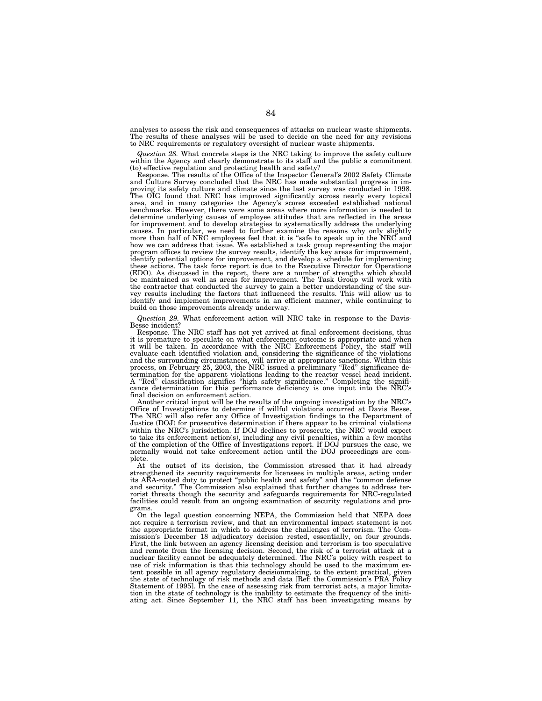analyses to assess the risk and consequences of attacks on nuclear waste shipments. The results of these analyses will be used to decide on the need for any revisions to NRC requirements or regulatory oversight of nuclear waste shipments.

*Question 28.* What concrete steps is the NRC taking to improve the safety culture within the Agency and clearly demonstrate to its staff and the public a commitment (to) effective regulation and protecting health and safety? Response. The results of the Office of the Inspector General's 2002 Safety Climate

and Culture Survey concluded that the NRC has made substantial progress in improving its safety culture and climate since the last survey was conducted in 1998. The OIG found that NRC has improved significantly across nearly every topical area, and in many categories the Agency's scores exceeded established national benchmarks. However, there were some areas where more information is needed to determine underlying causes of employee attitudes that are reflected in the areas for improvement and to develop strategies to systematically address the underlying causes. In particular, we need to further examine the reasons why only slightly more than half of NRC employees feel that it is "safe to speak up in the NRC and how we can address that issue. We established a task group representing the major program offices to review the survey results, identify the key areas for improvement, identify potential options for improvement, and develop a schedule for implementing these actions. The task force report is due to the Executive Director for Operations (EDO). As discussed in the report, there are a number of strengths which should be maintained as well as areas for improvement. The Task Group will work with the contractor that conducted the survey to gain a better understanding of the survey results including the factors that influenced the results. This will allow us to identify and implement improvements in an efficient manner, while continuing to build on those improvements already underway.

*Question 29.* What enforcement action will NRC take in response to the Davis-Besse incident?

Response. The NRC staff has not yet arrived at final enforcement decisions, thus it is premature to speculate on what enforcement outcome is appropriate and when<br>it will be taken. In accordance with the NRC Enforcement Policy, the staff will<br>evaluate each identified violation and, considering the signi and the surrounding circumstances, will arrive at appropriate sanctions. Within this process, on February 25, 2003, the NRC issued a preliminary ''Red'' significance determination for the apparent violations leading to the reactor vessel head incident. A ''Red'' classification signifies ''high safety significance.'' Completing the significance determination for this performance deficiency is one input into the NRC's final decision on enforcement action.<br>Another critical input will be the results of the ongoing investigation by the NRC's

Office of Investigations to determine if willful violations occurred at Davis Besse. The NRC will also refer any Office of Investigation findings to the Department of Justice (DOJ) for prosecutive determination if there appear to be criminal violations within the NRC's jurisdiction. If DOJ declines to prosecute, the NRC would expect to take its enforcement action(s), including any civil penalties, within a few months of the completion of the Office of Investigations report. If DOJ pursues the case, we normally would not take enforcement action until the DOJ proceedings are complete.

At the outset of its decision, the Commission stressed that it had already strengthened its security requirements for licensees in multiple areas, acting under its AEA-rooted duty to protect ''public health and safety'' and the ''common defense and security.'' The Commission also explained that further changes to address terrorist threats though the security and safeguards requirements for NRC-regulated facilities could result from an ongoing examination of security regulations and programs.

On the legal question concerning NEPA, the Commission held that NEPA does not require a terrorism review, and that an environmental impact statement is not the appropriate format in which to address the challenges of terrorism. The Commission's December 18 adjudicatory decision rested, essentially, on four grounds. First, the link between an agency licensing decision and terrorism is too speculative and remote from the licensing decision. Second, the risk of a terrorist attack at a nuclear facility cannot be adequately determined. The NRC's policy with respect to use of risk information is that this technology should be used to the maximum extent possible in all agency regulatory decisionmaking, to the extent practical, given the state of technology of risk methods and data [Ref: the Commission's PRA Policy Statement of 1995]. In the case of assessing risk from terrorist acts, a major limita-tion in the state of technology is the inability to estimate the frequency of the initiating act. Since September 11, the NRC staff has been investigating means by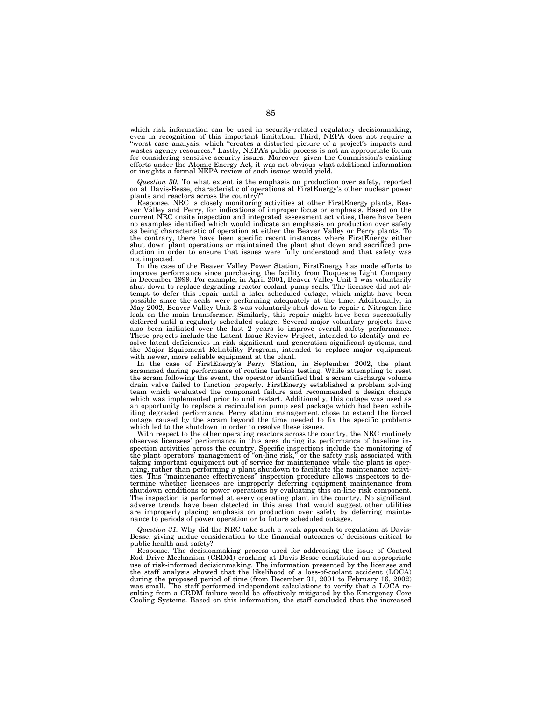which risk information can be used in security-related regulatory decisionmaking, even in recognition of this important limitation. Third, NEPA does not require a "worst case analysis, which "creates a distorted picture of a project's impacts and wastes agency resources." Lastly, NEPA's public process i for considering sensitive security issues. Moreover, given the Commission's existing efforts under the Atomic Energy Act, it was not obvious what additional information or insights a formal NEPA review of such issues would yield.

*Question 30.* To what extent is the emphasis on production over safety, reported on at Davis-Besse, characteristic of operations at FirstEnergy's other nuclear power plants and reactors across the country?"

Response. NRC is closely monitoring activities at other FirstEnergy plants, Beaver Valley and Perry, for indications of improper focus or emphasis. Based on the current NRC onsite inspection and integrated assessment activities, there have been no examples identified which would indicate an emphasis on production over safety as being characteristic of operation at either the Beaver Valley or Perry plants. To the contrary, there have been specific recent instances where FirstEnergy either shut down plant operations or maintained the plant shut down and sacrificed production in order to ensure that issues were fully understood and that safety was not impacted.

In the case of the Beaver Valley Power Station, FirstEnergy has made efforts to improve performance since purchasing the facility from Duquesne Light Company in December 1999. For example, in April 2001, Beaver Valley Unit 1 was voluntarily shut down to replace degrading reactor coolant pump seals. The licensee did not attempt to defer this repair until a later scheduled outage, which might have been possible since the seals were performing adequately at the time. Additionally, in May 2002, Beaver Valley Unit 2 was voluntarily shut down to repair a Nitrogen line leak on the main transformer. Similarly, this repair might have been successfully deferred until a regularly scheduled outage. Several major voluntary projects have also been initiated over the last 2 years to improve overall safety performance. These projects include the Latent Issue Review Project, intended to identify and resolve latent deficiencies in risk significant and generation significant systems, and the Major Equipment Reliability Program, intended to replace major equipment with newer, more reliable equipment at the plant.

In the case of FirstEnergy's Perry Station, in September 2002, the plant scrammed during performance of routine turbine testing. While attempting to reset the scram following the event, the operator identified that a scram discharge volume drain valve failed to function properly. FirstEnergy established a problem solving team which evaluated the component failure and recommended a design change which was implemented prior to unit restart. Additionally, this outage was used as an opportunity to replace a recirculation pump seal package which had been exhibiting degraded performance. Perry station management chose to extend the forced outage caused by the scram beyond the time needed to fix the specific problems which led to the shutdown in order to resolve these issues.

With respect to the other operating reactors across the country, the NRC routinely observes licensees' performance in this area during its performance of baseline inspection activities across the country. Specific inspections include the monitoring of the plant operators' management of ''on-line risk,'' or the safety risk associated with taking important equipment out of service for maintenance while the plant is operating, rather than performing a plant shutdown to facilitate the maintenance activities. This ''maintenance effectiveness'' inspection procedure allows inspectors to determine whether licensees are improperly deferring equipment maintenance from shutdown conditions to power operations by evaluating this on-line risk component. The inspection is performed at every operating plant in the country. No significant adverse trends have been detected in this area that would suggest other utilities are improperly placing emphasis on production over safety by deferring maintenance to periods of power operation or to future scheduled outages.

*Question 31.* Why did the NRC take such a weak approach to regulation at Davis-Besse, giving undue consideration to the financial outcomes of decisions critical to public health and safety?

Response. The decisionmaking process used for addressing the issue of Control Rod Drive Mechanism (CRDM) cracking at Davis-Besse constituted an appropriate use of risk-informed decisionmaking. The information presented by the licensee and the staff analysis showed that the likelihood of a loss-of-coolant accident (LOCA) during the proposed period of time (from December 31, 2001 to February 16, 2002) was small. The staff performed independent calculations to verify that a LOCA re-sulting from a CRDM failure would be effectively mitigated by the Emergency Core Cooling Systems. Based on this information, the staff concluded that the increased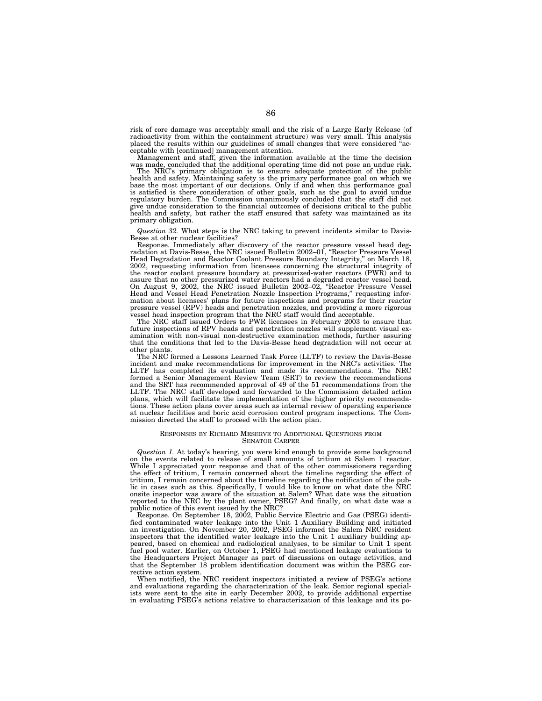risk of core damage was acceptably small and the risk of a Large Early Release (of radioactivity from within the containment structure) was very small. This analysis placed the results within our guidelines of small changes that were considered ''ac- ceptable with [continued] management attention.

Management and staff, given the information available at the time the decision was made, concluded that the additional operating time did not pose an undue risk.<br>The NRC's primary obligation is to ensure adequate protectio

health and safety. Maintaining safety is the primary performance goal on which we base the most important of our decisions. Only if and when this performance goal is satisfied is there consideration of other goals, such as the goal to avoid undue regulatory burden. The Commission unanimously concluded that the staff did not give undue consideration to the financial outcomes of decisions critical to the public health and safety, but rather the staff ensured that safety was maintained as its primary obligation.

*Question 32.* What steps is the NRC taking to prevent incidents similar to Davis-Besse at other nuclear facilities?

Response. Immediately after discovery of the reactor pressure vessel head deg-radation at Davis-Besse, the NRC issued Bulletin 2002–01, ''Reactor Pressure Vessel Head Degradation and Reactor Coolant Pressure Boundary Integrity,'' on March 18, 2002, requesting information from licensees concerning the structural integrity of the reactor coolant pressure boundary at pressurized-water reactors (PWR) and to assure that no other pressurized water reactors had a degraded reactor vessel head. On August 9, 2002, the NRC issued Bulletin 2002–02, ''Reactor Pressure Vessel Head and Vessel Head Penetration Nozzle Inspection Programs,'' requesting information about licensees' plans for future inspections and programs for their reactor pressure vessel (RPV) heads and penetration nozzles, and providing a more rigorous

vessel head inspection program that the NRC staff would find acceptable. The NRC staff issued Orders to PWR licensees in February 2003 to ensure that future inspections of RPV heads and penetration nozzles will supplement visual examination with non-visual non-destructive examination methods, further assuring that the conditions that led to the Davis-Besse head degradation will not occur at other plants.

The NRC formed a Lessons Learned Task Force (LLTF) to review the Davis-Besse incident and make recommendations for improvement in the NRC's activities. The LLTF has completed its evaluation and made its recommendations. The NRC formed a Senior Management Review Team (SRT) to review the recommendations and the SRT has recommended approval of 49 of the 51 recommendations from the LLTF. The NRC staff developed and forwarded to the Commission detailed action plans, which will facilitate the implementation of the higher priority recommendations. These action plans cover areas such as internal review of operating experience at nuclear facilities and boric acid corrosion control program inspections. The Commission directed the staff to proceed with the action plan.

#### RESPONSES BY RICHARD MESERVE TO ADDITIONAL QUESTIONS FROM SENATOR CARPER

*Question 1.* At today's hearing, you were kind enough to provide some background on the events related to release of small amounts of tritium at Salem 1 reactor. While I appreciated your response and that of the other commissioners regarding the effect of tritium, I remain concerned about the timeline regarding the effect of tritium, I remain concerned about the timeline regarding the notification of the pub-<br>lic in cases such as this. Specifically, I would like to know on what date the NRC<br>onsite inspector was aware of the situation at Salem? reported to the NRC by the plant owner, PSEG? And finally, on what date was a public notice of this event issued by the NRC?

Response. On September 18, 2002, Public Service Electric and Gas (PSEG) identified contaminated water leakage into the Unit 1 Auxiliary Building and initiated an investigation. On November 20, 2002, PSEG informed the Salem NRC resident inspectors that the identified water leakage into the Unit 1 auxiliary building appeared, based on chemical and radiological analyses, to be similar to Unit 1 spent fuel pool water. Earlier, on October 1, PSEG had mentioned leakage evaluations to the Headquarters Project Manager as part of discussions on outage activities, and that the September 18 problem identification document was within the PSEG corrective action system.

When notified, the NRC resident inspectors initiated a review of PSEG's actions and evaluations regarding the characterization of the leak. Senior regional specialists were sent to the site in early December 2002, to provide additional expertise in evaluating PSEG's actions relative to characterization of this leakage and its po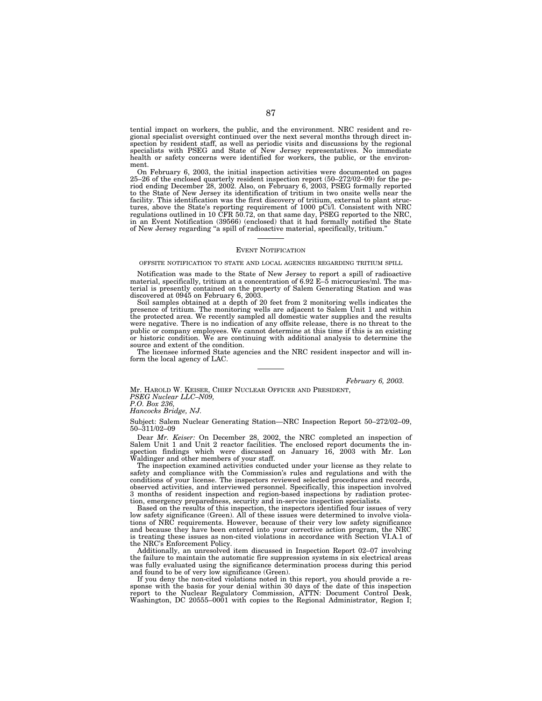tential impact on workers, the public, and the environment. NRC resident and regional specialist oversight continued over the next several months through direct inspection by resident staff, as well as periodic visits and discussions by the regional specialists with PSEG and State of New Jersey representatives. No immediate health or safety concerns were identified for workers, the public, or the environment.

On February 6, 2003, the initial inspection activities were documented on pages 25–26 of the enclosed quarterly resident inspection report (50–272/02–09) for the period ending December 28, 2002. Also, on February 6, 2003, PSEG formally reported to the State of New Jersey its identification of tritium in two onsite wells near the facility. This identification was the first discovery of tritium, external to plant structures, above the State's reporting requirement of 1000 pCi/l. Consistent with NRC regulations outlined in 10 CFR 50.72, on that same day, PSEG reported to the NRC, in an Event Notification (39566) (enclosed) that it had formally notified the State of New Jersey regarding ''a spill of radioactive material, specifically, tritium.''

# EVENT NOTIFICATION

## OFFSITE NOTIFICATION TO STATE AND LOCAL AGENCIES REGARDING TRITIUM SPILL

Notification was made to the State of New Jersey to report a spill of radioactive material, specifically, tritium at a concentration of 6.92 E–5 microcuries/ml. The material is presently contained on the property of Salem Generating Station and was discovered at 0945 on February 6, 2003.

Soil samples obtained at a depth of 20 feet from 2 monitoring wells indicates the presence of tritium. The monitoring wells are adjacent to Salem Unit 1 and within the protected area. We recently sampled all domestic water supplies and the results were negative. There is no indication of any offsite release, there is no threat to the public or company employees. We cannot determine at this time if this is an existing or historic condition. We are continuing with additional analysis to determine the source and extent of the condition.

The licensee informed State agencies and the NRC resident inspector and will inform the local agency of LAC.

# *February 6, 2003.*

Mr. HAROLD W. KEISER, CHIEF NUCLEAR OFFICER AND PRESIDENT, *PSEG Nuclear LLC–N09, P.O. Box 236,*

*Hancocks Bridge, NJ.*

Subject: Salem Nuclear Generating Station—NRC Inspection Report 50–272/02–09, 50–311/02–09

Dear *Mr. Keiser:* On December 28, 2002, the NRC completed an inspection of Salem Unit 1 and Unit 2 reactor facilities. The enclosed report documents the inspection findings which were discussed on January 16, 2003 with Mr. Lon Waldinger and other members of your staff.

The inspection examined activities conducted under your license as they relate to safety and compliance with the Commission's rules and regulations and with the conditions of your license. The inspectors reviewed selected procedures and records, observed activities, and interviewed personnel. Specifically, this inspection involved 3 months of resident inspection and region-based inspections by radiation protection, emergency preparedness, security and in-service inspection specialists.

Based on the results of this inspection, the inspectors identified four issues of very low safety significance (Green). All of these issues were determined to involve violations of NRC requirements. However, because of their very low safety significance and because they have been entered into your corrective action program, the NRC is treating these issues as non-cited violations in accordance with Section VI.A.1 of the NRC's Enforcement Policy.

Additionally, an unresolved item discussed in Inspection Report 02–07 involving the failure to maintain the automatic fire suppression systems in six electrical areas was fully evaluated using the significance determination process during this period and found to be of very low significance (Green).

If you deny the non-cited violations noted in this report, you should provide a response with the basis for your denial within 30 days of the date of this inspection report to the Nuclear Regulatory Commission, ATTN: Document Control Desk, Washington, DC 20555–0001 with copies to the Regional Administrator, Region I;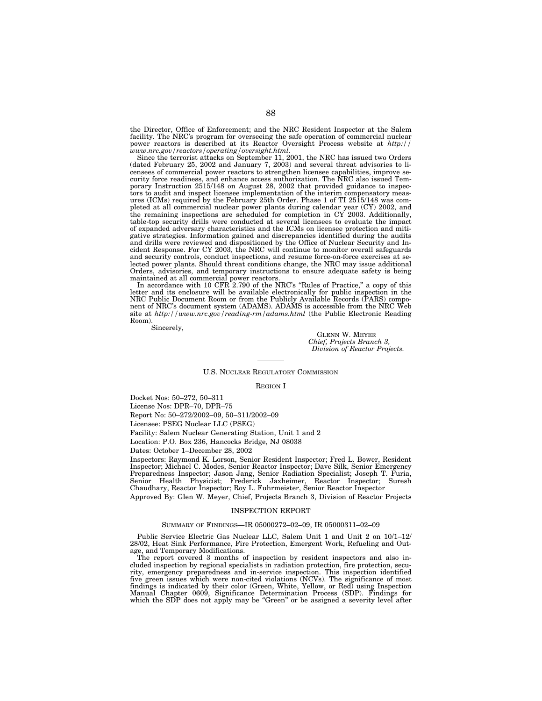the Director, Office of Enforcement; and the NRC Resident Inspector at the Salem facility. The NRC's program for overseeing the safe operation of commercial nuclear power reactors is described at its Reactor Oversight Process website at *http:// www.nrc.gov/reactors/operating/oversight.html.*

Since the terrorist attacks on September 11, 2001, the NRC has issued two Orders (dated February 25, 2002 and January 7, 2003) and several threat advisories to licensees of commercial power reactors to strengthen licensee capabilities, improve security force readiness, and enhance access authorization. The NRC also issued Temporary Instruction 2515/148 on August 28, 2002 that provided guidance to inspectors to audit and inspect licensee implementation of the interim compensatory measures (ICMs) required by the February 25th Order. Phase 1 of TI 2515/148 was completed at all commercial nuclear power plants during calendar year (CY) 2002, and the remaining inspections are scheduled for completion in CY 2003. Additionally, table-top security drills were conducted at several licensees to evaluate the impact of expanded adversary characteristics and the ICMs on licensee protection and mitigative strategies. Information gained and discrepancies identified during the audits and drills were reviewed and dispositioned by the Office of Nuclear Security and Incident Response. For CY 2003, the NRC will continue to monitor overall safeguards and security controls, conduct inspections, and resume force-on-force exercises at selected power plants. Should threat conditions change, the NRC may issue additional Orders, advisories, and temporary instructions to ensure adequate safety is being maintained at all commercial power reactors.

In accordance with 10 CFR 2.790 of the NRC's "Rules of Practice," a copy of this letter and its enclosure will be available electronically for public inspection in the NRC Public Document Room or from the Publicly Available Records (PARS) component of NRC's document system (ADAMS). ADAMS is accessible from the NRC Web site at *http://www.nrc.gov/reading-rm/adams.html* (the Public Electronic Reading Room).

Sincerely,

GLENN W. MEYER *Chief, Projects Branch 3, Division of Reactor Projects.*

# U.S. NUCLEAR REGULATORY COMMISSION

REGION I

Docket Nos: 50–272, 50–311

License Nos: DPR–70, DPR–75

Report No: 50–272/2002–09, 50–311/2002–09

Licensee: PSEG Nuclear LLC (PSEG)

Facility: Salem Nuclear Generating Station, Unit 1 and 2

Location: P.O. Box 236, Hancocks Bridge, NJ 08038

Dates: October 1–December 28, 2002

Inspectors: Raymond K. Lorson, Senior Resident Inspector; Fred L. Bower, Resident Inspector; Michael C. Modes, Senior Reactor Inspector; Dave Silk, Senior Emergency Preparedness Inspector; Jason Jang, Senior Radiation Specialist; Joseph T. Furia, Senior Health Physicist; Frederick Jaxheimer, Reactor Inspector; Suresh Chaudhary, Reactor Inspector; Roy L. Fuhrmeister, Senior Reactor Inspector

Approved By: Glen W. Meyer, Chief, Projects Branch 3, Division of Reactor Projects

# INSPECTION REPORT

## SUMMARY OF FINDINGS—IR 05000272–02–09, IR 05000311–02–09

Public Service Electric Gas Nuclear LLC, Salem Unit 1 and Unit 2 on 10/1–12/ 28/02, Heat Sink Performance, Fire Protection, Emergent Work, Refueling and Outage, and Temporary Modifications.

The report covered 3 months of inspection by resident inspectors and also included inspection by regional specialists in radiation protection, fire protection, security, emergency preparedness and in-service inspection. This inspection identified five green issues which were non-cited violations (NCVs). The significance of most findings is indicated by their color (Green, White, Yellow, or Red) using Inspection Manual Chapter 0609, Significance Determination Process (SDP). Findings for which the SDP does not apply may be "Green" or be assigned a severity level after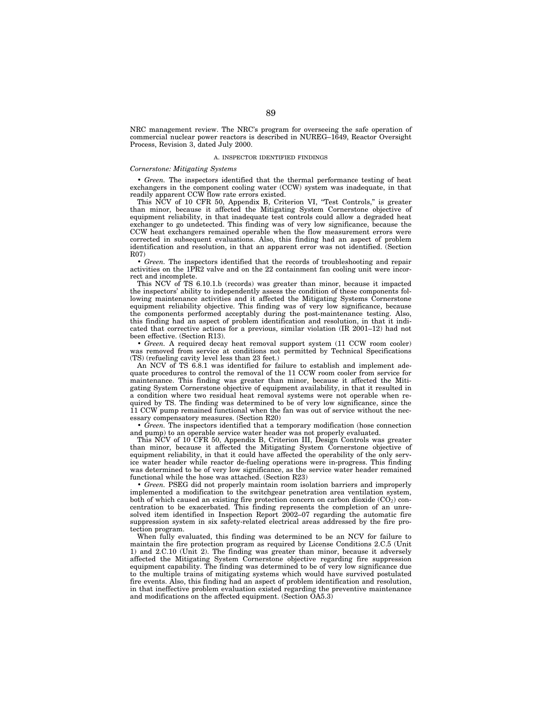NRC management review. The NRC's program for overseeing the safe operation of commercial nuclear power reactors is described in NUREG–1649, Reactor Oversight Process, Revision 3, dated July 2000.

# A. INSPECTOR IDENTIFIED FINDINGS

# *Cornerstone: Mitigating Systems*

• *Green.* The inspectors identified that the thermal performance testing of heat exchangers in the component cooling water (CCW) system was inadequate, in that readily apparent CCW flow rate errors existed.

This NCV of 10 CFR 50, Appendix B, Criterion VI, "Test Controls," is greater than minor, because it affected the Mitigating System Cornerstone objective of equipment reliability, in that inadequate test controls could allow a degraded heat exchanger to go undetected. This finding was of very low significance, because the CCW heat exchangers remained operable when the flow measurement errors were corrected in subsequent evaluations. Also, this finding had an aspect of problem identification and resolution, in that an apparent error was not identified. (Section R07)

• *Green.* The inspectors identified that the records of troubleshooting and repair activities on the 1PR2 valve and on the 22 containment fan cooling unit were incorrect and incomplete.

This NCV of TS 6.10.1.b (records) was greater than minor, because it impacted the inspectors' ability to independently assess the condition of these components following maintenance activities and it affected the Mitigating Systems Cornerstone equipment reliability objective. This finding was of very low significance, because the components performed acceptably during the post-maintenance testing. Also, this finding had an aspect of problem identification and resolution, in that it indicated that corrective actions for a previous, similar violation (IR 2001–12) had not been effective. (Section R13).

• *Green.* A required decay heat removal support system (11 CCW room cooler) was removed from service at conditions not permitted by Technical Specifications (TS) (refueling cavity level less than 23 feet.)

An NCV of TS 6.8.1 was identified for failure to establish and implement adequate procedures to control the removal of the 11 CCW room cooler from service for maintenance. This finding was greater than minor, because it affected the Mitigating System Cornerstone objective of equipment availability, in that it resulted in a condition where two residual heat removal systems were not operable when required by TS. The finding was determined to be of very low significance, since the 11 CCW pump remained functional when the fan was out of service without the necessary compensatory measures. (Section R20)

• *Green.* The inspectors identified that a temporary modification (hose connection and pump) to an operable service water header was not properly evaluated.

This NCV of 10 CFR 50, Appendix B, Criterion III, Design Controls was greater than minor, because it affected the Mitigating System Cornerstone objective of equipment reliability, in that it could have affected the operability of the only service water header while reactor de-fueling operations were in-progress. This finding was determined to be of very low significance, as the service water header remained functional while the hose was attached. (Section R23)

• *Green.* PSEG did not properly maintain room isolation barriers and improperly implemented a modification to the switchgear penetration area ventilation system, both of which caused an existing fire protection concern on carbon dioxide  $(CO_2)$  concentration to be exacerbated. This finding represents the completion of an unresolved item identified in Inspection Report 2002–07 regarding the automatic fire suppression system in six safety-related electrical areas addressed by the fire protection program.

When fully evaluated, this finding was determined to be an NCV for failure to maintain the fire protection program as required by License Conditions 2.C.5 (Unit 1) and 2.C.10 (Unit 2). The finding was greater than minor, because it adversely affected the Mitigating System Cornerstone objective regarding fire suppression equipment capability. The finding was determined to be of very low significance due to the multiple trains of mitigating systems which would have survived postulated fire events. Also, this finding had an aspect of problem identification and resolution, in that ineffective problem evaluation existed regarding the preventive maintenance and modifications on the affected equipment. (Section OA5.3)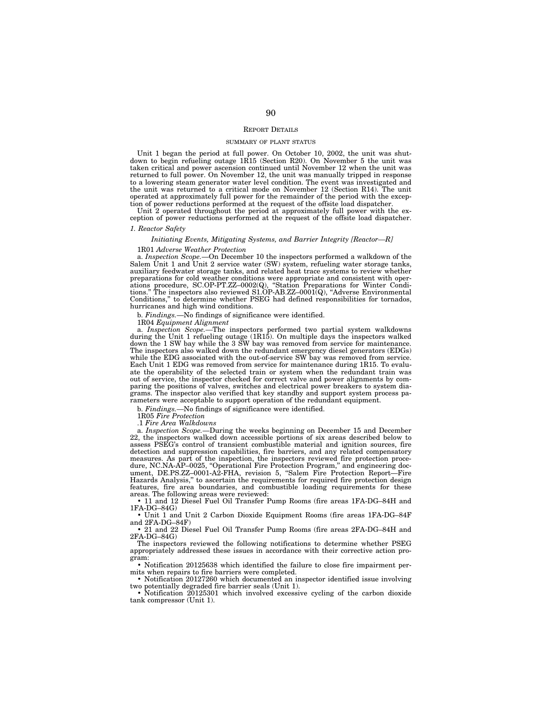# REPORT DETAILS

#### SUMMARY OF PLANT STATUS

Unit 1 began the period at full power. On October 10, 2002, the unit was shutdown to begin refueling outage 1R15 (Section R20). On November 5 the unit was taken critical and power ascension continued until November 12 when the unit was returned to full power. On November 12, the unit was manually tripped in response to a lowering steam generator water level condition. The event was investigated and the unit was returned to a critical mode on November 12 (Section R14). The unit operated at approximately full power for the remainder of the period with the exception of power reductions performed at the request of the offsite load dispatcher.

Unit 2 operated throughout the period at approximately full power with the exception of power reductions performed at the request of the offsite load dispatcher.

#### *1. Reactor Safety*

#### *Initiating Events, Mitigating Systems, and Barrier Integrity [Reactor—R]*

#### 1R01 *Adverse Weather Protection*

a. *Inspection Scope.*—On December 10 the inspectors performed a walkdown of the Salem Unit 1 and Unit 2 service water (SW) system, refueling water storage tanks, auxiliary feedwater storage tanks, and related heat trace systems to review whether preparations for cold weather conditions were appropriate and consistent with operations procedure, SC.OP-PT.ZZ–0002(Q), ''Station Preparations for Winter Conditions.'' The inspectors also reviewed S1.OP-AB.ZZ–0001(Q), ''Adverse Environmental Conditions,'' to determine whether PSEG had defined responsibilities for tornados, hurricanes and high wind conditions.

b. *Findings.*—No findings of significance were identified.

1R04 *Equipment Alignment*

a. *Inspection Scope.—*The inspectors performed two partial system walkdowns during the Unit 1 refueling outage (1R15). On multiple days the inspectors walked down the 1 SW bay while the 3 SW bay was removed from service for maintenance. The inspectors also walked down the redundant emergency diesel generators (EDGs) while the EDG associated with the out-of-service SW bay was removed from service. Each Unit 1 EDG was removed from service for maintenance during 1R15. To evaluate the operability of the selected train or system when the redundant train was out of service, the inspector checked for correct valve and power alignments by comparing the positions of valves, switches and electrical power breakers to system diagrams. The inspector also verified that key standby and support system process parameters were acceptable to support operation of the redundant equipment.

b. *Findings.—*No findings of significance were identified.

1R05 *Fire Protection*

.1 *Fire Area Walkdowns*

a. *Inspection Scope.*—During the weeks beginning on December 15 and December 22, the inspectors walked down accessible portions of six areas described below to assess PSEG's control of transient combustible material and ignition sources, fire detection and suppression capabilities, fire barriers, and any related compensatory measures. As part of the inspection, the inspectors reviewed fire protection procedure, NC.NA-AP–0025, ''Operational Fire Protection Program,'' and engineering document, DE.PS.ZZ–0001-A2-FHA, revision 5, ''Salem Fire Protection Report—Fire Hazards Analysis,'' to ascertain the requirements for required fire protection design features, fire area boundaries, and combustible loading requirements for these areas. The following areas were reviewed:

• 11 and 12 Diesel Fuel Oil Transfer Pump Rooms (fire areas 1FA-DG–84H and 1FA-DG–84G)

• Unit 1 and Unit 2 Carbon Dioxide Equipment Rooms (fire areas 1FA-DG–84F and 2FA-DG–84F)

• 21 and 22 Diesel Fuel Oil Transfer Pump Rooms (fire areas 2FA-DG–84H and 2FA-DG–84G)

The inspectors reviewed the following notifications to determine whether PSEG appropriately addressed these issues in accordance with their corrective action program:

• Notification 20125638 which identified the failure to close fire impairment permits when repairs to fire barriers were completed.

• Notification 20127260 which documented an inspector identified issue involving two potentially degraded fire barrier seals (Unit 1).

• Notification 20125301 which involved excessive cycling of the carbon dioxide tank compressor (Unit 1).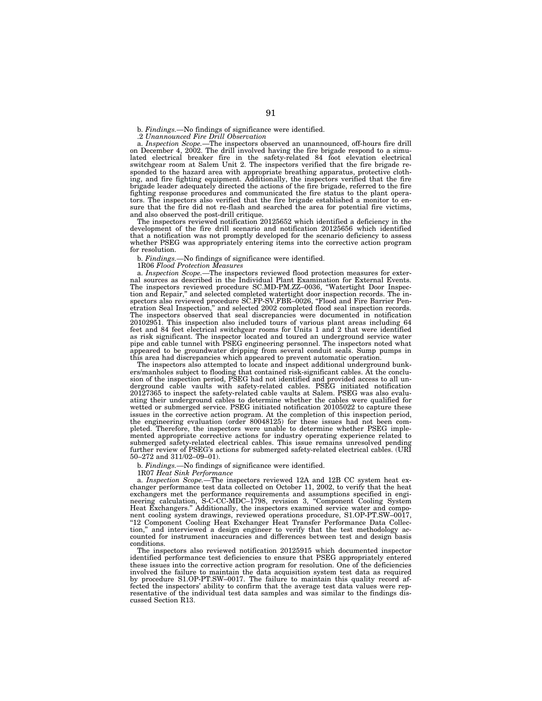.2 *Unannounced Fire Drill Observation*

a. *Inspection Scope.*—The inspectors observed an unannounced, off-hours fire drill on December 4, 2002. The drill involved having the fire brigade respond to a simulated electrical breaker fire in the safety-related 84 foot elevation electrical switchgear room at Salem Unit 2. The inspectors verified that the fire brigade responded to the hazard area with appropriate breathing apparatus, protective clothing, and fire fighting equipment. Additionally, the inspectors verified that the fire brigade leader adequately directed the actions of the fire brigade, referred to the fire fighting response procedures and communicated the fire status to the plant operators. The inspectors also verified that the fire brigade established a monitor to ensure that the fire did not re-flash and searched the area for potential fire victims, and also observed the post-drill critique.

The inspectors reviewed notification 20125652 which identified a deficiency in the development of the fire drill scenario and notification 20125656 which identified that a notification was not promptly developed for the scenario deficiency to assess whether PSEG was appropriately entering items into the corrective action program for resolution.

b. *Findings.—*No findings of significance were identified.

1R06 *Flood Protection Measures*

a. *Inspection Scope.—*The inspectors reviewed flood protection measures for external sources as described in the Individual Plant Examination for External Events. The inspectors reviewed procedure SC.MD-PM.ZZ–0036, ''Watertight Door Inspection and Repair,'' and selected completed watertight door inspection records. The inspectors also reviewed procedure SC.FP-SV.FBR-0026, "Flood and Fire Barrier Penetration Seal Inspection,'' and selected 2002 completed flood seal inspection records. The inspectors observed that seal discrepancies were documented in notification 20102951. This inspection also included tours of various plant areas including 64 feet and 84 feet electrical switchgear rooms for Units 1 and 2 that were identified as risk significant. The inspector located and toured an underground service water pipe and cable tunnel with PSEG engineering personnel. The inspectors noted what appeared to be groundwater dripping from several conduit seals. Sump pumps in this area had discrepancies which appeared to prevent automatic operation.

The inspectors also attempted to locate and inspect additional underground bunkers/manholes subject to flooding that contained risk-significant cables. At the conclusion of the inspection period, PSEG had not identified and provided access to all underground cable vaults with safety-related cables. PSEG initiated notification 20127365 to inspect the safety-related cable vaults at Salem. PSEG was also evaluating their underground cables to determine whether the cables were qualified for wetted or submerged service. PSEG initiated notification 20105022 to capture these issues in the corrective action program. At the completion of this inspection period, the engineering evaluation (order 80048125) for these issues had not been completed. Therefore, the inspectors were unable to determine whether PSEG implemented appropriate corrective actions for industry operating experience related to submerged safety-related electrical cables. This issue remains unresolved pending further review of PSEG's actions for submerged safety-related electrical cables. (URI 50–272 and 311/02–09–01).

b. *Findings.—*No findings of significance were identified.

1R07 *Heat Sink Performance*

a. *Inspection Scope.*—The inspectors reviewed 12A and 12B CC system heat exchanger performance test data collected on October 11, 2002, to verify that the heat exchangers met the performance requirements and assumptions specified in engineering calculation, S-C-CC-MDC–1798, revision 3, ''Component Cooling System Heat Exchangers.'' Additionally, the inspectors examined service water and component cooling system drawings, reviewed operations procedure, S1.OP-PT.SW–0017, "12 Component Cooling Heat Exchanger Heat Transfer Performance Data Collection,'' and interviewed a design engineer to verify that the test methodology accounted for instrument inaccuracies and differences between test and design basis conditions.

The inspectors also reviewed notification 20125915 which documented inspector identified performance test deficiencies to ensure that PSEG appropriately entered these issues into the corrective action program for resolution. One of the deficiencies involved the failure to maintain the data acquisition system test data as required by procedure S1.OP-PT.SW–0017. The failure to maintain this quality record affected the inspectors' ability to confirm that the average test data values were representative of the individual test data samples and was similar to the findings discussed Section R13.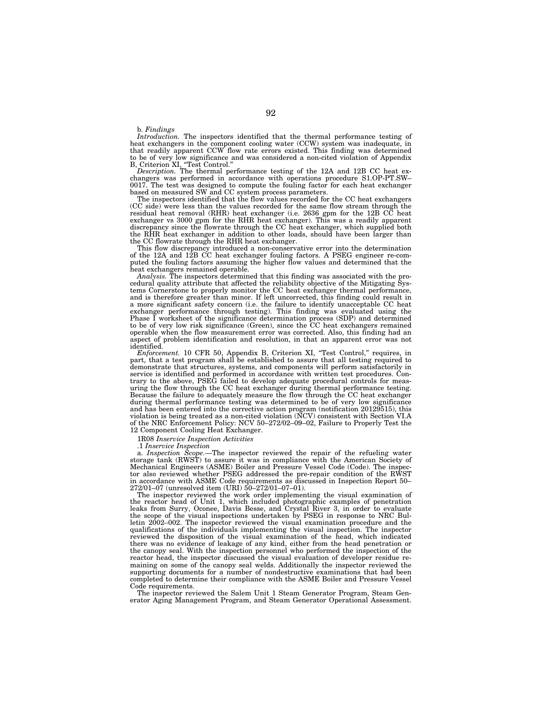#### b. *Findings*

*Introduction.* The inspectors identified that the thermal performance testing of heat exchangers in the component cooling water (CCW) system was inadequate, in that readily apparent CCW flow rate errors existed. This finding was determined to be of very low significance and was considered a non-cited violation of Appendix B, Criterion XI, ''Test Control.'' *Description.* The thermal performance testing of the 12A and 12B CC heat ex-

changers was performed in accordance with operations procedure S1.OP-PT.SW– 0017. The test was designed to compute the fouling factor for each heat exchanger based on measured SW and CC system process parameters.

The inspectors identified that the flow values recorded for the CC heat exchangers (CC side) were less than the values recorded for the same flow stream through the residual heat removal (RHR) heat exchanger (i.e. 2636 gpm for the 12B CC heat exchanger vs 3000 gpm for the RHR heat exchanger). This was a readily apparent discrepancy since the flowrate through the CC heat exchanger, which supplied both the RHR heat exchanger in addition to other loads, should have been larger than the CC flowrate through the RHR heat exchanger.

This flow discrepancy introduced a non-conservative error into the determination of the 12A and 12B CC heat exchanger fouling factors. A PSEG engineer re-computed the fouling factors assuming the higher flow values and determined that the heat exchangers remained operable.

*Analysis.* The inspectors determined that this finding was associated with the pro-cedural quality attribute that affected the reliability objective of the Mitigating Systems Cornerstone to properly monitor the CC heat exchanger thermal performance, and is therefore greater than minor. If left uncorrected, this finding could result in a more significant safety concern (i.e. the failure to identify unacceptable CC heat exchanger performance through testing). This finding was evaluated using the Phase I worksheet of the significance determination process (SDP) and determined to be of very low risk significance (Green), since the CC heat exchangers remained operable when the flow measurement error was corrected. Also, this finding had an aspect of problem identification and resolution, in that an apparent error was not identified.

*Enforcement.* 10 CFR 50, Appendix B, Criterion XI, "Test Control," requires, in part, that a test program shall be established to assure that all testing required to demonstrate that structures, systems, and components will perform satisfactorily in service is identified and performed in accordance with written test procedures. Con-trary to the above, PSEG failed to develop adequate procedural controls for measuring the flow through the CC heat exchanger during thermal performance testing. Because the failure to adequately measure the flow through the CC heat exchanger during thermal performance testing was determined to be of very low significance and has been entered into the corrective action program (notification 20129515), this violation is being treated as a non-cited violation (NCV) consistent with Section VI.A of the NRC Enforcement Policy: NCV 50–272/02–09–02, Failure to Properly Test the 12 Component Cooling Heat Exchanger.

1R08 *Inservice Inspection Activities*

.1 *Inservice Inspection* a. *Inspection Scope.*—The inspector reviewed the repair of the refueling water storage tank (RWST) to assure it was in compliance with the American Society of Mechanical Engineers (ASME) Boiler and Pressure Vessel Code (Code). The inspector also reviewed whether PSEG addressed the pre-repair condition of the RWST in accordance with ASME Code requirements as discussed in Inspection Report 50– 272/01–07 (unresolved item (URI) 50–272/01–07–01).

The inspector reviewed the work order implementing the visual examination of the reactor head of Unit 1, which included photographic examples of penetration leaks from Surry, Oconee, Davis Besse, and Crystal River 3, in order to evaluate the scope of the visual inspections undertaken by PSEG in response to NRC Bul-letin 2002–002. The inspector reviewed the visual examination procedure and the qualifications of the individuals implementing the visual inspection. The inspector reviewed the disposition of the visual examination of the head, which indicated there was no evidence of leakage of any kind, either from the head penetration or the canopy seal. With the inspection personnel who performed the inspection of the reactor head, the inspector discussed the visual evaluation of developer residue remaining on some of the canopy seal welds. Additionally the inspector reviewed the supporting documents for a number of nondestructive examinations that had been completed to determine their compliance with the ASME Boiler and Pressure Vessel Code requirements.

The inspector reviewed the Salem Unit 1 Steam Generator Program, Steam Generator Aging Management Program, and Steam Generator Operational Assessment.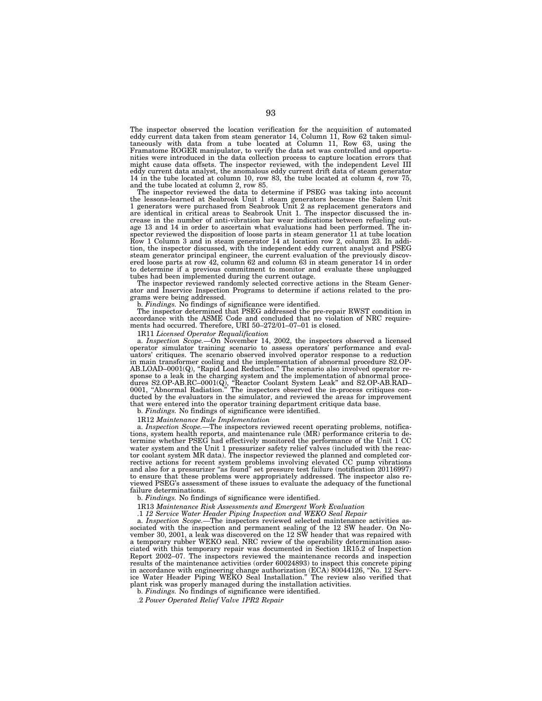The inspector observed the location verification for the acquisition of automated eddy current data taken from steam generator 14, Column 11, Row 62 taken simul-taneously with data from a tube located at Column 11, Row 63, using the Framatome ROGER manipulator, to verify the data set was controlled and opportunities were introduced in the data collection process to capture location errors that might cause data offsets. The inspector reviewed, with the independent Level III eddy current data analyst, the anomalous eddy current drift data of steam generator 14 in the tube located at column 10, row 83, the tube located at column 4, row 75, and the tube located at column 2, row 85.

The inspector reviewed the data to determine if PSEG was taking into account the lessons-learned at Seabrook Unit 1 steam generators because the Salem Unit 1 generators were purchased from Seabrook Unit 2 as replacement generators and are identical in critical areas to Seabrook Unit 1. The inspector discussed the increase in the number of anti-vibration bar wear indications between refueling outage 13 and 14 in order to ascertain what evaluations had been performed. The inspector reviewed the disposition of loose parts in steam generator 11 at tube location Row 1 Column 3 and in steam generator 14 at location row 2, column 23. In addition, the inspector discussed, with the independent eddy current analyst and PSEG steam generator principal engineer, the current evaluation of the previously discovered loose parts at row 42, column 62 and column 63 in steam generator 14 in order to determine if a previous commitment to monitor and evaluate these unplugged

tubes had been implemented during the current outage. The inspector reviewed randomly selected corrective actions in the Steam Generator and Inservice Inspection Programs to determine if actions related to the programs were being addressed.

b. *Findings.* No findings of significance were identified.

The inspector determined that PSEG addressed the pre-repair RWST condition in accordance with the ASME Code and concluded that no violation of NRC requirements had occurred. Therefore, URI 50–272/01–07–01 is closed.

1R11 *Licensed Operator Requalification* a. *Inspection Scope.*—On November 14, 2002, the inspectors observed a licensed operator simulator training scenario to assess operators' performance and evaluators' critiques. The scenario observed involved operator response to a reduction in main transformer cooling and the implementation of abnormal procedure S2.OP-<br>AB.LOAD–0001(Q), "Rapid Load Reduction." The scenario also involved operator re-<br>sponse to a leak in the charging system and the implementatio dures S2.OP-AB.RC–0001(Q), ''Reactor Coolant System Leak'' and S2.OP-AB.RAD– 0001, ''Abnormal Radiation.'' The inspectors observed the in-process critiques conducted by the evaluators in the simulator, and reviewed the areas for improvement that were entered into the operator training department critique data base.

b. *Findings.* No findings of significance were identified.

1R12 *Maintenance Rule Implementation*

a. *Inspection Scope.—*The inspectors reviewed recent operating problems, notifications, system health reports, and maintenance rule (MR) performance criteria to determine whether PSEG had effectively monitored the performance of the Unit 1 CC water system and the Unit 1 pressurizer safety relief valves (included with the reactor coolant system MR data). The inspector reviewed the planned and completed corrective actions for recent system problems involving elevated CC pump vibrations and also for a pressurizer "as found" set pressure test failure (notification 20116997) to ensure that these problems were appropriately addressed. The inspector also reviewed PSEG's assessment of these issues to evaluate the adequacy of the functional failure determinations.

b. *Findings.* No findings of significance were identified.

1R13 *Maintenance Risk Assessments and Emergent Work Evaluation*

.1 *12 Service Water Header Piping Inspection and WEKO Seal Repair*

a. *Inspection Scope.—*The inspectors reviewed selected maintenance activities associated with the inspection and permanent sealing of the 12 SW header. On November 30, 2001, a leak was discovered on the 12 SW header that was repaired with a temporary rubber WEKO seal. NRC review of the operability determination associated with this temporary repair was documented in Section 1R15.2 of Inspection Report 2002–07. The inspectors reviewed the maintenance records and inspection results of the maintenance activities (order 60024893) to inspect this concrete piping in accordance with engineering change authorization (ECA) 80044126, ''No. 12 Service Water Header Piping WEKO Seal Installation.'' The review also verified that plant risk was properly managed during the installation activities. b. *Findings.* No findings of significance were identified.

.2 *Power Operated Relief Valve 1PR2 Repair*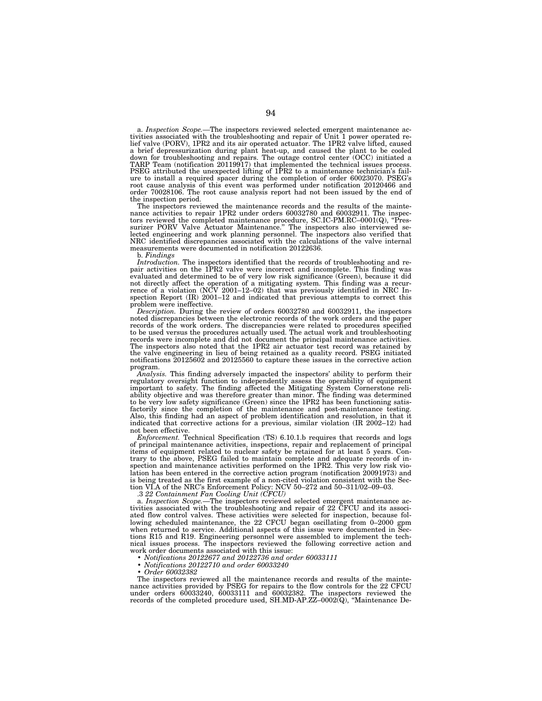a. *Inspection Scope.—*The inspectors reviewed selected emergent maintenance activities associated with the troubleshooting and repair of Unit 1 power operated re-lief valve (PORV), 1PR2 and its air operated actuator. The 1PR2 valve lifted, caused a brief depressurization during plant heat-up, and caused the plant to be cooled<br>down for troubleshooting and repairs. The outage control center (OCC) initiated a<br>TARP Team (notification 20119917) that implemented the tech ure to install a required spacer during the completion of order 60023070. PSEG's<br>root cause analysis of this event was performed under notification 20120466 and<br>order 70028106. The root cause analysis report had not been i the inspection period.

The inspectors reviewed the maintenance records and the results of the mainte-nance activities to repair 1PR2 under orders 60032780 and 60032911. The inspectors reviewed the completed maintenance procedure, SC.IC-PM.RC–0001(Q), ''Pres-surizer PORV Valve Actuator Maintenance.'' The inspectors also interviewed selected engineering and work planning personnel. The inspectors also verified that NRC identified discrepancies associated with the calculations of the valve internal measurements were documented in notification 20122636.

b. *Findings*

*Introduction.* The inspectors identified that the records of troubleshooting and re-pair activities on the 1PR2 valve were incorrect and incomplete. This finding was evaluated and determined to be of very low risk significance (Green), because it did not directly affect the operation of a mitigating system. This finding was a recurrence of a violation (NCV 2001–12–02) that was previously identified in NRC Inspection Report (IR) 2001–12 and indicated that previous attem problem were ineffective.

*Description.* During the review of orders 60032780 and 60032911, the inspectors noted discrepancies between the electronic records of the work orders and the paper records of the work orders. The discrepancies were related to procedures specified to be used versus the procedures actually used. The actual work and troubleshooting records were incomplete and did not document the principal maintenance activities. The inspectors also noted that the 1PR2 air actuator test record was retained by the valve engineering in lieu of being retained as a quality record. PSEG initiated notifications 20125602 and 20125560 to capture these issues in the corrective action program.

*Analysis.* This finding adversely impacted the inspectors' ability to perform their regulatory oversight function to independently assess the operability of equipment important to safety. The finding affected the Mitigating System Cornerstone reli-<br>ability objective and was therefore greater than minor. The finding was determined<br>to be very low safety significance (Green) since the 1PR2 factorily since the completion of the maintenance and post-maintenance testing. Also, this finding had an aspect of problem identification and resolution, in that it indicated that corrective actions for a previous, similar violation (IR 2002–12) had not been effective.

*Enforcement.* Technical Specification (TS) 6.10.1.b requires that records and logs of principal maintenance activities, inspections, repair and replacement of principal items of equipment related to nuclear safety be retained for at least 5 years. Contrary to the above, PSEG failed to maintain complete and adequate records of inspection and maintenance activities performed on the 1PR2. This very low risk violation has been entered in the corrective action program (notification 20091973) and is being treated as the first example of a non-cited violation consistent with the Section VI.A of the NRC's Enforcement Policy: NCV 50–272 and 50–311/02–09–03.

.3 *22 Containment Fan Cooling Unit (CFCU)*

a. *Inspection Scope.*—The inspectors reviewed selected emergent maintenance activities associated with the troubleshooting and repair of 22 CFCU and its associated flow control valves. These activities were selected for inspection, because following scheduled maintenance, the 22 CFCU began oscillating from 0–2000 gpm when returned to service. Additional aspects of this issue were documented in Sections R15 and R19. Engineering personnel were assembled to implement the technical issues process. The inspectors reviewed the following corrective action and work order documents associated with this issue:

• *Notifications 20122677 and 20122736 and order 60033111*

• *Notifications 20122710 and order 60033240*

• *Order 60032382*

The inspectors reviewed all the maintenance records and results of the maintenance activities provided by PSEG for repairs to the flow controls for the 22 CFCU under orders 60033240, 60033111 and 60032382. The inspectors reviewed the records of the completed procedure used, SH.MD-AP.ZZ–0002(Q), ''Maintenance De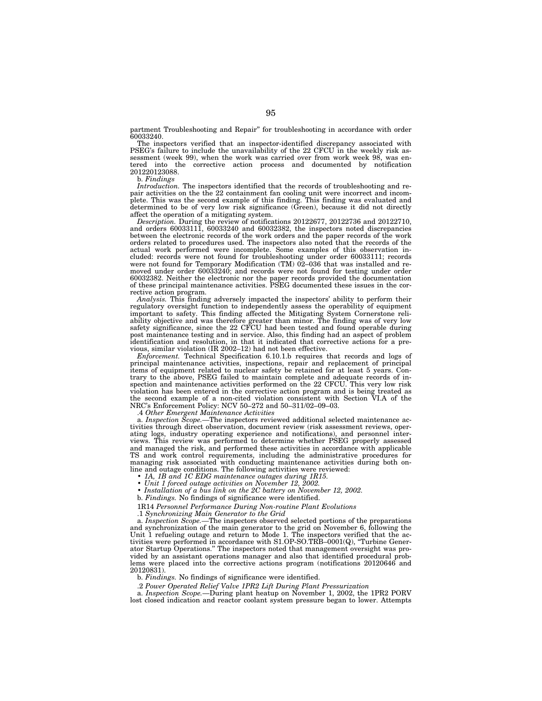partment Troubleshooting and Repair'' for troubleshooting in accordance with order 60033240.

The inspectors verified that an inspector-identified discrepancy associated with PSEG's failure to include the unavailability of the 22 CFCU in the weekly risk assessment (week 99), when the work was carried over from work week 98, was entered into the corrective action process and documented by notification 201220123088.

b. *Findings*

*Introduction.* The inspectors identified that the records of troubleshooting and repair activities on the the 22 containment fan cooling unit were incorrect and incomplete. This was the second example of this finding. This finding was evaluated and determined to be of very low risk significance (Green), because it did not directly affect the operation of a mitigating system.

*Description.* During the review of notifications 20122677, 20122736 and 20122710, and orders 60033111, 60033240 and 60032382, the inspectors noted discrepancies between the electronic records of the work orders and the paper records of the work orders related to procedures used. The inspectors also noted that the records of the actual work performed were incomplete. Some examples of this observation included: records were not found for troubleshooting under order 60033111; records were not found for Temporary Modification (TM) 02–036 that was installed and removed under order 60033240; and records were not found for testing under order 60032382. Neither the electronic nor the paper records provided the documentation of these principal maintenance activities. PSEG documented these issues in the corrective action program.

*Analysis.* This finding adversely impacted the inspectors' ability to perform their regulatory oversight function to independently assess the operability of equipment important to safety. This finding affected the Mitigating System Cornerstone reliability objective and was therefore greater than minor. The finding was of very low safety significance, since the 22 CFCU had been tested and found operable during post maintenance testing and in service. Also, this finding had an aspect of problem identification and resolution, in that it indicated that corrective actions for a previous, similar violation (IR 2002–12) had not been effective.

*Enforcement.* Technical Specification 6.10.1.b requires that records and logs of principal maintenance activities, inspections, repair and replacement of principal items of equipment related to nuclear safety be retained for at least 5 years. Contrary to the above, PSEG failed to maintain complete and adequate records of inspection and maintenance activities performed on the 22 CFCU. This very low risk violation has been entered in the corrective action program and is being treated as the second example of a non-cited violation consistent with Section VI.A of the NRC's Enforcement Policy: NCV 50–272 and 50–311/02–09–03.

.4 *Other Emergent Maintenance Activities*

a. *Inspection Scope.—*The inspectors reviewed additional selected maintenance activities through direct observation, document review (risk assessment reviews, operating logs, industry operating experience and notifications), and personnel interviews. This review was performed to determine whether PSEG properly assessed and managed the risk, and performed these activities in accordance with applicable TS and work control requirements, including the administrative procedures for managing risk associated with conducting maintenance activities during both online and outage conditions. The following activities were reviewed:

- *1A, 1B and 1C EDG maintenance outages during 1R15.*
- *Unit 1 forced outage activities on November 12, 2002.*
- *Installation of a bus link on the 2C battery on November 12, 2002.*
- b. *Findings.* No findings of significance were identified.
- 1R14 *Personnel Performance During Non-routine Plant Evolutions*

.1 *Synchronizing Main Generator to the Grid*

a. *Inspection Scope.—*The inspectors observed selected portions of the preparations and synchronization of the main generator to the grid on November 6, following the Unit 1 refueling outage and return to Mode 1. The inspectors verified that the activities were performed in accordance with S1.OP-SO.TRB–0001(Q), ''Turbine Generator Startup Operations.'' The inspectors noted that management oversight was provided by an assistant operations manager and also that identified procedural problems were placed into the corrective actions program (notifications 20120646 and 20120831).

b. *Findings.* No findings of significance were identified.

.2 *Power Operated Relief Valve 1PR2 Lift During Plant Pressurization* a. *Inspection Scope.*—During plant heatup on November 1, 2002, the 1PR2 PORV lost closed indication and reactor coolant system pressure began to lower. Attempts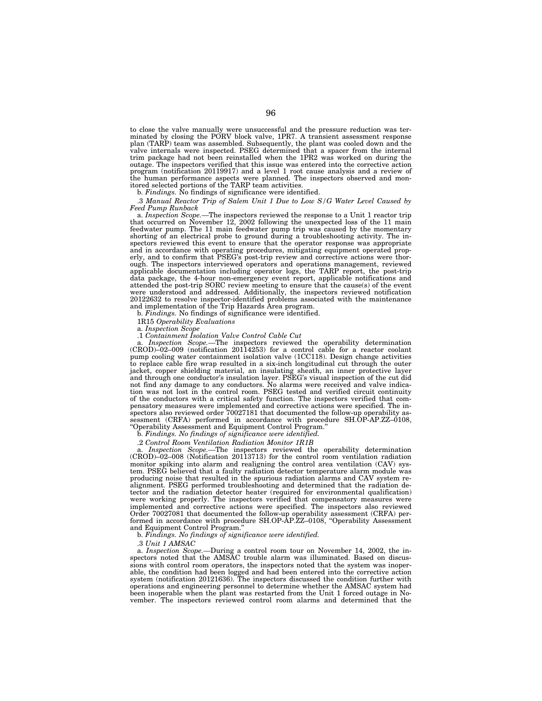to close the valve manually were unsuccessful and the pressure reduction was ter-minated by closing the PORV block valve, 1PR7. A transient assessment response plan (TARP) team was assembled. Subsequently, the plant was cooled down and the valve internals were inspected. PSEG determined that a spacer from the internal trim package had not been reinstalled when the 1PR2 was worked on during the outage. The inspectors verified that this issue was entered into the corrective action program (notification 20119917) and a level 1 root cause analysis and a review of the human performance aspects were planned. The inspectors observed and monitored selected portions of the TARP team activities.

b. *Findings.* No findings of significance were identified.

.3 *Manual Reactor Trip of Salem Unit 1 Due to Low S/G Water Level Caused by*

*Feed Pump Runback*<br>a. *Inspection Scope.*—The inspectors reviewed the response to a Unit 1 reactor trip<br>that occurred on November 12, 2002 following the unexpected loss of the 11 main feedwater pump. The 11 main feedwater pump trip was caused by the momentary shorting of an electrical probe to ground during a troubleshooting activity. The inspectors reviewed this event to ensure that the operator response was appropriate and in accordance with operating procedures, mitigating equipment operated properly, and to confirm that PSEG's post-trip review and corrective actions were thor-ough. The inspectors interviewed operators and operations management, reviewed applicable documentation including operator logs, the TARP report, the post-trip data package, the 4-hour non-emergency event report, applicable notifications and attended the post-trip SORC review meeting to ensure that the cause(s) of the event were understood and addressed. Additionally, the inspectors reviewed notification 20122632 to resolve inspector-identified problems associated with the maintenance and implementation of the Trip Hazards Area program.

b. *Findings.* No findings of significance were identified.

1R15 *Operability Evaluations* a. *Inspection Scope*

*Inspection Scope.*—The inspectors reviewed the operability determination (CROD)–02–009 (notification 20114253) for a control cable for a reactor coolant pump cooling water containment isolation valve (1CC118). Design change activities to replace cable fire wrap resulted in a six-inch longitudinal cut through the outer jacket, copper shielding material, an insulating sheath, an inner protective layer and through one conductor's insulation layer. PSEG's visual inspection of the cut did not find any damage to any conductors. No alarms were received and valve indication was not lost in the control room. PSEG tested and verified circuit continuity of the conductors with a critical safety function. The inspectors verified that compensatory measures were implemented and corrective actions were specified. The inspectors also reviewed order 70027181 that documented the follow-up operability assessment (CRFA) performed in accordance with procedure SH.OP-AP.ZZ–0108, ''Operability Assessment and Equipment Control Program.''

b. *Findings. No findings of significance were identified.*

.2 *Control Room Ventilation Radiation Monitor 1R1B*

a. *Inspection Scope.—*The inspectors reviewed the operability determination (CROD)–02–008 (Notification 20113713) for the control room ventilation radiation monitor spiking into alarm and realigning the control area ventilation (CAV) system. PSEG believed that a faulty radiation detector temperature alarm module was producing noise that resulted in the spurious radiation alarms and CAV system realignment. PSEG performed troubleshooting and determined that the radiation detector and the radiation detector heater (required for environmental qualification) were working properly. The inspectors verified that compensatory measures were implemented and corrective actions were specified. The inspectors also reviewed Order 70027081 that documented the follow-up operability assessment (CRFA) performed in accordance with procedure SH.OP-AP.ZZ–0108, ''Operability Assessment and Equipment Control Program.''

b. *Findings. No findings of significance were identified.*

.3 *Unit 1 AMSAC*

a. *Inspection Scope.—*During a control room tour on November 14, 2002, the inspectors noted that the AMSAC trouble alarm was illuminated. Based on discussions with control room operators, the inspectors noted that the system was inoperable, the condition had been logged and had been entered into the corrective action system (notification 20121636). The inspectors discussed the condition further with operations and engineering personnel to determine whether the AMSAC system had been inoperable when the plant was restarted from the Unit 1 forced outage in November. The inspectors reviewed control room alarms and determined that the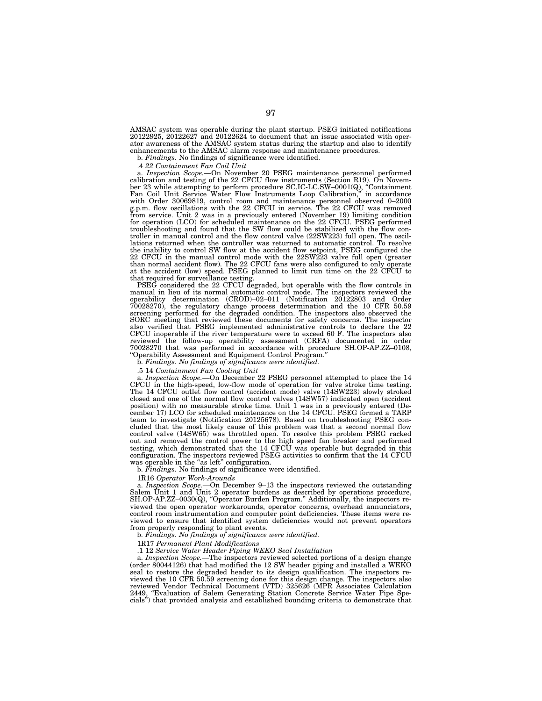AMSAC system was operable during the plant startup. PSEG initiated notifications 20122925, 20122627 and 20122624 to document that an issue associated with operator awareness of the AMSAC system status during the startup and also to identify enhancements to the AMSAC alarm response and maintenance procedures.

b. *Findings.* No findings of significance were identified.

.4 *22 Containment Fan Coil Unit* a. *Inspection Scope.—*On November 20 PSEG maintenance personnel performed calibration and testing of the 22 CFCU flow instruments (Section R19). On November 23 while attempting to perform procedure SC.IC-LC.SW–0001(Q), ''Containment Fan Coil Unit Service Water Flow Instruments Loop Calibration,'' in accordance with Order 30069819, control room and maintenance personnel observed 0–2000 g.p.m. flow oscillations with the 22 CFCU in service. The 22 CFCU was removed from service. Unit 2 was in a previously entered (November 19) limiting condition for operation (LCO) for scheduled maintenance on the 22 CFCU. PSEG performed troubleshooting and found that the SW flow could be stabilized with the flow controller in manual control and the flow control valve (22SW223) full open. The oscillations returned when the controller was returned to automatic control. To resolve the inability to control SW flow at the accident flow setpoint, PSEG configured the 22 CFCU in the manual control mode with the 22SW223 valve full open (greater than normal accident flow). The 22 CFCU fans were also configured to only operate at the accident (low) speed. PSEG planned to limit run time on the 22 CFCU to that required for surveillance testing.

PSEG considered the 22 CFCU degraded, but operable with the flow controls in manual in lieu of its normal automatic control mode. The inspectors reviewed the operability determination (CROD)–02–011 (Notification 20122803 and Order 70028270), the regulatory change process determination and the 10 CFR 50.59 screening performed for the degraded condition. The inspectors also observed the SORC meeting that reviewed these documents for safety concerns. The inspector also verified that PSEG implemented administrative controls to declare the 22 CFCU inoperable if the river temperature were to exceed 60 F. The inspectors also reviewed the follow-up operability assessment (CRFA) documented in order reviewed the follow-up operability assessment (CRFA) documented 70028270 that was performed in accordance with procedure SH.OP-AP.ZZ–0108, ''Operability Assessment and Equipment Control Program.'' b. *Findings. No findings of significance were identified.*

.5 14 *Containment Fan Cooling Unit* a. *Inspection Scope.—*On December 22 PSEG personnel attempted to place the 14 CFCU in the high-speed, low-flow mode of operation for valve stroke time testing. The 14 CFCU outlet flow control (accident mode) valve (14SW223) slowly stroked closed and one of the normal flow control valves (14SW57) indicated open (accident position) with no measurable stroke time. Unit 1 was in a previously entered (De-cember 17) LCO for scheduled maintenance on the 14 CFCU. PSEG formed a TARP team to investigate (Notification 20125678). Based on troubleshooting PSEG concluded that the most likely cause of this problem was that a second normal flow control valve (14SW65) was throttled open. To resolve this problem PSEG racked out and removed the control power to the high speed fan breaker and performed testing, which demonstrated that the 14 CFCU was operable but degraded in this configuration. The inspectors reviewed PSEG activities to confirm that the 14 CFCU was operable in the "as left" configuration.

b. *Findings.* No findings of significance were identified.

1R16 *Operator Work-Arounds*

a. *Inspection Scope.—*On December 9–13 the inspectors reviewed the outstanding Salem Unit 1 and Unit 2 operator burdens as described by operations procedure, SH.OP-AP.ZZ–0030(Q), "Operator Burden Program." Additionally, the inspectors reviewed the open operator workarounds, operator concerns, overhead annunciators, control room instrumentation and computer point deficiencies. These items were reviewed to ensure that identified system deficiencies would not prevent operators from properly responding to plant events.

b. *Findings. No findings of significance were identified.*

1R17 *Permanent Plant Modifications*

.1 12 *Service Water Header Piping WEKO Seal Installation*

a. *Inspection Scope.—*The inspectors reviewed selected portions of a design change (order  $\hat{80044126}$ ) that had modified the 12 SW header piping and installed a WEKO seal to restore the degraded header to its design qualification. The inspectors reviewed the 10 CFR 50.59 screening done for this design change. The inspectors also reviewed Vendor Technical Document (VTD) 325626 (MPR Associates Calculation 2449, "Evaluation of Salem Generating Station Concrete Service Water Pipe Specials'') that provided analysis and established bounding criteria to demonstrate that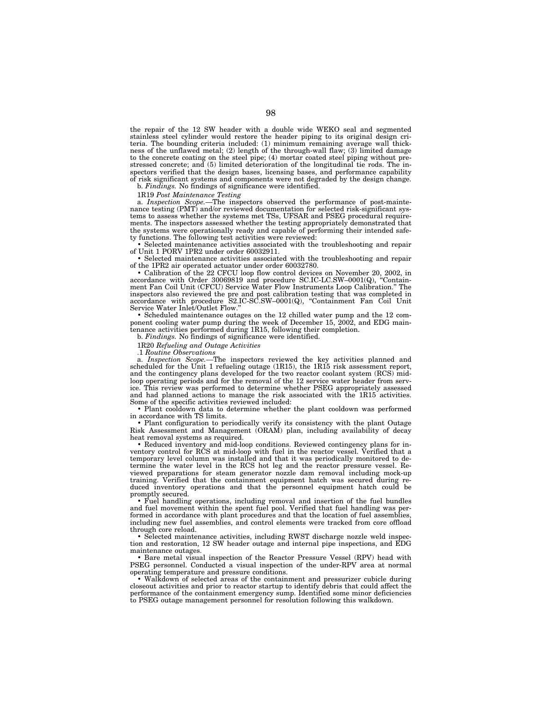the repair of the 12 SW header with a double wide WEKO seal and segmented stainless steel cylinder would restore the header piping to its original design criteria. The bounding criteria included: (1) minimum remaining average wall thickness of the unflawed metal; (2) length of the through-wall flaw; (3) limited damage to the concrete coating on the steel pipe; (4) mortar coated steel piping without prestressed concrete; and (5) limited deterioration of the longitudinal tie rods. The inspectors verified that the design bases, licensing bases, and performance capability of risk significant systems and components were not degraded by the design change.

b. *Findings.* No findings of significance were identified.

1R19 *Post Maintenance Testing*

a. *Inspection Scope.*—The inspectors observed the performance of post-maintenance testing (PMT) and/or reviewed documentation for selected risk-significant systems to assess whether the systems met TSs, UFSAR and PSEG procedural requirements. The inspectors assessed whether the testing appropriately demonstrated that the systems were operationally ready and capable of performing their intended safety functions. The following test activities were reviewed:

• Selected maintenance activities associated with the troubleshooting and repair of Unit 1 PORV 1PR2 under order 60032911.

• Selected maintenance activities associated with the troubleshooting and repair of the 1PR2 air operated actuator under order 60032780.

• Calibration of the 22 CFCU loop flow control devices on November 20, 2002, in accordance with Order 30069819 and procedure SC.IC-LC.SW–0001(Q), ''Containment Fan Coil Unit (CFCU) Service Water Flow Instruments Loop Calibration.'' The inspectors also reviewed the pre and post calibration testing that was completed in accordance with procedure S2.IC-SC.SW–0001(Q), ''Containment Fan Coil Unit Service Water Inlet/Outlet Flow.''

• Scheduled maintenance outages on the 12 chilled water pump and the 12 com-ponent cooling water pump during the week of December 15, 2002, and EDG maintenance activities performed during 1R15, following their completion.

b. *Findings.* No findings of significance were identified.

1R20 *Refueling and Outage Activities*

.1 *Routine Observations*

a. *Inspection Scope.—*The inspectors reviewed the key activities planned and scheduled for the Unit 1 refueling outage (1R15), the 1R15 risk assessment report, and the contingency plans developed for the two reactor coolant system (RCS) midloop operating periods and for the removal of the 12 service water header from service. This review was performed to determine whether PSEG appropriately assessed and had planned actions to manage the risk associated with the 1R15 activities. Some of the specific activities reviewed included:

• Plant cooldown data to determine whether the plant cooldown was performed in accordance with TS limits.

• Plant configuration to periodically verify its consistency with the plant Outage Risk Assessment and Management (ORAM) plan, including availability of decay heat removal systems as required.

• Reduced inventory and mid-loop conditions. Reviewed contingency plans for in-ventory control for RCS at mid-loop with fuel in the reactor vessel. Verified that a temporary level column was installed and that it was periodically monitored to determine the water level in the RCS hot leg and the reactor pressure vessel. Reviewed preparations for steam generator nozzle dam removal including mock-up training. Verified that the containment equipment hatch was secured during reduced inventory operations and that the personnel equipment hatch could be promptly secured.

• Fuel handling operations, including removal and insertion of the fuel bundles and fuel movement within the spent fuel pool. Verified that fuel handling was performed in accordance with plant procedures and that the location of fuel assemblies, including new fuel assemblies, and control elements were tracked from core offload through core reload.

• Selected maintenance activities, including RWST discharge nozzle weld inspection and restoration, 12 SW header outage and internal pipe inspections, and EDG maintenance outages.

• Bare metal visual inspection of the Reactor Pressure Vessel (RPV) head with PSEG personnel. Conducted a visual inspection of the under-RPV area at normal operating temperature and pressure conditions.

• Walkdown of selected areas of the containment and pressurizer cubicle during closeout activities and prior to reactor startup to identify debris that could affect the performance of the containment emergency sump. Identified some minor deficiencies to PSEG outage management personnel for resolution following this walkdown.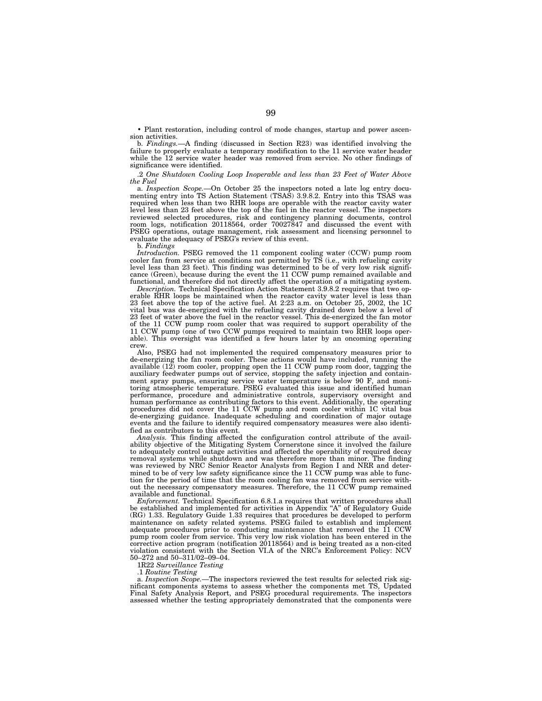• Plant restoration, including control of mode changes, startup and power ascension activities.

b. *Findings.*—A finding (discussed in Section R23) was identified involving the failure to properly evaluate a temporary modification to the 11 service water header while the 12 service water header was removed from service. No other findings of significance were identified.

.2 *One Shutdown Cooling Loop Inoperable and less than 23 Feet of Water Above the Fuel*

a. *Inspection Scope.*—On October 25 the inspectors noted a late log entry documenting entry into TS Action Statement (TSAS) 3.9.8.2. Entry into this TSAS was required when less than two RHR loops are operable with the reactor cavity water level less than 23 feet above the top of the fuel in the reactor vessel. The inspectors reviewed selected procedures, risk and contingency planning documents, control room logs, notification 20118564, order 70027847 and discussed the event with PSEG operations, outage management, risk assessment and licensing personnel to evaluate the adequacy of PSEG's review of this event.

b. *Findings*

*Introduction.* PSEG removed the 11 component cooling water (CCW) pump room cooler fan from service at conditions not permitted by TS (i.e., with refueling cavity level less than 23 feet). This finding was determined to be of very low risk significance (Green), because during the event the 11 CCW pump remained available and functional, and therefore did not directly affect the operation of a mitigating system.

*Description.* Technical Specification Action Statement 3.9.8.2 requires that two operable RHR loops be maintained when the reactor cavity water level is less than 23 feet above the top of the active fuel. At 2:23 a.m. on October 25, 2002, the 1C vital bus was de-energized with the refueling cavity drained down below a level of 23 feet of water above the fuel in the reactor vessel. This de-energized the fan motor of the 11 CCW pump room cooler that was required to support operability of the 11 CCW pump (one of two CCW pumps required to maintain two RHR loops operable). This oversight was identified a few hours later by an oncoming operating crew.

Also, PSEG had not implemented the required compensatory measures prior to de-energizing the fan room cooler. These actions would have included, running the available  $(12)$  room cooler, propping open the 11 CCW pump room door, tagging the auxiliary feedwater pumps out of service, stopping the safety injection and containment spray pumps, ensuring service water temperature is below 90 F, and monitoring atmospheric temperature. PSEG evaluated this issue and identified human performance, procedure and administrative controls, supervisory oversight and human performance as contributing factors to this event. Additionally, the operating procedures did not cover the 11 CCW pump and room cooler within 1C vital bus de-energizing guidance. Inadequate scheduling and coordination of major outage events and the failure to identify required compensatory measures were also identified as contributors to this event.

*Analysis.* This finding affected the configuration control attribute of the availability objective of the Mitigating System Cornerstone since it involved the failure to adequately control outage activities and affected the operability of required decay removal systems while shutdown and was therefore more than minor. The finding was reviewed by NRC Senior Reactor Analysts from Region I and NRR and determined to be of very low safety significance since the 11 CCW pump was able to function for the period of time that the room cooling fan was removed from service without the necessary compensatory measures. Therefore, the 11 CCW pump remained available and functional.

*Enforcement.* Technical Specification 6.8.1.a requires that written procedures shall be established and implemented for activities in Appendix "A" of Regulatory Guide (RG) 1.33. Regulatory Guide 1.33 requires that procedures be developed to perform maintenance on safety related systems. PSEG failed to establish and implement adequate procedures prior to conducting maintenance that removed the 11 CCW pump room cooler from service. This very low risk violation has been entered in the corrective action program (notification 20118564) and is being treated as a non-cited violation consistent with the Section VI.A of the NRC's Enforcement Policy: NCV 50–272 and 50–311/02–09–04.

1R22 *Surveillance Testing*

.1 *Routine Testing*

a. *Inspection Scope.*—The inspectors reviewed the test results for selected risk significant components systems to assess whether the components met TS, Updated Final Safety Analysis Report, and PSEG procedural requirements. The inspectors assessed whether the testing appropriately demonstrated that the components were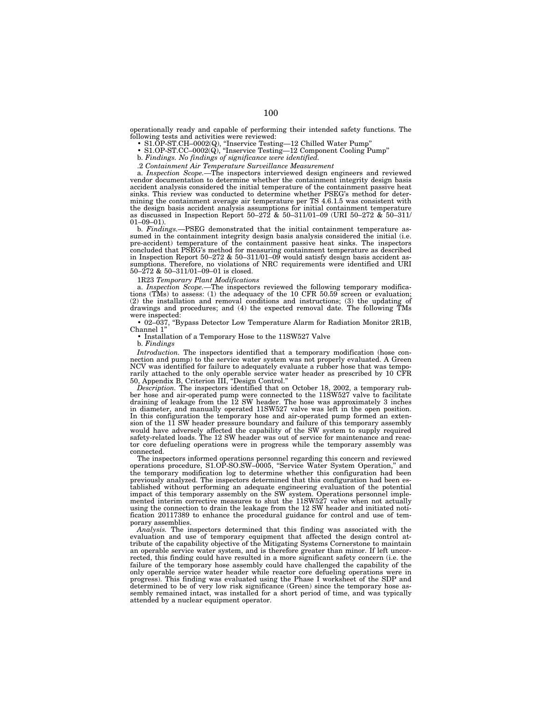operationally ready and capable of performing their intended safety functions. The following tests and activities were reviewed:<br>
• S1.OP-ST.CH-0002(Q), "Inservice Testing—12 Chilled Water Pump"<br>
• S1.OP-ST.CC-0002(Q), "Inservice Testing—12 Component Cooling Pump"<br>
b. Findings. No findings of significanc

2. Containment Air Temperature Surveillance Measurement<br>a. Inspection Scope.—The inspectors interviewed design engineers and reviewed<br>vendor documentation to determine whether the containment integrity design basis accident analysis considered the initial temperature of the containment passive heat sinks. This review was conducted to determine whether PSEG's method for determining the containment average air temperature per TS 4.6.1.5 was consistent with the design basis accident analysis assumptions for initial containment temperature as discussed in Inspection Report 50–272 & 50–311/01–09 (URI 50–272 & 50–311/  $01-09-01$ 

b. *Findings.*—PSEG demonstrated that the initial containment temperature assumed in the containment integrity design basis analysis considered the initial (i.e. pre-accident) temperature of the containment passive heat sinks. The inspectors concluded that PSEG's method for measuring containment temperature as described in Inspection Report 50–272 & 50–311/01–09 would satisfy design basis accident assumptions. Therefore, no violations of NRC requirements were identified and URI 50–272 & 50–311/01–09–01 is closed.

1R23 *Temporary Plant Modifications*

a. *Inspection Scope.—*The inspectors reviewed the following temporary modifications (TMs) to assess: (1) the adequacy of the 10 CFR 50.59 screen or evaluation; (2) the installation and removal conditions and instructions; (3) the updating of drawings and procedures; and (4) the expected removal date. The following TMs were inspected:

• 02–037, ''Bypass Detector Low Temperature Alarm for Radiation Monitor 2R1B, Channel 1''

• Installation of a Temporary Hose to the 11SW527 Valve

b. *Findings*

*Introduction.* The inspectors identified that a temporary modification (hose connection and pump) to the service water system was not properly evaluated. A Green NCV was identified for failure to adequately evaluate a rubber hose that was temporarily attached to the only operable service water header as prescribed by 10 CFR 50, Appendix B, Criterion III, ''Design Control.''

*Description.* The inspectors identified that on October 18, 2002, a temporary rubber hose and air-operated pump were connected to the 11SW527 valve to facilitate draining of leakage from the 12 SW header. The hose was approximately 3 inches in diameter, and manually operated 11SW527 valve was left in the open position. In this configuration the temporary hose and air-operated pump formed an extension of the 11 SW header pressure boundary and failure of this temporary assembly would have adversely affected the capability of the SW system to supply required safety-related loads. The 12 SW header was out of service for maintenance and reactor core defueling operations were in progress while the temporary assembly was connected.

The inspectors informed operations personnel regarding this concern and reviewed operations procedure, S1.OP-SO.SW–0005, ''Service Water System Operation,'' and the temporary modification log to determine whether this configuration had been previously analyzed. The inspectors determined that this configuration had been established without performing an adequate engineering evaluation of the potential impact of this temporary assembly on the SW system. Operations personnel implemented interim corrective measures to shut the 11SW527 valve when not actually using the connection to drain the leakage from the 12 SW header and initiated notification 20117389 to enhance the procedural guidance for control and use of temporary assemblies.

*Analysis.* The inspectors determined that this finding was associated with the evaluation and use of temporary equipment that affected the design control attribute of the capability objective of the Mitigating Systems Cornerstone to maintain an operable service water system, and is therefore greater than minor. If left uncorrected, this finding could have resulted in a more significant safety concern (i.e. the failure of the temporary hose assembly could have challenged the capability of the only operable service water header while reactor core defueling operations were in progress). This finding was evaluated using the Phase I worksheet of the SDP and determined to be of very low risk significance (Green) since the temporary hose assembly remained intact, was installed for a short period of time, and was typically attended by a nuclear equipment operator.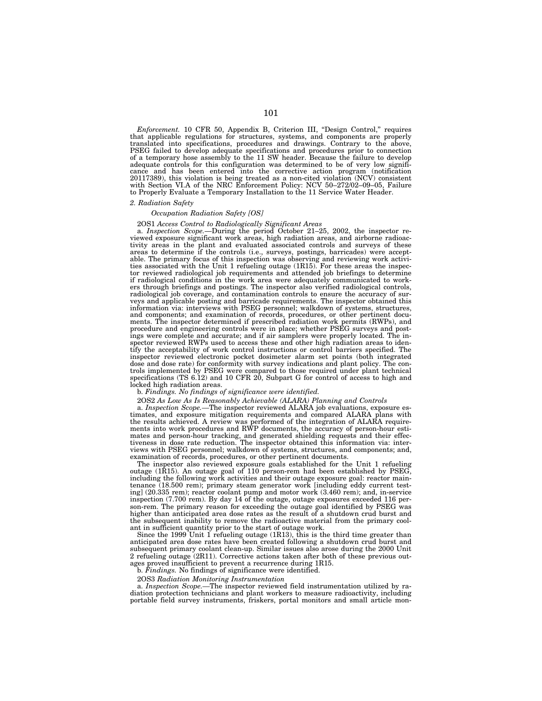*Enforcement.* 10 CFR 50, Appendix B, Criterion III, "Design Control," requires that applicable regulations for structures, systems, and components are properly translated into specifications, procedures and drawings. Cont PSEG failed to develop adequate specifications and procedures prior to connection of a temporary hose assembly to the 11 SW header. Because the failure to develop adequate controls for this configuration was determined to be of very low significance and has been entered into the corrective action program (notification 20117389), this violation is being treated as a non-cited violation (NCV) consistent with Section VI.A of the NRC Enforcement Policy: NCV 50–272/02–09–05, Failure to Properly Evaluate a Temporary Installation to the 11 Service Water Header.

## *2. Radiation Safety*

# *Occupation Radiation Safety [OS]*

# 2OS1 *Access Control to Radiologically Significant Areas* a. *Inspection Scope.*—During the period October 21–25, 2002, the inspector re-

viewed exposure significant work areas, high radiation areas, and airborne radioactivity areas in the plant and evaluated associated controls and surveys of these areas to determine if the controls (i.e., surveys, postings, barricades) were acceptable. The primary focus of this inspection was observing and reviewing work activi-ties associated with the Unit 1 refueling outage (1R15). For these areas the inspector reviewed radiological job requirements and attended job briefings to determine if radiological conditions in the work area were adequately communicated to workers through briefings and postings. The inspector also verified radiological controls, radiological job coverage, and contamination controls to ensure the accuracy of surveys and applicable posting and barricade requirements. The inspector obtained this information via: interviews with PSEG personnel; walkdown of systems, structures, and components; and examination of records, procedures, or other pertinent documents. The inspector determined if prescribed radiation work permits (RWPs), and procedure and engineering controls were in place; whether PSEG surveys and postings were complete and accurate; and if air samplers were properly located. The inspector reviewed RWPs used to access these and other high radiation areas to identify the acceptability of work control instructions or control barriers specified. The inspector reviewed electronic pocket dosimeter alarm set points (both integrated dose and dose rate) for conformity with survey indications and plant policy. The controls implemented by PSEG were compared to those required under plant technical specifications (TS 6.12) and 10 CFR 20, Subpart G for control of access to high and locked high radiation areas.

# b. *Findings. No findings of significance were identified.*

a. Inspection Scope.—The inspector reviewed ALARA job evaluations, exposure estimates, and exposure mitigation requirements and compared ALARA plans with the results achieved. A review was performed of the integration of ALARA requirements into work procedures and RWP documents, the accuracy of person-hour estimates and person-hour tracking, and generated shielding requests and their effectiveness in dose rate reduction. The inspector obtained this information via: interviews with PSEG personnel; walkdown of systems, structures, and components; and, examination of records, procedures, or other pertinent documents.

The inspector also reviewed exposure goals established for the Unit 1 refueling outage (1R15). An outage goal of 110 person-rem had been established by PSEG, including the following work activities and their outage exposure goal: reactor maintenance (18.500 rem); primary steam generator work [including eddy current testing] (20.335 rem); reactor coolant pump and motor work (3.460 rem); and, in-service inspection (7.700 rem). By day 14 of the outage, outage exposures exceeded 116 person-rem. The primary reason for exceeding the outage goal identified by PSEG was higher than anticipated area dose rates as the result of a shutdown crud burst and the subsequent inability to remove the radioactive material from the primary coolant in sufficient quantity prior to the start of outage work.

Since the 1999 Unit 1 refueling outage (1R13), this is the third time greater than anticipated area dose rates have been created following a shutdown crud burst and subsequent primary coolant clean-up. Similar issues also arose during the 2000 Unit 2 refueling outage (2R11). Corrective actions taken after both of these previous outages proved insufficient to prevent a recurrence during 1R15.

b. *Findings.* No findings of significance were identified.

2OS3 *Radiation Monitoring Instrumentation*

a. *Inspection Scope.—*The inspector reviewed field instrumentation utilized by radiation protection technicians and plant workers to measure radioactivity, including portable field survey instruments, friskers, portal monitors and small article mon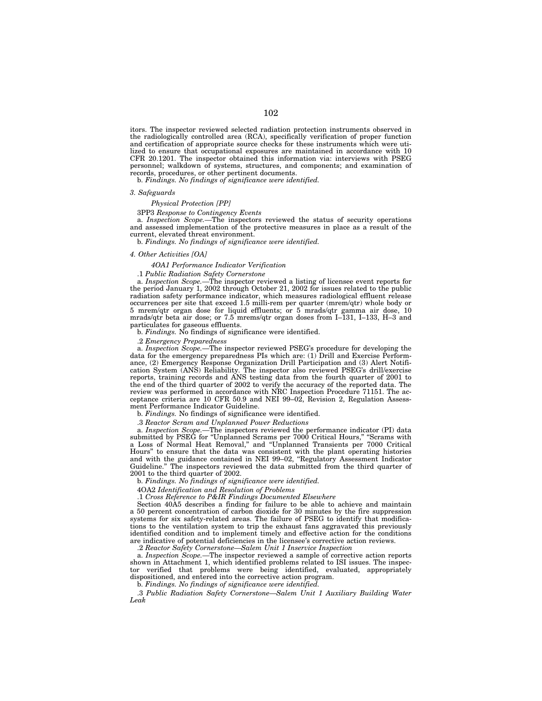itors. The inspector reviewed selected radiation protection instruments observed in the radiologically controlled area (RCA), specifically verification of proper function and certification of appropriate source checks for these instruments which were utilized to ensure that occupational exposures are maintained in accordance with 10 CFR 20.1201. The inspector obtained this information via: interviews with PSEG personnel; walkdown of systems, structures, and components; and examination of records, procedures, or other pertinent documents.

b. *Findings. No findings of significance were identified.*

#### *3. Safeguards*

*Physical Protection [PP]*

3PP3 *Response to Contingency Events*

a. *Inspection Scope.—*The inspectors reviewed the status of security operations and assessed implementation of the protective measures in place as a result of the current, elevated threat environment.

b. *Findings. No findings of significance were identified.*

#### *4. Other Activities [OA]*

*4OA1 Performance Indicator Verification*

.1 *Public Radiation Safety Cornerstone*

a. *Inspection Scope.—*The inspector reviewed a listing of licensee event reports for the period January 1, 2002 through October 21, 2002 for issues related to the public radiation safety performance indicator, which measures radiological effluent release occurrences per site that exceed 1.5 milli-rem per quarter (mrem/qtr) whole body or 5 mrem/qtr organ dose for liquid effluents; or 5 mrads/qtr gamma air dose, 10 mrads/qtr beta air dose; or 7.5 mrems/qtr organ doses from I–131, I–133, H–3 and particulates for gaseous effluents.

b. *Findings.* No findings of significance were identified.

.2 *Emergency Preparedness*

a. *Inspection Scope.*—The inspector reviewed PSEG's procedure for developing the data for the emergency preparedness PIs which are: (1) Drill and Exercise Performance, (2) Emergency Response Organization Drill Participation and (3) Alert Notification System (ANS) Reliability. The inspector also reviewed PSEG's drill/exercise reports, training records and ANS testing data from the fourth quarter of 2001 to the end of the third quarter of 2002 to verify the accuracy of the reported data. The review was performed in accordance with NRC Inspection Procedure 71151. The acceptance criteria are 10 CFR 50.9 and NEI 99–02, Revision 2, Regulation Assessment Performance Indicator Guideline.

b. *Findings.* No findings of significance were identified.

.3 *Reactor Scram and Unplanned Power Reductions*

a. *Inspection Scope.—*The inspectors reviewed the performance indicator (PI) data submitted by PSEG for "Unplanned Scrams per 7000 Critical Hours," "Scrams with a Loss of Normal Heat Removal,'' and ''Unplanned Transients per 7000 Critical Hours'' to ensure that the data was consistent with the plant operating histories and with the guidance contained in NEI 99–02, ''Regulatory Assessment Indicator Guideline.'' The inspectors reviewed the data submitted from the third quarter of 2001 to the third quarter of 2002.

b. *Findings. No findings of significance were identified.*

4OA2 *Identification and Resolution of Problems*

.1 *Cross Reference to P&IR Findings Documented Elsewhere*

Section 40A5 describes a finding for failure to be able to achieve and maintain a 50 percent concentration of carbon dioxide for 30 minutes by the fire suppression systems for six safety-related areas. The failure of PSEG to identify that modifications to the ventilation system to trip the exhaust fans aggravated this previously identified condition and to implement timely and effective action for the conditions are indicative of potential deficiencies in the licensee's corrective action reviews.

.2 *Reactor Safety Cornerstone—Salem Unit 1 Inservice Inspection*

a. *Inspection Scope.—*The inspector reviewed a sample of corrective action reports shown in Attachment 1, which identified problems related to ISI issues. The inspector verified that problems were being identified, evaluated, appropriately dispositioned, and entered into the corrective action program.

b. *Findings. No findings of significance were identified.*

.3 *Public Radiation Safety Cornerstone—Salem Unit 1 Auxiliary Building Water Leak*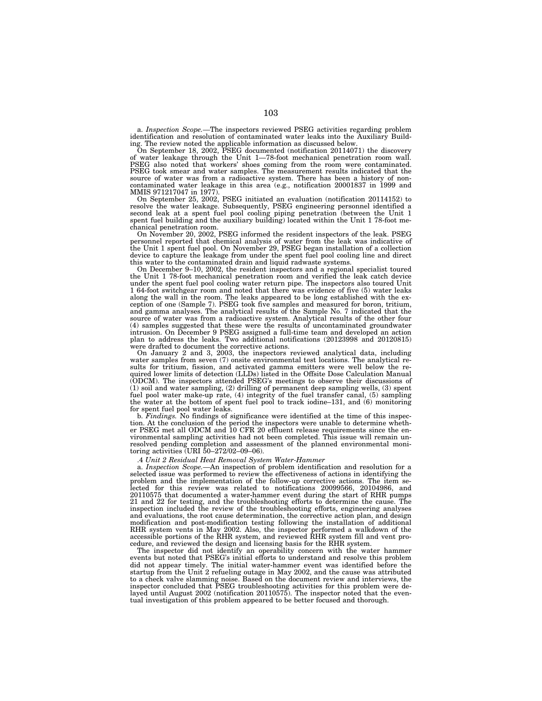a. *Inspection Scope.—*The inspectors reviewed PSEG activities regarding problem identification and resolution of contaminated water leaks into the Auxiliary Build-

ing. The review noted the applicable information as discussed below. On September 18, 2002, PSEG documented (notification 20114071) the discovery of water leakage through the Unit 1—78-foot mechanical penetration room wall. PSEG also noted that workers' shoes coming from the room were contaminated. PSEG took smear and water samples. The measurement results indicated that the source of water was from a radioactive system. There has been a history of noncontaminated water leakage in this area (e.g., notification 20001837 in 1999 and MMIS 971217047 in 1977).

On September 25, 2002, PSEG initiated an evaluation (notification 20114152) to resolve the water leakage. Subsequently, PSEG engineering personnel identified a second leak at a spent fuel pool cooling piping penetration (between the Unit 1 spent fuel building and the auxiliary building) located within the Unit 1 78-foot me-chanical penetration room.

On November 20, 2002, PSEG informed the resident inspectors of the leak. PSEG personnel reported that chemical analysis of water from the leak was indicative of the Unit 1 spent fuel pool. On November 29, PSEG began installation of a collection device to capture the leakage from under the spent fuel pool cooling line and direct this water to the contaminated drain and liquid radwaste systems.

On December 9–10, 2002, the resident inspectors and a regional specialist toured the Unit 1 78-foot mechanical penetration room and verified the leak catch device under the spent fuel pool cooling water return pipe. The inspectors also toured Unit 1 64-foot switchgear room and noted that there was evidence of five (5) water leaks along the wall in the room. The leaks appeared to be long established with the exception of one (Sample 7). PSEG took five samples and measured for boron, tritium, and gamma analyses. The analytical results of the Sample No. 7 indicated that the source of water was from a radioactive system. Analytical results of the other four (4) samples suggested that these were the results of uncontaminated groundwater intrusion. On December 9 PSEG assigned a full-time team and developed an action plan to address the leaks. Two additional notifications (20123998 and 20120815) were drafted to document the corrective actions.

On January 2 and 3, 2003, the inspectors reviewed analytical data, including water samples from seven (7) onsite environmental test locations. The analytical results for tritium, fission, and activated gamma emitters were well below the required lower limits of detection (LLDs) listed in the Offsite Dose Calculation Manual (ODCM). The inspectors attended PSEG's meetings to observe their discussions of (1) soil and water sampling, (2) drilling of permanent deep sampling wells, (3) spent fuel pool water make-up rate, (4) integrity of the fuel transfer canal, (5) sampling the water at the bottom of spent fuel pool to track iodine–131, and (6) monitoring for spent fuel pool water leaks.

b. *Findings.* No findings of significance were identified at the time of this inspec-tion. At the conclusion of the period the inspectors were unable to determine whether PSEG met all ODCM and 10 CFR 20 effluent release requirements since the environmental sampling activities had not been completed. This issue will remain unresolved pending completion and assessment of the planned environmental moni-toring activities (URI 50–272/02–09–06).

.4 *Unit 2 Residual Heat Removal System Water-Hammer* a. *Inspection Scope.—*An inspection of problem identification and resolution for a selected issue was performed to review the effectiveness of actions in identifying the problem and the implementation of the follow-up corrective actions. The item selected for this review was related to notifications 20099566, 20104986, and 20110575 that documented a water-hammer event during the start of RHR pumps 21 and 22 for testing, and the troubleshooting efforts to determine the cause. The inspection included the review of the troubleshooting efforts, engineering analyses and evaluations, the root cause determination, the corrective action plan, and design modification and post-modification testing following the installation of additional RHR system vents in May 2002. Also, the inspector performed a walkdown of the accessible portions of the RHR system, and reviewed RHR system fill and vent procedure, and reviewed the design and licensing basis for the RHR system.

The inspector did not identify an operability concern with the water hammer events but noted that PSEG's initial efforts to understand and resolve this problem did not appear timely. The initial water-hammer event was identified before the startup from the Unit 2 refueling outage in May 2002, and the cause was attributed to a check valve slamming noise. Based on the document review and interviews, the inspector concluded that PSEG troubleshooting activities for this problem were de-layed until August 2002 (notification 20110575). The inspector noted that the eventual investigation of this problem appeared to be better focused and thorough.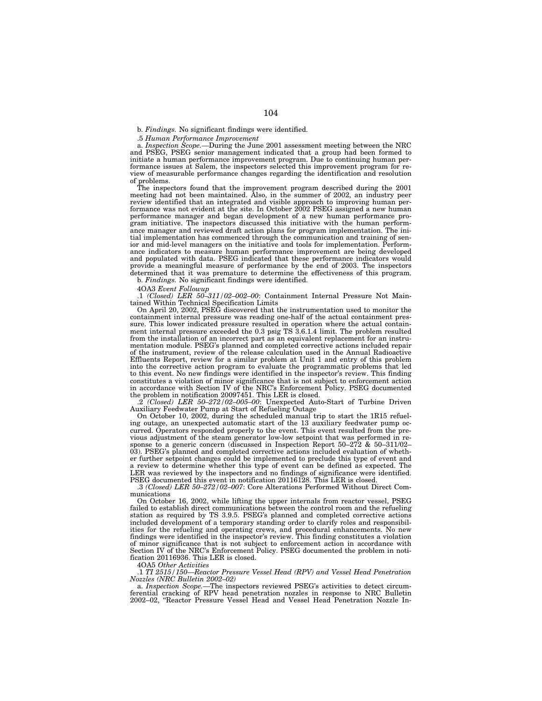b. *Findings.* No significant findings were identified.

.5 *Human Performance Improvement*

a. *Inspection Scope.—*During the June 2001 assessment meeting between the NRC and PSEG, PSEG senior management indicated that a group had been formed to initiate a human performance improvement program. Due to continuing human performance issues at Salem, the inspectors selected this improvement program for review of measurable performance changes regarding the identification and resolution of problems.

The inspectors found that the improvement program described during the 2001 meeting had not been maintained. Also, in the summer of 2002, an industry peer review identified that an integrated and visible approach to improving human performance was not evident at the site. In October 2002 PSEG assigned a new human performance manager and began development of a new human performance program initiative. The inspectors discussed this initiative with the human performance manager and reviewed draft action plans for program implementation. The initial implementation has commenced through the communication and training of senior and mid-level managers on the initiative and tools for implementation. Performance indicators to measure human performance improvement are being developed and populated with data. PSEG indicated that these performance indicators would provide a meaningful measure of performance by the end of 2003. The inspectors determined that it was premature to determine the effectiveness of this program. b. *Findings.* No significant findings were identified.

4OA3 *Event Followup*

.1 *(Closed) LER 50–311/02–002–00*: Containment Internal Pressure Not Maintained Within Technical Specification Limits

On April 20, 2002, PSEG discovered that the instrumentation used to monitor the containment internal pressure was reading one-half of the actual containment pressure. This lower indicated pressure resulted in operation where the actual containment internal pressure exceeded the 0.3 psig TS 3.6.1.4 limit. The problem resulted from the installation of an incorrect part as an equivalent replacement for an instrumentation module. PSEG's planned and completed corrective actions included repair of the instrument, review of the release calculation used in the Annual Radioactive Effluents Report, review for a similar problem at Unit 1 and entry of this problem into the corrective action program to evaluate the programmatic problems that led to this event. No new findings were identified in the inspector's review. This finding constitutes a violation of minor significance that is not subject to enforcement action in accordance with Section IV of the NRC's Enforcement Policy. PSEG documented the problem in notification 20097451. This LER is closed.

.2 *(Closed) LER 50–272/02–005–00*: Unexpected Auto-Start of Turbine Driven Auxiliary Feedwater Pump at Start of Refueling Outage

On October 10, 2002, during the scheduled manual trip to start the 1R15 refueling outage, an unexpected automatic start of the 13 auxiliary feedwater pump occurred. Operators responded properly to the event. This event resulted from the previous adjustment of the steam generator low-low setpoint that was performed in response to a generic concern (discussed in Inspection Report 50–272 & 50–311/02– 03). PSEG's planned and completed corrective actions included evaluation of whether further setpoint changes could be implemented to preclude this type of event and a review to determine whether this type of event can be defined as expected. The LER was reviewed by the inspectors and no findings of significance were identified. PSEG documented this event in notification 20116128. This LER is closed.

.3 *(Closed) LER 50–272/02–007*: Core Alterations Performed Without Direct Communications

On October 16, 2002, while lifting the upper internals from reactor vessel, PSEG failed to establish direct communications between the control room and the refueling station as required by TS 3.9.5. PSEG's planned and completed corrective actions included development of a temporary standing order to clarify roles and responsibilities for the refueling and operating crews, and procedural enhancements. No new findings were identified in the inspector's review. This finding constitutes a violation of minor significance that is not subject to enforcement action in accordance with Section IV of the NRC's Enforcement Policy. PSEG documented the problem in notification 20116936. This LER is closed.

4OA5 *Other Activities*

.1 *TI 2515/150—Reactor Pressure Vessel Head (RPV) and Vessel Head Penetration Nozzles (NRC Bulletin 2002–02)*

a. *Inspection Scope.—*The inspectors reviewed PSEG's activities to detect circum-ferential cracking of RPV head penetration nozzles in response to NRC Bulletin 2002–02, ''Reactor Pressure Vessel Head and Vessel Head Penetration Nozzle In-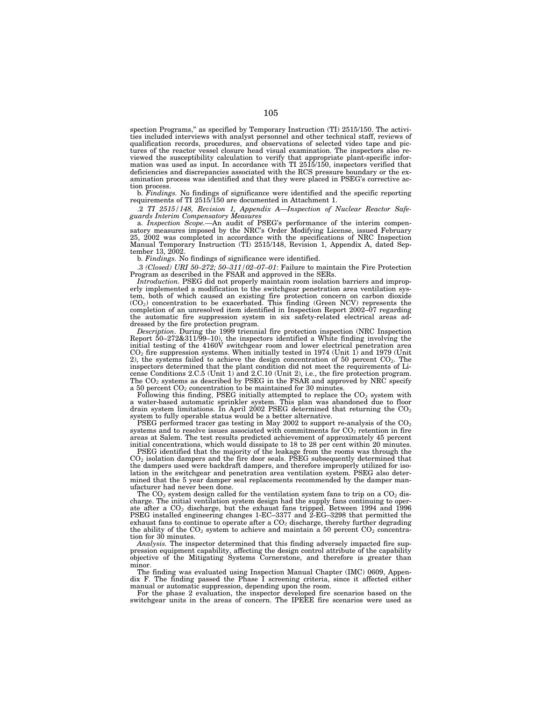spection Programs,'' as specified by Temporary Instruction (TI) 2515/150. The activities included interviews with analyst personnel and other technical staff, reviews of qualification records, procedures, and observations of selected video tape and pictures of the reactor vessel closure head visual examination. The inspectors also reviewed the susceptibility calculation to verify that appropriate plant-specific information was used as input. In accordance with  $TI$   $2515/150$ , inspectors verified that deficiencies and discrepancies associated with the RCS pressure boundary or the examination process was identified and that they were placed in PSEG's corrective action process.

b. *Findings.* No findings of significance were identified and the specific reporting requirements of TI 2515/150 are documented in Attachment 1.

.2 *TI 2515/148, Revision 1, Appendix A—Inspection of Nuclear Reactor Safeguards Interim Compensatory Measures*

a. *Inspection Scope.—*An audit of PSEG's performance of the interim compensatory measures imposed by the NRC's Order Modifying License, issued February 25, 2002 was completed in accordance with the specifications of NRC Inspection Manual Temporary Instruction (TI) 2515/148, Revision 1, Appendix A, dated September 13, 2002.

b. *Findings.* No findings of significance were identified.

.3 *(Closed) URI 50–272; 50–311/02–07–01*: Failure to maintain the Fire Protection Program as described in the FSAR and approved in the SERs.

*Introduction.* PSEG did not properly maintain room isolation barriers and improperly implemented a modification to the switchgear penetration area ventilation system, both of which caused an existing fire protection concern on carbon dioxide (CO2) concentration to be exacerbated. This finding (Green NCV) represents the completion of an unresolved item identified in Inspection Report 2002–07 regarding the automatic fire suppression system in six safety-related electrical areas addressed by the fire protection program.

*Description*. During the 1999 triennial fire protection inspection (NRC Inspection Report 50–272&311/99–10), the inspectors identified a White finding involving the initial testing of the 4160V switchgear room and lower electrical penetration area  $CO<sub>2</sub>$  fire suppression systems. When initially tested in 1974 (Unit 1) and 1979 (Unit 2), the systems failed to achieve the design concentration of 50 percent  $CO<sub>2</sub>$ . The inspectors determined that the plant condition did not meet the requirements of License Conditions 2.C.5 (Unit 1) and 2.C.10 (Unit 2), i.e., the fire protection program. The  $CO<sub>2</sub>$  systems as described by PSEG in the FSAR and approved by NRC specify a 50 percent  $CO<sub>2</sub>$  concentration to be maintained for 30 minutes.

Following this finding, PSEG initially attempted to replace the  $CO<sub>2</sub>$  system with a water-based automatic sprinkler system. This plan was abandoned due to floor drain system limitations. In April 2002 PSEG determined that returning the  $CO<sub>2</sub>$ system to fully operable status would be a better alternative.

PSEG performed tracer gas testing in May 2002 to support re-analysis of the  $CO<sub>2</sub>$ systems and to resolve issues associated with commitments for  $CO<sub>2</sub>$  retention in fire areas at Salem. The test results predicted achievement of approximately 45 percent initial concentrations, which would dissipate to 18 to 28 per cent within 20 minutes.

PSEG identified that the majority of the leakage from the rooms was through the  $CO<sub>2</sub>$  isolation dampers and the fire door seals. PSEG subsequently determined that the dampers used were backdraft dampers, and therefore improperly utilized for isolation in the switchgear and penetration area ventilation system. PSEG also determined that the 5 year damper seal replacements recommended by the damper manufacturer had never been done.

The  $CO<sub>2</sub>$  system design called for the ventilation system fans to trip on a  $CO<sub>2</sub>$  discharge. The initial ventilation system design had the supply fans continuing to operate after a CO2 discharge, but the exhaust fans tripped. Between 1994 and 1996 PSEG installed engineering changes 1-EC–3377 and 2-EG–3298 that permitted the exhaust fans to continue to operate after a  $CO<sub>2</sub>$  discharge, thereby further degrading the ability of the  $CO_2$  system to achieve and maintain a 50 percent  $CO_2$  concentration for 30 minutes.

*Analysis.* The inspector determined that this finding adversely impacted fire suppression equipment capability, affecting the design control attribute of the capability objective of the Mitigating Systems Cornerstone, and therefore is greater than minor.

The finding was evaluated using Inspection Manual Chapter (IMC) 0609, Appendix F. The finding passed the Phase I screening criteria, since it affected either manual or automatic suppression, depending upon the room.

For the phase 2 evaluation, the inspector developed fire scenarios based on the switchgear units in the areas of concern. The IPEEE fire scenarios were used as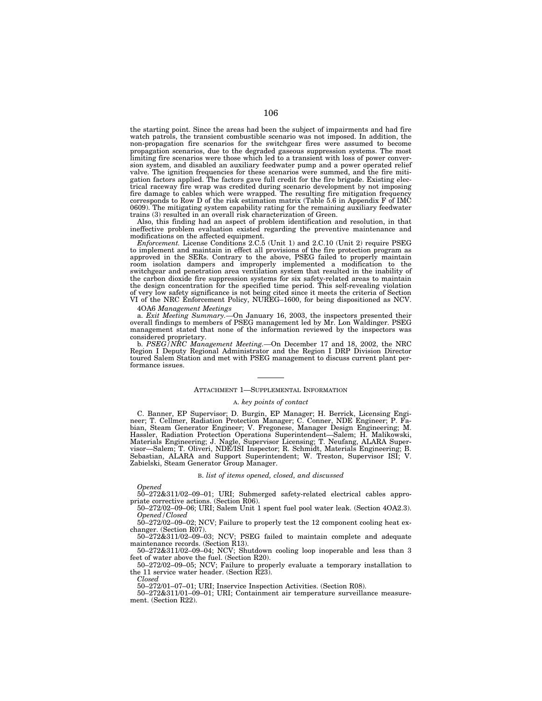the starting point. Since the areas had been the subject of impairments and had fire watch patrols, the transient combustible scenario was not imposed. In addition, the non-propagation fire scenarios for the switchgear fires were assumed to become propagation scenarios, due to the degraded gaseous suppression systems. The most limiting fire scenarios were those which led to a transient with loss of power conversion system, and disabled an auxiliary feedwater pump and a power operated relief valve. The ignition frequencies for these scenarios were summed, and the fire mitigation factors applied. The factors gave full credit for the fire brigade. Existing electrical raceway fire wrap was credited during scenario development by not imposing fire damage to cables which were wrapped. The resulting fire mitigation frequency corresponds to Row D of the risk estimation matrix (Table 5.6 in Appendix  $F$  of IMC 0609). The mitigating system capability rating for the remaining auxiliary feedwater trains (3) resulted in an overall risk characterization of Green.

Also, this finding had an aspect of problem identification and resolution, in that ineffective problem evaluation existed regarding the preventive maintenance and modifications on the affected equipment.

*Enforcement.* License Conditions 2.C.5 (Unit 1) and 2.C.10 (Unit 2) require PSEG to implement and maintain in effect all provisions of the fire protection program as approved in the SERs. Contrary to the above, PSEG failed to properly maintain room isolation dampers and improperly implemented a modification to the switchgear and penetration area ventilation system that resulted in the inability of the carbon dioxide fire suppression systems for six safety-related areas to maintain the design concentration for the specified time period. This self-revealing violation of very low safety significance is not being cited since it meets the criteria of Section VI of the NRC Enforcement Policy, NUREG–1600, for being dispositioned as NCV.

4OA6 *Management Meetings*

a. *Exit Meeting Summary.—*On January 16, 2003, the inspectors presented their overall findings to members of PSEG management led by Mr. Lon Waldinger. PSEG management stated that none of the information reviewed by the inspectors was considered proprietary.

b. *PSEG/NRC Management Meeting.—*On December 17 and 18, 2002, the NRC Region I Deputy Regional Administrator and the Region I DRP Division Director toured Salem Station and met with PSEG management to discuss current plant performance issues.

## ATTACHMENT 1—SUPPLEMENTAL INFORMATION

### A. *key points of contact*

C. Banner, EP Supervisor; D. Burgin, EP Manager; H. Berrick, Licensing Engineer; T. Cellmer, Radiation Protection Manager; C. Conner, NDE Engineer; P. Fabian, Steam Generator Engineer; V. Fregonese, Manager Design Engineering; M. Hassler, Radiation Protection Operations Superintendent—Salem; H. Malikowski, Materials Engineering; J. Nagle, Supervisor Licensing; T. Neufang, ALARA Supervisor—Salem; T. Oliveri, NDE/ISI Inspector; R. Schmidt, Materials Engineering; B. Sebastian, ALARA and Support Superintendent; W. Treston, Supervisor ISI; V. Zabielski, Steam Generator Group Manager.

### B. *list of items opened, closed, and discussed*

*Opened*

50–272&311/02–09–01; URI; Submerged safety-related electrical cables appropriate corrective actions. (Section R06).

50–272/02–09–06; URI; Salem Unit 1 spent fuel pool water leak. (Section 4OA2.3). *Opened/Closed*

50–272/02–09–02; NCV; Failure to properly test the 12 component cooling heat exchanger. (Section R07).

50–272&311/02–09–03; NCV; PSEG failed to maintain complete and adequate maintenance records. (Section R13).

50–272&311/02–09–04; NCV; Shutdown cooling loop inoperable and less than 3 feet of water above the fuel. (Section R20).

50–272/02–09–05; NCV; Failure to properly evaluate a temporary installation to the 11 service water header. (Section R23).

*Closed*

50–272/01–07–01; URI; Inservice Inspection Activities. (Section R08). 50–272&311/01–09–01; URI; Containment air temperature surveillance measurement. (Section R22).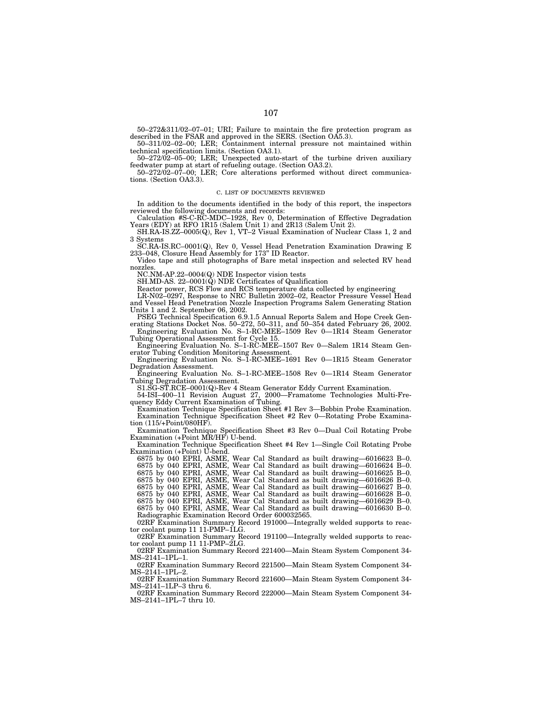50–272&311/02–07–01; URI; Failure to maintain the fire protection program as described in the FSAR and approved in the SERS. (Section OA5.3).

50–311/02–02–00; LER; Containment internal pressure not maintained within technical specification limits. (Section OA3.1).

50–272/02–05–00; LER; Unexpected auto-start of the turbine driven auxiliary feedwater pump at start of refueling outage. (Section OA3.2).

50–272/02–07–00; LER; Core alterations performed without direct communications. (Section OA3.3).

#### C. LIST OF DOCUMENTS REVIEWED

In addition to the documents identified in the body of this report, the inspectors reviewed the following documents and records:

Calculation #S-C-RC-MDC–1928, Rev 0, Determination of Effective Degradation Years (EDY) at RFO 1R15 (Salem Unit 1) and 2R13 (Salem Unit 2).

SH.RA-IS.ZZ–0005(Q), Rev 1, VT–2 Visual Examination of Nuclear Class 1, 2 and 3 Systems

SC.RA-IS.RC–0001(Q), Rev 0, Vessel Head Penetration Examination Drawing E 233–048, Closure Head Assembly for 173'' ID Reactor.

Video tape and still photographs of Bare metal inspection and selected RV head nozzles.

NC.NM-AP.22–0004(Q) NDE Inspector vision tests

SH.MD-AS. 22–0001(Q) NDE Certificates of Qualification

Reactor power, RCS Flow and RCS temperature data collected by engineering

LR-N02–0297, Response to NRC Bulletin 2002–02, Reactor Pressure Vessel Head and Vessel Head Penetration Nozzle Inspection Programs Salem Generating Station Units 1 and 2. September 06, 2002.

PSEG Technical Specification 6.9.1.5 Annual Reports Salem and Hope Creek Generating Stations Docket Nos. 50–272, 50–311, and 50–354 dated February 26, 2002. Engineering Evaluation No. S–1-RC-MEE–1509 Rev 0—1R14 Steam Generator

Tubing Operational Assessment for Cycle 15. Engineering Evaluation No. S–1-RC-MEE–1507 Rev 0—Salem 1R14 Steam Gen-

erator Tubing Condition Monitoring Assessment.

Engineering Evaluation No. S–1-RC-MEE–1691 Rev 0—1R15 Steam Generator Degradation Assessment.

Engineering Evaluation No. S–1-RC-MEE–1508 Rev 0—1R14 Steam Generator Tubing Degradation Assessment.

S1.SG-ST.RCE–0001(Q)-Rev 4 Steam Generator Eddy Current Examination.

54-ISI–400–11 Revision August 27, 2000—Framatome Technologies Multi-Frequency Eddy Current Examination of Tubing.

Examination Technique Specification Sheet #1 Rev 3—Bobbin Probe Examination. Examination Technique Specification Sheet #2 Rev 0—Rotating Probe Examination (115/+Point/080HF).

Examination Technique Specification Sheet #3 Rev 0—Dual Coil Rotating Probe Examination (+Point MR/HF) U-bend.

Examination Technique Specification Sheet #4 Rev 1—Single Coil Rotating Probe Examination (+Point) U-bend.

6875 by 040 EPRI, ASME, Wear Cal Standard as built drawing—6016623 B–0. 6875 by 040 EPRI, ASME, Wear Cal Standard as built drawing—6016624 B–0. 6875 by 040 EPRI, ASME, Wear Cal Standard as built drawing—6016625 B–0. 6875 by 040 EPRI, ASME, Wear Cal Standard as built drawing—6016626 B–0. 6875 by 040 EPRI, ASME, Wear Cal Standard as built drawing—6016627 B–0. 6875 by 040 EPRI, ASME, Wear Cal Standard as built drawing—6016628 B–0. 6875 by 040 EPRI, ASME, Wear Cal Standard as built drawing—6016629 B–0.

6875 by 040 EPRI, ASME, Wear Cal Standard as built drawing—6016630 B–0. Radiographic Examination Record Order 600032565.

02RF Examination Summary Record 191000—Integrally welded supports to reactor coolant pump 11 11-PMP–1LG.

02RF Examination Summary Record 191100—Integrally welded supports to reactor coolant pump 11 11-PMP–2LG.

02RF Examination Summary Record 221400—Main Steam System Component 34- MS–2141–1PL–1.

02RF Examination Summary Record 221500—Main Steam System Component 34- MS–2141–1PL–2.

02RF Examination Summary Record 221600—Main Steam System Component 34- MS–2141–1LP–3 thru 6.

02RF Examination Summary Record 222000—Main Steam System Component 34- MS–2141–1PL–7 thru 10.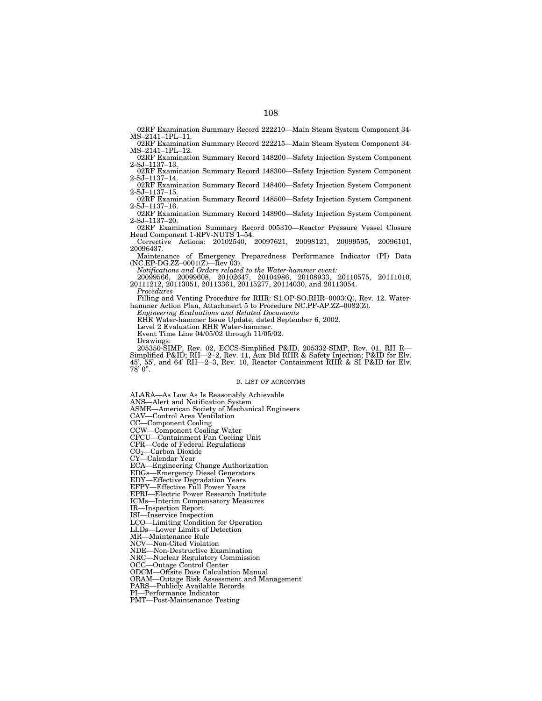02RF Examination Summary Record 222210—Main Steam System Component 34- MS–2141–1PL–11.

02RF Examination Summary Record 222215—Main Steam System Component 34- MS–2141–1PL–12. 02RF Examination Summary Record 148200—Safety Injection System Component

2-SJ–1137–13. 02RF Examination Summary Record 148300—Safety Injection System Component

2-SJ–1137–14. 02RF Examination Summary Record 148400—Safety Injection System Component 2-SJ–1137–15.

02RF Examination Summary Record 148500—Safety Injection System Component 2-SJ–1137–16.

02RF Examination Summary Record 148900—Safety Injection System Component 2-SJ–1137–20.

02RF Examination Summary Record 005310—Reactor Pressure Vessel Closure Head Component 1-RPV-NUTS 1–54.

Corrective Actions: 20102540, 20097621, 20098121, 20099595, 20096101, 20096437.

Maintenance of Emergency Preparedness Performance Indicator (PI) Data (NC.EP-DG.ZZ–0001(Z)—Rev 03).

*Notifications and Orders related to the Water-hammer event:*

20099566, 20099608, 20102647, 20104986, 20108933, 20110575, 20111010, 20111212, 20113051, 20113361, 20115277, 20114030, and 20113054.

*Procedures*

Filling and Venting Procedure for RHR: S1.OP-SO.RHR–0003(Q), Rev. 12. Waterhammer Action Plan, Attachment 5 to Procedure NC.PF-AP.ZZ-0082(Z).

*Engineering Evaluations and Related Documents*

RHR Water-hammer Issue Update, dated September 6, 2002.

Level 2 Evaluation RHR Water-hammer.

Event Time Line 04/05/02 through 11/05/02.

Drawings:

205350-SIMP, Rev. 02, ECCS-Simplified P&ID, 205332-SIMP, Rev. 01, RH R— Simplified P&ID; RH—2–2, Rev. 11, Aux Bld RHR & Safety Injection; P&ID for Elv. 45', 55', and 64' RH—2–3, Rev. 10, Reactor Containment RHR & SI P&ID for Elv.  $78'0".$ 

#### D. LIST OF ACRONYMS

ALARA—As Low As Is Reasonably Achievable ANS—Alert and Notification System

ASME—American Society of Mechanical Engineers

CAV—Control Area Ventilation

CC—Component Cooling

CCW—Component Cooling Water

CFCU—Containment Fan Cooling Unit

CFR—Code of Federal Regulations

CO2—Carbon Dioxide

CY—Calendar Year

ECA—Engineering Change Authorization

EDGs—Emergency Diesel Generators

EDY—Effective Degradation Years

EFPY—Effective Full Power Years

EPRI—Electric Power Research Institute

ICMs—Interim Compensatory Measures

IR—Inspection Report

ISI—Inservice Inspection

LCO—Limiting Condition for Operation

LLDs—Lower Limits of Detection MR—Maintenance Rule

NCV—Non-Cited Violation

NDE—Non-Destructive Examination

NRC—Nuclear Regulatory Commission

OCC—Outage Control Center

ODCM—Offsite Dose Calculation Manual

ORAM—Outage Risk Assessment and Management

PARS—Publicly Available Records

PI—Performance Indicator

PMT—Post-Maintenance Testing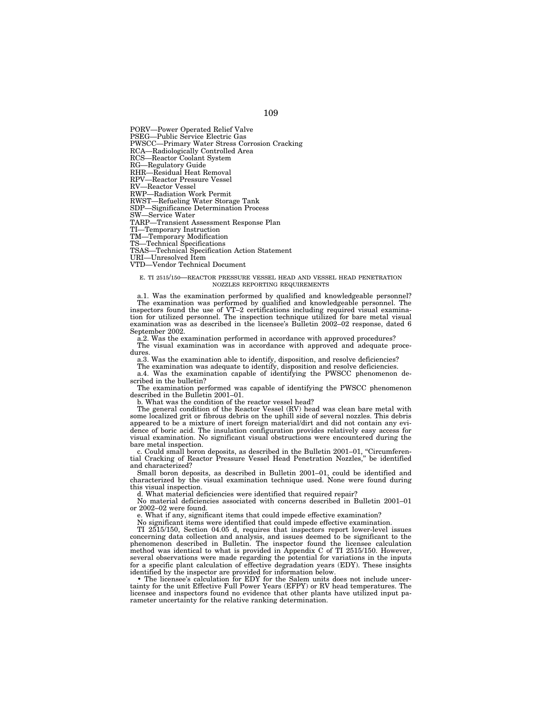PORV—Power Operated Relief Valve

PSEG—Public Service Electric Gas

PWSCC—Primary Water Stress Corrosion Cracking

RCA—Radiologically Controlled Area RCS—Reactor Coolant System

RG—Regulatory Guide

RHR—Residual Heat Removal

RPV—Reactor Pressure Vessel

RV—Reactor Vessel

RWP—Radiation Work Permit

RWST—Refueling Water Storage Tank

SDP—Significance Determination Process

SW—Service Water

TARP—Transient Assessment Response Plan

TI—Temporary Instruction

TM—Temporary Modification

TS—Technical Specifications

TSAS—Technical Specification Action Statement

URI—Unresolved Item

VTD—Vendor Technical Document

### E. TI 2515/150—REACTOR PRESSURE VESSEL HEAD AND VESSEL HEAD PENETRATION NOZZLES REPORTING REQUIREMENTS

a.1. Was the examination performed by qualified and knowledgeable personnel? The examination was performed by qualified and knowledgeable personnel. The inspectors found the use of VT–2 certifications including required visual examination for utilized personnel. The inspection technique utilized for bare metal visual examination was as described in the licensee's Bulletin 2002–02 response, dated 6 September 2002.

a.2. Was the examination performed in accordance with approved procedures? The visual examination was in accordance with approved and adequate proce-

dures a.3. Was the examination able to identify, disposition, and resolve deficiencies?

The examination was adequate to identify, disposition and resolve deficiencies.

a.4. Was the examination capable of identifying the PWSCC phenomenon described in the bulletin?

The examination performed was capable of identifying the PWSCC phenomenon described in the Bulletin 2001–01.

b. What was the condition of the reactor vessel head?

The general condition of the Reactor Vessel (RV) head was clean bare metal with some localized grit or fibrous debris on the uphill side of several nozzles. This debris appeared to be a mixture of inert foreign material/dirt and did not contain any evidence of boric acid. The insulation configuration provides relatively easy access for visual examination. No significant visual obstructions were encountered during the bare metal inspection.

c. Could small boron deposits, as described in the Bulletin 2001–01, ''Circumferential Cracking of Reactor Pressure Vessel Head Penetration Nozzles,'' be identified and characterized?

Small boron deposits, as described in Bulletin 2001–01, could be identified and characterized by the visual examination technique used. None were found during this visual inspection.

d. What material deficiencies were identified that required repair?

No material deficiencies associated with concerns described in Bulletin 2001–01 or 2002–02 were found.

e. What if any, significant items that could impede effective examination?

No significant items were identified that could impede effective examination.

TI 2515/150, Section 04.05 d, requires that inspectors report lower-level issues concerning data collection and analysis, and issues deemed to be significant to the phenomenon described in Bulletin. The inspector found the licensee calculation method was identical to what is provided in Appendix C of TI 2515/150. However, several observations were made regarding the potential for variations in the inputs for a specific plant calculation of effective degradation years (EDY). These insights identified by the inspector are provided for information below.

• The licensee's calculation for EDY for the Salem units does not include uncertainty for the unit Effective Full Power Years (EFPY) or RV head temperatures. The licensee and inspectors found no evidence that other plants have utilized input parameter uncertainty for the relative ranking determination.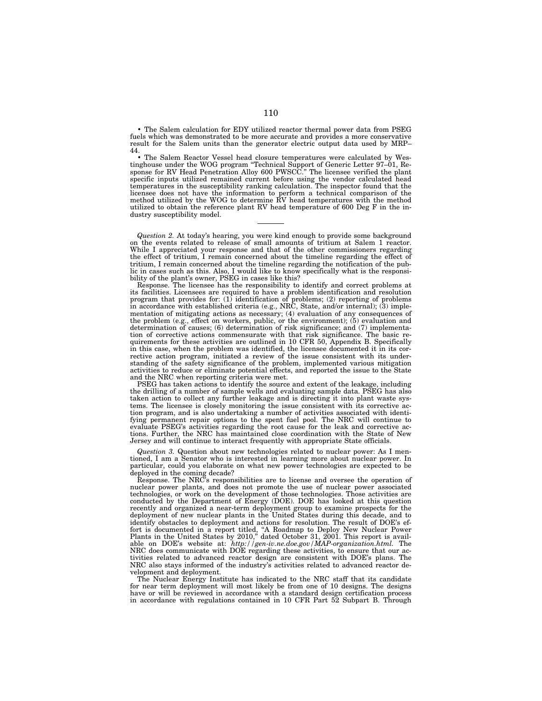• The Salem calculation for EDY utilized reactor thermal power data from PSEG fuels which was demonstrated to be more accurate and provides a more conservative result for the Salem units than the generator electric output data used by MRP– 44.

• The Salem Reactor Vessel head closure temperatures were calculated by Westinghouse under the WOG program ''Technical Support of Generic Letter 97–01, Response for RV Head Penetration Alloy 600 PWSCC.'' The licensee verified the plant specific inputs utilized remained current before using the vendor calculated head temperatures in the susceptibility ranking calculation. The inspector found that the licensee does not have the information to perform a technical comparison of the method utilized by the WOG to determine RV head temperatures with the method utilized to obtain the reference plant RV head temperature of 600 Deg F in the industry susceptibility model.

*Question 2.* At today's hearing, you were kind enough to provide some background on the events related to release of small amounts of tritium at Salem 1 reactor. While I appreciated your response and that of the other commissioners regarding the effect of tritium, I remain concerned about the timeline regarding the effect of tritium, I remain concerned about the timeline regarding the notification of the public in cases such as this. Also, I would like to know specifically what is the responsibility of the plant's owner, PSEG in cases like this?

Response. The licensee has the responsibility to identify and correct problems at its facilities. Licensees are required to have a problem identification and resolution program that provides for: (1) identification of problems; (2) reporting of problems in accordance with established criteria (e.g., NRC, State, and/or internal); (3) implementation of mitigating actions as necessary; (4) evaluation of any consequences of the problem (e.g., effect on workers, public, or the environment); (5) evaluation and determination of causes; (6) determination of risk significance; and (7) implementation of corrective actions commensurate with that risk significance. The basic requirements for these activities are outlined in 10 CFR 50, Appendix B. Specifically in this case, when the problem was identified, the licensee documented it in its corrective action program, initiated a review of the issue consistent with its understanding of the safety significance of the problem, implemented various mitigation activities to reduce or eliminate potential effects, and reported the issue to the State and the NRC when reporting criteria were met.

PSEG has taken actions to identify the source and extent of the leakage, including the drilling of a number of sample wells and evaluating sample data. PSEG has also taken action to collect any further leakage and is directing it into plant waste systems. The licensee is closely monitoring the issue consistent with its corrective action program, and is also undertaking a number of activities associated with identifying permanent repair options to the spent fuel pool. The NRC will continue to evaluate PSEG's activities regarding the root cause for the leak and corrective actions. Further, the NRC has maintained close coordination with the State of New Jersey and will continue to interact frequently with appropriate State officials.

*Question 3.* Question about new technologies related to nuclear power: As I mentioned, I am a Senator who is interested in learning more about nuclear power. In particular, could you elaborate on what new power technologies are expected to be deployed in the coming decade?

Response. The NRC's responsibilities are to license and oversee the operation of nuclear power plants, and does not promote the use of nuclear power associated technologies, or work on the development of those technologies. Those activities are conducted by the Department of Energy (DOE). DOE has looked at this question recently and organized a near-term deployment group to examine prospects for the deployment of new nuclear plants in the United States during this decade, and to identify obstacles to deployment and actions for resolution. The result of DOE's effort is documented in a report titled, ''A Roadmap to Deploy New Nuclear Power Plants in the United States by 2010,'' dated October 31, 2001. This report is available on DOE's website at: *http://gen-iv.ne.doe.gov/MAP-organization.html.* The NRC does communicate with DOE regarding these activities, to ensure that our activities related to advanced reactor design are consistent with DOE's plans. The NRC also stays informed of the industry's activities related to advanced reactor development and deployment.

The Nuclear Energy Institute has indicated to the NRC staff that its candidate for near term deployment will most likely be from one of 10 designs. The designs have or will be reviewed in accordance with a standard design certification process in accordance with regulations contained in 10 CFR Part 52 Subpart B. Through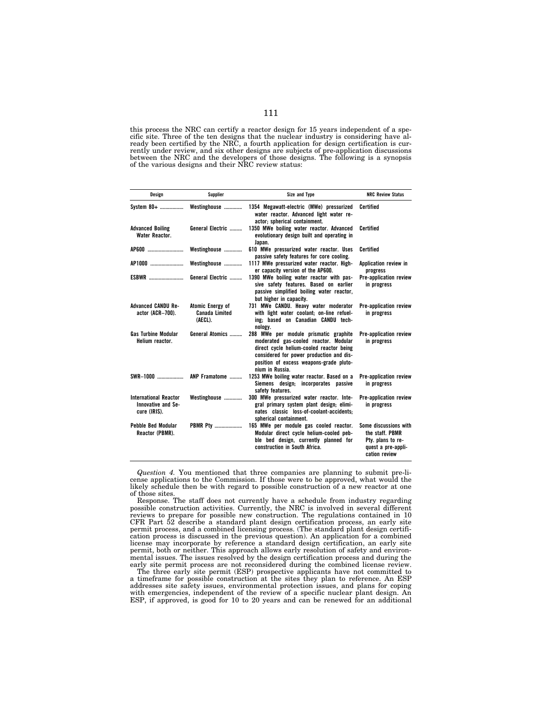this process the NRC can certify a reactor design for 15 years independent of a specific site. Three of the ten designs that the nuclear industry is considering have already been certified by the NRC, a fourth application for design certification is currently under review, and six other designs are subjects of pre-application discussions between the NRC and the developers of those designs. The following is a synopsis of the various designs and their NRC review status:

| Design                                                             | Supplier                                             | Size and Type                                                                                                                                                                                                                        | <b>NRC Review Status</b>                                                                             |
|--------------------------------------------------------------------|------------------------------------------------------|--------------------------------------------------------------------------------------------------------------------------------------------------------------------------------------------------------------------------------------|------------------------------------------------------------------------------------------------------|
|                                                                    |                                                      | System 80+  Westinghouse  1354 Megawatt-electric (MWe) pressurized<br>water reactor. Advanced light water re-<br>actor; spherical containment.                                                                                       | Certified                                                                                            |
| <b>Advanced Boiling</b><br>Water Reactor.                          | General Electric                                     | 1350 MWe boiling water reactor. Advanced<br>evolutionary design built and operating in<br>Japan.                                                                                                                                     | Certified                                                                                            |
| AP600                                                              | Westinghouse                                         | 610 MWe pressurized water reactor. Uses<br>passive safety features for core cooling.                                                                                                                                                 | Certified                                                                                            |
| AP1000                                                             | Westinghouse                                         | 1117 MWe pressurized water reactor. High-<br>er capacity version of the AP600.                                                                                                                                                       | Application review in<br>progress                                                                    |
| <b>ESBWR</b>                                                       | General Electric                                     | 1390 MWe boiling water reactor with pas-<br>sive safety features. Based on earlier<br>passive simplified boiling water reactor.<br>but higher in capacity.                                                                           | Pre-application review<br>in progress                                                                |
| <b>Advanced CANDU Re-</b><br>actor (ACR-700).                      | Atomic Energy of<br><b>Canada Limited</b><br>(AECL). | 731 MWe CANDU. Heavy water moderator<br>with light water coolant; on-line refuel-<br>ing: based on Canadian CANDU tech-<br>nology.                                                                                                   | Pre-application review<br>in progress                                                                |
| <b>Gas Turbine Modular</b><br>Helium reactor.                      | General Atomics                                      | 288 MWe per module prismatic graphite<br>moderated gas-cooled reactor. Modular<br>direct cycle helium-cooled reactor being<br>considered for power production and dis-<br>position of excess weapons-grade pluto-<br>nium in Russia. | Pre-application review<br>in progress                                                                |
| SWR-1000                                                           | ANP Framatome                                        | 1253 MWe boiling water reactor. Based on a<br>Siemens design; incorporates passive<br>safety features.                                                                                                                               | Pre-application review<br>in progress                                                                |
| <b>International Reactor</b><br>Innovative and Se-<br>cure (IRIS). | Westinghouse                                         | 300 MWe pressurized water reactor. Inte-<br>gral primary system plant design; elimi-<br>nates classic loss-of-coolant-accidents:<br>spherical containment.                                                                           | Pre-application review<br>in progress                                                                |
| Pebble Bed Modular<br>Reactor (PBMR).                              | <b>PBMR Ptv</b>                                      | 165 MWe per module gas cooled reactor.<br>Modular direct cycle helium-cooled peb-<br>ble bed design, currently planned for<br>construction in South Africa.                                                                          | Some discussions with<br>the staff. PBMR<br>Pty. plans to re-<br>quest a pre-appli-<br>cation review |

*Question 4.* You mentioned that three companies are planning to submit pre-license applications to the Commission. If those were to be approved, what would the likely schedule then be with regard to possible construction of a new reactor at one of those sites.

Response. The staff does not currently have a schedule from industry regarding possible construction activities. Currently, the NRC is involved in several different reviews to prepare for possible new construction. The regulations contained in 10 CFR Part 52 describe a standard plant design certification process, an early site permit process, and a combined licensing process. (The standard plant design certification process is discussed in the previous question). An application for a combined license may incorporate by reference a standard design certification, an early site permit, both or neither. This approach allows early resolution of safety and environmental issues. The issues resolved by the design certification process and during the early site permit process are not reconsidered during the combined license review.

The three early site permit (ESP) prospective applicants have not committed to a timeframe for possible construction at the sites they plan to reference. An ESP addresses site safety issues, environmental protection issues, and plans for coping with emergencies, independent of the review of a specific nuclear plant design. An ESP, if approved, is good for 10 to 20 years and can be renewed for an additional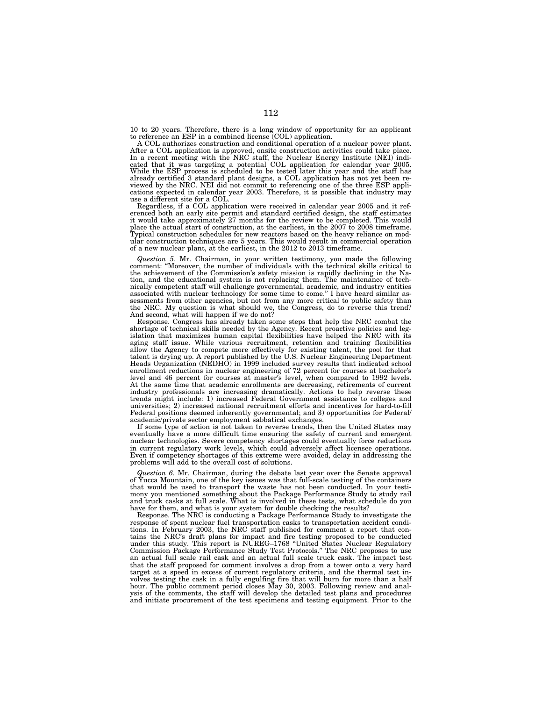10 to 20 years. Therefore, there is a long window of opportunity for an applicant to reference an ESP in a combined license (COL) application.

A COL authorizes construction and conditional operation of a nuclear power plant. After a COL application is approved, onsite construction activities could take place.<br>In a recent meeting with the NRC staff, the Nuclear Energy Institute (NEI) indi-<br>cated that it was targeting a potential COL application viewed by the NRC. NEI did not commit to referencing one of the three ESP applications expected in calendar year 2003. Therefore, it is possible that industry may use a different site for a COL.

Regardless, if a COL application were received in calendar year 2005 and it ref-erenced both an early site permit and standard certified design, the staff estimates it would take approximately 27 months for the review to be completed. This would place the actual start of construction, at the earliest, in the 2007 to 2008 timeframe. Typical construction schedules for new reactors based on the heavy reliance on mod-ular construction techniques are 5 years. This would result in commercial operation of a new nuclear plant, at the earliest, in the 2012 to 2013 timeframe.

*Question 5. Mr.* Chairman, in your written testimony, you made the following comment: "Moreover, the number of individuals with the technical skills critical to the achievement of the Commission's safety mission is rapidly declining in the Nation, and the educational system is not replacing them. The maintenance of technically competent staff will challenge governmental, academic, and industry entities associated with nuclear technology for some time to come.'' I have heard similar assessments from other agencies, but not from any more critical to public safety than the NRC. My question is what should we, the Congress, do to reverse this trend? And second, what will happen if we do not?

Response. Congress has already taken some steps that help the NRC combat the shortage of technical skills needed by the Agency. Recent proactive policies and legislation that maximizes human capital flexibilities have helped the NRC with its aging staff issue. While various recruitment, retention and training flexibilities allow the Agency to compete more effectively for existing talent, the pool for that talent is drying up. A report published by the U.S. Nuclear Engineering Department Heads Organization (NEDHO) in 1999 included survey results that indicated school enrollment reductions in nuclear engineering of 72 percent for courses at bachelor's level and 46 percent for courses at master's level, when compared to 1992 levels. At the same time that academic enrollments are decreasing, retirements of current industry professionals are increasing dramatically. Actions to help reverse these trends might include: 1) increased Federal Government assistance to colleges and universities; 2) increased national recruitment efforts and incentives for hard-to-fill Federal positions deemed inherently governmental; and 3) opportunities for Federal/ academic/private sector employment sabbatical exchanges.

If some type of action is not taken to reverse trends, then the United States may eventually have a more difficult time ensuring the safety of current and emergent nuclear technologies. Severe competency shortages could eventually force reductions in current regulatory work levels, which could adversely affect licensee operations. Even if competency shortages of this extreme were avoided, delay in addressing the problems will add to the overall cost of solutions.

*Question 6.* Mr. Chairman, during the debate last year over the Senate approval of Yucca Mountain, one of the key issues was that full-scale testing of the containers that would be used to transport the waste has not been conducted. In your testimony you mentioned something about the Package Performance Study to study rail and truck casks at full scale. What is involved in these tests, what schedule do you have for them, and what is your system for double checking the results?

Response. The NRC is conducting a Package Performance Study to investigate the response of spent nuclear fuel transportation casks to transportation accident conditions. In February 2003, the NRC staff published for comment a report that contains the NRC's draft plans for impact and fire testing proposed to be conducted under this study. This report is NUREG–1768 ''United States Nuclear Regulatory Commission Package Performance Study Test Protocols.'' The NRC proposes to use an actual full scale rail cask and an actual full scale truck cask. The impact test that the staff proposed for comment involves a drop from a tower onto a very hard target at a speed in excess of current regulatory criteria, and the thermal test involves testing the cask in a fully engulfing fire that will burn for more than a half hour. The public comment period closes May 30, 2003. Following review and analysis of the comments, the staff will develop the detailed test plans and procedures and initiate procurement of the test specimens and testing equipment. Prior to the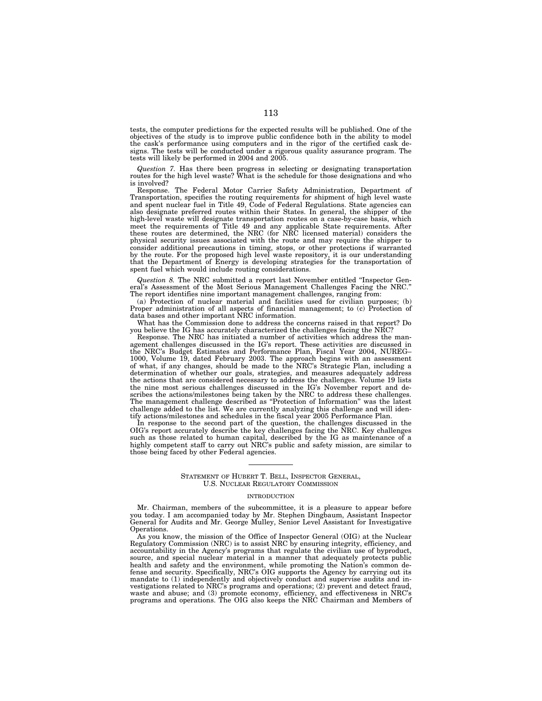tests, the computer predictions for the expected results will be published. One of the objectives of the study is to improve public confidence both in the ability to model the cask's performance using computers and in the rigor of the certified cask designs. The tests will be conducted under a rigorous quality assurance program. The tests will likely be performed in 2004 and 2005.

*Question 7.* Has there been progress in selecting or designating transportation routes for the high level waste? What is the schedule for those designations and who is involved?

Response. The Federal Motor Carrier Safety Administration, Department of Transportation, specifies the routing requirements for shipment of high level waste and spent nuclear fuel in Title 49, Code of Federal Regulations. State agencies can also designate preferred routes within their States. In general, the shipper of the high-level waste will designate transportation routes on a case-by-case basis, which meet the requirements of Title 49 and any applicable State requirements. After these routes are determined, the NRC (for NRC licensed material) considers the physical security issues associated with the route and may require the shipper to consider additional precautions in timing, stops, or other protections if warranted by the route. For the proposed high level waste repository, it is our understanding that the Department of Energy is developing strategies for the transportation of spent fuel which would include routing considerations.

*Question 8.* The NRC submitted a report last November entitled ''Inspector General's Assessment of the Most Serious Management Challenges Facing the NRC.'' The report identifies nine important management challenges, ranging from:

(a) Protection of nuclear material and facilities used for civilian purposes; (b) Proper administration of all aspects of financial management; to (c) Protection of data bases and other important NRC information.

What has the Commission done to address the concerns raised in that report? Do you believe the IG has accurately characterized the challenges facing the NRC?

Response. The NRC has initiated a number of activities which address the management challenges discussed in the IG's report. These activities are discussed in the NRC's Budget Estimates and Performance Plan, Fiscal Year 2004, NUREG– 1000, Volume 19, dated February 2003. The approach begins with an assessment of what, if any changes, should be made to the NRC's Strategic Plan, including a determination of whether our goals, strategies, and measures adequately address the actions that are considered necessary to address the challenges. Volume 19 lists the nine most serious challenges discussed in the IG's November report and describes the actions/milestones being taken by the NRC to address these challenges. The management challenge described as ''Protection of Information'' was the latest challenge added to the list. We are currently analyzing this challenge and will identify actions/milestones and schedules in the fiscal year 2005 Performance Plan.

In response to the second part of the question, the challenges discussed in the OIG's report accurately describe the key challenges facing the NRC. Key challenges such as those related to human capital, described by the IG as maintenance of a highly competent staff to carry out NRC's public and safety mission, are similar to those being faced by other Federal agencies.

## STATEMENT OF HUBERT T. BELL, INSPECTOR GENERAL, U.S. NUCLEAR REGULATORY COMMISSION

#### **INTRODUCTION**

Mr. Chairman, members of the subcommittee, it is a pleasure to appear before you today. I am accompanied today by Mr. Stephen Dingbaum, Assistant Inspector General for Audits and Mr. George Mulley, Senior Level Assistant for Investigative Operations.

As you know, the mission of the Office of Inspector General (OIG) at the Nuclear Regulatory Commission (NRC) is to assist NRC by ensuring integrity, efficiency, and accountability in the Agency's programs that regulate the civilian use of byproduct, source, and special nuclear material in a manner that adequately protects public health and safety and the environment, while promoting the Nation's common defense and security. Specifically, NRC's OIG supports the Agency by carrying out its mandate to (1) independently and objectively conduct and supervise audits and investigations related to NRC's programs and operations; (2) prevent and detect fraud, waste and abuse; and (3) promote economy, efficiency, and effectiveness in NRC's programs and operations. The OIG also keeps the NRC Chairman and Members of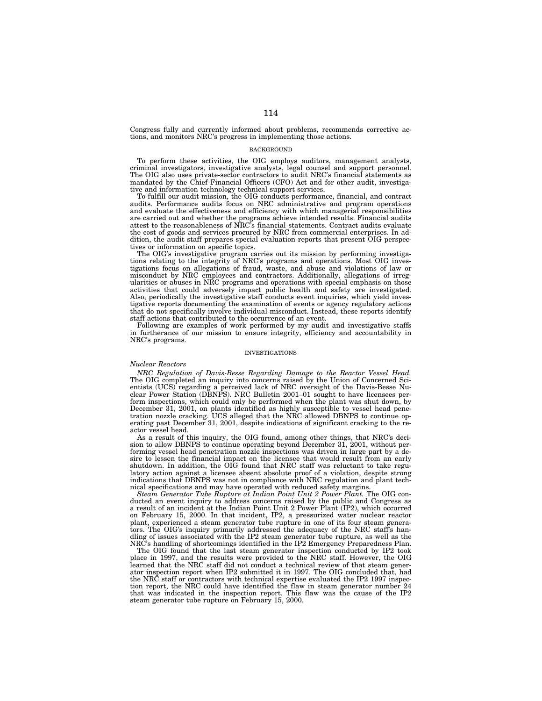Congress fully and currently informed about problems, recommends corrective actions, and monitors NRC's progress in implementing those actions.

## BACKGROUND

To perform these activities, the OIG employs auditors, management analysts, criminal investigators, investigative analysts, legal counsel and support personnel. The OIG also uses private-sector contractors to audit NRC's financial statements as mandated by the Chief Financial Officers (CFO) Act and for other audit, investigative and information technology technical support services.

To fulfill our audit mission, the OIG conducts performance, financial, and contract audits. Performance audits focus on NRC administrative and program operations and evaluate the effectiveness and efficiency with which managerial responsibilities are carried out and whether the programs achieve intended results. Financial audits attest to the reasonableness of NRC's financial statements. Contract audits evaluate the cost of goods and services procured by NRC from commercial enterprises. In addition, the audit staff prepares special evaluation reports that present OIG perspectives or information on specific topics.

The OIG's investigative program carries out its mission by performing investigations relating to the integrity of NRC's programs and operations. Most OIG investigations focus on allegations of fraud, waste, and abuse and violations of law or misconduct by NRC employees and contractors. Additionally, allegations of irregularities or abuses in NRC programs and operations with special emphasis on those activities that could adversely impact public health and safety are investigated. Also, periodically the investigative staff conducts event inquiries, which yield investigative reports documenting the examination of events or agency regulatory actions that do not specifically involve individual misconduct. Instead, these reports identify staff actions that contributed to the occurrence of an event.

Following are examples of work performed by my audit and investigative staffs in furtherance of our mission to ensure integrity, efficiency and accountability in NRC's programs.

#### INVESTIGATIONS

### *Nuclear Reactors*

*NRC Regulation of Davis-Besse Regarding Damage to the Reactor Vessel Head.* The OIG completed an inquiry into concerns raised by the Union of Concerned Scientists (UCS) regarding a perceived lack of NRC oversight of the Davis-Besse Nuclear Power Station (DBNPS). NRC Bulletin 2001–01 sought to have licensees perform inspections, which could only be performed when the plant was shut down, by December 31, 2001, on plants identified as highly susceptible to vessel head penetration nozzle cracking. UCS alleged that the NRC allowed DBNPS to continue operating past December 31, 2001, despite indications of significant cracking to the reactor vessel head.

As a result of this inquiry, the OIG found, among other things, that NRC's decision to allow DBNPS to continue operating beyond December 31, 2001, without performing vessel head penetration nozzle inspections was driven in large part by a desire to lessen the financial impact on the licensee that would result from an early shutdown. In addition, the OIG found that NRC staff was reluctant to take regulatory action against a licensee absent absolute proof of a violation, despite strong indications that DBNPS was not in compliance with NRC regulation and plant technical specifications and may have operated with reduced safety margins.

*Steam Generator Tube Rupture at Indian Point Unit 2 Power Plant.* The OIG conducted an event inquiry to address concerns raised by the public and Congress as a result of an incident at the Indian Point Unit 2 Power Plant (IP2), which occurred on February 15, 2000. In that incident, IP2, a pressurized water nuclear reactor plant, experienced a steam generator tube rupture in one of its four steam generators. The OIG's inquiry primarily addressed the adequacy of the NRC staff's handling of issues associated with the IP2 steam generator tube rupture, as well as the NRC's handling of shortcomings identified in the IP2 Emergency Preparedness Plan.

The OIG found that the last steam generator inspection conducted by IP2 took place in 1997, and the results were provided to the NRC staff. However, the OIG learned that the NRC staff did not conduct a technical review of that steam generator inspection report when IP2 submitted it in 1997. The OIG concluded that, had the NRC staff or contractors with technical expertise evaluated the IP2 1997 inspection report, the NRC could have identified the flaw in steam generator number 24 that was indicated in the inspection report. This flaw was the cause of the IP2 steam generator tube rupture on February 15, 2000.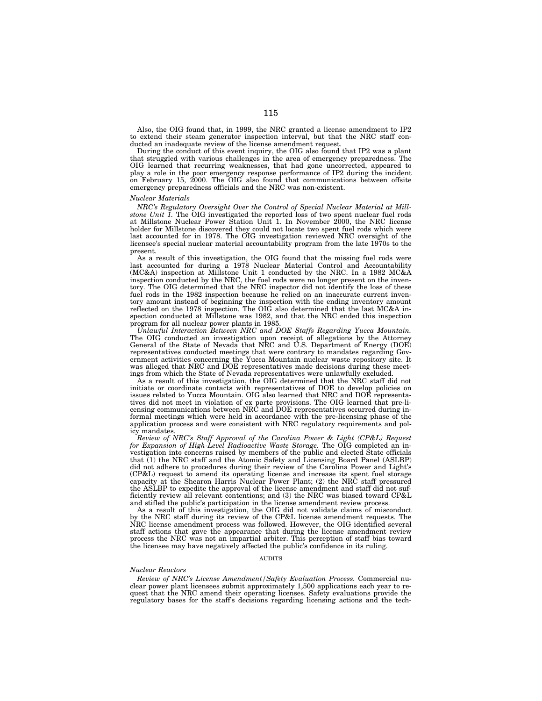Also, the OIG found that, in 1999, the NRC granted a license amendment to IP2 to extend their steam generator inspection interval, but that the NRC staff conducted an inadequate review of the license amendment request.

During the conduct of this event inquiry, the OIG also found that IP2 was a plant that struggled with various challenges in the area of emergency preparedness. The OIG learned that recurring weaknesses, that had gone uncorrected, appeared to play a role in the poor emergency response performance of IP2 during the incident on February 15, 2000. The OIG also found that communications between offsite emergency preparedness officials and the NRC was non-existent.

### *Nuclear Materials*

*NRC's Regulatory Oversight Over the Control of Special Nuclear Material at Millstone Unit 1.* The OIG investigated the reported loss of two spent nuclear fuel rods at Millstone Nuclear Power Station Unit 1. In November 2000, the NRC license holder for Millstone discovered they could not locate two spent fuel rods which were last accounted for in 1978. The OIG investigation reviewed NRC oversight of the licensee's special nuclear material accountability program from the late 1970s to the present.

As a result of this investigation, the OIG found that the missing fuel rods were last accounted for during a 1978 Nuclear Material Control and Accountability (MC&A) inspection at Millstone Unit 1 conducted by the NRC. In a 1982 MC&A inspection conducted by the NRC, the fuel rods were no longer present on the inventory. The OIG determined that the NRC inspector did not identify the loss of these fuel rods in the 1982 inspection because he relied on an inaccurate current inventory amount instead of beginning the inspection with the ending inventory amount reflected on the 1978 inspection. The OIG also determined that the last MC&A inspection conducted at Millstone was 1982, and that the NRC ended this inspection program for all nuclear power plants in 1985.

*Unlawful Interaction Between NRC and DOE Staffs Regarding Yucca Mountain.* The OIG conducted an investigation upon receipt of allegations by the Attorney General of the State of Nevada that NRC and U.S. Department of Energy (DOE) representatives conducted meetings that were contrary to mandates regarding Government activities concerning the Yucca Mountain nuclear waste repository site. It was alleged that NRC and DOE representatives made decisions during these meetings from which the State of Nevada representatives were unlawfully excluded.

As a result of this investigation, the OIG determined that the NRC staff did not initiate or coordinate contacts with representatives of DOE to develop policies on issues related to Yucca Mountain. OIG also learned that NRC and DOE representatives did not meet in violation of ex parte provisions. The OIG learned that pre-licensing communications between NRC and DOE representatives occurred during informal meetings which were held in accordance with the pre-licensing phase of the application process and were consistent with NRC regulatory requirements and policy mandates.

*Review of NRC's Staff Approval of the Carolina Power & Light (CP&L) Request for Expansion of High-Level Radioactive Waste Storage.* The OIG completed an investigation into concerns raised by members of the public and elected State officials that (1) the NRC staff and the Atomic Safety and Licensing Board Panel (ASLBP) did not adhere to procedures during their review of the Carolina Power and Light's (CP&L) request to amend its operating license and increase its spent fuel storage capacity at the Shearon Harris Nuclear Power Plant; (2) the NRC staff pressured the ASLBP to expedite the approval of the license amendment and staff did not sufficiently review all relevant contentions; and (3) the NRC was biased toward CP&L and stifled the public's participation in the license amendment review process.

As a result of this investigation, the OIG did not validate claims of misconduct by the NRC staff during its review of the CP&L license amendment requests. The NRC license amendment process was followed. However, the OIG identified several staff actions that gave the appearance that during the license amendment review process the NRC was not an impartial arbiter. This perception of staff bias toward the licensee may have negatively affected the public's confidence in its ruling.

# AUDITS

# *Nuclear Reactors*

*Review of NRC's License Amendment/Safety Evaluation Process.* Commercial nuclear power plant licensees submit approximately 1,500 applications each year to request that the NRC amend their operating licenses. Safety evaluations provide the regulatory bases for the staff's decisions regarding licensing actions and the tech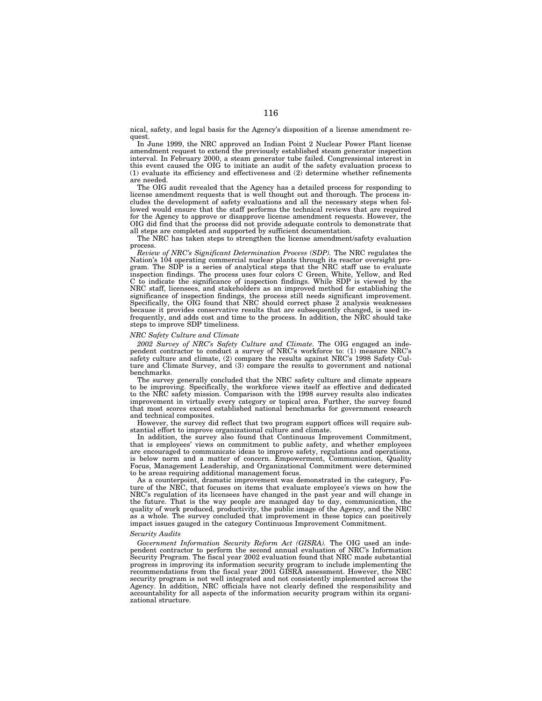nical, safety, and legal basis for the Agency's disposition of a license amendment request.

In June 1999, the NRC approved an Indian Point 2 Nuclear Power Plant license amendment request to extend the previously established steam generator inspection interval. In February 2000, a steam generator tube failed. Congressional interest in this event caused the OIG to initiate an audit of the safety evaluation process to (1) evaluate its efficiency and effectiveness and (2) determine whether refinements are needed.

The OIG audit revealed that the Agency has a detailed process for responding to license amendment requests that is well thought out and thorough. The process includes the development of safety evaluations and all the necessary steps when followed would ensure that the staff performs the technical reviews that are required for the Agency to approve or disapprove license amendment requests. However, the OIG did find that the process did not provide adequate controls to demonstrate that all steps are completed and supported by sufficient documentation.

The NRC has taken steps to strengthen the license amendment/safety evaluation process.

*Review of NRC's Significant Determination Process (SDP).* The NRC regulates the Nation's 104 operating commercial nuclear plants through its reactor oversight program. The SDP is a series of analytical steps that the NRC staff use to evaluate inspection findings. The process uses four colors C Green, White, Yellow, and Red C to indicate the significance of inspection findings. While SDP is viewed by the NRC staff, licensees, and stakeholders as an improved method for establishing the significance of inspection findings, the process still needs significant improvement. Specifically, the OIG found that NRC should correct phase 2 analysis weaknesses because it provides conservative results that are subsequently changed, is used infrequently, and adds cost and time to the process. In addition, the NRC should take steps to improve SDP timeliness.

### *NRC Safety Culture and Climate*

*2002 Survey of NRC's Safety Culture and Climate.* The OIG engaged an independent contractor to conduct a survey of NRC's workforce to: (1) measure NRC's safety culture and climate, (2) compare the results against NRC's 1998 Safety Culture and Climate Survey, and (3) compare the results to government and national benchmarks.

The survey generally concluded that the NRC safety culture and climate appears to be improving. Specifically, the workforce views itself as effective and dedicated to the NRC safety mission. Comparison with the 1998 survey results also indicates improvement in virtually every category or topical area. Further, the survey found that most scores exceed established national benchmarks for government research and technical composites.

However, the survey did reflect that two program support offices will require substantial effort to improve organizational culture and climate.

In addition, the survey also found that Continuous Improvement Commitment, that is employees' views on commitment to public safety, and whether employees are encouraged to communicate ideas to improve safety, regulations and operations, is below norm and a matter of concern. Empowerment, Communication, Quality Focus, Management Leadership, and Organizational Commitment were determined to be areas requiring additional management focus.

As a counterpoint, dramatic improvement was demonstrated in the category, Future of the NRC, that focuses on items that evaluate employee's views on how the NRC's regulation of its licensees have changed in the past year and will change in the future. That is the way people are managed day to day, communication, the quality of work produced, productivity, the public image of the Agency, and the NRC as a whole. The survey concluded that improvement in these topics can positively impact issues gauged in the category Continuous Improvement Commitment.

# *Security Audits*

*Government Information Security Reform Act (GISRA).* The OIG used an independent contractor to perform the second annual evaluation of NRC's Information Security Program. The fiscal year 2002 evaluation found that NRC made substantial progress in improving its information security program to include implementing the recommendations from the fiscal year 2001 GISRA assessment. However, the NRC security program is not well integrated and not consistently implemented across the Agency. In addition, NRC officials have not clearly defined the responsibility and accountability for all aspects of the information security program within its organizational structure.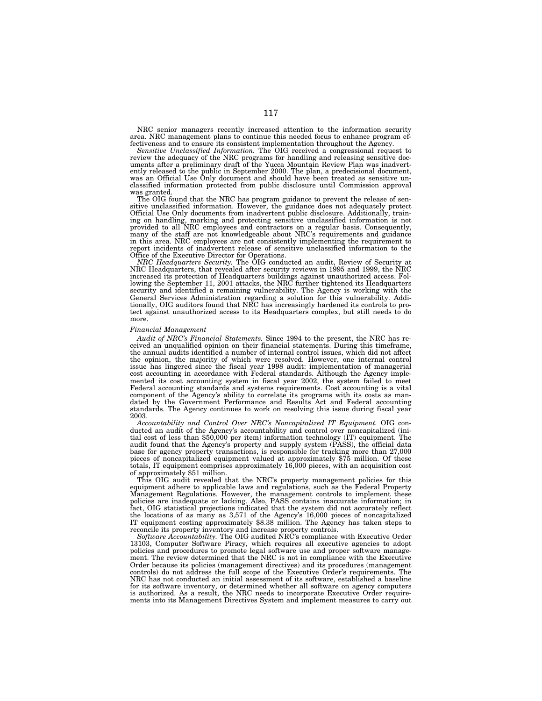NRC senior managers recently increased attention to the information security area. NRC management plans to continue this needed focus to enhance program effectiveness and to ensure its consistent implementation throughout the Agency.

*Sensitive Unclassified Information.* The OIG received a congressional request to review the adequacy of the NRC programs for handling and releasing sensitive doc-uments after a preliminary draft of the Yucca Mountain Review Plan was inadvertently released to the public in September 2000. The plan, a predecisional document, was an Official Use Only document and should have been treated as sensitive unclassified information protected from public disclosure until Commission approval was granted.

The OIG found that the NRC has program guidance to prevent the release of sensitive unclassified information. However, the guidance does not adequately protect Official Use Only documents from inadvertent public disclosure. Additionally, training on handling, marking and protecting sensitive unclassified information is not provided to all NRC employees and contractors on a regular basis. Consequently, many of the staff are not knowledgeable about NRC's requirements and guidance in this area. NRC employees are not consistently implementing the requirement to report incidents of inadvertent release of sensitive unclassified information to the Office of the Executive Director for Operations.

*NRC Headquarters Security.* The OIG conducted an audit, Review of Security at NRC Headquarters, that revealed after security reviews in 1995 and 1999, the NRC increased its protection of Headquarters buildings against unauthorized access. Following the September 11, 2001 attacks, the NRC further tightened its Headquarters security and identified a remaining vulnerability. The Agency is working with the General Services Administration regarding a solution for this vulnerability. Additionally, OIG auditors found that NRC has increasingly hardened its controls to protect against unauthorized access to its Headquarters complex, but still needs to do more.

# *Financial Management*

*Audit of NRC's Financial Statements.* Since 1994 to the present, the NRC has received an unqualified opinion on their financial statements. During this timeframe, the annual audits identified a number of internal control issues, which did not affect the opinion, the majority of which were resolved. However, one internal control issue has lingered since the fiscal year 1998 audit: implementation of managerial cost accounting in accordance with Federal standards. Although the Agency implemented its cost accounting system in fiscal year 2002, the system failed to meet Federal accounting standards and systems requirements. Cost accounting is a vital component of the Agency's ability to correlate its programs with its costs as mandated by the Government Performance and Results Act and Federal accounting standards. The Agency continues to work on resolving this issue during fiscal year 2003.

*Accountability and Control Over NRC's Noncapitalized IT Equipment.* OIG conducted an audit of the Agency's accountability and control over noncapitalized (initial cost of less than \$50,000 per item) information technology (IT) equipment. The audit found that the Agency's property and supply system (PASS), the official data base for agency property transactions, is responsible for tracking more than 27,000 pieces of noncapitalized equipment valued at approximately \$75 million. Of these totals, IT equipment comprises approximately 16,000 pieces, with an acquisition cost of approximately \$51 million.

This OIG audit revealed that the NRC's property management policies for this equipment adhere to applicable laws and regulations, such as the Federal Property Management Regulations. However, the management controls to implement these policies are inadequate or lacking. Also, PASS contains inaccurate information; in fact, OIG statistical projections indicated that the system did not accurately reflect the locations of as many as 3,571 of the Agency's 16,000 pieces of noncapitalized IT equipment costing approximately \$8.38 million. The Agency has taken steps to reconcile its property inventory and increase property controls.

*Software Accountability.* The OIG audited NRC's compliance with Executive Order 13103, Computer Software Piracy, which requires all executive agencies to adopt policies and procedures to promote legal software use and proper software management. The review determined that the NRC is not in compliance with the Executive Order because its policies (management directives) and its procedures (management controls) do not address the full scope of the Executive Order's requirements. The NRC has not conducted an initial assessment of its software, established a baseline for its software inventory, or determined whether all software on agency computers is authorized. As a result, the NRC needs to incorporate Executive Order requirements into its Management Directives System and implement measures to carry out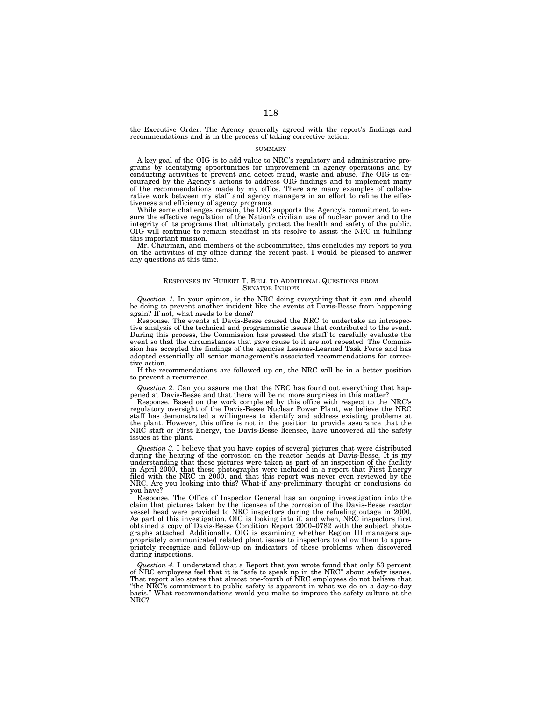the Executive Order. The Agency generally agreed with the report's findings and recommendations and is in the process of taking corrective action.

### SUMMARY

A key goal of the OIG is to add value to NRC's regulatory and administrative programs by identifying opportunities for improvement in agency operations and by conducting activities to prevent and detect fraud, waste and abuse. The OIG is encouraged by the Agency's actions to address OIG findings and to implement many of the recommendations made by my office. There are many examples of collaborative work between my staff and agency managers in an effort to refine the effectiveness and efficiency of agency programs.

While some challenges remain, the OIG supports the Agency's commitment to ensure the effective regulation of the Nation's civilian use of nuclear power and to the integrity of its programs that ultimately protect the health and safety of the public. OIG will continue to remain steadfast in its resolve to assist the NRC in fulfilling this important mission.

Mr. Chairman, and members of the subcommittee, this concludes my report to you on the activities of my office during the recent past. I would be pleased to answer any questions at this time.

### RESPONSES BY HUBERT T. BELL TO ADDITIONAL QUESTIONS FROM SENATOR INHOFE

*Question 1.* In your opinion, is the NRC doing everything that it can and should be doing to prevent another incident like the events at Davis-Besse from happening again? If not, what needs to be done?

Response. The events at Davis-Besse caused the NRC to undertake an introspective analysis of the technical and programmatic issues that contributed to the event. During this process, the Commission has pressed the staff to carefully evaluate the event so that the circumstances that gave cause to it are not repeated. The Commission has accepted the findings of the agencies Lessons-Learned Task Force and has adopted essentially all senior management's associated recommendations for corrective action.

If the recommendations are followed up on, the NRC will be in a better position to prevent a recurrence.

*Question 2.* Can you assure me that the NRC has found out everything that happened at Davis-Besse and that there will be no more surprises in this matter?

Response. Based on the work completed by this office with respect to the NRC's regulatory oversight of the Davis-Besse Nuclear Power Plant, we believe the NRC staff has demonstrated a willingness to identify and address existing problems at the plant. However, this office is not in the position to provide assurance that the NRC staff or First Energy, the Davis-Besse licensee, have uncovered all the safety issues at the plant.

*Question 3.* I believe that you have copies of several pictures that were distributed during the hearing of the corrosion on the reactor heads at Davis-Besse. It is my understanding that these pictures were taken as part of an inspection of the facility in April 2000, that these photographs were included in a report that First Energy filed with the NRC in 2000, and that this report was never even reviewed by the NRC. Are you looking into this? What-if any-preliminary thought or conclusions do you have?

Response. The Office of Inspector General has an ongoing investigation into the claim that pictures taken by the licensee of the corrosion of the Davis-Besse reactor vessel head were provided to NRC inspectors during the refueling outage in 2000. As part of this investigation, OIG is looking into if, and when, NRC inspectors first obtained a copy of Davis-Besse Condition Report 2000–0782 with the subject photographs attached. Additionally, OIG is examining whether Region III managers appropriately communicated related plant issues to inspectors to allow them to appropriately recognize and follow-up on indicators of these problems when discovered during inspections.

*Question 4.* I understand that a Report that you wrote found that only 53 percent of NRC employees feel that it is "safe to speak up in the NRC" about safety issues. That report also states that almost one-fourth of NRC employees do not believe that ''the NRC's commitment to public safety is apparent in what we do on a day-to-day basis.'' What recommendations would you make to improve the safety culture at the NRC?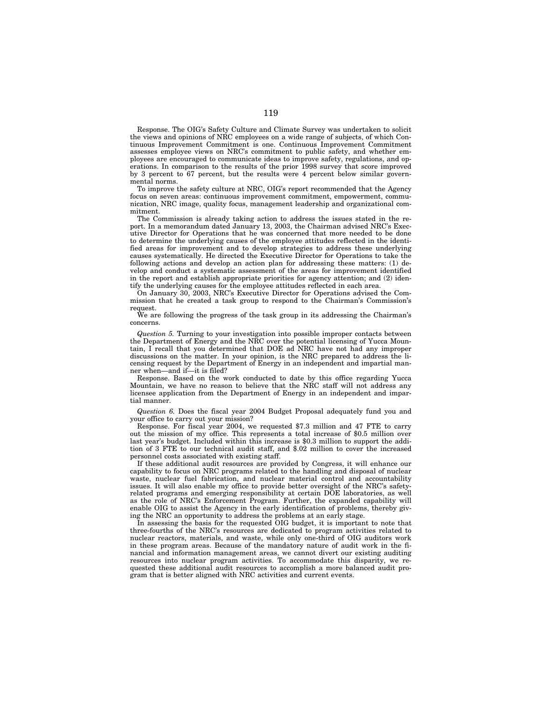Response. The OIG's Safety Culture and Climate Survey was undertaken to solicit the views and opinions of NRC employees on a wide range of subjects, of which Continuous Improvement Commitment is one. Continuous Improvement Commitment assesses employee views on NRC's commitment to public safety, and whether employees are encouraged to communicate ideas to improve safety, regulations, and operations. In comparison to the results of the prior 1998 survey that score improved by 3 percent to 67 percent, but the results were 4 percent below similar governmental norms.

To improve the safety culture at NRC, OIG's report recommended that the Agency focus on seven areas: continuous improvement commitment, empowerment, communication, NRC image, quality focus, management leadership and organizational commitment.

The Commission is already taking action to address the issues stated in the report. In a memorandum dated January 13, 2003, the Chairman advised NRC's Executive Director for Operations that he was concerned that more needed to be done to determine the underlying causes of the employee attitudes reflected in the identified areas for improvement and to develop strategies to address these underlying causes systematically. He directed the Executive Director for Operations to take the following actions and develop an action plan for addressing these matters: (1) develop and conduct a systematic assessment of the areas for improvement identified in the report and establish appropriate priorities for agency attention; and (2) identify the underlying causes for the employee attitudes reflected in each area.

On January 30, 2003, NRC's Executive Director for Operations advised the Commission that he created a task group to respond to the Chairman's Commission's request.

We are following the progress of the task group in its addressing the Chairman's concerns.

*Question 5.* Turning to your investigation into possible improper contacts between the Department of Energy and the NRC over the potential licensing of Yucca Mountain, I recall that you determined that DOE ad NRC have not had any improper discussions on the matter. In your opinion, is the NRC prepared to address the licensing request by the Department of Energy in an independent and impartial manner when—and if—it is filed?

Response. Based on the work conducted to date by this office regarding Yucca Mountain, we have no reason to believe that the NRC staff will not address any licensee application from the Department of Energy in an independent and impartial manner.

*Question 6.* Does the fiscal year 2004 Budget Proposal adequately fund you and your office to carry out your mission?

Response. For fiscal year 2004, we requested \$7.3 million and 47 FTE to carry out the mission of my office. This represents a total increase of \$0.5 million over last year's budget. Included within this increase is \$0.3 million to support the addition of 3 FTE to our technical audit staff, and \$.02 million to cover the increased personnel costs associated with existing staff.

If these additional audit resources are provided by Congress, it will enhance our capability to focus on NRC programs related to the handling and disposal of nuclear waste, nuclear fuel fabrication, and nuclear material control and accountability issues. It will also enable my office to provide better oversight of the NRC's safetyrelated programs and emerging responsibility at certain DOE laboratories, as well as the role of NRC's Enforcement Program. Further, the expanded capability will enable OIG to assist the Agency in the early identification of problems, thereby giving the NRC an opportunity to address the problems at an early stage.

In assessing the basis for the requested OIG budget, it is important to note that three-fourths of the NRC's resources are dedicated to program activities related to nuclear reactors, materials, and waste, while only one-third of OIG auditors work in these program areas. Because of the mandatory nature of audit work in the financial and information management areas, we cannot divert our existing auditing resources into nuclear program activities. To accommodate this disparity, we requested these additional audit resources to accomplish a more balanced audit program that is better aligned with NRC activities and current events.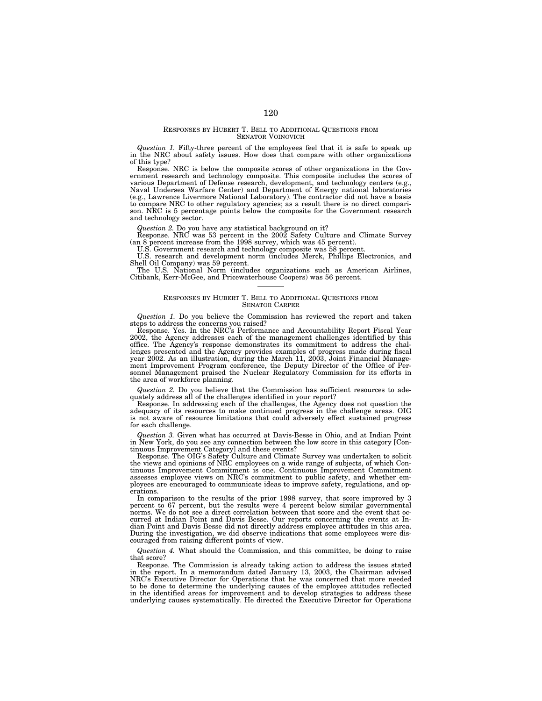### RESPONSES BY HUBERT T. BELL TO ADDITIONAL QUESTIONS FROM SENATOR VOINOVICH

*Question 1.* Fifty-three percent of the employees feel that it is safe to speak up in the NRC about safety issues. How does that compare with other organizations of this type?

Response. NRC is below the composite scores of other organizations in the Government research and technology composite. This composite includes the scores of various Department of Defense research, development, and technology centers (e.g., Naval Undersea Warfare Center) and Department of Energy national laboratories (e.g., Lawrence Livermore National Laboratory). The contractor did not have a basis to compare NRC to other regulatory agencies; as a result there is no direct compari-son. NRC is 5 percentage points below the composite for the Government research and technology sector.

*Question 2.* Do you have any statistical background on it? Response. NRC was 53 percent in the 2002 Safety Culture and Climate Survey (an 8 percent increase from the 1998 survey, which was 45 percent).

U.S. Government research and technology composite was 58 percent.

U.S. research and development norm (includes Merck, Phillips Electronics, and Shell Oil Company) was 59 percent.

The U.S. National Norm (includes organizations such as American Airlines, Citibank, Kerr-McGee, and Pricewaterhouse Coopers) was 56 percent.

## RESPONSES BY HUBERT T. BELL TO ADDITIONAL QUESTIONS FROM SENATOR CARPER

*Question 1.* Do you believe the Commission has reviewed the report and taken

steps to address the concerns you raised? Response. Yes. In the NRC's Performance and Accountability Report Fiscal Year 2002, the Agency addresses each of the management challenges identified by this office. The Agency's response demonstrates its commitment to address the challenges presented and the Agency provides examples of progress made during fiscal year 2002. As an illustration, during the March 11, 2003, Joint Financial Management Improvement Program conference, the Deputy Director of the Office of Per-sonnel Management praised the Nuclear Regulatory Commission for its efforts in the area of workforce planning.

*Question 2.* Do you believe that the Commission has sufficient resources to adequately address all of the challenges identified in your report?

Response. In addressing each of the challenges, the Agency does not question the adequacy of its resources to make continued progress in the challenge areas. OIG is not aware of resource limitations that could adversely effect sustained progress for each challenge.

*Question 3.* Given what has occurred at Davis-Besse in Ohio, and at Indian Point in New York, do you see any connection between the low score in this category [Con-

tinuous Improvement Category] and these events? Response. The OIG's Safety Culture and Climate Survey was undertaken to solicit the views and opinions of NRC employees on a wide range of subjects, of which Con-tinuous Improvement Commitment is one. Continuous Improvement Commitment assesses employee views on NRC's commitment to public safety, and whether employees are encouraged to communicate ideas to improve safety, regulations, and operations.

In comparison to the results of the prior 1998 survey, that score improved by 3 percent to 67 percent, but the results were 4 percent below similar governmental norms. We do not see a direct correlation between that score and the event that occurred at Indian Point and Davis Besse. Our reports concerning the events at Indian Point and Davis Besse did not directly address employee attitudes in this area. During the investigation, we did observe indications that some employees were discouraged from raising different points of view.

*Question 4.* What should the Commission, and this committee, be doing to raise that score?

Response. The Commission is already taking action to address the issues stated in the report. In a memorandum dated January 13, 2003, the Chairman advised NRC's Executive Director for Operations that he was concerned that more needed to be done to determine the underlying causes of the employee attitudes reflected in the identified areas for improvement and to develop strategies to address these underlying causes systematically. He directed the Executive Director for Operations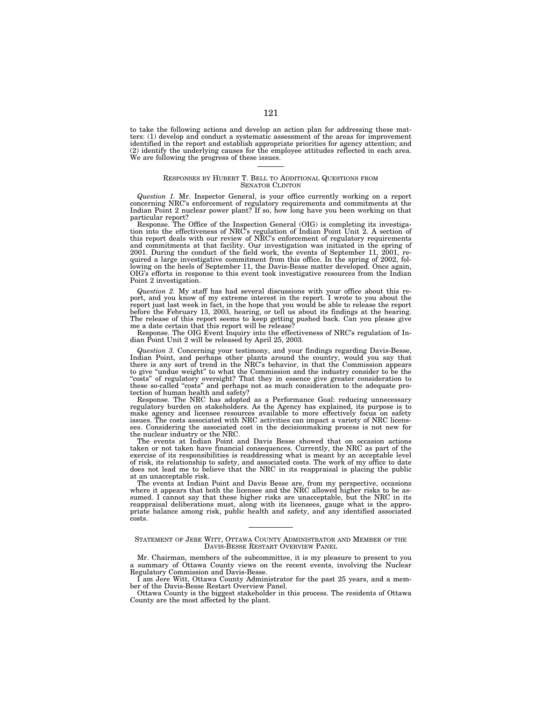to take the following actions and develop an action plan for addressing these matters: (1) develop and conduct a systematic assessment of the areas for improvement identified in the report and establish appropriate priorities for agency attention; and (2) identify the underlying causes for the employee attitudes reflected in each area. We are following the progress of these issues.

## RESPONSES BY HUBERT T. BELL TO ADDITIONAL QUESTIONS FROM SENATOR CLINTON

*Question 1.* Mr. Inspector General, is your office currently working on a report concerning NRC's enforcement of regulatory requirements and commitments at the Indian Point 2 nuclear power plant? If so, how long have you been working on that particular report?

Response. The Office of the Inspection General (OIG) is completing its investigation into the effectiveness of NRC's regulation of Indian Point Unit 2. A section of this report deals with our review of NRC's enforcement of and commitments at that facility. Our investigation was initiated in the spring of 2001. During the conduct of the field work, the events of September 11, 2001, required a large investigative commitment from this office. In the spring of 2002, following on the heels of September 11, the Davis-Besse matter developed. Once again, OIG's efforts in response to this event took investigative resources from the Indian Point 2 investigation.

*Question 2.* My staff has had several discussions with your office about this report, and you know of my extreme interest in the report. I wrote to you about the report just last week in fact, in the hope that you would be able to release the report before the February 13, 2003, hearing, or tell us about its findings at the hearing. The release of this report seems to keep getting pushed back. Can you please give me a date certain that this report will be release?

Response. The OIG Event Inquiry into the effectiveness of NRC's regulation of Indian Point Unit 2 will be released by April 25, 2003.

*Question 3.* Concerning your testimony, and your findings regarding Davis-Besse, Indian Point, and perhaps other plants around the country, would you say that there is any sort of trend in the NRC's behavior, in that the Commission appears to give "undue weight" to what the Commission and the industry consider to be the to give "undue weight" to what the Commission and the industry consider to be the<br>"costs" of regulatory oversight? That they in essence give greater consideration to<br>these so-called "costs" and perhaps not as much consider tection of human health and safety?

Response. The NRC has adopted as a Performance Goal: reducing unnecessary regulatory burden on stakeholders. As the Agency has explained, its purpose is to make agency and licensee resources available to more effectively focus on safety issues. The costs associated with NRC activities can impact a variety of NRC licensees. Considering the associated cost in the decisionmaking process is not new for the nuclear industry or the NRC.

The events at Indian Point and Davis Besse showed that on occasion actions taken or not taken have financial consequences. Currently, the NRC as part of the exercise of its responsibilities is readdressing what is meant by an acceptable level of risk, its relationship to safety, and associated costs. The work of my office to date does not lead me to believe that the NRC in its reappraisal is placing the public at an unacceptable risk.

The events at Indian Point and Davis Besse are, from my perspective, occasions where it appears that both the licensee and the NRC allowed higher risks to be assumed. I cannot say that these higher risks are unacceptable, but the NRC in its reappraisal deliberations must, along with its licensees, gauge what is the appropriate balance among risk, public health and safety, and any identified associated costs.

STATEMENT OF JERE WITT, OTTAWA COUNTY ADMINISTRATOR AND MEMBER OF THE DAVIS-BESSE RESTART OVERVIEW PANEL

Mr. Chairman, members of the subcommittee, it is my pleasure to present to you a summary of Ottawa County views on the recent events, involving the Nuclear Regulatory Commission and Davis-Besse.

I am Jere Witt, Ottawa County Administrator for the past 25 years, and a member of the Davis-Besse Restart Overview Panel.

Ottawa County is the biggest stakeholder in this process. The residents of Ottawa County are the most affected by the plant.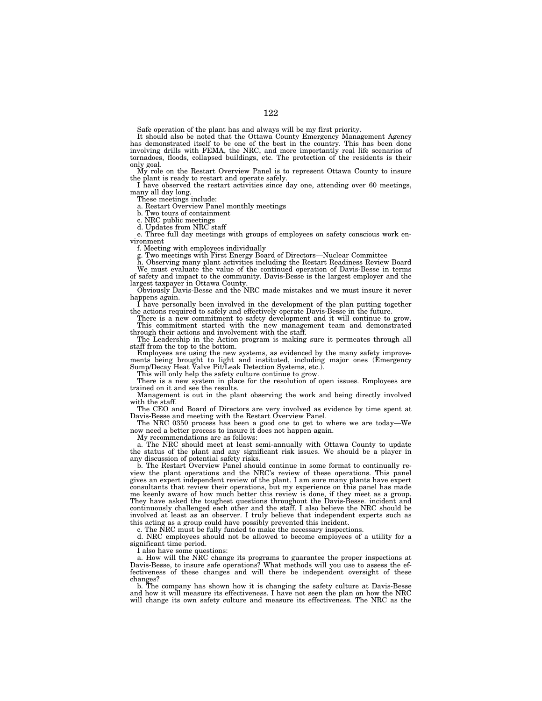Safe operation of the plant has and always will be my first priority.

It should also be noted that the Ottawa County Emergency Management Agency<br>has demonstrated itself to be one of the best in the country. This has been done<br>involving drills with FEMA, the NRC, and more importantly real lif tornadoes, floods, collapsed buildings, etc. The protection of the residents is their only goal.

My role on the Restart Overview Panel is to represent Ottawa County to insure the plant is ready to restart and operate safely.

I have observed the restart activities since day one, attending over 60 meetings, many all day long.

These meetings include:

a. Restart Overview Panel monthly meetings

b. Two tours of containment

c. NRC public meetings d. Updates from NRC staff

e. Three full day meetings with groups of employees on safety conscious work environment

f. Meeting with employees individually g. Two meetings with First Energy Board of Directors—Nuclear Committee

h. Observing many plant activities including the Restart Readiness Review Board We must evaluate the value of the continued operation of Davis-Besse in terms

of safety and impact to the community. Davis-Besse is the largest employer and the largest taxpayer in Ottawa County.

Obviously Davis-Besse and the NRC made mistakes and we must insure it never happens again.

I have personally been involved in the development of the plan putting together the actions required to safely and effectively operate Davis-Besse in the future. There is a new commitment to safety development and it will continue to grow.

This commitment started with the new management team and demonstrated through their actions and involvement with the staff.

The Leadership in the Action program is making sure it permeates through all staff from the top to the bottom.

Employees are using the new systems, as evidenced by the many safety improvements being brought to light and instituted, including major ones (Emergency Sump/Decay Heat Valve Pit/Leak Detection Systems, etc.).

This will only help the safety culture continue to grow.

There is a new system in place for the resolution of open issues. Employees are trained on it and see the results.

Management is out in the plant observing the work and being directly involved with the staff.

The CEO and Board of Directors are very involved as evidence by time spent at Davis-Besse and meeting with the Restart Overview Panel.

The NRC 0350 process has been a good one to get to where we are today—We now need a better process to insure it does not happen again.

My recommendations are as follows:

a. The NRC should meet at least semi-annually with Ottawa County to update the status of the plant and any significant risk issues. We should be a player in any discussion of potential safety risks.

b. The Restart Overview Panel should continue in some format to continually review the plant operations and the NRC's review of these operations. This panel gives an expert independent review of the plant. I am sure many plants have expert consultants that review their operations, but my experience on this panel has made me keenly aware of how much better this review is done, if they meet as a group. They have asked the toughest questions throughout the Davis-Besse. incident and continuously challenged each other and the staff. I also believe the NRC should be involved at least as an observer. I truly believe that independent experts such as this acting as a group could have possibly prevented this incident.

c. The NRC must be fully funded to make the necessary inspections.

d. NRC employees should not be allowed to become employees of a utility for a significant time period.

I also have some questions:

a. How will the NRC change its programs to guarantee the proper inspections at Davis-Besse, to insure safe operations? What methods will you use to assess the effectiveness of these changes and will there be independent oversight of these changes?

b. The company has shown how it is changing the safety culture at Davis-Besse and how it will measure its effectiveness. I have not seen the plan on how the NRC will change its own safety culture and measure its effectiveness. The NRC as the